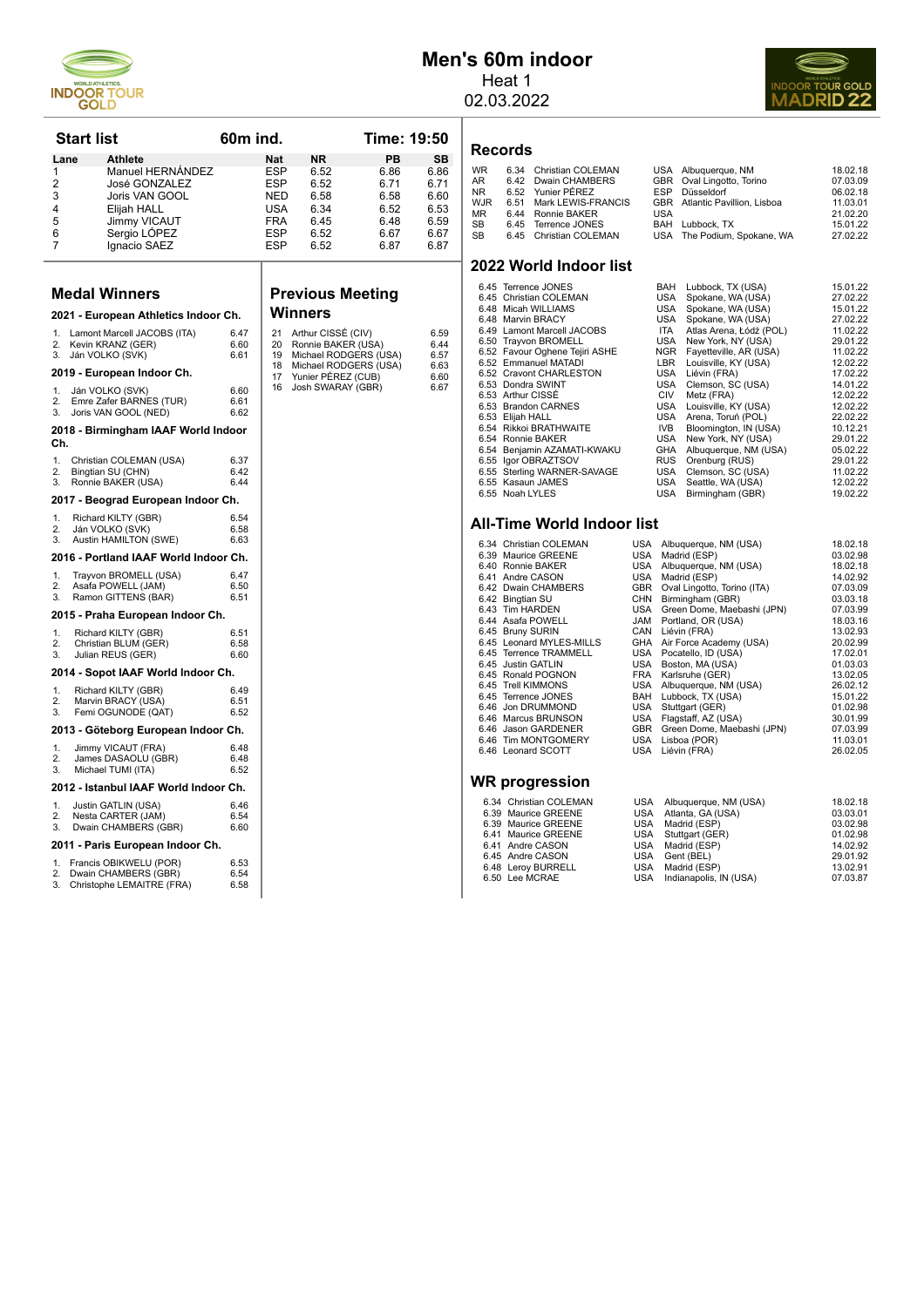

## **Men's 60m indoor** Heat 1

02.03.2022



| Records |
|---------|
|---------|

| <b>WR</b>  | 6.34 | <b>Christian COLEMAN</b> |     | USA Albuquerque, NM                   | 18.02.18 |
|------------|------|--------------------------|-----|---------------------------------------|----------|
| AR.        |      | 6.42 Dwain CHAMBERS      |     | GBR Oval Lingotto, Torino             | 07.03.09 |
| NR.        |      | 6.52 Yunier PÉREZ        |     | ESP Düsseldorf                        | 06.02.18 |
| <b>WJR</b> |      | 6.51 Mark LEWIS-FRANCIS  |     | <b>GBR</b> Atlantic Pavillion, Lisboa | 11.03.01 |
| <b>MR</b>  |      | 6.44 Ronnie BAKER        | USA |                                       | 21.02.20 |
| SB         |      | 6.45 Terrence JONES      |     | BAH Lubbock, TX                       | 15.01.22 |
| <b>SB</b>  |      | 6.45 Christian COLEMAN   |     | USA The Podium, Spokane, WA           | 27.02.22 |
|            |      |                          |     |                                       |          |

#### **2022 World Indoor list**

| 6.45 Terrence JONES            | BAH        | Lubbock, TX (USA)       | 15.01.22 |
|--------------------------------|------------|-------------------------|----------|
| 6.45 Christian COLEMAN         | USA        | Spokane, WA (USA)       | 27.02.22 |
| 6.48 Micah WILLIAMS            | USA        | Spokane, WA (USA)       | 15.01.22 |
| 6.48 Marvin BRACY              | <b>USA</b> | Spokane, WA (USA)       | 27.02.22 |
| 6.49 Lamont Marcell JACOBS     | <b>ITA</b> | Atlas Arena, Łódź (POL) | 11.02.22 |
| 6.50 Trayvon BROMELL           | <b>USA</b> | New York, NY (USA)      | 29.01.22 |
| 6.52 Favour Oghene Tejiri ASHE | <b>NGR</b> | Fayetteville, AR (USA)  | 11.02.22 |
| 6.52 Emmanuel MATADI           | LBR        | Louisville, KY (USA)    | 12.02.22 |
| 6.52 Cravont CHARLESTON        | USA        | Liévin (FRA)            | 17.02.22 |
| 6.53 Dondra SWINT              | USA        | Clemson, SC (USA)       | 14.01.22 |
| 6.53 Arthur CISSÉ              | <b>CIV</b> | Metz (FRA)              | 12.02.22 |
| 6.53 Brandon CARNES            | <b>USA</b> | Louisville, KY (USA)    | 12.02.22 |
| 6.53 Elijah HALL               | <b>USA</b> | Arena, Toruń (POL)      | 22.02.22 |
| 6.54 Rikkoi BRATHWAITE         | IVB.       | Bloomington, IN (USA)   | 10.12.21 |
| 6.54 Ronnie BAKER              | <b>USA</b> | New York, NY (USA)      | 29.01.22 |
| 6.54 Benjamin AZAMATI-KWAKU    | GHA        | Albuquerque, NM (USA)   | 05.02.22 |
| 6.55 Igor OBRAZTSOV            | <b>RUS</b> | Orenburg (RUS)          | 29.01.22 |
| 6.55 Sterling WARNER-SAVAGE    | USA        | Clemson, SC (USA)       | 11.02.22 |
| 6.55 Kasaun JAMES              | <b>USA</b> | Seattle, WA (USA)       | 12.02.22 |
| 6.55 Noah LYLES                | <b>USA</b> | Birmingham (GBR)        | 19.02.22 |

#### **All-Time World Indoor list**

| 6.34 Christian COLEMAN   | USA        | Albuquerque, NM (USA)       | 18.02.18 |
|--------------------------|------------|-----------------------------|----------|
| 6.39 Maurice GREENE      | USA        | Madrid (ESP)                | 03.02.98 |
| 6.40 Ronnie BAKER        | USA        | Albuquerque, NM (USA)       | 18.02.18 |
| 6.41 Andre CASON         | USA        | Madrid (ESP)                | 14.02.92 |
| 6.42 Dwain CHAMBERS      | GBR        | Oval Lingotto, Torino (ITA) | 07.03.09 |
| 6.42 Bingtian SU         | <b>CHN</b> | Birmingham (GBR)            | 03.03.18 |
| 6.43 Tim HARDEN          | USA        | Green Dome, Maebashi (JPN)  | 07.03.99 |
| 6.44 Asafa POWELL        | JAM        | Portland, OR (USA)          | 18.03.16 |
| 6.45 Bruny SURIN         | CAN        | Liévin (FRA)                | 13.02.93 |
| 6.45 Leonard MYLES-MILLS | GHA        | Air Force Academy (USA)     | 20.02.99 |
| 6.45 Terrence TRAMMELL   | USA        | Pocatello, ID (USA)         | 17.02.01 |
| 6.45 Justin GATLIN       | USA        | Boston, MA (USA)            | 01.03.03 |
| 6.45 Ronald POGNON       | <b>FRA</b> | Karlsruhe (GER)             | 13.02.05 |
| 6.45 Trell KIMMONS       | USA        | Albuquerque, NM (USA)       | 26.02.12 |
| 6.45 Terrence JONES      | <b>BAH</b> | Lubbock, TX (USA)           | 15.01.22 |
| 6.46 Jon DRUMMOND        | USA        | Stuttgart (GER)             | 01.02.98 |
| 6.46 Marcus BRUNSON      | USA        | Flagstaff, AZ (USA)         | 30.01.99 |
| 6.46 Jason GARDENER      | GBR        | Green Dome, Maebashi (JPN)  | 07.03.99 |
| 6.46 Tim MONTGOMERY      | USA        | Lisboa (POR)                | 11.03.01 |
| 6.46 Leonard SCOTT       | <b>USA</b> | Liévin (FRA)                | 26.02.05 |
| WR progression           |            |                             |          |
| 6.34 Christian COLEMAN   | <b>USA</b> | Albuquerque, NM (USA)       | 18.02.18 |

| 6.34 Christian COLEMAN | USA Albuquerque, NM (USA)  | 18.02.18 |
|------------------------|----------------------------|----------|
| 6.39 Maurice GREENE    | USA Atlanta, GA (USA)      | 03.03.01 |
| 6.39 Maurice GREENE    | USA Madrid (ESP)           | 03.02.98 |
| 6.41 Maurice GREENE    | USA Stuttgart (GER)        | 01.02.98 |
| 6.41 Andre CASON       | USA Madrid (ESP)           | 14.02.92 |
| 6.45 Andre CASON       | USA Gent (BEL)             | 29.01.92 |
| 6.48 Leroy BURRELL     | USA Madrid (ESP)           | 13.02.91 |
| 6.50 Lee MCRAE         | USA Indianapolis, IN (USA) | 07.03.87 |
|                        |                            |          |

| <b>Start list</b> |                                                                                          | 60m ind.             |                          |                                         | Time: 19:50                                    |                           |  |
|-------------------|------------------------------------------------------------------------------------------|----------------------|--------------------------|-----------------------------------------|------------------------------------------------|---------------------------|--|
| Lane<br>1<br>2    | Athlete<br>Manuel HERNANDEZ<br><b>José GONZALEZ</b>                                      |                      | Nat<br>ESP<br>ESP        | ΝR<br>6.52<br>6.52                      | PВ<br>6.86<br>6.71                             | <b>SB</b><br>6.86<br>6.71 |  |
| 3<br>4            | Joris VAN GOOL<br>Elijah HALL                                                            |                      | NED<br>USA               | 6.58<br>6.34                            | 6.58<br>6.52                                   | 6.60<br>6.53              |  |
| 5<br>6<br>7       | Jimmy VICAUT<br>Sergio LOPEZ<br>Ignacio SAEZ                                             |                      | <b>FRA</b><br>ESP<br>ESP | 6.45<br>6.52<br>6.52                    | 6.48<br>6.67<br>6.87                           | 6.59<br>6.67<br>6.87      |  |
|                   |                                                                                          |                      |                          |                                         |                                                |                           |  |
|                   | <b>Medal Winners</b>                                                                     |                      |                          | <b>Previous Meeting</b><br>Winners      |                                                |                           |  |
| 1.<br>2.          | 2021 - European Athletics Indoor Ch.<br>Lamont Marcell JACOBS (ITA)<br>Kevin KRANZ (GER) | 6.47<br>6.60         | 21<br>20                 | Arthur CISSE (CIV)                      | Ronnie BAKER (USA)                             | 6.59<br>6.44              |  |
| 3.                | Ján VOLKO (SVK)<br>2019 - European Indoor Ch.                                            | 6.61                 | 19<br>18                 |                                         | Michael RODGERS (USA)<br>Michael RODGERS (USA) | 6.57<br>6.63              |  |
| 1.<br>2.<br>3.    | Ján VOLKO (SVK)<br>Emre Zafer BARNES (TUR)<br>Joris VAN GOOL (NED)                       | 6.60<br>6.61<br>6.62 | 17<br>16                 | Yunier PÉREZ (CUB)<br>Josh SWARAY (GBR) | 6.60<br>6.67                                   |                           |  |
| Ch.               | 2018 - Birmingham IAAF World Indoor                                                      |                      |                          |                                         |                                                |                           |  |
| 1.<br>2.<br>3.    | Christian COLEMAN (USA)<br>Bingtian SU (CHN)<br>Ronnie BAKER (USA)                       | 6.37<br>6.42<br>6.44 |                          |                                         |                                                |                           |  |
|                   | 2017 - Beograd European Indoor Ch.                                                       |                      |                          |                                         |                                                |                           |  |
| 1.<br>2.<br>3.    | Richard KILTY (GBR)<br>Ján VOLKO (SVK)<br>Austin HAMILTON (SWE)                          | 6.54<br>6.58<br>6.63 |                          |                                         |                                                |                           |  |
|                   | 2016 - Portland IAAF World Indoor Ch.                                                    |                      |                          |                                         |                                                |                           |  |
| 1.<br>2.<br>3.    | Trayvon BROMELL (USA)<br>Asafa POWELL (JAM)<br>Ramon GITTENS (BAR)                       | 647<br>6.50<br>6.51  |                          |                                         |                                                |                           |  |
|                   | 2015 - Praha European Indoor Ch.                                                         |                      |                          |                                         |                                                |                           |  |
| 1.<br>2.<br>3.    | Richard KILTY (GBR)<br>Christian BLUM (GER)<br>Julian REUS (GER)                         | 6.51<br>6.58<br>6.60 |                          |                                         |                                                |                           |  |
|                   | 2014 - Sopot IAAF World Indoor Ch.                                                       |                      |                          |                                         |                                                |                           |  |
| 1.<br>2.<br>3.    | Richard KILTY (GBR)<br>Marvin BRACY (USA)<br>Femi OGUNODE (QAT)                          | 6.49<br>6.51<br>6.52 |                          |                                         |                                                |                           |  |
|                   | 2013 - Göteborg European Indoor Ch.                                                      |                      |                          |                                         |                                                |                           |  |
| 1.<br>2.<br>3.    | Jimmy VICAUT (FRA)<br>James DASAOLU (GBR)<br>Michael TUMI (ITA)                          | 6.48<br>6.48<br>6.52 |                          |                                         |                                                |                           |  |
|                   | 2012 - Istanbul IAAF World Indoor Ch.                                                    |                      |                          |                                         |                                                |                           |  |
| 1.<br>2.<br>3.    | Justin GATLIN (USA)<br>Nesta CARTER (JAM)<br>Dwain CHAMBERS (GBR)                        | 6.46<br>6.54<br>6.60 |                          |                                         |                                                |                           |  |
|                   | 2011 - Paris European Indoor Ch.                                                         |                      |                          |                                         |                                                |                           |  |
| 1<br>2.<br>3.     | Francis OBIKWELU (POR)<br>Dwain CHAMBERS (GBR)<br>Christophe LEMAITRE (FRA)              | 6.53<br>6.54<br>6.58 |                          |                                         |                                                |                           |  |

# **Pus Meeting** ers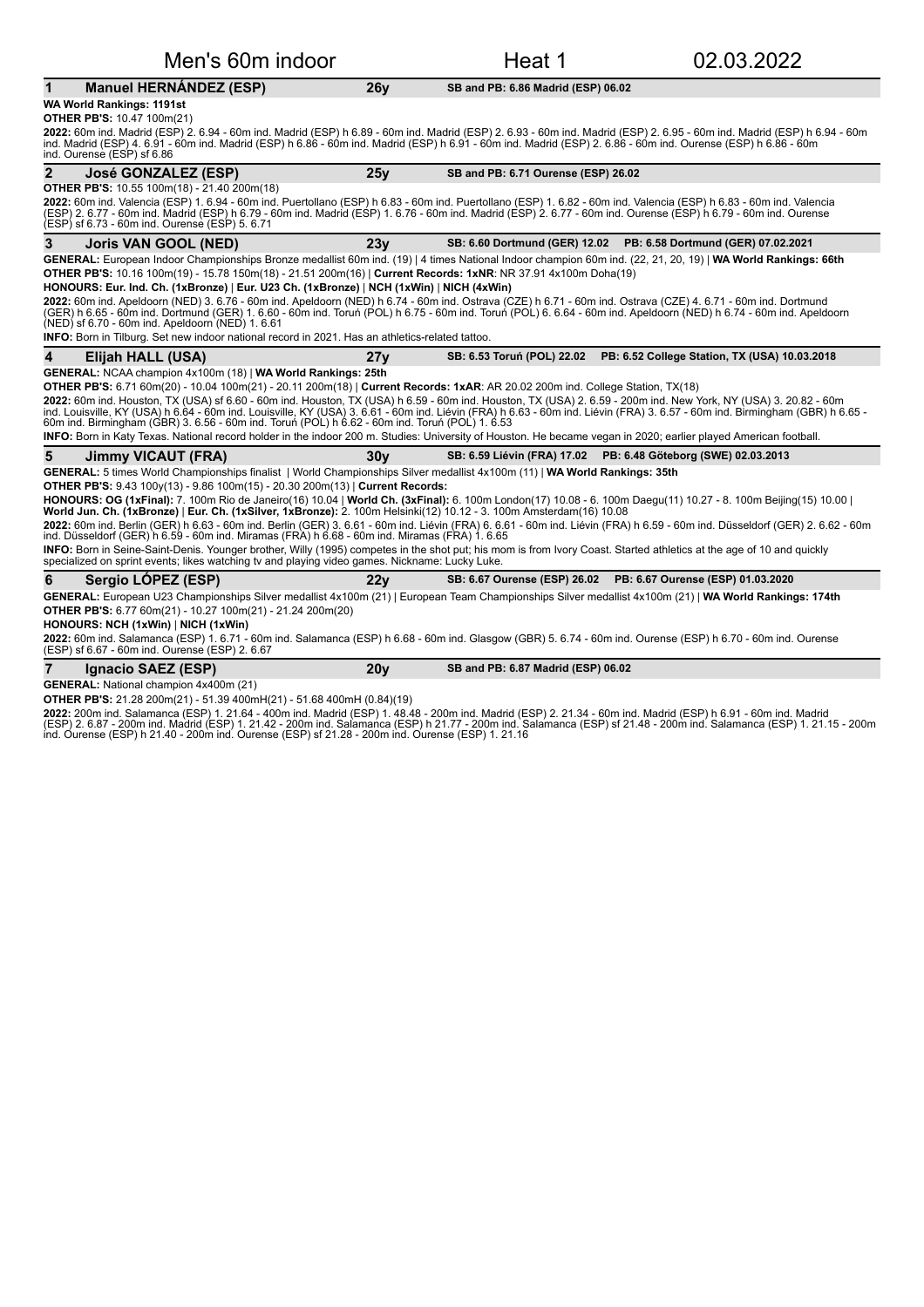| Men's 60m indoor                                                                                                                                                                                                                                                                                                                                                                                                                                  |                 | Heat 1                                                              | 02.03.2022                                                               |
|---------------------------------------------------------------------------------------------------------------------------------------------------------------------------------------------------------------------------------------------------------------------------------------------------------------------------------------------------------------------------------------------------------------------------------------------------|-----------------|---------------------------------------------------------------------|--------------------------------------------------------------------------|
| <b>Manuel HERNÁNDEZ (ESP)</b><br>$\mathbf 1$                                                                                                                                                                                                                                                                                                                                                                                                      | 26y             | SB and PB: 6.86 Madrid (ESP) 06.02                                  |                                                                          |
| WA World Rankings: 1191st                                                                                                                                                                                                                                                                                                                                                                                                                         |                 |                                                                     |                                                                          |
| <b>OTHER PB'S: 10.47 100m(21)</b><br>2022: 60m ind. Madrid (ESP) 2. 6.94 - 60m ind. Madrid (ESP) h 6.89 - 60m ind. Madrid (ESP) 2. 6.93 - 60m ind. Madrid (ESP) 2. 6.95 - 60m ind. Madrid (ESP) h 6.94 - 60m<br>ind. Madrid (ESP) 4. 6.91 - 60m ind. Madrid (ESP) h 6.86 - 60m ind. Madrid (ESP) h 6.91 - 60m ind. Madrid (ESP) 2. 6.86 - 60m ind. Ourense (ESP) h 6.86 - 60m<br>ind. Ourense (ESP) sf 6.86                                       |                 |                                                                     |                                                                          |
| $\overline{2}$<br>José GONZALEZ (ESP)                                                                                                                                                                                                                                                                                                                                                                                                             | 25v             | SB and PB: 6.71 Ourense (ESP) 26.02                                 |                                                                          |
| <b>OTHER PB'S:</b> 10.55 100m(18) - 21.40 200m(18)<br>2022: 60m ind. Valencia (ESP) 1. 6.94 - 60m ind. Puertollano (ESP) h 6.83 - 60m ind. Puertollano (ESP) 1. 6.82 - 60m ind. Valencia (ESP) h 6.83 - 60m ind. Valencia<br>(ESP) 2. 6.77 - 60m ind. Madríd (ESP) h 6.79 - 60m ind. Madrid (ESP) 1. 6.76 - 60m ind. Madrid (ESP) 2. 6.77 - 60m ind. Ourense (ESP) h 6.79 - 60m ind. Ourense<br>(ESP) sf 6.73 - 60m ind. Ourense (ESP) 5. 6.71    |                 |                                                                     |                                                                          |
| 3<br><b>Joris VAN GOOL (NED)</b>                                                                                                                                                                                                                                                                                                                                                                                                                  | 23y             | SB: 6.60 Dortmund (GER) 12.02    PB: 6.58 Dortmund (GER) 07.02.2021 |                                                                          |
| GENERAL: European Indoor Championships Bronze medallist 60m ind. (19)   4 times National Indoor champion 60m ind. (22, 21, 20, 19)   WA World Rankings: 66th<br>OTHER PB'S: 10.16 100m(19) - 15.78 150m(18) - 21.51 200m(16)   Current Records: 1xNR: NR 37.91 4x100m Doha(19)<br>HONOURS: Eur. Ind. Ch. (1xBronze)   Eur. U23 Ch. (1xBronze)   NCH (1xWin)   NICH (4xWin)                                                                        |                 |                                                                     |                                                                          |
| 2022: 60m ind. Apeldoorn (NED) 3. 6.76 - 60m ind. Apeldoorn (NED) h 6.74 - 60m ind. Ostrava (CZE) h 6.71 - 60m ind. Ostrava (CZE) 4. 6.71 - 60m ind. Dortmund<br>(GER) h 6.65 - 60m ind. Dortmund (GER) 1. 6.60 - 60m ind. Toruń (POL) h 6.75 - 60m ind. Toruń (POL) 6. 6.64 - 60m ind. Apeldoorn (NED) h 6.74 - 60m ind. Apeldoorn<br>(NED) sf 6.70 - 60m ind. Apeldoorn (NED) 1. 6.61                                                           |                 |                                                                     |                                                                          |
| <b>INFO:</b> Born in Tilburg. Set new indoor national record in 2021. Has an athletics-related tattoo.                                                                                                                                                                                                                                                                                                                                            |                 |                                                                     |                                                                          |
| 4<br>Elijah HALL (USA)                                                                                                                                                                                                                                                                                                                                                                                                                            | 27v             |                                                                     | SB: 6.53 Toruń (POL) 22.02 PB: 6.52 College Station, TX (USA) 10.03.2018 |
| GENERAL: NCAA champion 4x100m (18)   WA World Rankings: 25th<br>OTHER PB'S: 6.71 60m(20) - 10.04 100m(21) - 20.11 200m(18)   Current Records: 1xAR: AR 20.02 200m ind. College Station, TX(18)                                                                                                                                                                                                                                                    |                 |                                                                     |                                                                          |
| 2022: 60m ind. Houston, TX (USA) sf 6.60 - 60m ind. Houston, TX (USA) h 6.59 - 60m ind. Houston, TX (USA) 2. 6.59 - 200m ind. New York, NY (USA) 3. 20.82 - 60m<br>ind. Louisville, KY (USA) h 6.64 - 60m ind. Louisville, KY (USA) 3. 6.61 - 60m ind. Liévin (FRA) h 6.63 - 60m ind. Liévin (FRA) 3. 6.57 - 60m ind. Birmingham (GBR) h 6.65 -<br>60m ind. Birmingham (GBR) 3. 6.56 - 60m ind. Toruń (POL) h 6.62 - 60m ind. Toruń (POL) 1. 6.53 |                 |                                                                     |                                                                          |
| INFO: Born in Katy Texas. National record holder in the indoor 200 m. Studies: University of Houston. He became vegan in 2020; earlier played American football.                                                                                                                                                                                                                                                                                  |                 |                                                                     |                                                                          |
| 5<br>Jimmy VICAUT (FRA)                                                                                                                                                                                                                                                                                                                                                                                                                           | 30 <sub>V</sub> | SB: 6.59 Liévin (FRA) 17.02 PB: 6.48 Göteborg (SWE) 02.03.2013      |                                                                          |
| GENERAL: 5 times World Championships finalist   World Championships Silver medallist 4x100m (11)   WA World Rankings: 35th                                                                                                                                                                                                                                                                                                                        |                 |                                                                     |                                                                          |
| <b>OTHER PB'S:</b> 9.43 100y(13) - 9.86 100m(15) - 20.30 200m(13)   Current Records:<br>HONOURS: OG (1xFinal): 7. 100m Rio de Janeiro(16) 10.04   World Ch. (3xFinal): 6. 100m London(17) 10.08 - 6. 100m Daegu(11) 10.27 - 8. 100m Beijing(15) 10.00  <br>World Jun. Ch. (1xBronze)   Eur. Ch. (1xSilver, 1xBronze): 2. 100m Helsinki(12) 10.12 - 3. 100m Amsterdam(16) 10.08                                                                    |                 |                                                                     |                                                                          |
| 2022: 60m ind. Berlin (GER) h 6.63 - 60m ind. Berlin (GER) 3. 6.61 - 60m ind. Liévin (FRA) 6. 6.61 - 60m ind. Liévin (FRA) h 6.59 - 60m ind. Düsseldorf (GER) 2. 6.62 - 60m<br>ind. Düsseldorf (GER) h 6.59 - 60m ind. Miramas (FRA) h 6.68 - 60m ind. Miramas (FRA) 1. 6.65                                                                                                                                                                      |                 |                                                                     |                                                                          |
| <b>INFO:</b> Born in Seine-Saint-Denis. Younger brother, Willy (1995) competes in the shot put; his mom is from Ivory Coast. Started athletics at the age of 10 and quickly<br>specialized on sprint events; likes watching tv and playing video games. Nickname: Lucky Luke.                                                                                                                                                                     |                 |                                                                     |                                                                          |
| 6<br>Sergio LOPEZ (ESP)                                                                                                                                                                                                                                                                                                                                                                                                                           | 22y             | SB: 6.67 Ourense (ESP) 26.02                                        | PB: 6.67 Ourense (ESP) 01.03.2020                                        |
| GENERAL: European U23 Championships Silver medallist 4x100m (21)   European Team Championships Silver medallist 4x100m (21)   WA World Rankings: 174th<br>OTHER PB'S: 6.77 60m(21) - 10.27 100m(21) - 21.24 200m(20)                                                                                                                                                                                                                              |                 |                                                                     |                                                                          |
| HONOURS: NCH (1xWin)   NICH (1xWin)                                                                                                                                                                                                                                                                                                                                                                                                               |                 |                                                                     |                                                                          |
| 2022: 60m ind. Salamanca (ESP) 1. 6.71 - 60m ind. Salamanca (ESP) h 6.68 - 60m ind. Glasgow (GBR) 5. 6.74 - 60m ind. Ourense (ESP) h 6.70 - 60m ind. Ourense<br>(ESP) sf 6.67 - 60m ind. Ourense (ESP) 2.6.67                                                                                                                                                                                                                                     |                 |                                                                     |                                                                          |
| $\overline{7}$<br>Ignacio SAEZ (ESP)                                                                                                                                                                                                                                                                                                                                                                                                              | 20 <sub>V</sub> | SB and PB: 6.87 Madrid (ESP) 06.02                                  |                                                                          |

**GENERAL:** National champion 4x400m (21)

**OTHER PB'S:** 21.28 200m(21) - 51.39 400mH(21) - 51.68 400mH (0.84)(19)

**2022:** 200m ind. Salamanca (ESP) 1. 21.64 - 400m ind. Madrid (ESP) 1. 48.48 - 200m ind. Madrid (ESP) 2. 21.34 - 60m ind. Madrid (ESP) h 6.91 - 60m ind. Madrid<br>(ESP) 2. 6.87 - 200m ind. Madrid (ESP) 1. 21.42 - 200m ind. Sa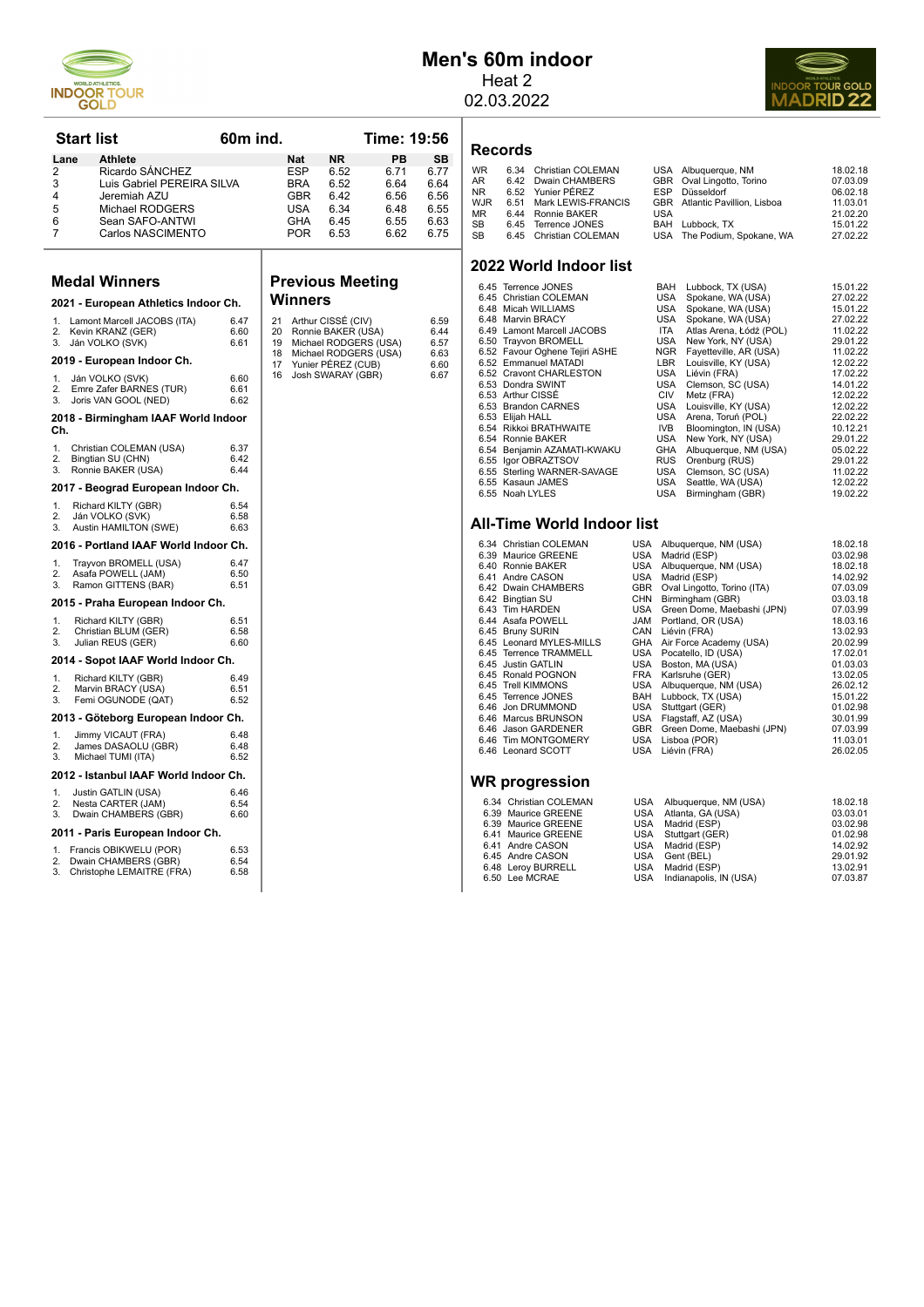

## **Men's 60m indoor** Heat 2

02.03.2022



## **Records**

| <b>WR</b>  | 6.34 | Christian COLEMAN      |            | USA Albuquerque, NM                   | 18.02.18 |
|------------|------|------------------------|------------|---------------------------------------|----------|
| <b>AR</b>  |      | 6.42 Dwain CHAMBERS    |            | GBR Oval Lingotto, Torino             | 07.03.09 |
| NR.        |      | 6.52 Yunier PÉREZ      | <b>FSP</b> | Düsseldorf                            | 06.02.18 |
| <b>WJR</b> | 6.51 | Mark LEWIS-FRANCIS     |            | <b>GBR</b> Atlantic Pavillion, Lisboa | 11.03.01 |
| MR         |      | 6.44 Ronnie BAKER      | USA        |                                       | 21.02.20 |
| <b>SB</b>  |      | 6.45 Terrence JONES    |            | BAH Lubbock, TX                       | 15.01.22 |
| <b>SB</b>  |      | 6.45 Christian COLEMAN |            | USA The Podium, Spokane, WA           | 27.02.22 |

#### **2022 World Indoor list**

| 6.45 Terrence JONES            | BAH        | Lubbock, TX (USA)       | 15.01.22 |
|--------------------------------|------------|-------------------------|----------|
| 6.45 Christian COLEMAN         | USA        | Spokane, WA (USA)       | 27.02.22 |
| 6.48 Micah WILLIAMS            | USA        | Spokane, WA (USA)       | 15.01.22 |
| 6.48 Marvin BRACY              | USA        | Spokane, WA (USA)       | 27.02.22 |
| 6.49 Lamont Marcell JACOBS     | <b>ITA</b> | Atlas Arena, Łódź (POL) | 11.02.22 |
| 6.50 Trayvon BROMELL           | <b>USA</b> | New York, NY (USA)      | 29.01.22 |
| 6.52 Favour Oghene Tejiri ASHE | <b>NGR</b> | Fayetteville, AR (USA)  | 11.02.22 |
| 6.52 Emmanuel MATADI           | LBR        | Louisville, KY (USA)    | 12.02.22 |
| 6.52 Cravont CHARLESTON        | USA        | Liévin (FRA)            | 17.02.22 |
| 6.53 Dondra SWINT              | USA        | Clemson, SC (USA)       | 14.01.22 |
| 6.53 Arthur CISSÉ              | <b>CIV</b> | Metz (FRA)              | 12.02.22 |
| 6.53 Brandon CARNES            | <b>USA</b> | Louisville, KY (USA)    | 12.02.22 |
| 6.53 Elijah HALL               | <b>USA</b> | Arena, Toruń (POL)      | 22.02.22 |
| 6.54 Rikkoi BRATHWAITE         | IVB.       | Bloomington, IN (USA)   | 10.12.21 |
| 6.54 Ronnie BAKER              | <b>USA</b> | New York, NY (USA)      | 29.01.22 |
| 6.54 Benjamin AZAMATI-KWAKU    | GHA        | Albuquerque, NM (USA)   | 05.02.22 |
| 6.55 Igor OBRAZTSOV            | <b>RUS</b> | Orenburg (RUS)          | 29.01.22 |
| 6.55 Sterling WARNER-SAVAGE    | USA        | Clemson, SC (USA)       | 11.02.22 |
| 6.55 Kasaun JAMES              | <b>USA</b> | Seattle, WA (USA)       | 12.02.22 |
| 6.55 Noah LYLES                | <b>USA</b> | Birmingham (GBR)        | 19.02.22 |

#### **All-Time World Indoor list**

| 6.34 Christian COLEMAN   | USA        | Albuquerque, NM (USA)       | 18.02.18 |
|--------------------------|------------|-----------------------------|----------|
| 6.39 Maurice GREENE      | USA        | Madrid (ESP)                | 03.02.98 |
| 6.40 Ronnie BAKER        | USA        | Albuquerque, NM (USA)       | 18.02.18 |
| 6.41 Andre CASON         | USA        | Madrid (ESP)                | 14.02.92 |
| 6.42 Dwain CHAMBERS      | GBR        | Oval Lingotto, Torino (ITA) | 07.03.09 |
| 6.42 Bingtian SU         | CHN        | Birmingham (GBR)            | 03.03.18 |
| 6.43 Tim HARDEN          | USA        | Green Dome, Maebashi (JPN)  | 07.03.99 |
| 6.44 Asafa POWELL        | JAM        | Portland, OR (USA)          | 18.03.16 |
| 6.45 Bruny SURIN         | CAN        | Liévin (FRA)                | 13.02.93 |
| 6.45 Leonard MYLES-MILLS | GHA        | Air Force Academy (USA)     | 20.02.99 |
| 6.45 Terrence TRAMMELL   | USA        | Pocatello, ID (USA)         | 17.02.01 |
| 6.45 Justin GATLIN       | USA        | Boston, MA (USA)            | 01.03.03 |
| 6.45 Ronald POGNON       | FRA        | Karlsruhe (GER)             | 13.02.05 |
| 6.45 Trell KIMMONS       | USA        | Albuquerque, NM (USA)       | 26.02.12 |
| 6.45 Terrence JONES      | <b>BAH</b> | Lubbock, TX (USA)           | 15.01.22 |
| 6.46 Jon DRUMMOND        | USA        | Stuttgart (GER)             | 01.02.98 |
| 6.46 Marcus BRUNSON      | USA        | Flagstaff, AZ (USA)         | 30.01.99 |
| 6.46 Jason GARDENER      | GBR        | Green Dome, Maebashi (JPN)  | 07.03.99 |
| 6.46 Tim MONTGOMERY      | USA        | Lisboa (POR)                | 11.03.01 |
| 6.46 Leonard SCOTT       | USA        | Liévin (FRA)                | 26.02.05 |
|                          |            |                             |          |
|                          |            |                             |          |
| WR progression           |            |                             |          |
|                          |            |                             |          |

| 6.34 Christian COLEMAN | USA Albuquerque, NM (USA)  | 18.02.18 |
|------------------------|----------------------------|----------|
| 6.39 Maurice GREENE    | USA Atlanta, GA (USA)      | 03.03.01 |
| 6.39 Maurice GREENE    | USA Madrid (ESP)           | 03.02.98 |
| 6.41 Maurice GREENE    | USA Stuttgart (GER)        | 01.02.98 |
| 6.41 Andre CASON       | USA Madrid (ESP)           | 14.02.92 |
| 6.45 Andre CASON       | USA Gent (BEL)             | 29.01.92 |
| 6.48 Leroy BURRELL     | USA Madrid (ESP)           | 13.02.91 |
| 6.50 Lee MCRAE         | USA Indianapolis, IN (USA) | 07.03.87 |
|                        |                            |          |

|                            | Start list |                                                                                                                                                 | 60m ind.                             |                                  |                                                             |                                                                                                                                       | Time: 19:56                                        |                                                    |
|----------------------------|------------|-------------------------------------------------------------------------------------------------------------------------------------------------|--------------------------------------|----------------------------------|-------------------------------------------------------------|---------------------------------------------------------------------------------------------------------------------------------------|----------------------------------------------------|----------------------------------------------------|
| 2<br>3<br>4<br>5<br>6<br>7 | Lane       | <b>Athlete</b><br>Ricardo SÁNCHEZ<br>Luis Gabriel PEREIRA SILVA<br>Jeremiah AZU<br>Michael RODGERS<br>Sean SAFO-ANTWI<br>Carlos NASCIMENTO      |                                      |                                  | Nat<br><b>ESP</b><br>BRA<br><b>GBR</b><br>USA<br>GHA<br>POR | <b>NR</b><br>6.52<br>6.52<br>6.42<br>6.34<br>6.45<br>6.53                                                                             | PВ<br>6.71<br>6.64<br>6.56<br>6.48<br>6.55<br>6.62 | SB<br>6.77<br>6.64<br>6.56<br>6.55<br>6.63<br>6.75 |
|                            |            | <b>Medal Winners</b>                                                                                                                            |                                      |                                  |                                                             | <b>Previous Meeting</b>                                                                                                               |                                                    |                                                    |
|                            |            | 2021 - European Athletics Indoor Ch.                                                                                                            |                                      |                                  | Winners                                                     |                                                                                                                                       |                                                    |                                                    |
| 1.<br>2.<br>3.<br>1.<br>2. |            | Lamont Marcell JACOBS (ITA)<br>Kevin KRANZ (GER)<br>Ján VOLKO (SVK)<br>2019 - European Indoor Ch.<br>Ján VOLKO (SVK)<br>Emre Zafer BARNES (TUR) | 6.47<br>6.60<br>6.61<br>6.60<br>6.61 | 21<br>20<br>19<br>18<br>17<br>16 |                                                             | Arthur CISSE (CIV)<br>Ronnie BAKER (USA)<br>Michael RODGERS (USA)<br>Michael RODGERS (USA)<br>Yunier PÉREZ (CUB)<br>Josh SWARAY (GBR) |                                                    | 6.59<br>6.44<br>6.57<br>6.63<br>6.60<br>6.67       |
| 3.                         |            | Joris VAN GOOL (NED)                                                                                                                            | 6.62                                 |                                  |                                                             |                                                                                                                                       |                                                    |                                                    |
|                            |            | 2018 - Birmingham IAAF World Indoor                                                                                                             |                                      |                                  |                                                             |                                                                                                                                       |                                                    |                                                    |
| Ch.<br>1.<br>2.<br>3.      |            | Christian COLEMAN (USA)<br>Bingtian SU (CHN)<br>Ronnie BAKER (USA)                                                                              | 6.37<br>6.42<br>6.44                 |                                  |                                                             |                                                                                                                                       |                                                    |                                                    |
|                            |            | 2017 - Beograd European Indoor Ch.                                                                                                              |                                      |                                  |                                                             |                                                                                                                                       |                                                    |                                                    |
| 1.<br>2.<br>3.             |            | Richard KILTY (GBR)<br>Ján VOLKO (SVK)<br>Austin HAMILTON (SWE)                                                                                 | 6.54<br>6.58<br>6.63                 |                                  |                                                             |                                                                                                                                       |                                                    |                                                    |
|                            |            | 2016 - Portland IAAF World Indoor Ch.                                                                                                           |                                      |                                  |                                                             |                                                                                                                                       |                                                    |                                                    |
| 1.<br>2.<br>3.             |            | Trayvon BROMELL (USA)<br>Asafa POWELL (JAM)<br>Ramon GITTENS (BAR)                                                                              | 6.47<br>6.50<br>6.51                 |                                  |                                                             |                                                                                                                                       |                                                    |                                                    |
|                            |            | 2015 - Praha European Indoor Ch.                                                                                                                |                                      |                                  |                                                             |                                                                                                                                       |                                                    |                                                    |
| 1.<br>2.<br>3.             |            | Richard KILTY (GBR)<br>Christian BLUM (GER)<br>Julian REUS (GER)                                                                                | 6.51<br>6.58<br>6.60                 |                                  |                                                             |                                                                                                                                       |                                                    |                                                    |
|                            |            | 2014 - Sopot IAAF World Indoor Ch.                                                                                                              |                                      |                                  |                                                             |                                                                                                                                       |                                                    |                                                    |
| 1.<br>2.<br>3.             |            | Richard KILTY (GBR)<br>Marvin BRACY (USA)<br>Femi OGUNODE (QAT)                                                                                 | 6.49<br>6.51<br>6.52                 |                                  |                                                             |                                                                                                                                       |                                                    |                                                    |
|                            |            | 2013 - Göteborg European Indoor Ch.                                                                                                             |                                      |                                  |                                                             |                                                                                                                                       |                                                    |                                                    |
| 1.<br>2.<br>3.             |            | Jimmy VICAUT (FRA)<br>James DASAOLU (GBR)<br>Michael TUMI (ITA)                                                                                 | 6.48<br>6.48<br>6.52                 |                                  |                                                             |                                                                                                                                       |                                                    |                                                    |
|                            |            | 2012 - Istanbul IAAF World Indoor Ch.                                                                                                           |                                      |                                  |                                                             |                                                                                                                                       |                                                    |                                                    |
| 1.<br>2.<br>3.             |            | Justin GATLIN (USA)<br>Nesta CARTER (JAM)<br>Dwain CHAMBERS (GBR)                                                                               | 6.46<br>6.54<br>6.60                 |                                  |                                                             |                                                                                                                                       |                                                    |                                                    |
|                            |            | 2011 - Paris European Indoor Ch.                                                                                                                |                                      |                                  |                                                             |                                                                                                                                       |                                                    |                                                    |
| 1.<br>2.<br>З.             |            | Francis OBIKWELU (POR)<br>Dwain CHAMBERS (GBR)<br>Christophe LEMAITRE (FRA)                                                                     | 6.53<br>6.54<br>6.58                 |                                  |                                                             |                                                                                                                                       |                                                    |                                                    |

| 21 | Arthur CISSÉ (CIV)    | 6.59 |
|----|-----------------------|------|
| 20 | Ronnie BAKER (USA)    | 6.44 |
| 19 | Michael RODGERS (USA) | 6.57 |
| 18 | Michael RODGERS (USA) | 6.63 |
| 17 | Yunier PÉREZ (CUB)    | 6.60 |
| 16 | Josh SWARAY (GBR)     | 6.67 |

| 6.41 |
|------|
| 6.42 |
| 6.42 |
| 6.43 |
| 6.44 |
| 6.45 |
| 6.45 |
| 6.45 |
|      |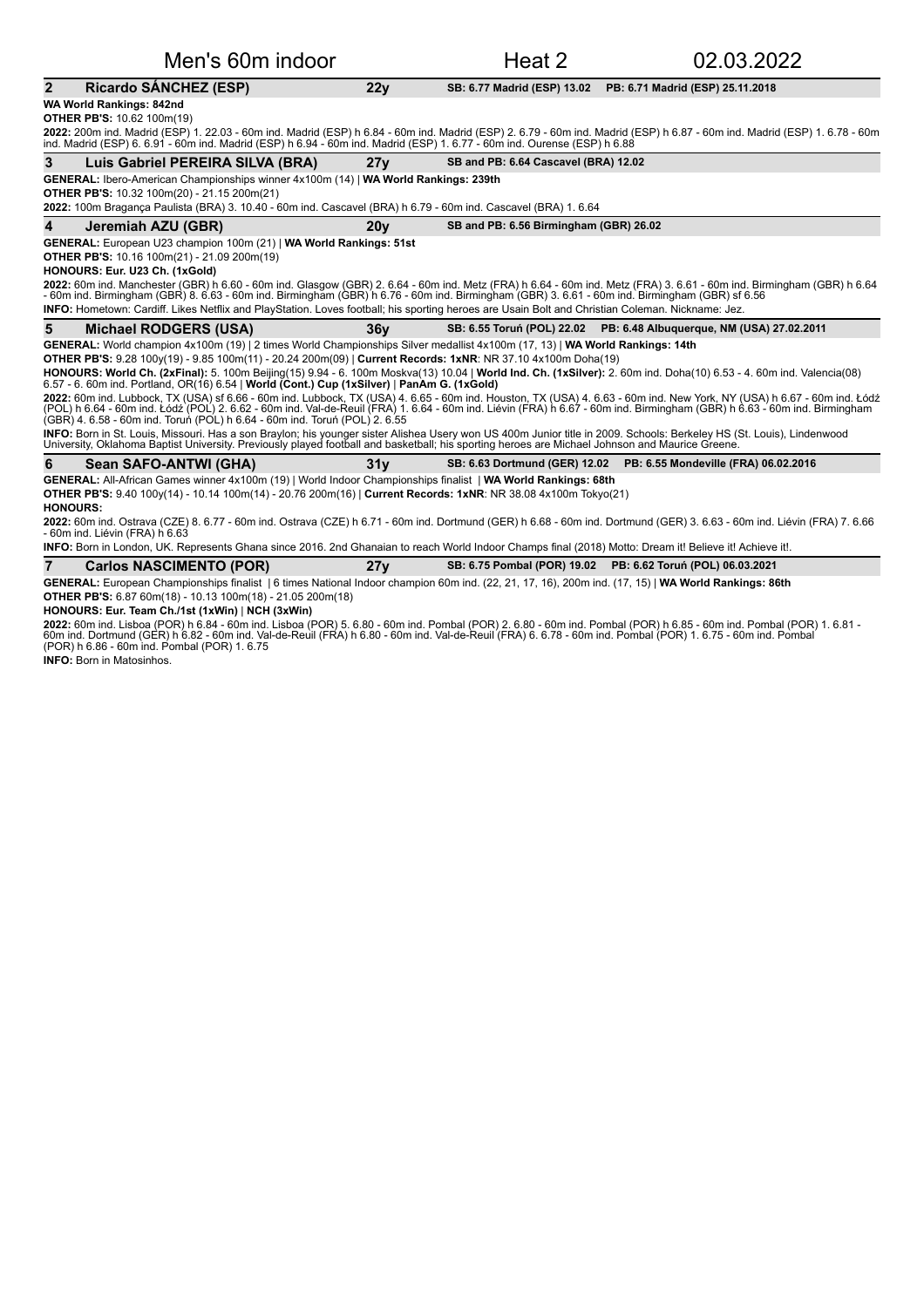| Men's 60m indoor                                                                                                                                                                                                                                                                                                                                                                                                                  |                 | Heat 2                                 | 02.03.2022                                                            |
|-----------------------------------------------------------------------------------------------------------------------------------------------------------------------------------------------------------------------------------------------------------------------------------------------------------------------------------------------------------------------------------------------------------------------------------|-----------------|----------------------------------------|-----------------------------------------------------------------------|
| $\overline{2}$<br><b>Ricardo SANCHEZ (ESP)</b>                                                                                                                                                                                                                                                                                                                                                                                    | 22y             | SB: 6.77 Madrid (ESP) 13.02            | PB: 6.71 Madrid (ESP) 25.11.2018                                      |
| WA World Rankings: 842nd                                                                                                                                                                                                                                                                                                                                                                                                          |                 |                                        |                                                                       |
| <b>OTHER PB'S: 10.62 100m(19)</b>                                                                                                                                                                                                                                                                                                                                                                                                 |                 |                                        |                                                                       |
| 2022: 200m ind. Madrid (ESP) 1. 22.03 - 60m ind. Madrid (ESP) h 6.84 - 60m ind. Madrid (ESP) 2. 6.79 - 60m ind. Madrid (ESP) h 6.87 - 60m ind. Madrid (ESP) 1. 6.78 - 60m<br>ind. Madrid (ESP) 6, 6,91 - 60m ind. Madrid (ESP) h 6,94 - 60m ind. Madrid (ESP) 1, 6,77 - 60m ind. Ourense (ESP) h 6,88                                                                                                                             |                 |                                        |                                                                       |
| 3<br>Luis Gabriel PEREIRA SILVA (BRA)                                                                                                                                                                                                                                                                                                                                                                                             | 27y             | SB and PB: 6.64 Cascavel (BRA) 12.02   |                                                                       |
| GENERAL: Ibero-American Championships winner 4x100m (14)   WA World Rankings: 239th                                                                                                                                                                                                                                                                                                                                               |                 |                                        |                                                                       |
| <b>OTHER PB'S: 10.32 100m(20) - 21.15 200m(21)</b>                                                                                                                                                                                                                                                                                                                                                                                |                 |                                        |                                                                       |
| 2022: 100m Bragança Paulista (BRA) 3. 10.40 - 60m ind. Cascavel (BRA) h 6.79 - 60m ind. Cascavel (BRA) 1. 6.64                                                                                                                                                                                                                                                                                                                    |                 |                                        |                                                                       |
| 4<br>Jeremiah AZU (GBR)                                                                                                                                                                                                                                                                                                                                                                                                           | 20y             | SB and PB: 6.56 Birmingham (GBR) 26.02 |                                                                       |
| GENERAL: European U23 champion 100m (21)   WA World Rankings: 51st                                                                                                                                                                                                                                                                                                                                                                |                 |                                        |                                                                       |
| OTHER PB'S: 10.16 100m(21) - 21.09 200m(19)<br>HONOURS: Eur. U23 Ch. (1xGold)                                                                                                                                                                                                                                                                                                                                                     |                 |                                        |                                                                       |
| 2022: 60m ind. Manchester (GBR) h 6.60 - 60m ind. Glasgow (GBR) 2. 6.64 - 60m ind. Metz (FRA) h 6.64 - 60m ind. Metz (FRA) 3. 6.61 - 60m ind. Birmingham (GBR) h 6.64                                                                                                                                                                                                                                                             |                 |                                        |                                                                       |
| - 60m ind. Birmingham (GBR) 8. 6.63 - 60m ind. Birmingham (GBR) h 6.76 - 60m ind. Birmingham (GBR) 3. 6.61 - 60m ind. Birmingham (GBR) sf 6.56                                                                                                                                                                                                                                                                                    |                 |                                        |                                                                       |
| INFO: Hometown: Cardiff. Likes Netflix and PlayStation. Loves football; his sporting heroes are Usain Bolt and Christian Coleman. Nickname: Jez.                                                                                                                                                                                                                                                                                  |                 |                                        |                                                                       |
| 5<br><b>Michael RODGERS (USA)</b>                                                                                                                                                                                                                                                                                                                                                                                                 | 36 <sub>V</sub> |                                        | SB: 6.55 Toruń (POL) 22.02  PB: 6.48 Albuquerque, NM (USA) 27.02.2011 |
| GENERAL: World champion 4x100m (19)   2 times World Championships Silver medallist 4x100m (17, 13)   WA World Rankings: 14th                                                                                                                                                                                                                                                                                                      |                 |                                        |                                                                       |
| OTHER PB'S: 9.28 100y(19) - 9.85 100m(11) - 20.24 200m(09)   Current Records: 1xNR: NR 37.10 4x100m Doha(19)                                                                                                                                                                                                                                                                                                                      |                 |                                        |                                                                       |
| HONOURS: World Ch. (2xFinal): 5. 100m Beijing(15) 9.94 - 6. 100m Moskva(13) 10.04   World Ind. Ch. (1xSilver): 2. 60m ind. Doha(10) 6.53 - 4. 60m ind. Valencia(08)<br>6.57 - 6. 60m ind. Portland, OR(16) 6.54   World (Cont.) Cup (1xSilver)   PanAm G. (1xGold)                                                                                                                                                                |                 |                                        |                                                                       |
| 2022: 60m ind. Lubbock, TX (USA) sf 6.66 - 60m ind. Lubbock, TX (USA) 4. 6.65 - 60m ind. Houston, TX (USA) 4. 6.63 - 60m ind. New York, NY (USA) h 6.67 - 60m ind. Łódź<br>(POL) h 6.64 - 60m ind. Łódź (POL) 2. 6.62 - 60m ind. Val-de-Reuil (FRA) 1. 6.64 - 60m ind. Liévin (FRA) h 6.67 - 60m ind. Birmingham (GBR) h 6.63 - 60m ind. Birmingham<br>(GBR) 4. 6.58 - 60m ind. Torun (POL) h 6.64 - 60m ind. Torun (POL) 2. 6.55 |                 |                                        |                                                                       |
| INFO: Born in St. Louis, Missouri. Has a son Braylon; his younger sister Alishea Usery won US 400m Junior title in 2009. Schools: Berkeley HS (St. Louis), Lindenwood<br>University, Oklahoma Baptist University. Previously played football and basketball; his sporting heroes are Michael Johnson and Maurice Greene.                                                                                                          |                 |                                        |                                                                       |
| Sean SAFO-ANTWI (GHA)<br>6                                                                                                                                                                                                                                                                                                                                                                                                        | 31v             |                                        | SB: 6.63 Dortmund (GER) 12.02 PB: 6.55 Mondeville (FRA) 06.02.2016    |
| GENERAL: All-African Games winner 4x100m (19)   World Indoor Championships finalist   WA World Rankings: 68th                                                                                                                                                                                                                                                                                                                     |                 |                                        |                                                                       |
| OTHER PB'S: 9.40 100y(14) - 10.14 100m(14) - 20.76 200m(16)   Current Records: 1xNR: NR 38.08 4x100m Tokyo(21)<br><b>HONOURS:</b>                                                                                                                                                                                                                                                                                                 |                 |                                        |                                                                       |
| 2022: 60m ind. Ostrava (CZE) 8. 6.77 - 60m ind. Ostrava (CZE) h 6.71 - 60m ind. Dortmund (GER) h 6.68 - 60m ind. Dortmund (GER) 3. 6.63 - 60m ind. Liévin (FRA) 7. 6.66<br>- 60m ind. Liévin (FRA) h 6.63                                                                                                                                                                                                                         |                 |                                        |                                                                       |
| INFO: Born in London, UK. Represents Ghana since 2016. 2nd Ghanaian to reach World Indoor Champs final (2018) Motto: Dream it! Believe it! Achieve it!.                                                                                                                                                                                                                                                                           |                 |                                        |                                                                       |
| <b>Carlos NASCIMENTO (POR)</b>                                                                                                                                                                                                                                                                                                                                                                                                    |                 |                                        |                                                                       |
|                                                                                                                                                                                                                                                                                                                                                                                                                                   | 27y             |                                        | SB: 6.75 Pombal (POR) 19.02 PB: 6.62 Toruń (POL) 06.03.2021           |

**OTHER PB'S:** 6.87 60m(18) - 10.13 100m(18) - 21.05 200m(18)

**HONOURS: Eur. Team Ch./1st (1xWin)** | **NCH (3xWin)**

**2022:** 60m ind. Lisboa (POR) h 6.84 - 60m ind. Lisboa (POR) 5. 6.80 - 60m ind. Pombal (POR) 2. 6.80 - 60m ind. Pombal (POR) 1. 6.81 - 60m ind. Pombal (POR) 1. 6.81 -<br>60m ind. Dortmund (GER) h 6.82 - 60m ind. Val-de-Reuil

**INFO: Born in Matosinhos.**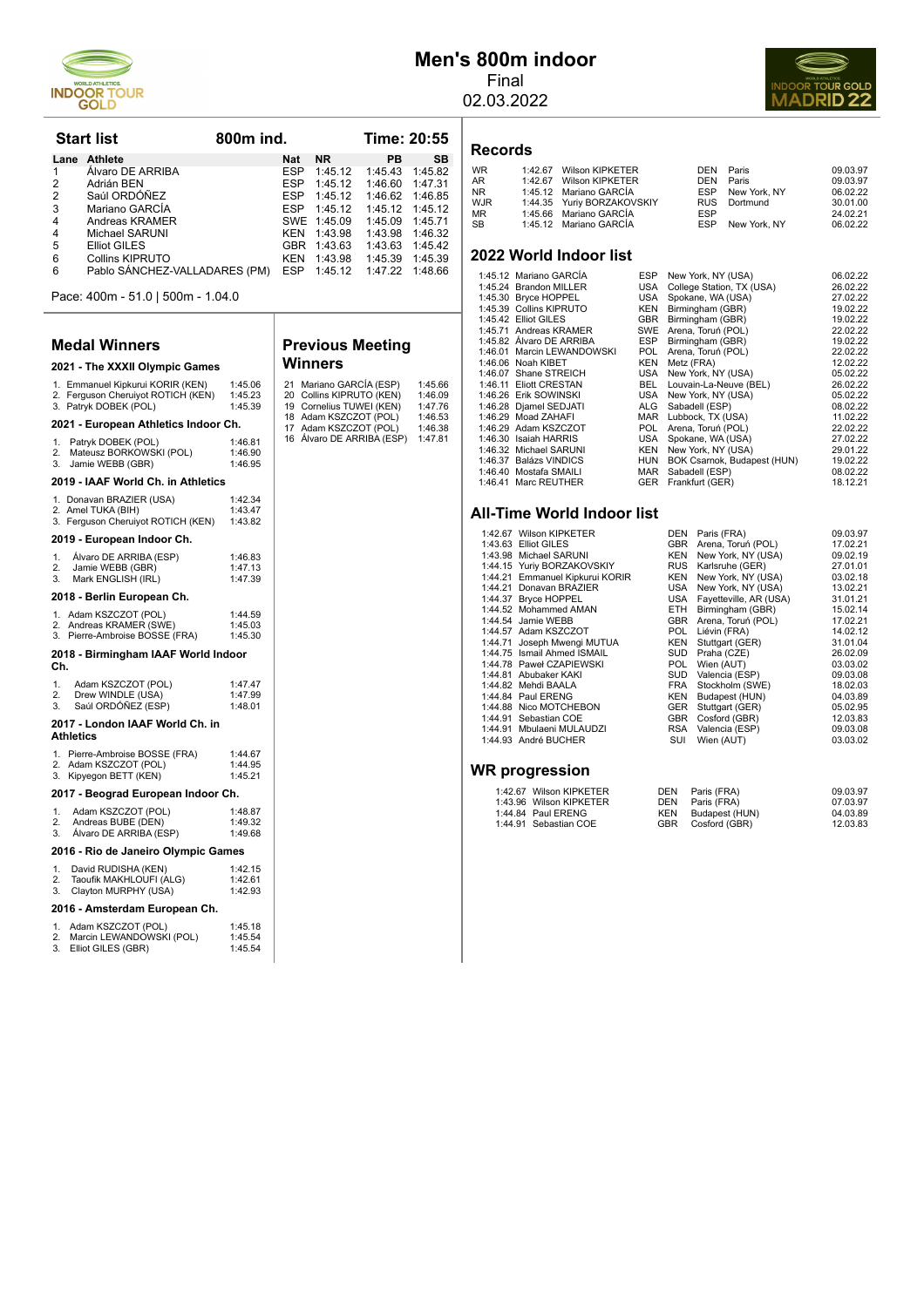

# **Men's 800m indoor**

Final 02.03.2022



#### **Records**

| WR<br>AR | 1:42.67 Wilson KIPKETER<br>1:42.67 Wilson KIPKETER |            | DEN Paris<br>DEN Paris | 09.03.97<br>09.03.97 |
|----------|----------------------------------------------------|------------|------------------------|----------------------|
| NR.      | 1:45.12 Mariano GARCÍA                             |            | ESP New York, NY       | 06.02.22             |
| WJR      | 1:44.35 Yuriy BORZAKOVSKIY                         |            | RUS Dortmund           | 30.01.00             |
| MR       | 1:45.66 Mariano GARCÍA                             | <b>ESP</b> |                        | 24.02.21             |
| SB       | 1:45.12 Mariano GARCÍA                             |            | ESP New York, NY       | 06.02.22             |
|          |                                                    |            |                        |                      |

#### **2022 World Indoor list**

| 1:45.12 Mariano GARCIA     | <b>ESP</b> | New York, NY (USA)          | 06.02.22 |
|----------------------------|------------|-----------------------------|----------|
| 1:45.24 Brandon MILLER     | USA        | College Station, TX (USA)   | 26.02.22 |
| 1:45.30 Bryce HOPPEL       | USA        | Spokane, WA (USA)           | 27.02.22 |
| 1:45.39 Collins KIPRUTO    | <b>KEN</b> | Birmingham (GBR)            | 19.02.22 |
| 1:45.42 Elliot GILES       | <b>GBR</b> | Birmingham (GBR)            | 19.02.22 |
| 1:45.71 Andreas KRAMER     | <b>SWE</b> | Arena, Toruń (POL)          | 22.02.22 |
| 1:45.82 Álvaro DE ARRIBA   | <b>ESP</b> | Birmingham (GBR)            | 19.02.22 |
| 1:46.01 Marcin LEWANDOWSKI | POL.       | Arena, Toruń (POL)          | 22.02.22 |
| 1:46.06 Noah KIBET         | <b>KEN</b> | Metz (FRA)                  | 12.02.22 |
| 1:46.07 Shane STREICH      | USA        | New York, NY (USA)          | 05.02.22 |
| 1:46.11 Eliott CRESTAN     | BEL.       | Louvain-La-Neuve (BEL)      | 26.02.22 |
| 1:46.26 Erik SOWINSKI      | USA        | New York, NY (USA)          | 05.02.22 |
| 1:46.28 Djamel SEDJATI     | ALG        | Sabadell (ESP)              | 08.02.22 |
| 1:46.29 Moad ZAHAFI        | <b>MAR</b> | Lubbock, TX (USA)           | 11.02.22 |
| 1:46.29 Adam KSZCZOT       | POL.       | Arena, Toruń (POL)          | 22.02.22 |
| 1:46.30 Isaiah HARRIS      | USA        | Spokane, WA (USA)           | 27.02.22 |
| 1:46.32 Michael SARUNI     | <b>KEN</b> | New York, NY (USA)          | 29.01.22 |
| 1:46.37 Balázs VINDICS     | <b>HUN</b> | BOK Csarnok, Budapest (HUN) | 19.02.22 |
| 1:46.40 Mostafa SMAILI     | <b>MAR</b> | Sabadell (ESP)              | 08.02.22 |
| 1:46.41 Marc REUTHER       | <b>GER</b> | Frankfurt (GER)             | 18.12.21 |
|                            |            |                             |          |

#### **All-Time World Indoor list**

| 1:42.67 Wilson KIPKETER         | DEN        | Paris (FRA)            | 09.03.97 |
|---------------------------------|------------|------------------------|----------|
| 1:43.63 Elliot GILES            | <b>GBR</b> | Arena, Toruń (POL)     | 17.02.21 |
| 1:43.98 Michael SARUNI          | KEN        | New York, NY (USA)     | 09.02.19 |
| 1:44.15 Yuriy BORZAKOVSKIY      | <b>RUS</b> | Karlsruhe (GER)        | 27.01.01 |
| 1:44.21 Emmanuel Kipkurui KORIR | KEN        | New York, NY (USA)     | 03.02.18 |
| 1:44.21 Donavan BRAZIER         | USA        | New York, NY (USA)     | 13.02.21 |
| 1:44.37 Bryce HOPPEL            | USA        | Fayetteville, AR (USA) | 31.01.21 |
| 1:44.52 Mohammed AMAN           | ETH.       | Birmingham (GBR)       | 15.02.14 |
| 1:44.54 Jamie WEBB              | <b>GBR</b> | Arena, Toruń (POL)     | 17.02.21 |
| 1:44.57 Adam KSZCZOT            | <b>POL</b> | Liévin (FRA)           | 14.02.12 |
| 1:44.71 Joseph Mwengi MUTUA     | KEN        | Stuttgart (GER)        | 31.01.04 |
| 1:44.75 Ismail Ahmed ISMAIL     | <b>SUD</b> | Praha (CZE)            | 26.02.09 |
| 1:44.78 Paweł CZAPIEWSKI        | <b>POL</b> | Wien (AUT)             | 03.03.02 |
| 1:44.81 Abubaker KAKI           | <b>SUD</b> | Valencia (ESP)         | 09.03.08 |
| 1:44.82 Mehdi BAALA             | <b>FRA</b> | Stockholm (SWE)        | 18.02.03 |
| 1:44.84 Paul ERENG              | <b>KEN</b> | Budapest (HUN)         | 04.03.89 |
| 1:44.88 Nico MOTCHEBON          | <b>GER</b> | Stuttgart (GER)        | 05.02.95 |
| 1:44.91 Sebastian COE           | <b>GBR</b> | Cosford (GBR)          | 12.03.83 |
| 1:44.91 Mbulaeni MULAUDZI       | RSA        | Valencia (ESP)         | 09.03.08 |
| 1:44.93 André BUCHER            | SUI        | Wien (AUT)             | 03.03.02 |
|                                 |            |                        |          |

#### **WR progression**

| 1:42.67 Wilson KIPKETER | DEN        | Paris (FRA)       | 09.03.97 |
|-------------------------|------------|-------------------|----------|
| 1:43.96 Wilson KIPKETER |            | DEN Paris (FRA)   | 07.03.97 |
| 1:44.84 Paul ERENG      | <b>KEN</b> | Budapest (HUN)    | 04.03.89 |
| 1:44.91 Sebastian COE   |            | GBR Cosford (GBR) | 12.03.83 |

|                | <b>Start list</b><br>800 <sub>m</sub> ind. |            |             | <b>Time: 20:55</b>        |           |
|----------------|--------------------------------------------|------------|-------------|---------------------------|-----------|
| Lane           | Athlete                                    | <b>Nat</b> | <b>NR</b>   | <b>PB</b>                 | <b>SB</b> |
| 1              | Álvaro DE ARRIBA                           | <b>ESP</b> | 1:45.12     | 1:45.43                   | 1:45.82   |
| 2              | Adrián BEN                                 | <b>ESP</b> | 1:45.12     | 1:46.60                   | 1:47.31   |
| 2              | Saúl ORDÓÑEZ                               | <b>ESP</b> | 1:45.12     | 1:46.62                   | 1:46.85   |
| 3              | Mariano GARCÍA                             | <b>FSP</b> | 1:45.12     | 1:45.12                   | 1:45.12   |
| $\overline{4}$ | Andreas KRAMER                             |            | SWE 1:45.09 | 1:45.09                   | 1:45.71   |
| $\overline{4}$ | Michael SARUNI                             | <b>KFN</b> | 1:43.98     | 1:43.98                   | 1:46.32   |
| 5              | Elliot GILES                               | GBR        | 1:43.63     | 1:43.63                   | 1:45.42   |
| 6              | <b>Collins KIPRUTO</b>                     | <b>KFN</b> | 1:43.98     | 1:45.39                   | 1:45.39   |
| 6              | Pablo SÁNCHEZ-VALLADARES (PM)              | <b>ESP</b> |             | 1:45.12  1:47.22  1:48.66 |           |
|                |                                            |            |             |                           |           |

**Previous Meeting**

21 Mariano GARCÍA (ESP) 1:45.66<br>20 Collins KIPRUTO (KEN) 1:46.09<br>19 Cornelius TUWEI (KEN) 1:47.76 20 Collins KIPRUTO (KEN) 1:46.09<br>19 Cornelius TUWEI (KEN) 1:47.76<br>18 Adam KSZCZOT (POL) 1:46.53<br>17 Adam KSZCZOT (POL) 1:46.38<br>16 Álvaro DE ARRIBA (ESP) 1:47.81

**Winners**

Pace: 400m - 51.0 | 500m - 1.04.0

#### **Medal Winners**

#### **2021 - The XXXII Olympic Games** 1. Emmanuel Kipkurui KORIR (KEN) 1:45.06<br>2. Ferguson Cheruiyot ROTICH (KEN) 1:45.23<br>3. Patryk DOBEK (POL) 1:45.39 2. Ferguson Cheruiyot ROTICH (KEN) 1:45.23 3. Patryk DOBEK (POL) 1:45.39 **2021 - European Athletics Indoor Ch.**

| 2021 - European Athletics Indoor Un.                                                                   |                               |
|--------------------------------------------------------------------------------------------------------|-------------------------------|
| Patryk DOBEK (POL)<br>1.<br>Mateusz BORKOWSKI (POL)<br>2.<br>3.<br>Jamie WEBB (GBR)                    | 1:46.81<br>1:46.90<br>1:46.95 |
| 2019 - IAAF World Ch. in Athletics                                                                     |                               |
| 1. Donavan BRAZIER (USA)<br>2. Amel TUKA (BIH)<br>3. Ferguson Cheruiyot ROTICH (KEN)                   | 1:42.34<br>1:43.47<br>1:43.82 |
| 2019 - European Indoor Ch.                                                                             |                               |
| 1.<br>Álvaro DE ARRIBA (ESP)<br>2.<br>Jamie WEBB (GBR)<br>3.<br>Mark ENGLISH (IRL)                     | 1:46.83<br>1:47.13<br>1:47.39 |
| 2018 - Berlin European Ch.                                                                             |                               |
| 1. Adam KSZCZOT (POL)<br>2. Andreas KRAMER (SWE)<br>3. Pierre-Ambroise BOSSE (FRA)                     | 1:44.59<br>1:45.03<br>1:45.30 |
| 2018 - Birmingham IAAF World Indoor<br>Ch.                                                             |                               |
| Adam KSZCZOT (POL)<br>1.<br>Drew WINDLE (USA)<br>2.<br>Saúl ORDÓÑEZ (ESP)<br>3.                        | 1:47.47<br>1:47.99<br>1:48.01 |
| 2017 - London IAAF World Ch. in<br>Athletics                                                           |                               |
| Pierre-Ambroise BOSSE (FRA)<br>1 <sup>1</sup><br>Adam KSZCZOT (POL)<br>2.<br>3.<br>Kipyegon BETT (KEN) | 1:44.67<br>1:44.95<br>1:45.21 |
| 2017 - Beograd European Indoor Ch.                                                                     |                               |
| Adam KSZCZOT (POL)<br>1.<br>2.<br>Andreas BUBE (DEN)<br>Álvaro DE ARRIBA (ESP)<br>3.                   | 1:48.87<br>1:49.32<br>1:49.68 |
| 2016 - Rio de Janeiro Olympic Games                                                                    |                               |
| 1.<br>David RUDISHA (KEN)<br>2.<br>Taoufik MAKHLOUFI (ALG)<br>3.<br>Clayton MURPHY (USA)               | 1:42.15<br>1:42.61<br>1:42.93 |
| 2016 - Amsterdam European Ch.                                                                          |                               |
| Adam KSZCZOT (POL)<br>1.<br>Marcin LEWANDOWSKI (POL)<br>2.                                             | 1:45.18<br>1:45.54            |

3. Elliot GILES (GBR) 1:45.54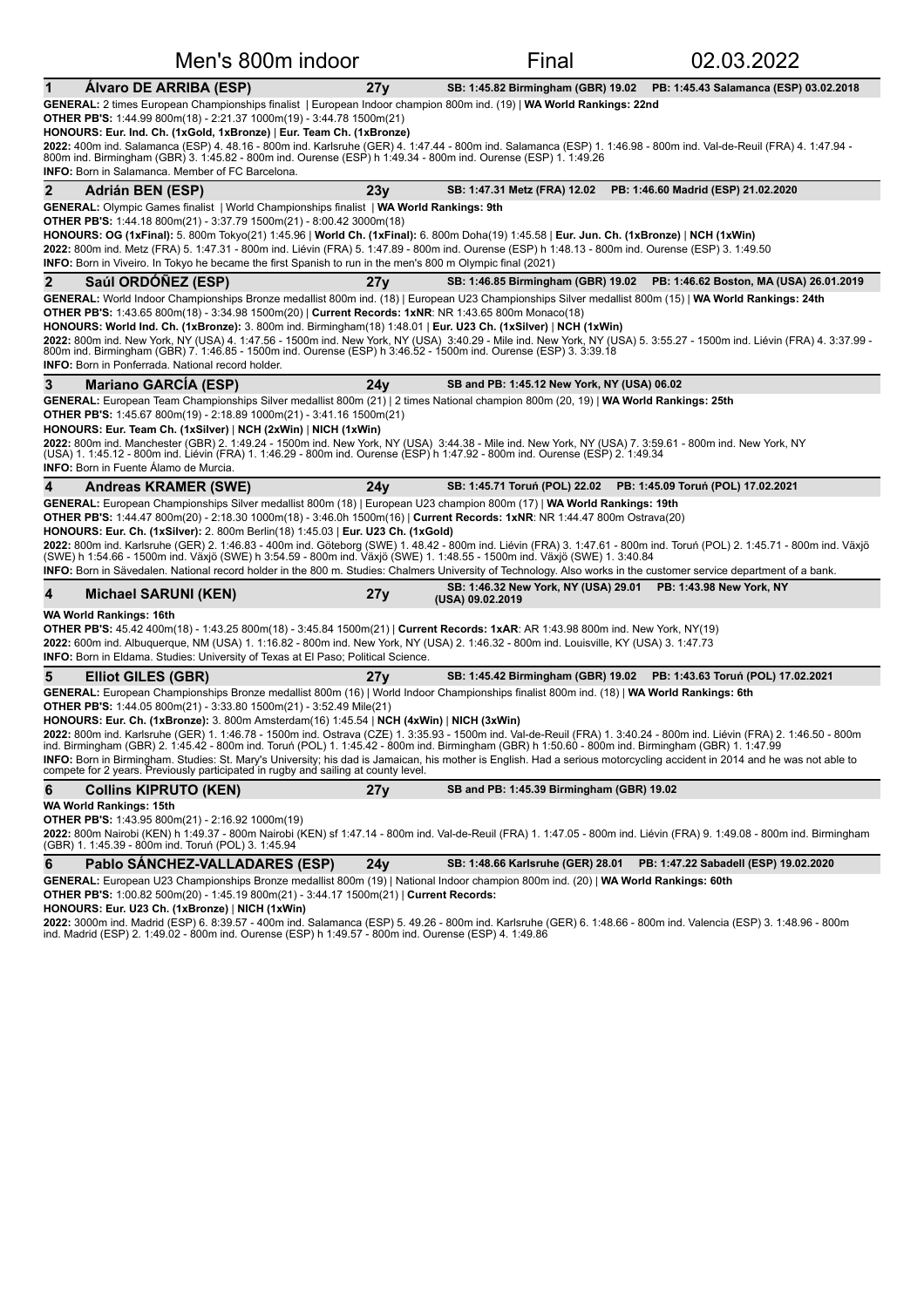| Men's 800m indoor                                                                                                                                                                                                                                                                                                                                                                                                                                                                                                                                                                                                                                                                                                                                                                                                                                                                                                    |     | Final                                                                             | 02.03.2022                                                                 |
|----------------------------------------------------------------------------------------------------------------------------------------------------------------------------------------------------------------------------------------------------------------------------------------------------------------------------------------------------------------------------------------------------------------------------------------------------------------------------------------------------------------------------------------------------------------------------------------------------------------------------------------------------------------------------------------------------------------------------------------------------------------------------------------------------------------------------------------------------------------------------------------------------------------------|-----|-----------------------------------------------------------------------------------|----------------------------------------------------------------------------|
| Álvaro DE ARRIBA (ESP)<br>1                                                                                                                                                                                                                                                                                                                                                                                                                                                                                                                                                                                                                                                                                                                                                                                                                                                                                          | 27y |                                                                                   | SB: 1:45.82 Birmingham (GBR) 19.02 PB: 1:45.43 Salamanca (ESP) 03.02.2018  |
| GENERAL: 2 times European Championships finalist   European Indoor champion 800m ind. (19)   WA World Rankings: 22nd<br>OTHER PB'S: 1:44.99 800m(18) - 2:21.37 1000m(19) - 3:44.78 1500m(21)<br>HONOURS: Eur. Ind. Ch. (1xGold, 1xBronze)   Eur. Team Ch. (1xBronze)<br>2022: 400m ind. Salamanca (ESP) 4. 48.16 - 800m ind. Karlsruhe (GER) 4. 1:47.44 - 800m ind. Salamanca (ESP) 1. 1:46.98 - 800m ind. Val-de-Reuil (FRA) 4. 1:47.94 -<br>800m ind. Birmingham (GBR) 3. 1:45.82 - 800m ind. Ourense (ESP) h 1:49.34 - 800m ind. Ourense (ESP) 1. 1:49.26<br><b>INFO:</b> Born in Salamanca. Member of FC Barcelona.                                                                                                                                                                                                                                                                                              |     |                                                                                   |                                                                            |
| $\mathbf{2}$<br>Adrián BEN (ESP)                                                                                                                                                                                                                                                                                                                                                                                                                                                                                                                                                                                                                                                                                                                                                                                                                                                                                     | 23y | SB: 1:47.31 Metz (FRA) 12.02                                                      | PB: 1:46.60 Madrid (ESP) 21.02.2020                                        |
| GENERAL: Olympic Games finalist   World Championships finalist   WA World Rankings: 9th<br><b>OTHER PB'S:</b> 1:44.18 800m(21) - 3:37.79 1500m(21) - 8:00.42 3000m(18)<br>HONOURS: OG (1xFinal): 5. 800m Tokyo(21) 1:45.96   World Ch. (1xFinal): 6. 800m Doha(19) 1:45.58   Eur. Jun. Ch. (1xBronze)   NCH (1xWin)<br>2022: 800m ind. Metz (FRA) 5. 1:47.31 - 800m ind. Liévin (FRA) 5. 1:47.89 - 800m ind. Ourense (ESP) h 1:48.13 - 800m ind. Ourense (ESP) 3. 1:49.50<br><b>INFO:</b> Born in Viveiro. In Tokyo he became the first Spanish to run in the men's 800 m Olympic final (2021)                                                                                                                                                                                                                                                                                                                       |     |                                                                                   |                                                                            |
| $\overline{2}$<br>Saúl ORDÓÑEZ (ESP)                                                                                                                                                                                                                                                                                                                                                                                                                                                                                                                                                                                                                                                                                                                                                                                                                                                                                 | 27y |                                                                                   | SB: 1:46.85 Birmingham (GBR) 19.02 PB: 1:46.62 Boston, MA (USA) 26.01.2019 |
| GENERAL: World Indoor Championships Bronze medallist 800m ind. (18)   European U23 Championships Silver medallist 800m (15)   WA World Rankings: 24th<br>OTHER PB'S: 1:43.65 800m(18) - 3:34.98 1500m(20)   Current Records: 1xNR: NR 1:43.65 800m Monaco(18)<br>HONOURS: World Ind. Ch. (1xBronze): 3. 800m ind. Birmingham(18) 1:48.01   Eur. U23 Ch. (1xSilver)   NCH (1xWin)<br>2022: 800m ind. New York, NY (USA) 4. 1:47.56 - 1500m ind. New York, NY (USA) 3:40.29 - Mile ind. New York, NY (USA) 5. 3:55.27 - 1500m ind. Liévin (FRA) 4. 3:37.99 -<br>800m ind. Birmingham (GBR) 7. 1:46.85 - 1500m ind. Ourense (ESP) h 3:46.52 - 1500m ind. Ourense (ESP) 3. 3:39.18<br><b>INFO:</b> Born in Ponferrada. National record holder.                                                                                                                                                                           |     |                                                                                   |                                                                            |
| 3<br><b>Mariano GARCIA (ESP)</b>                                                                                                                                                                                                                                                                                                                                                                                                                                                                                                                                                                                                                                                                                                                                                                                                                                                                                     | 24v | SB and PB: 1:45.12 New York, NY (USA) 06.02                                       |                                                                            |
| GENERAL: European Team Championships Silver medallist 800m (21)   2 times National champion 800m (20, 19)   WA World Rankings: 25th<br><b>OTHER PB'S:</b> 1:45.67 800m(19) - 2:18.89 1000m(21) - 3:41.16 1500m(21)<br>HONOURS: Eur. Team Ch. (1xSilver)   NCH (2xWin)   NICH (1xWin)<br>2022: 800m ind. Manchester (GBR) 2. 1:49.24 - 1500m ind. New York, NY (USA) 3:44.38 - Mile ind. New York, NY (USA) 7. 3:59.61 - 800m ind. New York, NY<br>(USA) 1. 1:45.12 - 800m ind. Liévin (FRA) 1. 1:46.29 - 800m ind. Ourense (ESP) h 1:47.92 - 800m ind. Ourense (ESP) 2. 1:49.34<br><b>INFO:</b> Born in Fuente Álamo de Murcia.                                                                                                                                                                                                                                                                                      |     |                                                                                   |                                                                            |
| 4<br><b>Andreas KRAMER (SWE)</b>                                                                                                                                                                                                                                                                                                                                                                                                                                                                                                                                                                                                                                                                                                                                                                                                                                                                                     | 24v | SB: 1:45.71 Toruń (POL) 22.02 PB: 1:45.09 Toruń (POL) 17.02.2021                  |                                                                            |
| GENERAL: European Championships Silver medallist 800m (18)   European U23 champion 800m (17)   WA World Rankings: 19th<br><b>OTHER PB'S:</b> 1:44.47 800m(20) - 2:18.30 1000m(18) - 3:46.0h 1500m(16)   Current Records: 1xNR: NR 1:44.47 800m Ostrava(20)<br>HONOURS: Eur. Ch. (1xSilver): 2. 800m Berlin(18) 1:45.03   Eur. U23 Ch. (1xGold)<br>2022: 800m ind. Karlsruhe (GER) 2. 1:46.83 - 400m ind. Göteborg (SWE) 1. 48.42 - 800m ind. Liévin (FRA) 3. 1:47.61 - 800m ind. Toruń (POL) 2. 1:45.71 - 800m ind. Växjö<br>(SWE) h 1:54.66 - 1500m ind. Växjö (SWE) h 3:54.59 - 800m ind. Växjö (SWE) 1. 1:48.55 - 1500m ind. Växjö (SWE) 1. 3:40.84<br>INFO: Born in Sävedalen. National record holder in the 800 m. Studies: Chalmers University of Technology. Also works in the customer service department of a bank.                                                                                         |     |                                                                                   |                                                                            |
| 4<br><b>Michael SARUNI (KEN)</b>                                                                                                                                                                                                                                                                                                                                                                                                                                                                                                                                                                                                                                                                                                                                                                                                                                                                                     | 27y | SB: 1:46.32 New York, NY (USA) 29.01 PB: 1:43.98 New York, NY<br>(USA) 09.02.2019 |                                                                            |
| WA World Rankings: 16th<br><b>OTHER PB'S:</b> 45.42 400m(18) - 1:43.25 800m(18) - 3:45.84 1500m(21)   Current Records: 1xAR: AR 1:43.98 800m ind. New York, NY(19)<br>2022: 600m ind. Albuquerque, NM (USA) 1. 1:16.82 - 800m ind. New York, NY (USA) 2. 1:46.32 - 800m ind. Louisville, KY (USA) 3. 1:47.73<br><b>INFO:</b> Born in Eldama. Studies: University of Texas at El Paso; Political Science.                                                                                                                                                                                                                                                                                                                                                                                                                                                                                                             |     |                                                                                   |                                                                            |
| 5<br><b>Elliot GILES (GBR)</b>                                                                                                                                                                                                                                                                                                                                                                                                                                                                                                                                                                                                                                                                                                                                                                                                                                                                                       | 27y | SB: 1:45.42 Birmingham (GBR) 19.02  PB: 1:43.63 Toruń (POL) 17.02.2021            |                                                                            |
| GENERAL: European Championships Bronze medallist 800m (16)   World Indoor Championships finalist 800m ind. (18)   WA World Rankings: 6th<br><b>OTHER PB'S:</b> 1:44.05 800m(21) - 3:33.80 1500m(21) - 3:52.49 Mile(21)<br>HONOURS: Eur. Ch. (1xBronze): 3. 800m Amsterdam(16) 1:45.54   NCH (4xWin)   NICH (3xWin)<br>2022: 800m ind. Karlsruhe (GER) 1. 1:46.78 - 1500m ind. Ostrava (CZE) 1. 3:35.93 - 1500m ind. Val-de-Reuil (FRA) 1. 3:40.24 - 800m ind. Liévin (FRA) 2. 1:46.50 - 800m<br>ind. Birmingham (GBR) 2. 1:45.42 - 800m ind. Toruń (POL) 1. 1:45.42 - 800m ind. Birmingham (GBR) h 1:50.60 - 800m ind. Birmingham (GBR) 1. 1:47.99<br>INFO: Born in Birmingham. Studies: St. Mary's University; his dad is Jamaican, his mother is English. Had a serious motorcycling accident in 2014 and he was not able to<br>compete for 2 years. Previously participated in rugby and sailing at county level. |     |                                                                                   |                                                                            |
| 6<br><b>Collins KIPRUTO (KEN)</b>                                                                                                                                                                                                                                                                                                                                                                                                                                                                                                                                                                                                                                                                                                                                                                                                                                                                                    | 27y | SB and PB: 1:45.39 Birmingham (GBR) 19.02                                         |                                                                            |
| <b>WA World Rankings: 15th</b><br><b>OTHER PB'S:</b> 1:43.95 800m(21) - 2:16.92 1000m(19)<br>2022: 800m Nairobi (KEN) h 1:49.37 - 800m Nairobi (KEN) sf 1:47.14 - 800m ind. Val-de-Reuil (FRA) 1. 1:47.05 - 800m ind. Liévin (FRA) 9. 1:49.08 - 800m ind. Birmingham                                                                                                                                                                                                                                                                                                                                                                                                                                                                                                                                                                                                                                                 |     |                                                                                   |                                                                            |
| (GBR) 1. 1:45.39 - 800m ind. Toruń (POL) 3. 1:45.94                                                                                                                                                                                                                                                                                                                                                                                                                                                                                                                                                                                                                                                                                                                                                                                                                                                                  |     |                                                                                   |                                                                            |
| 6<br>Pablo SÁNCHEZ-VALLADARES (ESP)<br>GENERAL: European U23 Championships Bronze medallist 800m (19)   National Indoor champion 800m ind. (20)   WA World Rankings: 60th                                                                                                                                                                                                                                                                                                                                                                                                                                                                                                                                                                                                                                                                                                                                            | 24y | SB: 1:48.66 Karlsruhe (GER) 28.01                                                 | PB: 1:47.22 Sabadell (ESP) 19.02.2020                                      |

**OTHER PB'S:** 1:00.82 500m(20) - 1:45.19 800m(21) - 3:44.17 1500m(21) | Current Records:

**HONOURS: Eur. U23 Ch. (1xBronze)** | **NICH (1xWin)**

**2022:** 3000m ind. Madrid (ESP) 6. 8:39.57 - 400m ind. Salamanca (ESP) 5. 49.26 - 800m ind. Karlsruhe (GER) 6. 1:48.66 - 800m ind. Valencia (ESP) 3. 1:48.96 - 800m<br>ind. Madrid (ESP) 2. 1:49.02 - 800m ind. Ourense (ESP) h 1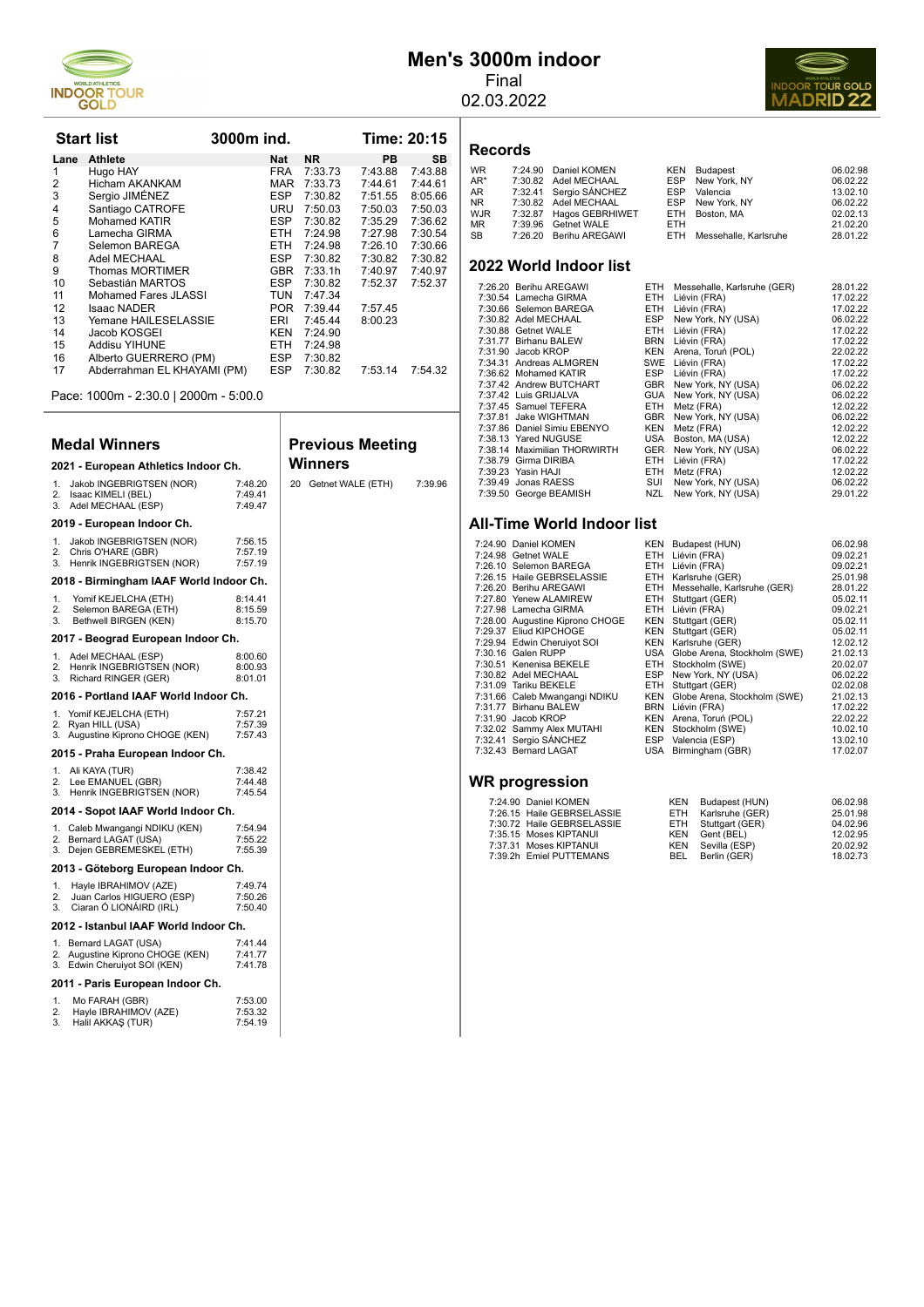

# **Men's 3000m indoor**

Final 02.03.2022



#### **Records**

| <b>WR</b> | 7:24.90 Daniel KOMEN    |            | <b>KEN</b> Budapest       | 06.02.98 |
|-----------|-------------------------|------------|---------------------------|----------|
| AR*       | 7:30.82 Adel MECHAAL    |            | ESP New York, NY          | 06.02.22 |
| AR        | 7:32.41 Sergio SÁNCHEZ  |            | ESP Valencia              | 13.02.10 |
| NR.       | 7:30.82 Adel MECHAAL    |            | ESP New York, NY          | 06.02.22 |
| WJR       | 7:32.87 Hagos GEBRHIWET |            | ETH Boston, MA            | 02.02.13 |
| ΜR        | 7:39.96 Getnet WALE     | <b>FTH</b> |                           | 21.02.20 |
| SB        | 7:26.20 Berihu AREGAWI  |            | ETH Messehalle, Karlsruhe | 28.01.22 |
|           |                         |            |                           |          |

#### **2022 World Indoor list**

| 7:26.20 Berihu AREGAWI       | ETH        | Messehalle, Karlsruhe (GER) | 28.01.22 |
|------------------------------|------------|-----------------------------|----------|
| 7:30.54 Lamecha GIRMA        |            | ETH Liévin (FRA)            | 17.02.22 |
| 7:30.66 Selemon BAREGA       | ETH.       | Liévin (FRA)                | 17.02.22 |
| 7:30.82 Adel MECHAAL         | ESP        | New York, NY (USA)          | 06.02.22 |
| 7:30.88 Getnet WALE          | <b>ETH</b> | Liévin (FRA)                | 17.02.22 |
| 7:31.77 Birhanu BALEW        |            | BRN Liévin (FRA)            | 17.02.22 |
| 7:31.90 Jacob KROP           |            | KEN Arena, Toruń (POL)      | 22.02.22 |
| 7:34.31 Andreas ALMGREN      |            | SWE Liévin (FRA)            | 17.02.22 |
| 7:36.62 Mohamed KATIR        |            | ESP Liévin (FRA)            | 17.02.22 |
| 7:37.42 Andrew BUTCHART      |            | GBR New York, NY (USA)      | 06.02.22 |
| 7:37.42 Luis GRIJALVA        | <b>GUA</b> | New York, NY (USA)          | 06.02.22 |
| 7:37.45 Samuel TEFERA        | ETH        | Metz (FRA)                  | 12.02.22 |
| 7:37.81 Jake WIGHTMAN        | GBR        | New York, NY (USA)          | 06.02.22 |
| 7:37.86 Daniel Simiu EBENYO  | KEN        | Metz (FRA)                  | 12.02.22 |
| 7:38.13 Yared NUGUSE         | USA        | Boston, MA (USA)            | 12.02.22 |
| 7:38.14 Maximilian THORWIRTH | GER        | New York, NY (USA)          | 06.02.22 |
| 7:38.79 Girma DIRIBA         | ETH.       | Liévin (FRA)                | 17.02.22 |
| 7:39.23 Yasin HAJI           | ETH.       | Metz (FRA)                  | 12.02.22 |
| 7:39.49 Jonas RAESS          | SUI        | New York, NY (USA)          | 06.02.22 |
| 7:39.50 George BEAMISH       | NZL.       | New York, NY (USA)          | 29.01.22 |

## **All-Time World Indoor list**

| 7:24.90 Daniel KOMEN            |     | KEN Budapest (HUN)               | 06.02.98 |
|---------------------------------|-----|----------------------------------|----------|
| 7:24.98 Getnet WALE             |     | ETH Liévin (FRA)                 | 09.02.21 |
| 7:26.10 Selemon BAREGA          |     | ETH Liévin (FRA)                 | 09.02.21 |
| 7:26.15 Haile GEBRSELASSIE      |     | ETH Karlsruhe (GER)              | 25.01.98 |
| 7:26.20 Berihu AREGAWI          | ETH | Messehalle, Karlsruhe (GER)      | 28.01.22 |
| 7:27.80 Yenew ALAMIREW          | ETH | Stuttgart (GER)                  | 05.02.11 |
| 7:27.98 Lamecha GIRMA           |     | ETH Liévin (FRA)                 | 09.02.21 |
| 7:28.00 Augustine Kiprono CHOGE |     | KEN Stuttgart (GER)              | 05.02.11 |
| 7:29.37 Eliud KIPCHOGE          | KEN | Stuttgart (GER)                  | 05.02.11 |
| 7:29.94 Edwin Cheruivot SOI     |     | KEN Karlsruhe (GER)              | 12.02.12 |
| 7:30.16 Galen RUPP              |     | USA Globe Arena, Stockholm (SWE) | 21.02.13 |
| 7:30.51 Kenenisa BEKELE         | ETH | Stockholm (SWE)                  | 20.02.07 |
| 7:30.82 Adel MECHAAL            |     | ESP New York, NY (USA)           | 06.02.22 |
| 7:31.09 Tariku BEKELE           |     | ETH Stuttgart (GER)              | 02.02.08 |
| 7:31.66 Caleb Mwangangi NDIKU   |     | KEN Globe Arena, Stockholm (SWE) | 21.02.13 |
| 7:31.77 Birhanu BALEW           |     | BRN Liévin (FRA)                 | 17.02.22 |
| 7:31.90 Jacob KROP              |     | KEN Arena, Toruń (POL)           | 22.02.22 |
| 7:32.02 Sammy Alex MUTAHI       |     | KEN Stockholm (SWE)              | 10.02.10 |
| 7:32.41 Sergio SÁNCHEZ          |     | ESP Valencia (ESP)               | 13.02.10 |
| 7:32.43 Bernard LAGAT           |     | USA Birmingham (GBR)             | 17.02.07 |
|                                 |     |                                  |          |
| <b>ND</b> nrograpojan           |     |                                  |          |
|                                 |     |                                  |          |

## **WR progression**

| 7:24.90 Daniel KOMEN       | KEN Budapest (HUN)  | 06.02.98 |
|----------------------------|---------------------|----------|
| 7:26.15 Haile GEBRSELASSIE | ETH Karlsruhe (GER) | 25.01.98 |
| 7:30.72 Haile GEBRSELASSIE | ETH Stuttgart (GER) | 04.02.96 |
| 7:35.15 Moses KIPTANUI     | KEN Gent (BEL)      | 12.02.95 |
| 7:37.31 Moses KIPTANUI     | KEN Sevilla (ESP)   | 20.02.92 |
| 7:39.2h Emiel PUTTEMANS    | BEL Berlin (GER)    | 18.02.73 |

|      | <b>Start list</b>     | 3000m ind. |            |           | Time: 20:15 |         |
|------|-----------------------|------------|------------|-----------|-------------|---------|
| Lane | <b>Athlete</b>        | <b>Nat</b> |            | <b>NR</b> | PВ.         | SB      |
| 1    | Hugo HAY              | <b>FRA</b> |            | 7:33.73   | 7:43.88     | 7:43.88 |
| 2    | Hicham AKANKAM        |            | <b>MAR</b> | 7:33.73   | 7:44.61     | 7:44.61 |
| 3    | Sergio JIMÉNEZ        | <b>ESP</b> |            | 7:30.82   | 7:51.55     | 8:05.66 |
| 4    | Santiago CATROFE      | URU        |            | 7:50.03   | 7:50.03     | 7:50.03 |
| 5    | <b>Mohamed KATIR</b>  | <b>ESP</b> |            | 7:30.82   | 7:35.29     | 7:36.62 |
| 6    | Lamecha GIRMA         | ETH.       |            | 7:24.98   | 7:27.98     | 7:30.54 |
| 7    | Selemon BAREGA        | ETH.       |            | 7:24.98   | 7:26.10     | 7:30.66 |
| 8    | Adel MECHAAL          | <b>ESP</b> |            | 7:30.82   | 7:30.82     | 7:30.82 |
| 9    | Thomas MORTIMER       | <b>GBR</b> |            | 7:33.1h   | 7:40.97     | 7:40.97 |
| 10   | Sebastián MARTOS      | <b>ESP</b> |            | 7:30.82   | 7:52.37     | 7:52.37 |
| 11   | Mohamed Fares JLASSI  | TUN        |            | 7:47.34   |             |         |
| 12   | <b>Isaac NADER</b>    |            | POR.       | 7:39.44   | 7:57.45     |         |
| 13   | Yemane HAILESELASSIE  | ERI        |            | 7:45.44   | 8:00.23     |         |
| 14   | Jacob KOSGEI          | KEN        |            | 7:24.90   |             |         |
| 15   | Addisu YIHUNE         | ETH.       |            | 7:24.98   |             |         |
| 16   | Alberto GUERRERO (PM) | <b>ESP</b> |            | 7:30.82   |             |         |

17 Abderrahman EL KHAYAMI (PM) 12 Abdustan Musics<br>17:53.14 7:54.32

Pace: 1000m - 2:30.0 | 2000m - 5:00.0

#### **Medal Winners**

## **2021 - European Athletics Indoor Ch.**

| 1.<br>Jakob INGEBRIGTSEN (NOR)<br>2.<br>Isaac KIMELI (BEL)<br>3.<br>Adel MECHAAL (ESP)                      | 7:48.20<br>7:49.41<br>7:49.47 | 20 |  |  |  |  |
|-------------------------------------------------------------------------------------------------------------|-------------------------------|----|--|--|--|--|
| 2019 - European Indoor Ch.                                                                                  |                               |    |  |  |  |  |
| 1.<br>Jakob INGEBRIGTSEN (NOR)<br>2.<br>Chris O'HARE (GBR)<br>Henrik INGEBRIGTSEN (NOR)<br>3.               | 7:56.15<br>7:57.19<br>7:57.19 |    |  |  |  |  |
| 2018 - Birmingham IAAF World Indoor Ch.                                                                     |                               |    |  |  |  |  |
| 1.<br>Yomif KEJELCHA (ETH)<br>$\frac{2}{3}$ .<br>Selemon BAREGA (ETH)<br>Bethwell BIRGEN (KEN)              | 8:14.41<br>8:15.59<br>8:15.70 |    |  |  |  |  |
| 2017 - Beograd European Indoor Ch.                                                                          |                               |    |  |  |  |  |
| Adel MECHAAL (ESP)<br>1.<br>2. Henrik INGEBRIGTSEN (NOR)<br>3. Richard RINGER (GER)                         | 8:00.60<br>8:00.93<br>8:01.01 |    |  |  |  |  |
| 2016 - Portland IAAF World Indoor Ch.                                                                       |                               |    |  |  |  |  |
| 1. Yomif KEJELCHA (ETH)<br>2.<br>Ryan HILL (USA)<br>Augustine Kiprono CHOGE (KEN)<br>3.                     | 7:57.21<br>7:57.39<br>7:57.43 |    |  |  |  |  |
| 2015 - Praha European Indoor Ch.                                                                            |                               |    |  |  |  |  |
| 1. Ali KAYA (TUR)<br>Lee EMANUEL (GBR)<br>2.<br>3.<br>Henrik INGEBRIGTSEN (NOR)                             | 7:38.42<br>7:44.48<br>7:45.54 |    |  |  |  |  |
| 2014 - Sopot IAAF World Indoor Ch.                                                                          |                               |    |  |  |  |  |
| Caleb Mwangangi NDIKU (KEN)<br>1.<br>2.<br>Bernard LAGAT (USA)<br>Dejen GEBREMESKEL (ETH)<br>3.             | 7:54.94<br>7:55.22<br>7:55.39 |    |  |  |  |  |
| 2013 - Göteborg European Indoor Ch.                                                                         |                               |    |  |  |  |  |
| 1 <sup>1</sup><br>Hayle IBRAHIMOV (AZE)<br>Juan Carlos HIGUERO (ESP)<br>2.<br>3.<br>Ciaran Ó LIONÁIRD (IRL) | 7:49.74<br>7:50.26<br>7:50.40 |    |  |  |  |  |
| 2012 - Istanbul IAAF World Indoor Ch.                                                                       |                               |    |  |  |  |  |
| 1.<br>Bernard LAGAT (USA)<br>Augustine Kiprono CHOGE (KEN)<br>2.<br>Edwin Cheruiyot SOI (KEN)<br>3.         | 7:41.44<br>7:41.77<br>7:41.78 |    |  |  |  |  |
| 2011 - Paris European Indoor Ch.                                                                            |                               |    |  |  |  |  |
| 1.<br>Mo FARAH (GBR)<br>2.<br>Hayle IBRAHIMOV (AZE)<br>3.<br>Halil AKKAŞ (TUR)                              | 7:53.00<br>7:53.32<br>7:54.19 |    |  |  |  |  |

**Previous Meeting Winners** Getnet WALE (ETH) 7:39.96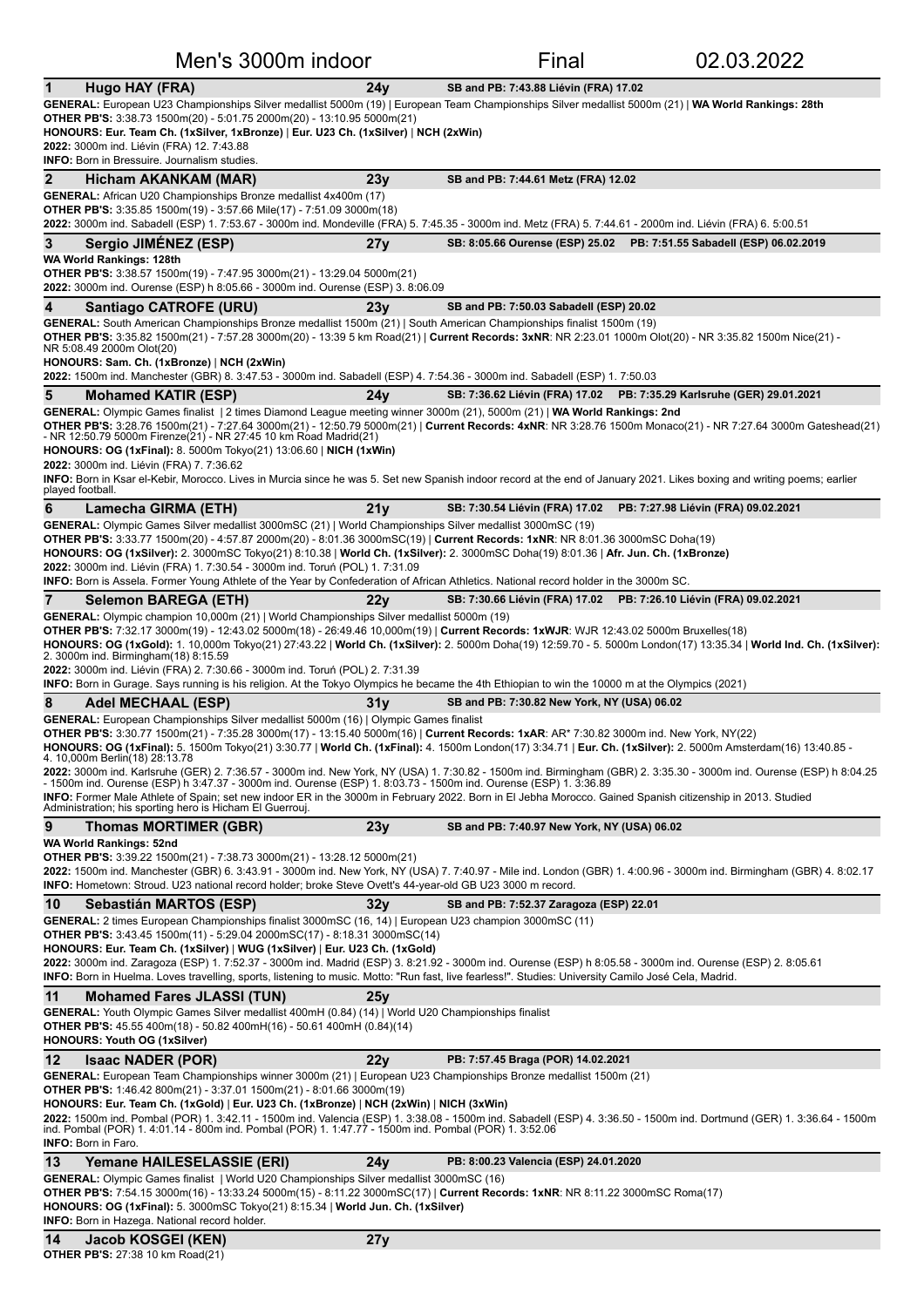|                                                                                                                                                                                                                                                                                                                                                                                                                                                                                                                                                                                                                                                                                                                                                                                                                                                                                                                                                          | Men's 3000m indoor |                                             | 02.03.2022                                                               |
|----------------------------------------------------------------------------------------------------------------------------------------------------------------------------------------------------------------------------------------------------------------------------------------------------------------------------------------------------------------------------------------------------------------------------------------------------------------------------------------------------------------------------------------------------------------------------------------------------------------------------------------------------------------------------------------------------------------------------------------------------------------------------------------------------------------------------------------------------------------------------------------------------------------------------------------------------------|--------------------|---------------------------------------------|--------------------------------------------------------------------------|
| $\mathbf 1$<br>Hugo HAY (FRA)                                                                                                                                                                                                                                                                                                                                                                                                                                                                                                                                                                                                                                                                                                                                                                                                                                                                                                                            | 24y                | SB and PB: 7:43.88 Liévin (FRA) 17.02       |                                                                          |
| GENERAL: European U23 Championships Silver medallist 5000m (19)   European Team Championships Silver medallist 5000m (21)   WA World Rankings: 28th<br><b>OTHER PB'S:</b> 3:38.73 1500m(20) - 5:01.75 2000m(20) - 13:10.95 5000m(21)<br>HONOURS: Eur. Team Ch. (1xSilver, 1xBronze)   Eur. U23 Ch. (1xSilver)   NCH (2xWin)<br>2022: 3000m ind. Liévin (FRA) 12. 7:43.88<br><b>INFO:</b> Born in Bressuire. Journalism studies.                                                                                                                                                                                                                                                                                                                                                                                                                                                                                                                          |                    |                                             |                                                                          |
| 2<br>Hicham AKANKAM (MAR)                                                                                                                                                                                                                                                                                                                                                                                                                                                                                                                                                                                                                                                                                                                                                                                                                                                                                                                                | 23y                | SB and PB: 7:44.61 Metz (FRA) 12.02         |                                                                          |
| <b>GENERAL:</b> African U20 Championships Bronze medallist 4x400m (17)<br><b>OTHER PB'S:</b> 3:35.85 1500m(19) - 3:57.66 Mile(17) - 7:51.09 3000m(18)<br>2022: 3000m ind. Sabadell (ESP) 1. 7:53.67 - 3000m ind. Mondeville (FRA) 5. 7:45.35 - 3000m ind. Metz (FRA) 5. 7:44.61 - 2000m ind. Liévin (FRA) 6. 5:00.51                                                                                                                                                                                                                                                                                                                                                                                                                                                                                                                                                                                                                                     |                    |                                             |                                                                          |
| Sergio JIMÉNEZ (ESP)<br>3                                                                                                                                                                                                                                                                                                                                                                                                                                                                                                                                                                                                                                                                                                                                                                                                                                                                                                                                | 27y                |                                             | SB: 8:05.66 Ourense (ESP) 25.02    PB: 7:51.55 Sabadell (ESP) 06.02.2019 |
| WA World Rankings: 128th<br><b>OTHER PB'S:</b> 3:38.57 1500m(19) - 7:47.95 3000m(21) - 13:29.04 5000m(21)<br>2022: 3000m ind. Ourense (ESP) h 8:05.66 - 3000m ind. Ourense (ESP) 3. 8:06.09                                                                                                                                                                                                                                                                                                                                                                                                                                                                                                                                                                                                                                                                                                                                                              |                    |                                             |                                                                          |
| 4<br>Santiago CATROFE (URU)                                                                                                                                                                                                                                                                                                                                                                                                                                                                                                                                                                                                                                                                                                                                                                                                                                                                                                                              | 23y                | SB and PB: 7:50.03 Sabadell (ESP) 20.02     |                                                                          |
| GENERAL: South American Championships Bronze medallist 1500m (21)   South American Championships finalist 1500m (19)<br>OTHER PB'S: 3:35.82 1500m(21) - 7:57.28 3000m(20) - 13:39 5 km Road(21)   Current Records: 3xNR: NR 2:23.01 1000m Olot(20) - NR 3:35.82 1500m Nice(21) -<br>NR 5:08.49 2000m Olot(20)<br>HONOURS: Sam. Ch. (1xBronze)   NCH (2xWin)                                                                                                                                                                                                                                                                                                                                                                                                                                                                                                                                                                                              |                    |                                             |                                                                          |
| 2022: 1500m ind. Manchester (GBR) 8. 3:47.53 - 3000m ind. Sabadell (ESP) 4. 7:54.36 - 3000m ind. Sabadell (ESP) 1. 7:50.03                                                                                                                                                                                                                                                                                                                                                                                                                                                                                                                                                                                                                                                                                                                                                                                                                               |                    |                                             |                                                                          |
| 5<br><b>Mohamed KATIR (ESP)</b><br>GENERAL: Olympic Games finalist   2 times Diamond League meeting winner 3000m (21), 5000m (21)   WA World Rankings: 2nd                                                                                                                                                                                                                                                                                                                                                                                                                                                                                                                                                                                                                                                                                                                                                                                               | 24 <sub>V</sub>    |                                             | SB: 7:36.62 Liévin (FRA) 17.02 PB: 7:35.29 Karlsruhe (GER) 29.01.2021    |
| OTHER PB'S: 3:28.76 1500m(21) - 7:27.64 3000m(21) - 12:50.79 5000m(21)   Current Records: 4xNR: NR 3:28.76 1500m Monaco(21) - NR 7:27.64 3000m Gateshead(21)<br>- NR 12:50.79 5000m Firenze(21) - NR 27:45 10 km Road Madrid(21)<br>HONOURS: OG (1xFinal): 8. 5000m Tokyo(21) 13:06.60   NICH (1xWin)<br>2022: 3000m ind. Liévin (FRA) 7. 7:36.62<br>INFO: Born in Ksar el-Kebir, Morocco. Lives in Murcia since he was 5. Set new Spanish indoor record at the end of January 2021. Likes boxing and writing poems; earlier                                                                                                                                                                                                                                                                                                                                                                                                                             |                    |                                             |                                                                          |
| played football.                                                                                                                                                                                                                                                                                                                                                                                                                                                                                                                                                                                                                                                                                                                                                                                                                                                                                                                                         |                    |                                             |                                                                          |
| 6<br>Lamecha GIRMA (ETH)<br>GENERAL: Olympic Games Silver medallist 3000mSC (21)   World Championships Silver medallist 3000mSC (19)<br>OTHER PB'S: 3:33.77 1500m(20) - 4:57.87 2000m(20) - 8:01.36 3000mSC(19)   Current Records: 1xNR: NR 8:01.36 3000mSC Doha(19)<br>HONOURS: OG (1xSilver): 2. 3000mSC Tokyo(21) 8:10.38   World Ch. (1xSilver): 2. 3000mSC Doha(19) 8:01.36   Afr. Jun. Ch. (1xBronze)<br>2022: 3000m ind. Liévin (FRA) 1. 7:30.54 - 3000m ind. Toruń (POL) 1. 7:31.09                                                                                                                                                                                                                                                                                                                                                                                                                                                              | 21 <sub>V</sub>    | SB: 7:30.54 Liévin (FRA) 17.02              | PB: 7:27.98 Liévin (FRA) 09.02.2021                                      |
| <b>INFO:</b> Born is Assela. Former Young Athlete of the Year by Confederation of African Athletics. National record holder in the 3000m SC.                                                                                                                                                                                                                                                                                                                                                                                                                                                                                                                                                                                                                                                                                                                                                                                                             |                    |                                             |                                                                          |
| 7<br><b>Selemon BAREGA (ETH)</b><br><b>GENERAL:</b> Olympic champion 10,000m (21)   World Championships Silver medallist 5000m (19)                                                                                                                                                                                                                                                                                                                                                                                                                                                                                                                                                                                                                                                                                                                                                                                                                      | 22y                |                                             | SB: 7:30.66 Liévin (FRA) 17.02 PB: 7:26.10 Liévin (FRA) 09.02.2021       |
| OTHER PB'S: 7:32.17 3000m(19) - 12:43.02 5000m(18) - 26:49.46 10,000m(19)   Current Records: 1xWJR: WJR 12:43.02 5000m Bruxelles(18)<br>HONOURS: OG (1xGold): 1. 10,000m Tokyo(21) 27:43.22   World Ch. (1xSilver): 2. 5000m Doha(19) 12:59.70 - 5. 5000m London(17) 13:35.34   World Ind. Ch. (1xSilver):<br>2. 3000m ind. Birmingham(18) 8:15.59<br>2022: 3000m ind. Liévin (FRA) 2. 7:30.66 - 3000m ind. Toruń (POL) 2. 7:31.39<br>INFO: Born in Gurage. Says running is his religion. At the Tokyo Olympics he became the 4th Ethiopian to win the 10000 m at the Olympics (2021)                                                                                                                                                                                                                                                                                                                                                                    |                    |                                             |                                                                          |
| 8<br>Adel MECHAAL (ESP)                                                                                                                                                                                                                                                                                                                                                                                                                                                                                                                                                                                                                                                                                                                                                                                                                                                                                                                                  | 31 v               | SB and PB: 7:30.82 New York, NY (USA) 06.02 |                                                                          |
| GENERAL: European Championships Silver medallist 5000m (16)   Olympic Games finalist<br>OTHER PB'S: 3:30.77 1500m(21) - 7:35.28 3000m(17) - 13:15.40 5000m(16)   Current Records: 1xAR: AR* 7:30.82 3000m ind. New York, NY(22)<br>HONOURS: OG (1xFinal): 5. 1500m Tokyo(21) 3:30.77   World Ch. (1xFinal): 4. 1500m London(17) 3:34.71   Eur. Ch. (1xSilver): 2. 5000m Amsterdam(16) 13:40.85 -<br>4. 10,000m Berlin(18) 28:13.78<br>2022: 3000m ind. Karlsruhe (GER) 2. 7:36.57 - 3000m ind. New York, NY (USA) 1. 7:30.82 - 1500m ind. Birmingham (GBR) 2. 3:35.30 - 3000m ind. Ourense (ESP) h 8:04.25<br>- 1500m ind. Ourense (ESP) h 3:47.37 - 3000m ind. Ourense (ESP) 1. 8:03.73 - 1500m ind. Ourense (ESP) 1. 3:36.89<br>INFO: Former Male Athlete of Spain; set new indoor ER in the 3000m in February 2022. Born in El Jebha Morocco. Gained Spanish citizenship in 2013. Studied<br>Administration; his sporting hero is Hicham El Guerrouj. |                    |                                             |                                                                          |
| 9<br><b>Thomas MORTIMER (GBR)</b>                                                                                                                                                                                                                                                                                                                                                                                                                                                                                                                                                                                                                                                                                                                                                                                                                                                                                                                        | 23y                | SB and PB: 7:40.97 New York, NY (USA) 06.02 |                                                                          |
| WA World Rankings: 52nd<br><b>OTHER PB'S:</b> 3:39.22 1500m(21) - 7:38.73 3000m(21) - 13:28.12 5000m(21)<br>2022: 1500m ind. Manchester (GBR) 6. 3:43.91 - 3000m ind. New York, NY (USA) 7. 7:40.97 - Mile ind. London (GBR) 1. 4:00.96 - 3000m ind. Birmingham (GBR) 4. 8:02.17<br>INFO: Hometown: Stroud. U23 national record holder; broke Steve Ovett's 44-year-old GB U23 3000 m record.                                                                                                                                                                                                                                                                                                                                                                                                                                                                                                                                                            |                    |                                             |                                                                          |
| 10<br>Sebastián MARTOS (ESP)<br>GENERAL: 2 times European Championships finalist 3000mSC (16, 14)   European U23 champion 3000mSC (11)                                                                                                                                                                                                                                                                                                                                                                                                                                                                                                                                                                                                                                                                                                                                                                                                                   | 32 v               | SB and PB: 7:52.37 Zaragoza (ESP) 22.01     |                                                                          |
| <b>OTHER PB'S:</b> 3:43.45 1500m(11) - 5:29.04 2000mSC(17) - 8:18.31 3000mSC(14)<br>HONOURS: Eur. Team Ch. (1xSilver)   WUG (1xSilver)   Eur. U23 Ch. (1xGold)<br>2022: 3000m ind. Zaragoza (ESP) 1. 7:52.37 - 3000m ind. Madrid (ESP) 3. 8:21.92 - 3000m ind. Ourense (ESP) h 8:05.58 - 3000m ind. Ourense (ESP) 2. 8:05.61<br>INFO: Born in Huelma. Loves travelling, sports, listening to music. Motto: "Run fast, live fearless!". Studies: University Camilo José Cela, Madrid.                                                                                                                                                                                                                                                                                                                                                                                                                                                                     |                    |                                             |                                                                          |
| 11<br><b>Mohamed Fares JLASSI (TUN)</b>                                                                                                                                                                                                                                                                                                                                                                                                                                                                                                                                                                                                                                                                                                                                                                                                                                                                                                                  | 25y                |                                             |                                                                          |
| GENERAL: Youth Olympic Games Silver medallist 400mH (0.84) (14)   World U20 Championships finalist<br><b>OTHER PB'S:</b> 45.55 400m(18) - 50.82 400mH(16) - 50.61 400mH (0.84)(14)<br><b>HONOURS: Youth OG (1xSilver)</b>                                                                                                                                                                                                                                                                                                                                                                                                                                                                                                                                                                                                                                                                                                                                |                    |                                             |                                                                          |
| 12<br><b>Isaac NADER (POR)</b>                                                                                                                                                                                                                                                                                                                                                                                                                                                                                                                                                                                                                                                                                                                                                                                                                                                                                                                           | 22y                | PB: 7:57.45 Braga (POR) 14.02.2021          |                                                                          |
| GENERAL: European Team Championships winner 3000m (21)   European U23 Championships Bronze medallist 1500m (21)<br><b>OTHER PB'S:</b> 1:46.42 800m(21) - 3:37.01 1500m(21) - 8:01.66 3000m(19)<br>HONOURS: Eur. Team Ch. (1xGold)   Eur. U23 Ch. (1xBronze)   NCH (2xWin)   NICH (3xWin)<br>2022: 1500m ind. Pombal (POR) 1. 3:42.11 - 1500m ind. Valencia (ESP) 1. 3:38.08 - 1500m ind. Sabadell (ESP) 4. 3:36.50 - 1500m ind. Dortmund (GER) 1. 3:36.64 - 1500m<br>ind. Pombal (POR) 1. 4:01.14 - 800m ind. Pombal (POR) 1. 1:47.77 - 1500m ind. Pombal (POR) 1. 3:52.06<br>INFO: Born in Faro.                                                                                                                                                                                                                                                                                                                                                        |                    |                                             |                                                                          |
| 13<br>Yemane HAILESELASSIE (ERI)                                                                                                                                                                                                                                                                                                                                                                                                                                                                                                                                                                                                                                                                                                                                                                                                                                                                                                                         | 24v                | PB: 8:00.23 Valencia (ESP) 24.01.2020       |                                                                          |
| GENERAL: Olympic Games finalist   World U20 Championships Silver medallist 3000mSC (16)<br><b>OTHER PB'S:</b> 7:54.15 3000m(16) - 13:33.24 5000m(15) - 8:11.22 3000mSC(17)   Current Records: 1xNR: NR 8:11.22 3000mSC Roma(17)<br>HONOURS: OG (1xFinal): 5. 3000mSC Tokyo(21) 8:15.34   World Jun. Ch. (1xSilver)<br>INFO: Born in Hazega. National record holder.                                                                                                                                                                                                                                                                                                                                                                                                                                                                                                                                                                                      |                    |                                             |                                                                          |

#### **14 Jacob KOSGEI (KEN) 27y**

**OTHER PB'S:** 27:38 10 km Road(21)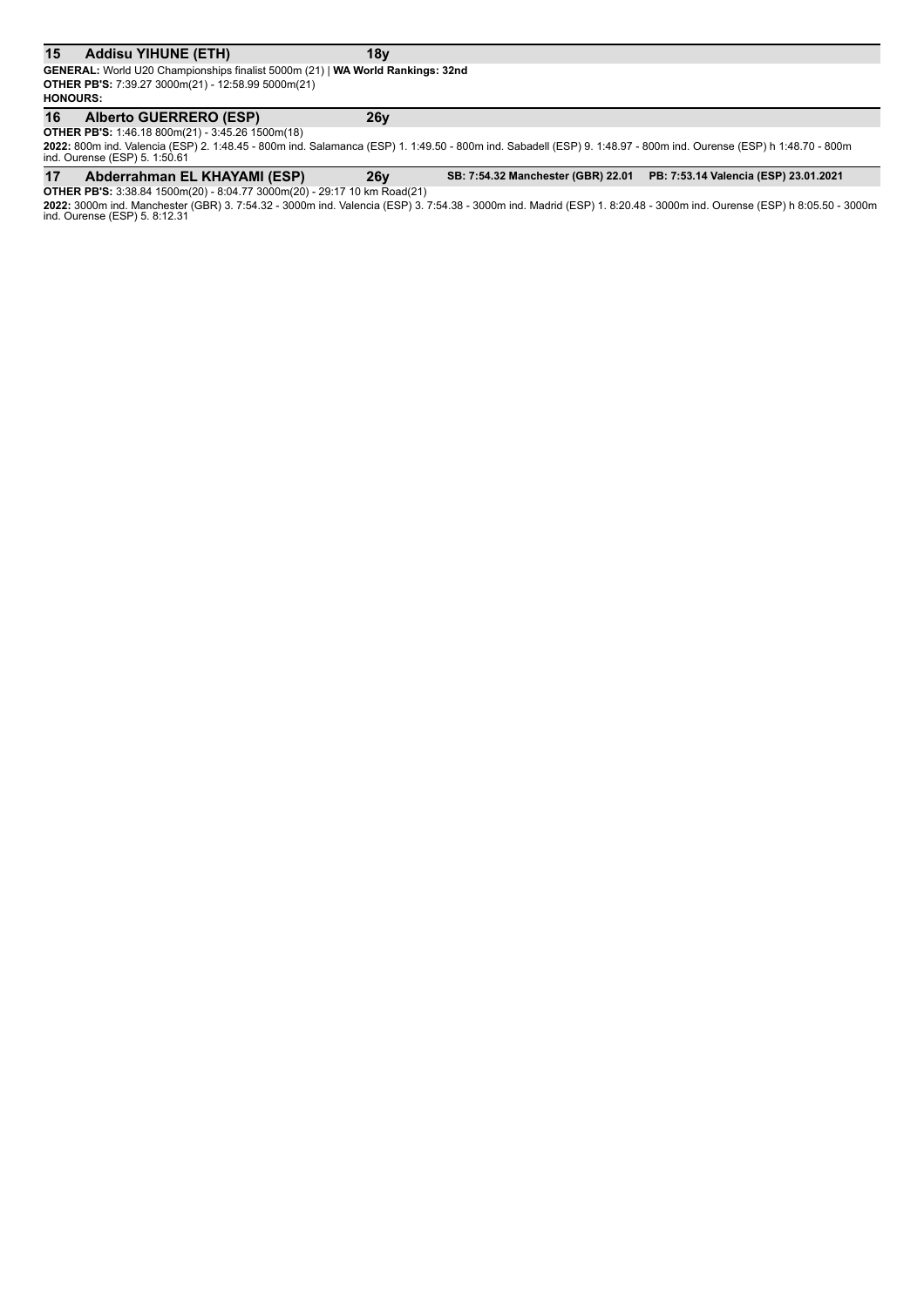#### 15 Addisu YIHUNE (ETH) **18y**

**GENERAL:** World U20 Championships finalist 5000m (21) | WA World Rankings: 32nd **OTHER PB'S:** 7:39.27 3000m(21) - 12:58.99 5000m(21) **HONOURS:**

## **16 Alberto GUERRERO (ESP) 26y**

**OTHER PB'S:** 1:46.18 800m(21) - 3:45.26 1500m(18)

**2022:** 800m ind. Valencia (ESP) 2. 1:48.45 - 800m ind. Salamanca (ESP) 1. 1:49.50 - 800m ind. Sabadell (ESP) 9. 1:48.97 - 800m ind. Ourense (ESP) h 1:48.70 - 800m<br>ind. Ourense (ESP) 5. 1:50.61

17 Abderrahman EL KHAYAMI (ESP) 26y SB: 7:54.32 Manchester (GBR) 22.01 PB: 7:53.14 Valencia (ESP) 23.01.2021

**OTHER PB'S:** 3:38.84 1500m(20) - 8:04.77 3000m(20) - 29:17 10 km Road(21) **2022:** 3000m ind. Manchester (GBR) 3. 7:54.32 - 3000m ind. Valencia (ESP) 3. 7:54.38 - 3000m ind. Madrid (ESP) 1. 8:20.48 - 3000m ind. Ourense (ESP) h 8:05.50 - 3000m<br>ind. Ourense (ESP) 5. 8:12.31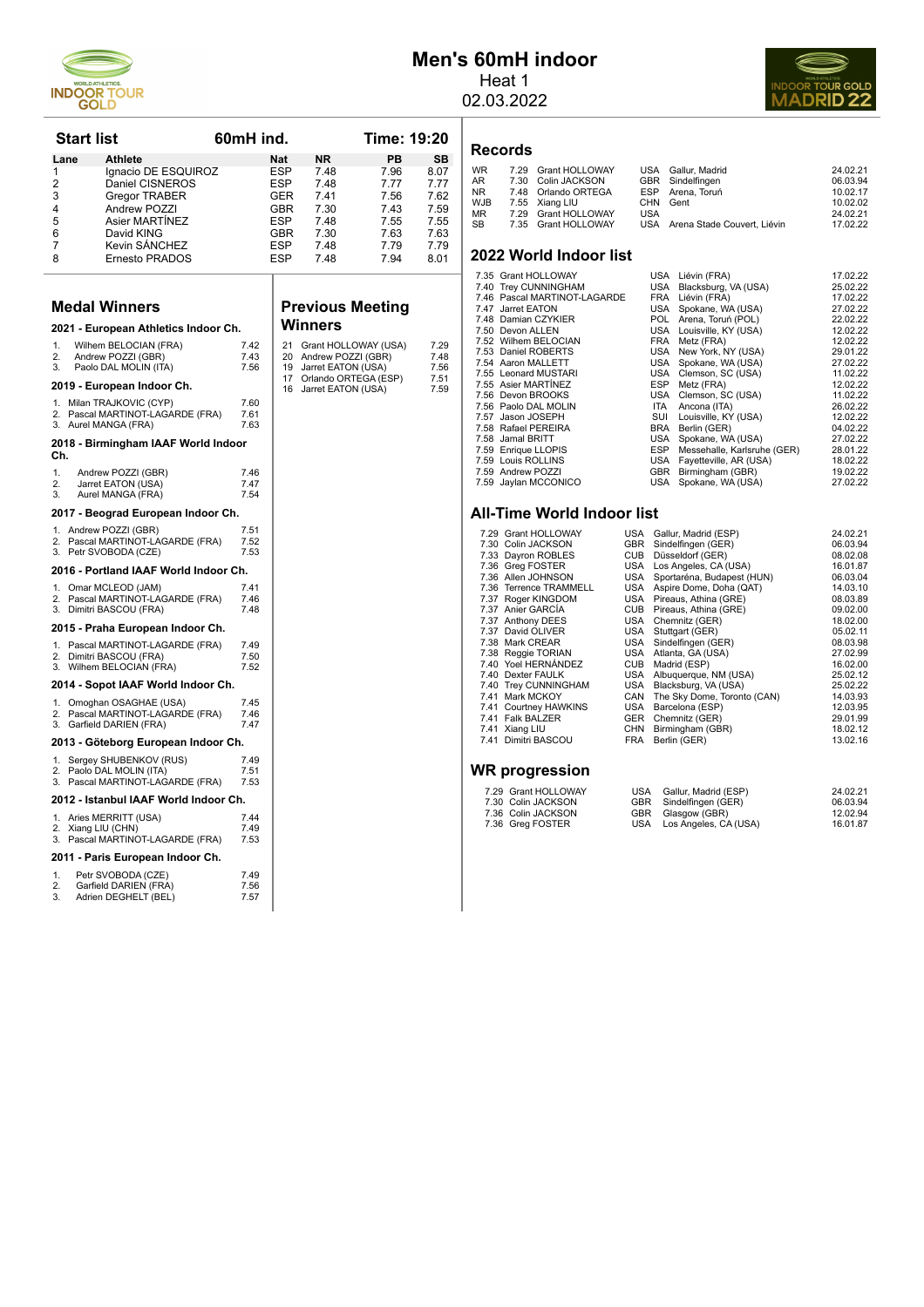

# **Men's 60mH indoor**

Heat 1 02.03.2022



**Records**

| WR  | 7.29 Grant HOLLOWAY |            | USA Gallur, Madrid              | 24.02.21 |
|-----|---------------------|------------|---------------------------------|----------|
| AR  | 7.30 Colin JACKSON  |            | GBR Sindelfingen                | 06.03.94 |
| NR. | 7.48 Orlando ORTEGA |            | ESP Arena, Toruń                | 10.02.17 |
| WJB | 7.55 Xiang LIU      |            | CHN Gent                        | 10.02.02 |
| ΜR  | 7.29 Grant HOLLOWAY | <b>USA</b> |                                 | 24.02.21 |
| SB. | 7.35 Grant HOLLOWAY |            | USA Arena Stade Couvert, Liévin | 17.02.22 |
|     |                     |            |                                 |          |

#### **2022 World Indoor list**

| 7.35 Grant HOLLOWAY          |            | USA Liévin (FRA)                | 17.02.22 |
|------------------------------|------------|---------------------------------|----------|
| 7.40 Trey CUNNINGHAM         |            | USA Blacksburg, VA (USA)        | 25.02.22 |
| 7.46 Pascal MARTINOT-LAGARDE |            | FRA Liévin (FRA)                | 17.02.22 |
| 7.47 Jarret EATON            |            | USA Spokane, WA (USA)           | 27.02.22 |
| 7.48 Damian CZYKIER          |            | POL Arena, Toruń (POL)          | 22.02.22 |
| 7.50 Devon ALLEN             |            | USA Louisville, KY (USA)        | 12.02.22 |
| 7.52 Wilhem BELOCIAN         |            | FRA Metz (FRA)                  | 12.02.22 |
| 7.53 Daniel ROBERTS          |            | USA New York, NY (USA)          | 29.01.22 |
| 7.54 Aaron MALLETT           |            | USA Spokane, WA (USA)           | 27.02.22 |
| 7.55 Leonard MUSTARI         |            | USA Clemson, SC (USA)           | 11.02.22 |
| 7.55 Asier MARTÍNEZ          | <b>ESP</b> | Metz (FRA)                      | 12.02.22 |
| 7.56 Devon BROOKS            |            | USA Clemson, SC (USA)           | 11.02.22 |
| 7.56 Paolo DAL MOLIN         | ITA        | Ancona (ITA)                    | 26.02.22 |
| 7.57 Jason JOSEPH            | SUI        | Louisville, KY (USA)            | 12.02.22 |
| 7.58 Rafael PEREIRA          | BRA        | Berlin (GER)                    | 04.02.22 |
| 7.58 Jamal BRITT             |            | USA Spokane, WA (USA)           | 27.02.22 |
| 7.59 Enrique LLOPIS          |            | ESP Messehalle, Karlsruhe (GER) | 28.01.22 |
| 7.59 Louis ROLLINS           |            | USA Fayetteville, AR (USA)      | 18.02.22 |
| 7.59 Andrew POZZI            |            | GBR Birmingham (GBR)            | 19.02.22 |
| 7.59 Jaylan MCCONICO         |            | USA Spokane, WA (USA)           | 27.02.22 |
|                              |            |                                 |          |

#### **All-Time World Indoor list**

|      | 7.29 Grant HOLLOWAY      | <b>USA</b> | Gallur, Madrid (ESP)        | 24.02.21 |
|------|--------------------------|------------|-----------------------------|----------|
|      | 7.30 Colin JACKSON       | <b>GBR</b> | Sindelfingen (GER)          | 06.03.94 |
|      | 7.33 Dayron ROBLES       | <b>CUB</b> | Düsseldorf (GER)            | 08.02.08 |
|      | 7.36 Greg FOSTER         | USA        | Los Angeles, CA (USA)       | 16.01.87 |
|      | 7.36 Allen JOHNSON       | USA        | Sportaréna, Budapest (HUN)  | 06.03.04 |
| 7.36 | <b>Terrence TRAMMELL</b> | <b>USA</b> | Aspire Dome, Doha (QAT)     | 14.03.10 |
| 7.37 | Roger KINGDOM            | USA        | Pireaus, Athina (GRE)       | 08.03.89 |
|      | 7.37 Anier GARCÍA        | <b>CUB</b> | Pireaus, Athina (GRE)       | 09.02.00 |
|      | 7.37 Anthony DEES        | USA        | Chemnitz (GER)              | 18.02.00 |
| 7.37 | David OLIVER             | USA        | Stuttgart (GER)             | 05.02.11 |
|      | 7.38 Mark CREAR          | <b>USA</b> | Sindelfingen (GER)          | 08.03.98 |
|      | 7.38 Reggie TORIAN       | USA        | Atlanta, GA (USA)           | 27.02.99 |
|      | 7.40 Yoel HERNÁNDEZ      | <b>CUB</b> | Madrid (ESP)                | 16.02.00 |
| 7.40 | <b>Dexter FAULK</b>      | USA        | Albuquerque, NM (USA)       | 25.02.12 |
|      | 7.40 Trey CUNNINGHAM     | USA        | Blacksburg, VA (USA)        | 25.02.22 |
| 7.41 | Mark MCKOY               | CAN        | The Sky Dome, Toronto (CAN) | 14.03.93 |
| 7.41 | <b>Courtney HAWKINS</b>  | USA        | Barcelona (ESP)             | 12.03.95 |
| 7.41 | <b>Falk BALZER</b>       | <b>GER</b> | Chemnitz (GER)              | 29.01.99 |
| 7.41 | Xiang LIU                | <b>CHN</b> | Birmingham (GBR)            | 18.02.12 |
| 7.41 | Dimitri BASCOU           | <b>FRA</b> | Berlin (GER)                | 13.02.16 |
|      |                          |            |                             |          |
| ---  |                          |            |                             |          |

#### **WR progression**

| 7.29 Grant HOLLOWAY | USA Gallur, Madrid (ESP)  | 24.02.21 |
|---------------------|---------------------------|----------|
| 7.30 Colin JACKSON  | GBR Sindelfingen (GER)    | 06.03.94 |
| 7.36 Colin JACKSON  | GBR Glasgow (GBR)         | 12.02.94 |
| 7.36 Greg FOSTER    | USA Los Angeles, CA (USA) | 16.01.87 |

| Lane           | Athlete                                                                                |                      | Nat        | NR.                                        | PВ           | SB           |
|----------------|----------------------------------------------------------------------------------------|----------------------|------------|--------------------------------------------|--------------|--------------|
| 1              | Ignacio DE ESQUIROZ                                                                    |                      | ESP        | 7.48                                       | 7.96         | 8.07         |
| 2<br>3         | Daniel CISNEROS                                                                        |                      | <b>ESP</b> | 7.48<br>7.41                               | 7.77<br>7.56 | 7.77<br>7.62 |
| 4              | Gregor TRABER<br>Andrew POZZI                                                          |                      | GER<br>GBR | 7.30                                       | 7.43         | 7.59         |
| 5              | Asier MARTINEZ                                                                         |                      | ESP        | 7.48                                       | 7.55         | 7.55         |
| 6              | David KING                                                                             |                      | GBR        | 7.30                                       | 7.63         | 7.63         |
| 7              | Kevin SÁNCHEZ                                                                          |                      | <b>ESP</b> | 7.48                                       | 7.79         | 7.79         |
| 8              | Ernesto PRADOS                                                                         |                      | ESP        | 7.48                                       | 7.94         | 8.01         |
|                | <b>Medal Winners</b>                                                                   |                      |            | <b>Previous Meeting</b>                    |              |              |
|                | 2021 - European Athletics Indoor Ch.                                                   |                      |            | Winners                                    |              |              |
| 1.             | Wilhem BELOCIAN (FRA)                                                                  | 7.42                 | 21         | Grant HOLLOWAY (USA)                       |              | 7.29         |
| 2.             | Andrew POZZI (GBR)                                                                     | 7.43                 | 20         | Andrew POZZI (GBR)                         |              | 7.48         |
| 3.             | Paolo DAL MOLIN (ITA)                                                                  | 7.56                 | 19<br>17   | Jarret EATON (USA)<br>Orlando ORTEGA (ESP) |              | 7.56<br>7.51 |
|                | 2019 - European Indoor Ch.                                                             |                      | 16         | Jarret EATON (USA)                         |              | 7.59         |
|                | 1. Milan TRAJKOVIC (CYP)<br>2. Pascal MARTINOT-LAGARDE (FRA)                           | 7.60<br>7.61         |            |                                            |              |              |
|                | 3. Aurel MANGA (FRA)                                                                   | 7.63                 |            |                                            |              |              |
| Ch.            | 2018 - Birmingham IAAF World Indoor                                                    |                      |            |                                            |              |              |
| 1.             | Andrew POZZI (GBR)                                                                     | 7.46                 |            |                                            |              |              |
| 2.             | Jarret EATON (USA)                                                                     | 7.47                 |            |                                            |              |              |
| 3.             | Aurel MANGA (FRA)                                                                      | 7.54                 |            |                                            |              |              |
|                | 2017 - Beograd European Indoor Ch.                                                     |                      |            |                                            |              |              |
| 3.             | 1. Andrew POZZI (GBR)<br>2. Pascal MARTINOT-LAGARDE (FRA)<br>Petr SVOBODA (CZE)        | 7.51<br>7.52<br>7.53 |            |                                            |              |              |
|                | 2016 - Portland IAAF World Indoor Ch.                                                  |                      |            |                                            |              |              |
|                | 1. Omar MCLEOD (JAM)                                                                   | 7.41                 |            |                                            |              |              |
| 3.             | 2. Pascal MARTINOT-LAGARDE (FRA)<br>Dimitri BASCOU (FRA)                               | 7.46<br>7.48         |            |                                            |              |              |
|                | 2015 - Praha European Indoor Ch.                                                       |                      |            |                                            |              |              |
| 2.             | 1. Pascal MARTINOT-LAGARDE (FRA)<br>Dimitri BASCOU (FRA)                               | 7.49<br>7.50         |            |                                            |              |              |
|                | 3. Wilhem BELOCIAN (FRA)                                                               | 7.52                 |            |                                            |              |              |
|                | 2014 - Sopot IAAF World Indoor Ch.<br>1. Omoghan OSAGHAE (USA)                         | 7.45                 |            |                                            |              |              |
| 3.             | 2. Pascal MARTINOT-LAGARDE (FRA)<br>Garfield DARIEN (FRA)                              | 7.46<br>7.47         |            |                                            |              |              |
|                | 2013 - Göteborg European Indoor Ch.                                                    |                      |            |                                            |              |              |
| 2.             | 1. Sergey SHUBENKOV (RUS)<br>Paolo DAL MOLIN (ITA)<br>3. Pascal MARTINOT-LAGARDE (FRA) | 7.49<br>7.51<br>7.53 |            |                                            |              |              |
|                | 2012 - Istanbul IAAF World Indoor Ch.                                                  |                      |            |                                            |              |              |
|                | 1. Aries MERRITT (USA)<br>2. Xiang LIU (CHN)                                           | 7.44<br>7.49         |            |                                            |              |              |
|                | 3. Pascal MARTINOT-LAGARDE (FRA)                                                       | 7.53                 |            |                                            |              |              |
|                | 2011 - Paris European Indoor Ch.                                                       |                      |            |                                            |              |              |
| 1.<br>2.<br>3. | Petr SVOBODA (CZE)<br>Garfield DARIEN (FRA)<br>Adrien DEGHELT (BEL)                    | 7.49<br>7.56<br>7.57 |            |                                            |              |              |

#### **Provide** Meeting 1ers

**Start list 60mH** ind. Time: 19:20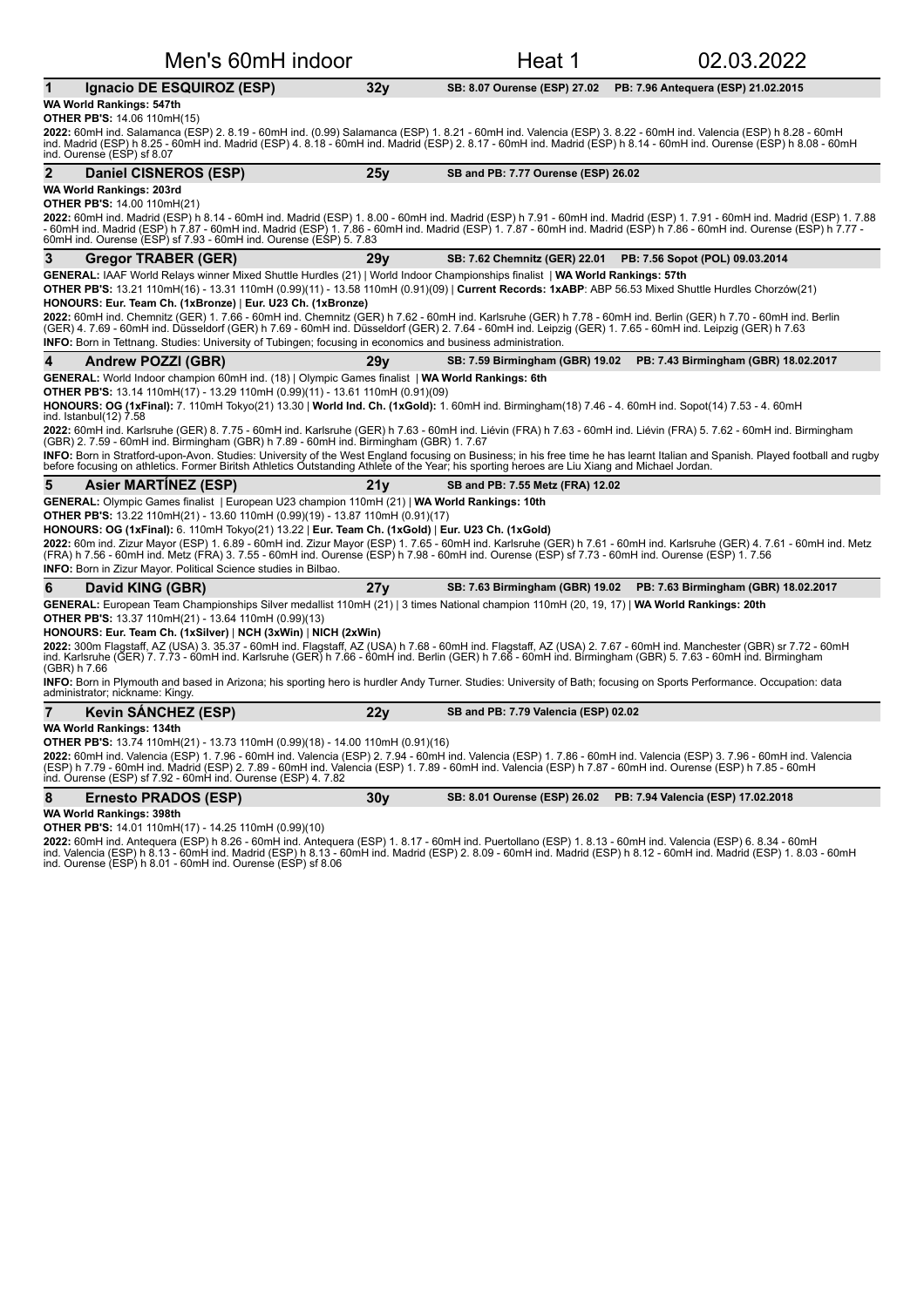| Men's 60mH indoor                                                                                                                                                                                                                                                                                                                                                                                                 |                 | Heat 1                               | 02.03.2022                                                             |
|-------------------------------------------------------------------------------------------------------------------------------------------------------------------------------------------------------------------------------------------------------------------------------------------------------------------------------------------------------------------------------------------------------------------|-----------------|--------------------------------------|------------------------------------------------------------------------|
| Ignacio DE ESQUIROZ (ESP)                                                                                                                                                                                                                                                                                                                                                                                         | 32 <sub>V</sub> | SB: 8.07 Ourense (ESP) 27.02         | PB: 7.96 Antequera (ESP) 21.02.2015                                    |
| WA World Rankings: 547th<br><b>OTHER PB'S: 14.06 110mH(15)</b><br>2022: 60mH ind. Salamanca (ESP) 2. 8.19 - 60mH ind. (0.99) Salamanca (ESP) 1. 8.21 - 60mH ind. Valencia (ESP) 3. 8.22 - 60mH ind. Valencia (ESP) h 8.28 - 60mH<br>ind. Madrid (ESP) h 8.25 - 60mH ind. Madrid (ESP) 4. 8.18 - 60m                                                                                                               |                 |                                      |                                                                        |
| ind. Ourense (ESP) sf 8.07                                                                                                                                                                                                                                                                                                                                                                                        |                 |                                      |                                                                        |
| $\mathbf{2}$<br>Daniel CISNEROS (ESP)                                                                                                                                                                                                                                                                                                                                                                             | 25y             | SB and PB: 7.77 Ourense (ESP) 26.02  |                                                                        |
| WA World Rankings: 203rd<br><b>OTHER PB'S: 14.00 110mH(21)</b>                                                                                                                                                                                                                                                                                                                                                    |                 |                                      |                                                                        |
| 2022: 60mH ind. Madrid (ESP) h 8.14 - 60mH ind. Madrid (ESP) 1. 8.00 - 60mH ind. Madrid (ESP) h 7.91 - 60mH ind. Madrid (ESP) 1. 7.91 - 60mH ind. Madrid (ESP) 1. 7.88<br>- 60mH ind. Madrid (ESP) h 7.87 - 60mH ind. Madrid (ESP) 1. 7.86 - 60mH ind. Madrid (ESP) 1. 7.87 - 60mH ind. Madrid (ESP) h 7.86 - 60mH ind. Ourense (ESP) h 7.77<br>60mH ind. Ourense (ESP) sf 7.93 - 60mH ind. Ourense (ESP) 5. 7.83 |                 |                                      |                                                                        |
| 3<br><b>Gregor TRABER (GER)</b>                                                                                                                                                                                                                                                                                                                                                                                   | 29 <sub>V</sub> | SB: 7.62 Chemnitz (GER) 22.01        | PB: 7.56 Sopot (POL) 09.03.2014                                        |
| GENERAL: IAAF World Relays winner Mixed Shuttle Hurdles (21)   World Indoor Championships finalist   WA World Rankings: 57th                                                                                                                                                                                                                                                                                      |                 |                                      |                                                                        |
| OTHER PB'S: 13.21 110mH(16) - 13.31 110mH (0.99)(11) - 13.58 110mH (0.91)(09)   Current Records: 1xABP: ABP 56.53 Mixed Shuttle Hurdles Chorzów(21)<br>HONOURS: Eur. Team Ch. (1xBronze)   Eur. U23 Ch. (1xBronze)                                                                                                                                                                                                |                 |                                      |                                                                        |
| 2022: 60mH ind. Chemnitz (GER) 1. 7.66 - 60mH ind. Chemnitz (GER) h 7.62 - 60mH ind. Karlsruhe (GER) h 7.78 - 60mH ind. Berlin (GER) h 7.70 - 60mH ind. Berlin<br>(GER) 4. 7.69 - 60mH ind. Düsseldorf (GER) h 7.69 - 60mH ind. Düsseldorf (GER) 2. 7.64 - 60mH ind. Leipzig (GER) 1. 7.65 - 60mH ind. Leipzig (GER) h 7.63                                                                                       |                 |                                      |                                                                        |
| <b>INFO:</b> Born in Tettnang. Studies: University of Tubingen; focusing in economics and business administration.                                                                                                                                                                                                                                                                                                |                 |                                      |                                                                        |
| 4<br><b>Andrew POZZI (GBR)</b>                                                                                                                                                                                                                                                                                                                                                                                    | 29v             |                                      | SB: 7.59 Birmingham (GBR) 19.02   PB: 7.43 Birmingham (GBR) 18.02.2017 |
| GENERAL: World Indoor champion 60mH ind. (18)   Olympic Games finalist   WA World Rankings: 6th                                                                                                                                                                                                                                                                                                                   |                 |                                      |                                                                        |
| OTHER PB'S: 13.14 110mH(17) - 13.29 110mH (0.99)(11) - 13.61 110mH (0.91)(09)                                                                                                                                                                                                                                                                                                                                     |                 |                                      |                                                                        |
| HONOURS: OG (1xFinal): 7. 110mH Tokyo(21) 13.30   World Ind. Ch. (1xGold): 1. 60mH ind. Birmingham(18) 7.46 - 4. 60mH ind. Sopot(14) 7.53 - 4. 60mH<br>ind. Istanbul(12) 7.58                                                                                                                                                                                                                                     |                 |                                      |                                                                        |
| 2022: 60mH ind. Karlsruhe (GER) 8. 7.75 - 60mH ind. Karlsruhe (GER) h 7.63 - 60mH ind. Liévin (FRA) h 7.63 - 60mH ind. Liévin (FRA) 5. 7.62 - 60mH ind. Birmingham<br>(GBR) 2.7.59 - 60mH ind. Birmingham (GBR) h 7.89 - 60mH ind. Birmingham (GBR) 1.7.67                                                                                                                                                        |                 |                                      |                                                                        |
| INFO: Born in Stratford-upon-Avon. Studies: University of the West England focusing on Business; in his free time he has learnt Italian and Spanish. Played football and rugby<br>before focusing on athletics. Former Biritsh Athletics Outstanding Athlete of the Year; his sporting heroes are Liu Xiang and Michael Jordan.                                                                                   |                 |                                      |                                                                        |
| 5<br><b>Asier MARTINEZ (ESP)</b>                                                                                                                                                                                                                                                                                                                                                                                  | 21v             | SB and PB: 7.55 Metz (FRA) 12.02     |                                                                        |
| <b>GENERAL:</b> Olympic Games finalist   European U23 champion 110mH (21)   WA World Rankings: 10th<br>OTHER PB'S: 13.22 110mH(21) - 13.60 110mH (0.99)(19) - 13.87 110mH (0.91)(17)                                                                                                                                                                                                                              |                 |                                      |                                                                        |
| HONOURS: OG (1xFinal): 6. 110mH Tokyo(21) 13.22   Eur. Team Ch. (1xGold)   Eur. U23 Ch. (1xGold)                                                                                                                                                                                                                                                                                                                  |                 |                                      |                                                                        |
| 2022: 60m ind. Zizur Mayor (ESP) 1. 6.89 - 60mH ind. Zizur Mayor (ESP) 1. 7.65 - 60mH ind. Karlsruhe (GER) h 7.61 - 60mH ind. Karlsruhe (GER) 4. 7.61 - 60mH ind. Metz<br>(FRA) h 7.56 - 60mH ind. Metz (FRA) 3. 7.55 - 60mH ind. Ourense (ESP) h 7.98 - 60mH ind. Ourense (ESP) sf 7.73 - 60mH ind. Ourense (ESP) 1. 7.56<br>INFO: Born in Zizur Mayor. Political Science studies in Bilbao.                     |                 |                                      |                                                                        |
|                                                                                                                                                                                                                                                                                                                                                                                                                   |                 |                                      |                                                                        |
| 6<br>David KING (GBR)                                                                                                                                                                                                                                                                                                                                                                                             | 27y             | SB: 7.63 Birmingham (GBR) 19.02      | PB: 7.63 Birmingham (GBR) 18.02.2017                                   |
| GENERAL: European Team Championships Silver medallist 110mH (21)   3 times National champion 110mH (20, 19, 17)   WA World Rankings: 20th<br>OTHER PB'S: 13.37 110mH(21) - 13.64 110mH (0.99)(13)                                                                                                                                                                                                                 |                 |                                      |                                                                        |
| HONOURS: Eur. Team Ch. (1xSilver)   NCH (3xWin)   NICH (2xWin)<br>2022: 300m Flagstaff, AZ (USA) 3. 35.37 - 60mH ind. Flagstaff, AZ (USA) h 7.68 - 60mH ind. Flagstaff, AZ (USA) 2. 7.67 - 60mH ind. Manchester (GBR) sr 7.72 - 60mH<br>ind. Karlsruhe (GER) 7. 7.73 - 60mH ind. Karlsruhe (GER) h<br>(GBR) h 7.66                                                                                                |                 |                                      |                                                                        |
| INFO: Born in Plymouth and based in Arizona; his sporting hero is hurdler Andy Turner. Studies: University of Bath; focusing on Sports Performance. Occupation: data<br>administrator; nickname: Kingy.                                                                                                                                                                                                           |                 |                                      |                                                                        |
| $\overline{7}$<br><b>Kevin SANCHEZ (ESP)</b>                                                                                                                                                                                                                                                                                                                                                                      | 22y             | SB and PB: 7.79 Valencia (ESP) 02.02 |                                                                        |
| <b>WA World Rankings: 134th</b>                                                                                                                                                                                                                                                                                                                                                                                   |                 |                                      |                                                                        |
| OTHER PB'S: 13.74 110mH(21) - 13.73 110mH (0.99)(18) - 14.00 110mH (0.91)(16)                                                                                                                                                                                                                                                                                                                                     |                 |                                      |                                                                        |
| 2022: 60mH ind. Valencia (ESP) 1. 7.96 - 60mH ind. Valencia (ESP) 2. 7.94 - 60mH ind. Valencia (ESP) 1. 7.86 - 60mH ind. Valencia (ESP) 3. 7.96 - 60mH ind. Valencia<br>(ESP) h 7.79 - 60mH ind. Madrid (ESP) 2. 7.89 - 60mH ind. Valencia (ESP) 1. 7.89 - 60mH ind. Valencia (ESP) h 7.87 - 60mH ind. Ourense (ESP) h 7.85 - 60mH<br>ind. Ourense (ESP) sf 7.92 - 60mH ind. Ourense (ESP) 4. 7.82                |                 |                                      |                                                                        |
| 8<br><b>Ernesto PRADOS (ESP)</b>                                                                                                                                                                                                                                                                                                                                                                                  | 30v             | SB: 8.01 Ourense (ESP) 26.02         | PB: 7.94 Valencia (ESP) 17.02.2018                                     |
| WA World Rankings: 398th                                                                                                                                                                                                                                                                                                                                                                                          |                 |                                      |                                                                        |

**OTHER PB'S:** 14.01 110mH(17) - 14.25 110mH (0.99)(10)

**2022:** 60mH ind. Antequera (ESP) h 8.26 - 60mH ind. Antequera (ESP) 1. 8.17 - 60mH ind. Puertollano (ESP) 1. 8.13 - 60mH ind. Valencia (ESP) 6. 8.34 - 60mH<br>ind. Valencia (ESP) h 8.13 - 60mH ind. Madrid (ESP) h 8.13 - 60mH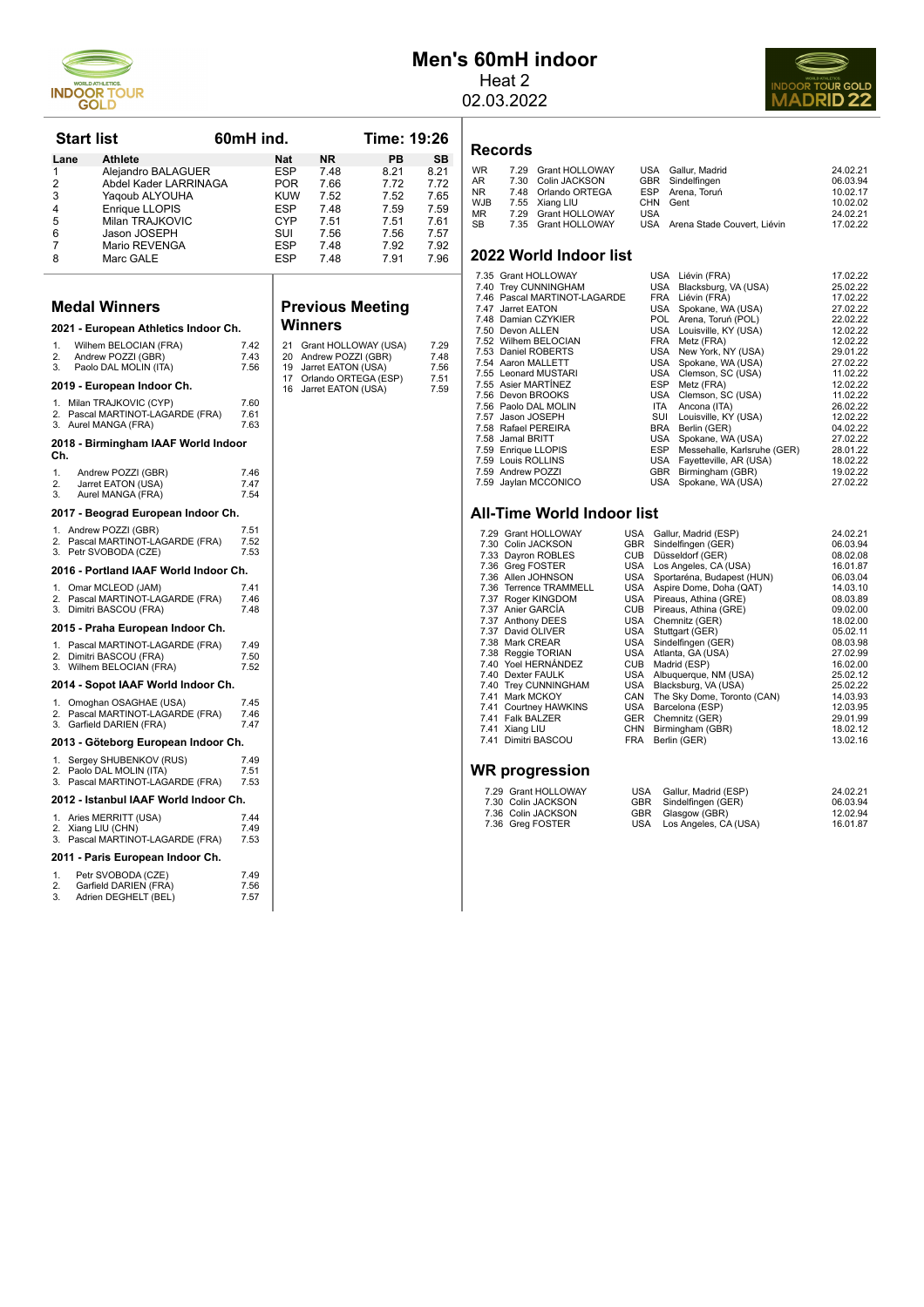

# **Men's 60mH indoor**

Heat 2 02.03.2022

**Records**

**2022 World Indoor list** 



| <b>Start list</b>          |                                                                                                                    | 60mH ind.            |                                                      |                                                                                                                | <b>Time: 19:26</b>                           |                                              |
|----------------------------|--------------------------------------------------------------------------------------------------------------------|----------------------|------------------------------------------------------|----------------------------------------------------------------------------------------------------------------|----------------------------------------------|----------------------------------------------|
| Lane                       | Athlete                                                                                                            |                      | Nat                                                  | ΝR                                                                                                             | PB                                           | SВ                                           |
| 1<br>2<br>3<br>4<br>5<br>6 | Alejandro BALAGUER<br>Abdel Kader LARRINAGA<br>Yaqoub ALYOUHA<br>Enrique LLOPIS<br>Milan TRAJKOVIC<br>Jason JOSEPH |                      | ESP<br><b>POR</b><br><b>KUW</b><br>ESP<br>CYP<br>SUI | 7.48<br>7.66<br>7.52<br>7.48<br>7.51<br>7.56                                                                   | 8.21<br>7.72<br>7.52<br>7.59<br>7.51<br>7.56 | 8.21<br>7.72<br>7.65<br>7.59<br>7.61<br>7.57 |
| 7<br>8                     | Mario REVENGA<br>Marc GALE                                                                                         |                      | <b>ESP</b><br><b>ESP</b>                             | 7.48<br>7.48                                                                                                   | 7.92<br>7.91                                 | 7.92<br>7.96                                 |
|                            | <b>Medal Winners</b>                                                                                               |                      |                                                      | <b>Previous Meeting</b>                                                                                        |                                              |                                              |
|                            | 2021 - European Athletics Indoor Ch.                                                                               |                      |                                                      | Winners                                                                                                        |                                              |                                              |
| 1.<br>2.<br>3.             | Wilhem BELOCIAN (FRA)<br>Andrew POZZI (GBR)<br>Paolo DAL MOLIN (ITA)<br>2019 - European Indoor Ch.                 | 7.42<br>7.43<br>7.56 | 21<br>20<br>19<br>17<br>16                           | Grant HOLLOWAY (USA)<br>Andrew POZZI (GBR)<br>Jarret EATON (USA)<br>Orlando ORTEGA (ESP)<br>Jarret EATON (USA) |                                              | 7.29<br>7.48<br>7.56<br>7.51<br>7.59         |
| 1.<br>2.<br>3.             | Milan TRAJKOVIC (CYP)<br>Pascal MARTINOT-LAGARDE (FRA)<br>Aurel MANGA (FRA)                                        | 7.60<br>7.61<br>7.63 |                                                      |                                                                                                                |                                              |                                              |
| Ch.                        | 2018 - Birmingham IAAF World Indoor                                                                                |                      |                                                      |                                                                                                                |                                              |                                              |
| 1.<br>2.<br>3.             | Andrew POZZI (GBR)<br>Jarret EATON (USA)<br>Aurel MANGA (FRA)                                                      | 7.46<br>7.47<br>7.54 |                                                      |                                                                                                                |                                              |                                              |
|                            | 2017 - Beograd European Indoor Ch.                                                                                 |                      |                                                      |                                                                                                                |                                              |                                              |
| 1.<br>2.<br>3.             | Andrew POZZI (GBR)<br>Pascal MARTINOT-LAGARDE (FRA)<br>Petr SVOBODA (CZE)                                          | 7.51<br>7.52<br>7.53 |                                                      |                                                                                                                |                                              |                                              |
|                            | 2016 - Portland IAAF World Indoor Ch.                                                                              |                      |                                                      |                                                                                                                |                                              |                                              |
| 1.<br>2.<br>3.             | Omar MCLEOD (JAM)<br>Pascal MARTINOT-LAGARDE (FRA)<br>Dimitri BASCOU (FRA)                                         | 7.41<br>7.46<br>7.48 |                                                      |                                                                                                                |                                              |                                              |
|                            | 2015 - Praha European Indoor Ch.                                                                                   |                      |                                                      |                                                                                                                |                                              |                                              |
| 1.<br>2.<br>З.             | Pascal MARTINOT-LAGARDE (FRA)<br>Dimitri BASCOU (FRA)<br>Wilhem BELOCIAN (FRA)                                     | 7.49<br>7.50<br>7.52 |                                                      |                                                                                                                |                                              |                                              |
|                            | 2014 - Sopot IAAF World Indoor Ch.                                                                                 |                      |                                                      |                                                                                                                |                                              |                                              |
| 1.<br>2.<br>3.             | Omoghan OSAGHAE (USA)<br>Pascal MARTINOT-LAGARDE (FRA)<br>Garfield DARIEN (FRA)                                    | 7.45<br>7.46<br>7.47 |                                                      |                                                                                                                |                                              |                                              |
|                            | 2013 - Göteborg European Indoor Ch.                                                                                |                      |                                                      |                                                                                                                |                                              |                                              |
| 1.<br>2.<br>3.             | Sergey SHUBENKOV (RUS)<br>Paolo DAL MOLIN (ITA)<br>Pascal MARTINOT-LAGARDE (FRA)                                   | 7.49<br>7.51<br>7.53 |                                                      |                                                                                                                |                                              |                                              |
|                            | 2012 - Istanbul IAAF World Indoor Ch.                                                                              |                      |                                                      |                                                                                                                |                                              |                                              |
| 2.<br>3.                   | 1. Aries MERRITT (USA)<br>Xiang LIU (CHN)<br>Pascal MARTINOT-LAGARDE (FRA)                                         | 7.44<br>7.49<br>7.53 |                                                      |                                                                                                                |                                              |                                              |
|                            | 2011 - Paris European Indoor Ch.                                                                                   |                      |                                                      |                                                                                                                |                                              |                                              |
| 1<br>2.<br>3.              | Petr SVOBODA (CZE)<br>Garfield DARIEN (FRA)<br>Adrien DEGHELT (BEL)                                                | 7.49<br>7.56<br>7.57 |                                                      |                                                                                                                |                                              |                                              |

# **Meeting**

|                                 |      |            | $1.001$ $1.0011$ $1.001$    |          |
|---------------------------------|------|------------|-----------------------------|----------|
| 7.47 Jarret EATON               |      |            | USA Spokane, WA (USA)       | 27.02.22 |
| 7.48 Damian CZYKIER             |      | <b>POL</b> | Arena, Toruń (POL)          | 22.02.22 |
| 7.50 Devon ALLEN                |      |            | USA Louisville, KY (USA)    | 12.02.22 |
| 7.52 Wilhem BELOCIAN            |      |            | FRA Metz (FRA)              | 12.02.22 |
| 7.53 Daniel ROBERTS             |      |            | USA New York, NY (USA)      | 29.01.22 |
| 7.54 Aaron MALLETT              |      |            | USA Spokane, WA (USA)       | 27.02.22 |
| 7.55 Leonard MUSTARI            |      | USA        | Clemson, SC (USA)           | 11.02.22 |
| 7.55 Asier MARTINEZ             |      | ESP        | Metz (FRA)                  | 12.02.22 |
| 7.56 Devon BROOKS               |      | USA        | Clemson, SC (USA)           | 11.02.22 |
| 7.56 Paolo DAL MOLIN            |      | <b>ITA</b> | Ancona (ITA)                | 26.02.22 |
| 7.57 Jason JOSEPH               |      | SUI        | Louisville, KY (USA)        | 12.02.22 |
| 7.58 Rafael PEREIRA             |      | <b>BRA</b> | Berlin (GER)                | 04.02.22 |
| 7.58 Jamal BRITT                |      | USA        | Spokane, WA (USA)           | 27.02.22 |
| 7.59 Enrique LLOPIS             |      | ESP        | Messehalle, Karlsruhe (GER) | 28.01.22 |
| 7.59 Louis ROLLINS              |      | USA        | Fayetteville, AR (USA)      | 18.02.22 |
| 7.59 Andrew POZZI               |      | GBR        | Birmingham (GBR)            | 19.02.22 |
| 7.59 Jaylan MCCONICO            |      | USA        | Spokane, WA (USA)           | 27.02.22 |
| All-Time World Indoor list      |      |            |                             |          |
|                                 |      |            |                             |          |
| 7.29 Grant HOLLOWAY             | USA  |            | Gallur, Madrid (ESP)        | 24.02.21 |
| 7.30 Colin JACKSON              | GBR  |            | Sindelfingen (GER)          | 06.03.94 |
| 7.33 Dayron ROBLES              |      |            | CUB Düsseldorf (GER)        | 08.02.08 |
| 7.36 Greg FOSTER                | USA  |            | Los Angeles, CA (USA)       | 16.01.87 |
| 7.36 Allen JOHNSON              | USA  |            | Sportaréna, Budapest (HUN)  | 06.03.04 |
| 7.36 Terrence TRAMMELL          |      |            | USA Aspire Dome, Doha (QAT) | 14.03.10 |
| 7.37 Roger KINGDOM              | USA  |            | Pireaus, Athina (GRE)       | 08.03.89 |
| 7.37 Anier GARCÍA               |      |            | CUB Pireaus, Athina (GRE)   | 09.02.00 |
| 7.37 Anthony DEES               | USA  |            | Chemnitz (GER)              | 18.02.00 |
| 7.37 David OLIVER               | USA  |            | Stuttgart (GER)             | 05.02.11 |
| $7.20 \text{ M} \cdot \text{A}$ | 110A |            | $C_{in}$ delfinese $(CFD)$  | 00.02.00 |

WR 7.29 Grant HOLLOWAY USA Gallur, Madrid 24.02.21<br>
AR 7.30 Colin JACKSON GBR Sindelfingen 06.03.94<br>
NR 7.48 Orlando ORTEGA ESP Arena, Toruń 10.02.17 10.02.17 AR 7.30 Colin JACKSON GBR Sindelfingen 06.03.94 NR 7.48 Orlando ORTEGA ESP Arena, Toruń 10.02.17 WJB 7.55 Xiang LIU CHN Gent 10.02.02 MN 7.45 Stang LIU CHN Gent<br>MB 7.55 Xiang LIU CHN Gent 10.02.02<br>MR 7.29 Grant HOLLOWAY USA Arena Stade Couvert. Liévin 24.02.21<br>SB 7.35 Grant HOLLOWAY USA Arena Stade Couvert. Liévin 17.02.22

7.35 Grant HOLLOWAY USA Liévin (FRA) 17.02.22<br>7.40 Trey CUNNINGHAM USA Blacksburg, VA (USA) 25.02.22<br>7.46 Pascal MARTINOT-LAGARDE FRA Liévin (FRA) 17.02.22 7.40 Trey CUNNINGHAM USA Blacksburg, VA (USA) 25.02.22 7.46 Pascal MARTINOT-LAGARDE FRA Liévin (FRA) 17.02.22

USA Arena Stade Couvert, Liévin

- 7.38 Mark CREAR USA Sindelfingen (GER) 08.03.98 7.38 Reggie TORIAN USA Atlanta, GA (USA) 27.02.99
- 
- 7.40 Yoel HERNÁNDEZ CUB Madrid (ESP) 16.02.00 7.40 Dexter FAULK USA Albuquerque, NM (USA) 25.02.12 7.40 Trey CUNNINGHAM USA Blacksburg, VA (USA) 25.02.22 7.41 Mark MCKOY CAN The Sky Dome, Toronto (CAN) 14.03.93 7.41 Courtney HAWKINS USA Barcelona (ESP) 12.03.95
- 
- 
- 
- 7.41 Mark MCKOY CAN Diason Brassburg, victory<br>
7.41 Mark MCKOY CAN The Sky Dome, Toronto (CAN)<br>
7.41 Courtney HAWKINS USA Barcelona (ESP) 12.03.95<br>
7.41 Xiang LIU CHR Birmingham (GBR) 18.02.12<br>
7.41 Dimitri BASCOU FRA Berl 7.41 Xiang LIU CHN Birmingham (GBR) 18.02.12 7.41 Dimitri BASCOU FRA Berlin (GER) 13.02.16

#### **WR progression**

| 7.29 Grant HOLLOWAY<br>7.30 Colin JACKSON | USA Gallur, Madrid (ESP)<br>GBR Sindelfingen (GER) | 24.02.21<br>06.03.94 |
|-------------------------------------------|----------------------------------------------------|----------------------|
| 7.36 Colin JACKSON                        | GBR Glasgow (GBR)                                  | 12.02.94             |
| 7.36 Greg FOSTER                          | USA Los Angeles, CA (USA)                          | 16.01.87             |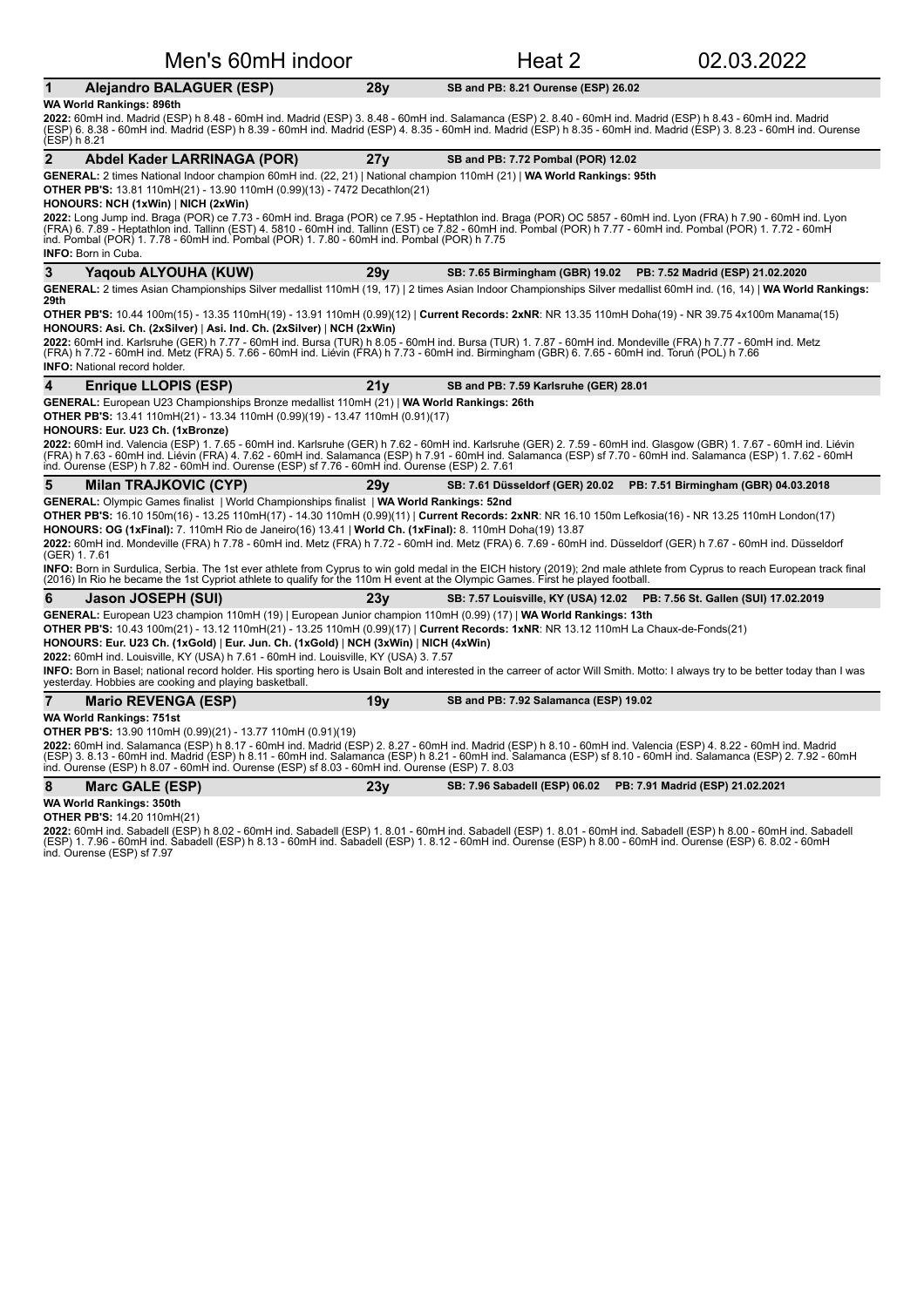| Men's 60mH indoor                                                                                                                                                                                                                                                                                                                                                                                                                                                                                                                                                                                                                                                                                                                                                                                                                                                       |                 | Heat 2                                                           | 02.03.2022                                                                |
|-------------------------------------------------------------------------------------------------------------------------------------------------------------------------------------------------------------------------------------------------------------------------------------------------------------------------------------------------------------------------------------------------------------------------------------------------------------------------------------------------------------------------------------------------------------------------------------------------------------------------------------------------------------------------------------------------------------------------------------------------------------------------------------------------------------------------------------------------------------------------|-----------------|------------------------------------------------------------------|---------------------------------------------------------------------------|
| <b>Alejandro BALAGUER (ESP)</b><br>1                                                                                                                                                                                                                                                                                                                                                                                                                                                                                                                                                                                                                                                                                                                                                                                                                                    | 28y             | SB and PB: 8.21 Ourense (ESP) 26.02                              |                                                                           |
| WA World Rankings: 896th<br>2022: 60mH ind. Madrid (ESP) h 8.48 - 60mH ind. Madrid (ESP) 3. 8.48 - 60mH ind. Salamanca (ESP) 2. 8.40 - 60mH ind. Madrid (ESP) h 8.43 - 60mH ind. Madrid<br>(ESP) 6. 8.38 - 60mH ind. Madrid (ESP) h 8.39 - 60mH ind. Madrid (ESP) 4. 8.35 - 60mH ind. Madrid (ESP) h 8.35 - 60mH ind. Madrid (ESP) 3. 8.23 - 60mH ind. Ourense<br>(ESP) h 8.21                                                                                                                                                                                                                                                                                                                                                                                                                                                                                          |                 |                                                                  |                                                                           |
| $\overline{2}$<br>Abdel Kader LARRINAGA (POR)                                                                                                                                                                                                                                                                                                                                                                                                                                                                                                                                                                                                                                                                                                                                                                                                                           | 27y             | SB and PB: 7.72 Pombal (POR) 12.02                               |                                                                           |
| GENERAL: 2 times National Indoor champion 60mH ind. (22, 21)   National champion 110mH (21)   WA World Rankings: 95th<br><b>OTHER PB'S:</b> 13.81 110mH(21) - 13.90 110mH (0.99)(13) - 7472 Decathlon(21)<br>HONOURS: NCH (1xWin)   NICH (2xWin)<br>2022: Long Jump ind. Braga (POR) ce 7.73 - 60mH ind. Braga (POR) ce 7.95 - Heptathlon ind. Braga (POR) OC 5857 - 60mH ind. Lyon (FRA) h 7.90 - 60mH ind. Lyon<br>(FRA) 6. 7.89 - Heptathlon ind. Tallinn (EST) 4. 5810 - 60mH ind. Tallinn (EST) ce 7.82 - 60mH ind. Pombal (POR) h 7.77 - 60mH ind. Pombal (POR) 1. 7.72 - 60mH<br>ind. Pombal (POR) 1.7.78 - 60mH ind. Pombal (POR) 1.7.80 - 60mH ind. Pombal (POR) h 7.75<br><b>INFO: Born in Cuba.</b>                                                                                                                                                          |                 |                                                                  |                                                                           |
| 3<br>Yaqoub ALYOUHA (KUW)                                                                                                                                                                                                                                                                                                                                                                                                                                                                                                                                                                                                                                                                                                                                                                                                                                               | 29 <sub>V</sub> | SB: 7.65 Birmingham (GBR) 19.02 PB: 7.52 Madrid (ESP) 21.02.2020 |                                                                           |
| GENERAL: 2 times Asian Championships Silver medallist 110mH (19, 17)   2 times Asian Indoor Championships Silver medallist 60mH ind. (16, 14)   WA World Rankings:                                                                                                                                                                                                                                                                                                                                                                                                                                                                                                                                                                                                                                                                                                      |                 |                                                                  |                                                                           |
| 29th<br>OTHER PB'S: 10.44 100m(15) - 13.35 110mH(19) - 13.91 110mH (0.99)(12)   Current Records: 2xNR: NR 13.35 110mH Doha(19) - NR 39.75 4x100m Manama(15)<br>HONOURS: Asi. Ch. (2xSilver)   Asi. Ind. Ch. (2xSilver)   NCH (2xWin)<br>2022: 60mH ind. Karlsruhe (GER) h 7.77 - 60mH ind. Bursa (TUR) h 8.05 - 60mH ind. Bursa (TUR) 1. 7.87 - 60mH ind. Mondeville (FRA) h 7.77 - 60mH ind. Metz<br>(FRA) h 7.72 - 60mH ind. Metz (FRA) 5. 7.66 - 60mH ind. Liévin (FRA) h 7.73 - 60mH ind. Birmingham (GBR) 6. 7.65 - 60mH ind. Toruń (POL) h 7.66<br><b>INFO:</b> National record holder.                                                                                                                                                                                                                                                                           |                 |                                                                  |                                                                           |
| 4<br>Enrique LLOPIS (ESP)                                                                                                                                                                                                                                                                                                                                                                                                                                                                                                                                                                                                                                                                                                                                                                                                                                               | 21 <sub>V</sub> | SB and PB: 7.59 Karlsruhe (GER) 28.01                            |                                                                           |
| <b>OTHER PB'S:</b> 13.41 110mH(21) - 13.34 110mH (0.99)(19) - 13.47 110mH (0.91)(17)<br>HONOURS: Eur. U23 Ch. (1xBronze)<br>2022: 60mH ind. Valencia (ESP) 1. 7.65 - 60mH ind. Karlsruhe (GER) h 7.62 - 60mH ind. Karlsruhe (GER) 2. 7.59 - 60mH ind. Glasgow (GBR) 1. 7.67 - 60mH ind. Liévin<br>(FRA) h 7.63 - 60mH ind. Liévin (FRA) 4. 7.62 - 60mH ind. Salamanca (ESP) h 7.91 - 60mH ind. Salamanca (ESP) sf 7.70 - 60mH ind. Salamanca (ESP) 1. 7.62 - 60mH<br>ind. Ourense (ESP) h 7.82 - 60mH ind. Ourense (ESP) sf 7.76 - 60mH ind. Ourense (ESP) 2. 7.61                                                                                                                                                                                                                                                                                                      |                 |                                                                  |                                                                           |
| 5<br><b>Milan TRAJKOVIC (CYP)</b>                                                                                                                                                                                                                                                                                                                                                                                                                                                                                                                                                                                                                                                                                                                                                                                                                                       | 29 <sub>V</sub> |                                                                  | SB: 7.61 Düsseldorf (GER) 20.02  PB: 7.51 Birmingham (GBR) 04.03.2018     |
| <b>GENERAL:</b> Olympic Games finalist   World Championships finalist   WA World Rankings: 52nd<br>OTHER PB'S: 16.10 150m(16) - 13.25 110mH(17) - 14.30 110mH (0.99)(11)   Current Records: 2xNR: NR 16.10 150m Lefkosia(16) - NR 13.25 110mH London(17)<br>HONOURS: OG (1xFinal): 7. 110mH Rio de Janeiro(16) 13.41   World Ch. (1xFinal): 8. 110mH Doha(19) 13.87<br>2022: 60mH ind. Mondeville (FRA) h 7.78 - 60mH ind. Metz (FRA) h 7.72 - 60mH ind. Metz (FRA) 6. 7.69 - 60mH ind. Düsseldorf (GER) h 7.67 - 60mH ind. Düsseldorf<br>(GER) 1.7.61<br>INFO: Born in Surdulica, Serbia. The 1st ever athlete from Cyprus to win gold medal in the EICH history (2019); 2nd male athlete from Cyprus to reach European track final<br>(2016) In Rio he became the 1st Cypriot athlete to qualify for the 110m H event at the Olympic Games. First he played football. |                 |                                                                  |                                                                           |
| 6<br>Jason JOSEPH (SUI)                                                                                                                                                                                                                                                                                                                                                                                                                                                                                                                                                                                                                                                                                                                                                                                                                                                 | 23y             |                                                                  | SB: 7.57 Louisville, KY (USA) 12.02  PB: 7.56 St. Gallen (SUI) 17.02.2019 |
| GENERAL: European U23 champion 110mH (19)   European Junior champion 110mH (0.99) (17)   WA World Rankings: 13th<br>OTHER PB'S: 10.43 100m(21) - 13.12 110mH(21) - 13.25 110mH (0.99)(17)   Current Records: 1xNR: NR 13.12 110mH La Chaux-de-Fonds(21)<br>HONOURS: Eur. U23 Ch. (1xGold)   Eur. Jun. Ch. (1xGold)   NCH (3xWin)   NICH (4xWin)<br>2022: 60mH ind. Louisville, KY (USA) h 7.61 - 60mH ind. Louisville, KY (USA) 3. 7.57<br>INFO: Born in Basel; national record holder. His sporting hero is Usain Bolt and interested in the carreer of actor Will Smith. Motto: I always try to be better today than I was<br>yesterday. Hobbies are cooking and playing basketball.                                                                                                                                                                                  |                 |                                                                  |                                                                           |
| 7<br><b>Mario REVENGA (ESP)</b>                                                                                                                                                                                                                                                                                                                                                                                                                                                                                                                                                                                                                                                                                                                                                                                                                                         | 19 <sub>y</sub> | SB and PB: 7.92 Salamanca (ESP) 19.02                            |                                                                           |
| WA World Rankings: 751st<br><b>OTHER PB'S:</b> 13.90 110mH (0.99)(21) - 13.77 110mH (0.91)(19)<br>2022: 60mH ind. Salamanca (ESP) h 8.17 - 60mH ind. Madrid (ESP) 2. 8.27 - 60mH ind. Madrid (ESP) h 8.10 - 60mH ind. Valencia (ESP) 4. 8.22 - 60mH ind. Madrid<br>(ESP) 3. 8.13 - 60mH ind. Madrid (ESP) h 8.11 - 60mH ind. Salamanca (ESP) h 8.21 - 60mH ind. Salamanca (ESP) sf 8.10 - 60mH ind. Salamanca (ESP) 2. 7.92 - 60mH<br>ind. Ourense (ESP) h 8.07 - 60mH ind. Ourense (ESP) sf 8.03 - 60mH ind. Ourense (ESP) 7. 8.03                                                                                                                                                                                                                                                                                                                                     |                 |                                                                  |                                                                           |
| 8<br><b>Marc GALE (ESP)</b>                                                                                                                                                                                                                                                                                                                                                                                                                                                                                                                                                                                                                                                                                                                                                                                                                                             | 23 <sub>V</sub> | SB: 7.96 Sabadell (ESP) 06.02                                    | PB: 7.91 Madrid (ESP) 21.02.2021                                          |
| WA World Rankings: 350th                                                                                                                                                                                                                                                                                                                                                                                                                                                                                                                                                                                                                                                                                                                                                                                                                                                |                 |                                                                  |                                                                           |

**OTHER PB'S:** 14.20 110mH(21)

**2022:** 60mH ind. Sabadell (ESP) h 8.02 - 60mH ind. Sabadell (ESP) 1. 8.01 - 60mH ind. Sabadell (ESP) 1. 8.01 - 60mH ind. Sabadell (ESP) h 8.00 - 60mH ind. Sabadell<br>(ESP) 1. 7.96 - 60mH ind. Sabadell (ESP) h 8.13 - 60mH in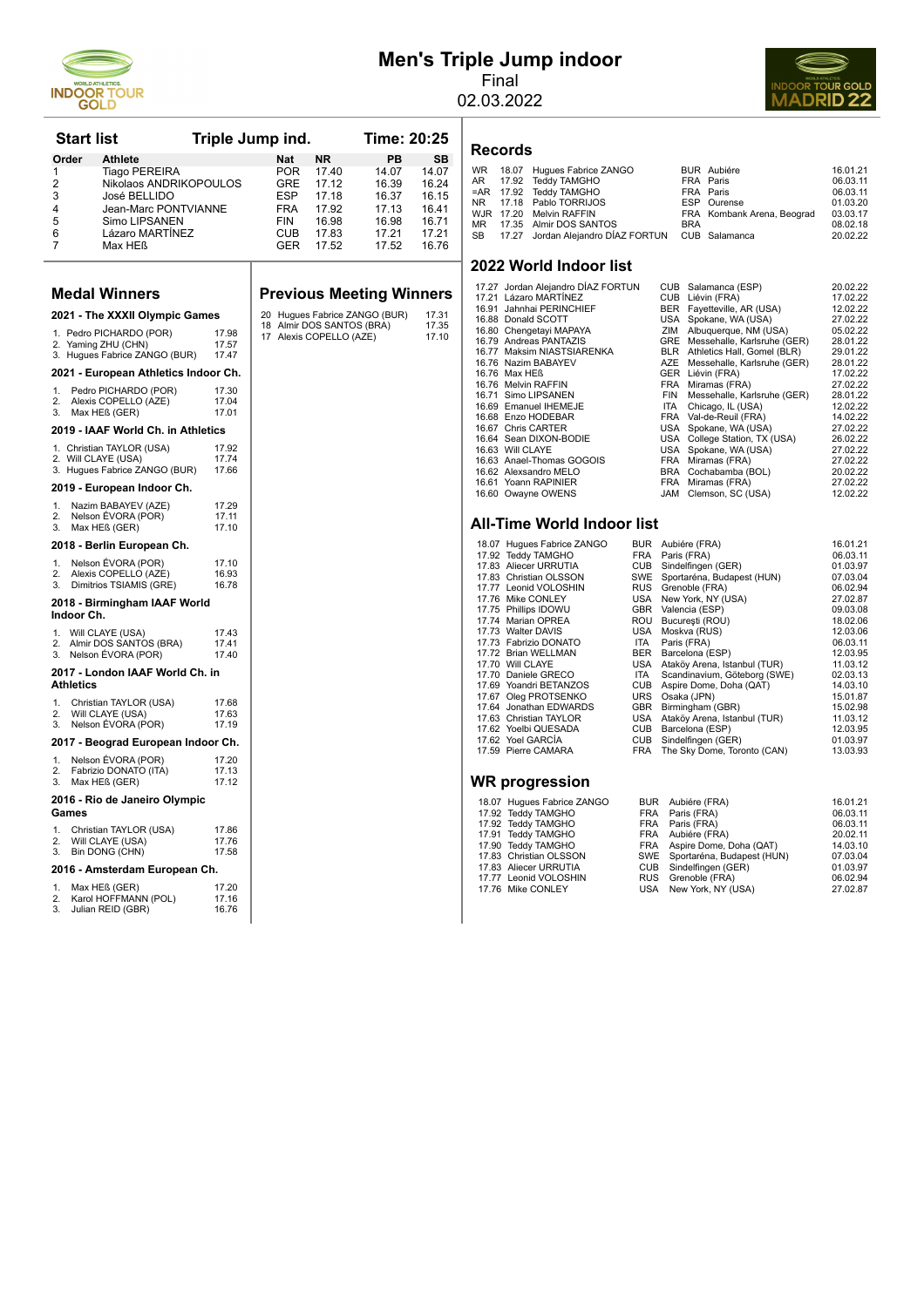

Lázaro MARTÍNEZ

2 Nikolaos ANDRIKOPOULOS GRE 17.12 16.39 16.24<br>2 3 José BELLIDO ESP 17.18 16.37 16.15 1.18 José BELLIDO ESP 17.18 16.37 16.15<br>
José BELLIDO ESP 17.18 16.37 16.15<br>
Jean-Marc PONTVIANNE FRA 17.92 17.13 16.41 4 Jean-Marc PONTVIANNE FRA 17.92 17.13 16.41<br>5 Simo LIPSANEN FIN 16.98 16.98 16.71 5 Simo LIPSANEN FIN 16.98 16.98 16.71<br>6 Lázaro MARTÍNEZ CUB 17.83 17.21 17.21

7 Max HEß GER 17.52 17.52 16.76

# **Men's Triple Jump indoor**



Final 02.03.2022

#### Start list Triple Jump ind. Time: 20:25 **Order Athlete** Nat NR PB SB 1 Tiago PEREIRA POR 17.40 14.07 14.07 **Records**

|  | WR 18.07 Hugues Fabrice ZANGO                       |            | <b>BUR</b> Aubiére         | 16.01.21 |
|--|-----------------------------------------------------|------------|----------------------------|----------|
|  | AR 17.92 Teddy TAMGHO                               |            | FRA Paris                  | 06.03.11 |
|  | =AR 17.92 Teddy TAMGHO                              |            | FRA Paris                  | 06.03.11 |
|  | NR 17.18 Pablo TORRIJOS                             |            | ESP Ourense                | 01.03.20 |
|  | WJR 17.20 Melvin RAFFIN                             |            | FRA Kombank Arena, Beograd | 03.03.17 |
|  | MR 17.35 Almir DOS SANTOS                           | <b>BRA</b> |                            | 08.02.18 |
|  | SB 17.27 Jordan Alejandro DÍAZ FORTUN CUB Salamanca |            |                            | 20.02.22 |
|  |                                                     |            |                            |          |

#### **2022 World Indoor list**

| <b>Medal Winners</b>                                                                                         | <b>Previous Meeting Winners</b>                                        | 17.27 Jordan Alejandro DIAZ FORTUN<br>17.21 Lázaro MARTINEZ                                                                  | CUB Salamanca (ESP)<br>CUB Liévin (FRA)                                                                                               | 20.02.22<br>17.02.22                         |
|--------------------------------------------------------------------------------------------------------------|------------------------------------------------------------------------|------------------------------------------------------------------------------------------------------------------------------|---------------------------------------------------------------------------------------------------------------------------------------|----------------------------------------------|
| 2021 - The XXXII Olympic Games                                                                               | 20 Hugues Fabrice ZANGO (BUR)<br>17.31                                 | 16.91 Jahnhai PERINCHIEF<br>16.88 Donald SCOTT                                                                               | BER Fayetteville, AR (USA)<br>USA Spokane, WA (USA)                                                                                   | 12.02.22<br>27.02.22                         |
| 1. Pedro PICHARDO (POR)<br>17.98<br>2. Yaming ZHU (CHN)<br>17.57<br>3. Hugues Fabrice ZANGO (BUR)<br>17.47   | 18 Almir DOS SANTOS (BRA)<br>17.35<br>17 Alexis COPELLO (AZE)<br>17.10 | 16.80 Chengetayi MAPAYA<br>16.79 Andreas PANTAZIS<br>16.77 Maksim NIASTSIARENKA<br>16.76 Nazim BABAYEV                       | Albuquerque, NM (USA)<br>ZIM<br>GRE Messehalle, Karlsruhe (GER)<br>BLR Athletics Hall, Gomel (BLR)<br>AZE Messehalle, Karlsruhe (GER) | 05.02.22<br>28.01.22<br>29.01.22<br>28.01.22 |
| 2021 - European Athletics Indoor Ch.                                                                         |                                                                        | 16.76 Max HEß                                                                                                                | GER Liévin (FRA)                                                                                                                      | 17.02.22                                     |
| 1. Pedro PICHARDO (POR)<br>17.30<br>2.<br>Alexis COPELLO (AZE)<br>17.04<br>3. Max HEß (GER)<br>17.01         |                                                                        | 16.76 Melvin RAFFIN<br>16.71 Simo LIPSANEN<br>16.69 Emanuel IHEMEJE<br>16.68 Enzo HODEBAR                                    | FRA Miramas (FRA)<br>Messehalle, Karlsruhe (GER)<br><b>FIN</b><br>Chicago, IL (USA)<br>ITA<br>FRA Val-de-Reuil (FRA)                  | 27.02.22<br>28.01.22<br>12.02.22<br>14.02.22 |
| 2019 - IAAF World Ch. in Athletics                                                                           |                                                                        | 16.67 Chris CARTER                                                                                                           | USA Spokane, WA (USA)                                                                                                                 | 27.02.22                                     |
| 1. Christian TAYLOR (USA)<br>17.92<br>2. Will CLAYE (USA)<br>17.74<br>3. Hugues Fabrice ZANGO (BUR)<br>17.66 |                                                                        | 16.64 Sean DIXON-BODIE<br>16.63 Will CLAYE<br>16.63 Anael-Thomas GOGOIS<br>16.62 Alexsandro MELO                             | USA College Station, TX (USA)<br>USA Spokane, WA (USA)<br>FRA Miramas (FRA)<br>BRA Cochabamba (BOL)                                   | 26.02.22<br>27.02.22<br>27.02.22<br>20.02.22 |
| 2019 - European Indoor Ch.                                                                                   |                                                                        | 16.61 Yoann RAPINIER<br>16.60 Owayne OWENS                                                                                   | FRA Miramas (FRA)<br>JAM Clemson, SC (USA)                                                                                            | 27.02.22<br>12.02.22                         |
| 17.29<br>Nazim BABAYEV (AZE)<br>1.<br>Nelson ÉVORA (POR)<br>2.<br>17.11<br>3. Max HEß (GER)<br>17.10         |                                                                        | <b>All-Time World Indoor list</b>                                                                                            |                                                                                                                                       |                                              |
| 2018 - Berlin European Ch.                                                                                   |                                                                        | 18.07 Hugues Fabrice ZANGO                                                                                                   | BUR Aubiére (FRA)                                                                                                                     | 16.01.21                                     |
| Nelson EVORA (POR)<br>17.10<br>1.<br>2. Alexis COPELLO (AZE)<br>16.93<br>3. Dimitrios TSIAMIS (GRE)<br>16.78 |                                                                        | 17.92 Teddy TAMGHO<br>17.83 Aliecer URRUTIA<br>17.83 Christian OLSSON<br>17.77 Leonid VOLOSHIN                               | FRA Paris (FRA)<br>CUB Sindelfingen (GER)<br>SWE Sportaréna, Budapest (HUN)<br>RUS Grenoble (FRA)                                     | 06.03.11<br>01.03.97<br>07.03.04<br>06.02.94 |
| 2018 - Birmingham IAAF World<br>Indoor Ch.                                                                   |                                                                        | 17.76 Mike CONLEY<br>17.75 Phillips IDOWU<br>ROU<br>17.74 Marian OPREA                                                       | USA New York, NY (USA)<br>GBR Valencia (ESP)<br>București (ROU)                                                                       | 27.02.87<br>09.03.08<br>18.02.06             |
| 1. Will CLAYE (USA)<br>17.43<br>2. Almir DOS SANTOS (BRA)<br>17.41<br>3. Nelson ÉVORA (POR)<br>17.40         |                                                                        | 17.73 Walter DAVIS<br>17.73 Fabrizio DONATO<br>ITA<br>17.72 Brian WELLMAN<br>BER                                             | USA Moskva (RUS)<br>Paris (FRA)<br>Barcelona (ESP)                                                                                    | 12.03.06<br>06.03.11<br>12.03.95             |
| 2017 - London IAAF World Ch. in<br><b>Athletics</b>                                                          |                                                                        | 17.70 Will CLAYE<br>ITA<br>17.70 Daniele GRECO<br>17.69 Yoandri BETANZOS<br><b>CUB</b>                                       | USA Ataköy Arena, Istanbul (TUR)<br>Scandinavium, Göteborg (SWE)<br>Aspire Dome, Doha (QAT)                                           | 11.03.12<br>02.03.13<br>14.03.10             |
| Christian TAYLOR (USA)<br>17.68<br>1.<br>2.<br>Will CLAYE (USA)<br>17.63<br>3. Nelson ÉVORA (POR)<br>17.19   |                                                                        | 17.67 Oleg PROTSENKO<br>17.64 Jonathan EDWARDS<br>GBR<br>17.63 Christian TAYLOR<br>USA<br>17.62 Yoelbi QUESADA<br><b>CUB</b> | URS Osaka (JPN)<br>Birmingham (GBR)<br>Ataköy Arena, Istanbul (TUR)<br>Barcelona (ESP)                                                | 15.01.87<br>15.02.98<br>11.03.12<br>12.03.95 |
| 2017 - Beograd European Indoor Ch.                                                                           |                                                                        | 17.62 Yoel GARCÍA<br><b>CUB</b><br>17.59 Pierre CAMARA<br>FRA                                                                | Sindelfingen (GER)<br>The Sky Dome, Toronto (CAN)                                                                                     | 01.03.97<br>13.03.93                         |
| Nelson ÉVORA (POR)<br>17.20<br>1.<br>2. Fabrizio DONATO (ITA)<br>17.13<br>3. Max HEß (GER)<br>17.12          |                                                                        | <b>WR</b> progression                                                                                                        |                                                                                                                                       |                                              |
| 2016 - Rio de Janeiro Olympic<br>Games                                                                       |                                                                        | 18.07 Hugues Fabrice ZANGO<br>17.92 Teddy TAMGHO                                                                             | BUR Aubiére (FRA)<br>FRA Paris (FRA)                                                                                                  | 16.01.21<br>06.03.11                         |

**2016 - Rio de Janeiro Olympic Games** 1. Christian TAYLOR (USA) 17.86<br>2. Will CLAYE (USA) 17.76 2. Will CLAYE (USA) 17.76<br>3. Bin DONG (CHN) 17.58 Bin DONG (CHN)

## 2016 - Amsterdam European Ch.

|    | Max HEß (GER)        | 17.20 |
|----|----------------------|-------|
| 2. | Karol HOFFMANN (POL) | 17.16 |
| 3. | Julian REID (GBR)    | 16.76 |

| 18.07 Hugues Fabrice ZANGO | BUR Aubiére (FRA)              | 16.01.21 |
|----------------------------|--------------------------------|----------|
| 17.92 Teddy TAMGHO         | FRA Paris (FRA)                | 06.03.11 |
| 17.92 Teddy TAMGHO         | FRA Paris (FRA)                | 06.03.11 |
| 17.91 Teddy TAMGHO         | FRA Aubiére (FRA)              | 20.02.11 |
| 17.90 Teddy TAMGHO         | FRA Aspire Dome, Doha (QAT)    | 14.03.10 |
| 17.83 Christian OLSSON     | SWE Sportaréna, Budapest (HUN) | 07.03.04 |
| 17.83 Aliecer URRUTIA      | CUB Sindelfingen (GER)         | 01.03.97 |
| 17.77 Leonid VOLOSHIN      | RUS Grenoble (FRA)             | 06.02.94 |
| 17.76 Mike CONLEY          | USA New York, NY (USA)         | 27.02.87 |
|                            |                                |          |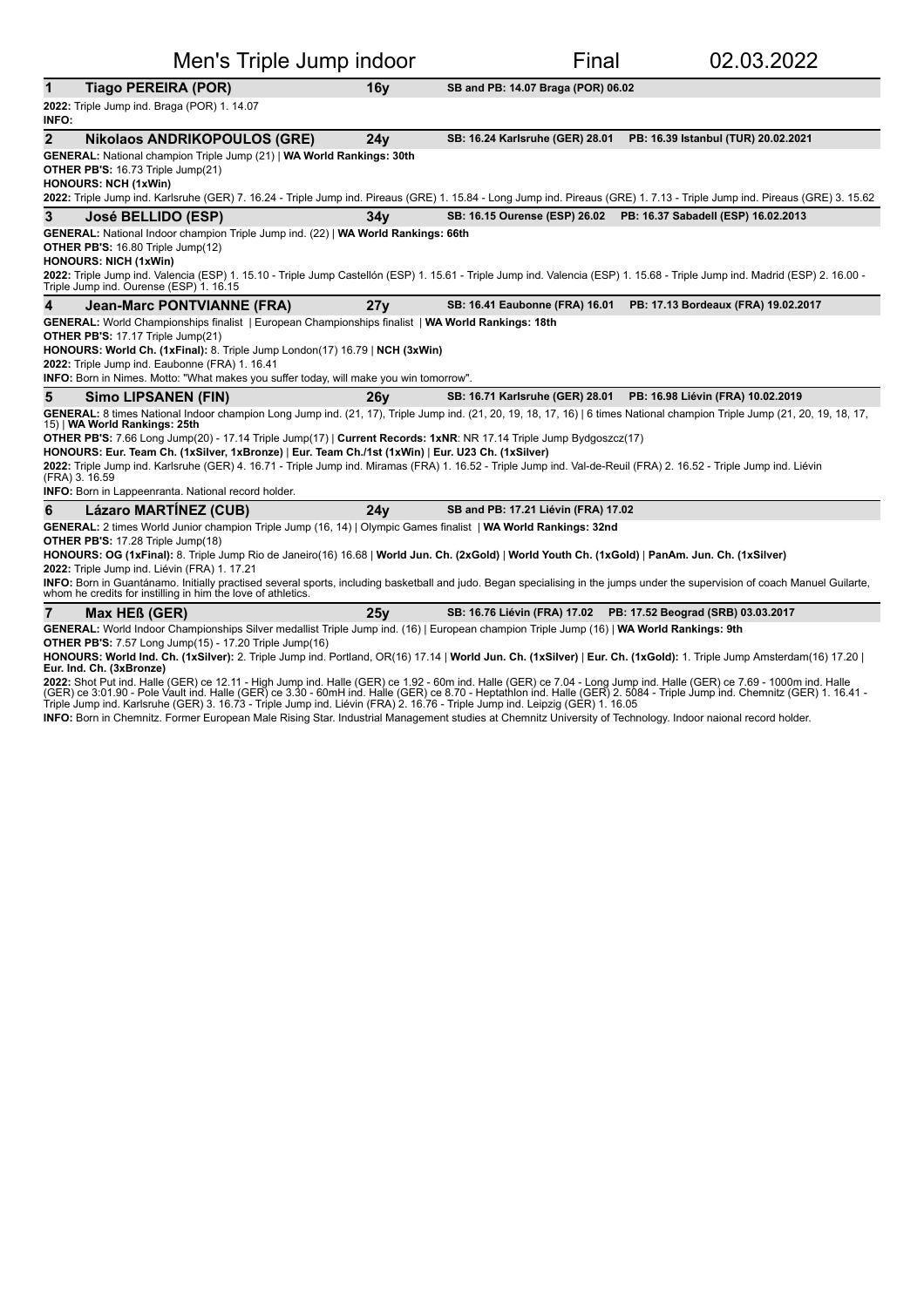| Men's Triple Jump indoor                                                                                                                                                                                                                     |                 | Final                               | 02.03.2022                                                        |
|----------------------------------------------------------------------------------------------------------------------------------------------------------------------------------------------------------------------------------------------|-----------------|-------------------------------------|-------------------------------------------------------------------|
| <b>Tiago PEREIRA (POR)</b><br>1                                                                                                                                                                                                              | 16v             | SB and PB: 14.07 Braga (POR) 06.02  |                                                                   |
| 2022: Triple Jump ind. Braga (POR) 1. 14.07<br><b>INFO:</b>                                                                                                                                                                                  |                 |                                     |                                                                   |
| $\overline{2}$<br><b>Nikolaos ANDRIKOPOULOS (GRE)</b>                                                                                                                                                                                        | 24v             | SB: 16.24 Karlsruhe (GER) 28.01     | PB: 16.39 Istanbul (TUR) 20.02.2021                               |
| GENERAL: National champion Triple Jump (21)   WA World Rankings: 30th                                                                                                                                                                        |                 |                                     |                                                                   |
| OTHER PB'S: 16.73 Triple Jump(21)                                                                                                                                                                                                            |                 |                                     |                                                                   |
| <b>HONOURS: NCH (1xWin)</b><br>2022: Triple Jump ind. Karlsruhe (GER) 7. 16.24 - Triple Jump ind. Pireaus (GRE) 1. 15.84 - Long Jump ind. Pireaus (GRE) 1. 7.13 - Triple Jump ind. Pireaus (GRE) 3. 15.62                                    |                 |                                     |                                                                   |
| 3<br>José BELLIDO (ESP)                                                                                                                                                                                                                      | 34v             |                                     | SB: 16.15 Ourense (ESP) 26.02 PB: 16.37 Sabadell (ESP) 16.02.2013 |
| GENERAL: National Indoor champion Triple Jump ind. (22)   WA World Rankings: 66th                                                                                                                                                            |                 |                                     |                                                                   |
| <b>OTHER PB'S: 16.80 Triple Jump(12)</b>                                                                                                                                                                                                     |                 |                                     |                                                                   |
| <b>HONOURS: NICH (1xWin)</b>                                                                                                                                                                                                                 |                 |                                     |                                                                   |
| 2022: Triple Jump ind. Valencia (ESP) 1. 15.10 - Triple Jump Castellón (ESP) 1. 15.61 - Triple Jump ind. Valencia (ESP) 1. 15.68 - Triple Jump ind. Madrid (ESP) 2. 16.00 -<br>Triple Jump ind. Ourense (ESP) 1. 16.15                       |                 |                                     |                                                                   |
| 4<br>Jean-Marc PONTVIANNE (FRA)                                                                                                                                                                                                              | 27v             | SB: 16.41 Eaubonne (FRA) 16.01      | PB: 17.13 Bordeaux (FRA) 19.02.2017                               |
| GENERAL: World Championships finalist   European Championships finalist   WA World Rankings: 18th                                                                                                                                            |                 |                                     |                                                                   |
| OTHER PB'S: 17.17 Triple Jump(21)                                                                                                                                                                                                            |                 |                                     |                                                                   |
| HONOURS: World Ch. (1xFinal): 8. Triple Jump London(17) 16.79   NCH (3xWin)<br>2022: Triple Jump ind. Eaubonne (FRA) 1. 16.41                                                                                                                |                 |                                     |                                                                   |
| INFO: Born in Nimes. Motto: "What makes you suffer today, will make you win tomorrow".                                                                                                                                                       |                 |                                     |                                                                   |
| 5<br><b>Simo LIPSANEN (FIN)</b>                                                                                                                                                                                                              | 26 <sub>V</sub> | SB: 16.71 Karlsruhe (GER) 28.01     | PB: 16.98 Liévin (FRA) 10.02.2019                                 |
| GENERAL: 8 times National Indoor champion Long Jump ind. (21, 17), Triple Jump ind. (21, 20, 19, 18, 17, 16)   6 times National champion Triple Jump (21, 20, 19, 18, 17,<br>15)   WA World Rankings: 25th                                   |                 |                                     |                                                                   |
| OTHER PB'S: 7.66 Long Jump(20) - 17.14 Triple Jump(17)   Current Records: 1xNR: NR 17.14 Triple Jump Bydgoszcz(17)                                                                                                                           |                 |                                     |                                                                   |
| HONOURS: Eur. Team Ch. (1xSilver, 1xBronze)   Eur. Team Ch./1st (1xWin)   Eur. U23 Ch. (1xSilver)                                                                                                                                            |                 |                                     |                                                                   |
| 2022: Triple Jump ind. Karlsruhe (GER) 4. 16.71 - Triple Jump ind. Miramas (FRA) 1. 16.52 - Triple Jump ind. Val-de-Reuil (FRA) 2. 16.52 - Triple Jump ind. Liévin<br>(FRA) 3.16.59                                                          |                 |                                     |                                                                   |
| <b>INFO:</b> Born in Lappeenranta. National record holder.                                                                                                                                                                                   |                 |                                     |                                                                   |
| <b>Lázaro MARTINEZ (CUB)</b><br>6                                                                                                                                                                                                            | 24v             | SB and PB: 17.21 Liévin (FRA) 17.02 |                                                                   |
| GENERAL: 2 times World Junior champion Triple Jump (16, 14)   Olympic Games finalist   WA World Rankings: 32nd                                                                                                                               |                 |                                     |                                                                   |
| OTHER PB'S: 17.28 Triple Jump(18)                                                                                                                                                                                                            |                 |                                     |                                                                   |
| HONOURS: OG (1xFinal): 8. Triple Jump Rio de Janeiro(16) 16.68   World Jun. Ch. (2xGold)   World Youth Ch. (1xGold)   PanAm. Jun. Ch. (1xSilver)<br>2022: Triple Jump ind. Liévin (FRA) 1. 17.21                                             |                 |                                     |                                                                   |
| INFO: Born in Guantánamo. Initially practised several sports, including basketball and judo. Began specialising in the jumps under the supervision of coach Manuel Guilarte,<br>whom he credits for instilling in him the love of athletics. |                 |                                     |                                                                   |

**7 Max HEß (GER)** 25y SB: 16.76 Liévin (FRA) 17.02 PB: 17.52 Beograd (SRB) 03.03.2017

GENERAL: World Indoor Championships Silver medallist Triple Jump ind. (16) | European champion Triple Jump (16) | WA World Rankings: 9th

**OTHER PB'S:** 7.57 Long Jump(15) - 17.20 Triple Jump(16)

**HONOURS: World Ind. Ch. (1xSilver):** 2. Triple Jump ind. Portland, OR(16) 17.14 | **World Jun. Ch. (1xSilver)** | **Eur. Ch. (1xGold):** 1. Triple Jump Amsterdam(16) 17.20 |<br>**Eur. Ind. Ch. (3xBronze)** 

**2022:** Shot Put ind. Halle (GER) ce 12.11 - High Jump ind. Halle (GER) ce 1.92 - 60m ind. Halle (GER) ce 7.04 - Long Jump ind. Halle (GER) ce 7.69 - 1000m ind. Halle<br>(GER) ce 3:01.90 - Pole Vault ind. Halle (GER) ce 3.30

INFO: Born in Chemnitz. Former European Male Rising Star. Industrial Management studies at Chemnitz University of Technology. Indoor naional record holder.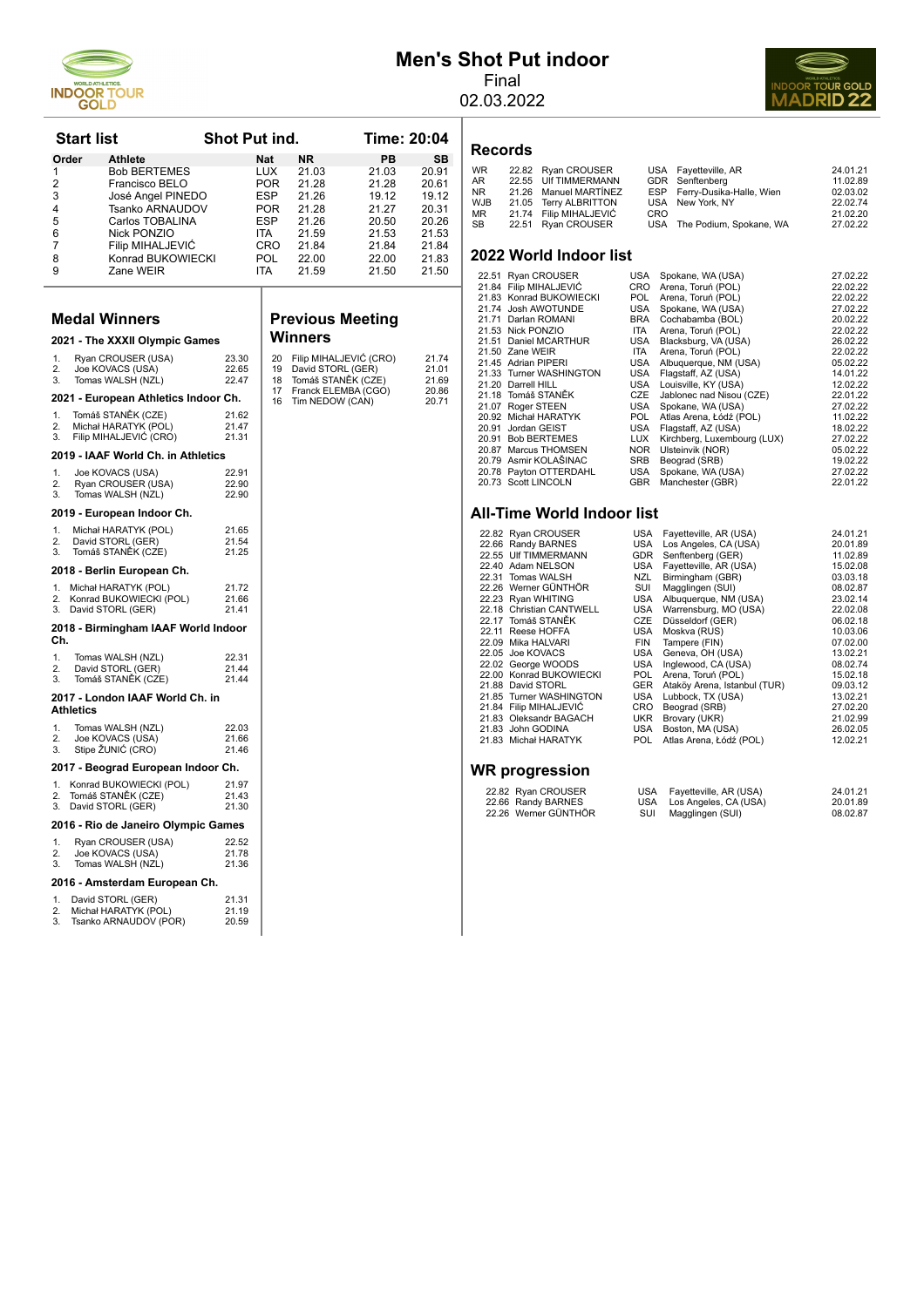

# **Men's Shot Put indoor**

Final



02.03.2022

#### **Records**

| <b>WR</b> | 22.82 Ryan CROUSER     |            | USA Fayetteville, AR         | 24.01.21 |
|-----------|------------------------|------------|------------------------------|----------|
| AR        | 22.55 UIf TIMMERMANN   |            | GDR Senftenberg              | 11.02.89 |
| NR        | 21.26 Manuel MARTINEZ  |            | ESP Ferry-Dusika-Halle, Wien | 02.03.02 |
| WJB       | 21.05 Terry ALBRITTON  |            | USA New York, NY             | 22.02.74 |
| МR        | 21.74 Filip MIHALJEVIĆ | <b>CRO</b> |                              | 21.02.20 |
| SВ        | 22.51 Ryan CROUSER     |            | USA The Podium, Spokane, WA  | 27.02.22 |
|           |                        |            |                              |          |

#### **2022 World Indoor list**

| 22.51 Ryan CROUSER      | USA        | Spokane, WA (USA)           | 27.02.22 |
|-------------------------|------------|-----------------------------|----------|
| 21.84 Filip MIHALJEVIĆ  | <b>CRO</b> | Arena, Toruń (POL)          | 22.02.22 |
| 21.83 Konrad BUKOWIECKI | <b>POL</b> | Arena, Toruń (POL)          | 22.02.22 |
| 21.74 Josh AWOTUNDE     | <b>USA</b> | Spokane, WA (USA)           | 27.02.22 |
| 21.71 Darlan ROMANI     | <b>BRA</b> | Cochabamba (BOL)            | 20.02.22 |
| 21.53 Nick PONZIO       | <b>ITA</b> | Arena, Toruń (POL)          | 22.02.22 |
| 21.51 Daniel MCARTHUR   | USA        | Blacksburg, VA (USA)        | 26.02.22 |
| 21.50 Zane WEIR         | <b>ITA</b> | Arena, Toruń (POL)          | 22.02.22 |
| 21.45 Adrian PIPERI     | <b>USA</b> | Albuquerque, NM (USA)       | 05.02.22 |
| 21.33 Turner WASHINGTON | USA        | Flagstaff, AZ (USA)         | 14.01.22 |
| 21.20 Darrell HILL      | USA        | Louisville, KY (USA)        | 12.02.22 |
| 21.18 Tomáš STANĚK      | <b>CZE</b> | Jablonec nad Nisou (CZE)    | 22.01.22 |
| 21.07 Roger STEEN       | USA        | Spokane, WA (USA)           | 27.02.22 |
| 20.92 Michał HARATYK    | <b>POL</b> | Atlas Arena, Łódź (POL)     | 11.02.22 |
| 20.91 Jordan GEIST      | USA        | Flagstaff, AZ (USA)         | 18.02.22 |
| 20.91 Bob BERTEMES      | LUX        | Kirchberg, Luxembourg (LUX) | 27.02.22 |
| 20.87 Marcus THOMSEN    | <b>NOR</b> | Ulsteinvik (NOR)            | 05.02.22 |
| 20.79 Asmir KOLAŠINAC   | <b>SRB</b> | Beograd (SRB)               | 19.02.22 |
| 20.78 Payton OTTERDAHL  | USA        | Spokane, WA (USA)           | 27.02.22 |
| 20.73 Scott LINCOLN     | <b>GBR</b> | Manchester (GBR)            | 22.01.22 |

#### **All-Time World Indoor list**

|                          | 22.82 Ryan CROUSER       | USA        | Fayetteville, AR (USA)       | 24.01.21 |
|--------------------------|--------------------------|------------|------------------------------|----------|
|                          | 22.66 Randy BARNES       | USA        | Los Angeles, CA (USA)        | 20.01.89 |
|                          | 22.55 UIf TIMMERMANN     | <b>GDR</b> | Senftenberg (GER)            | 11.02.89 |
|                          | 22.40 Adam NELSON        | USA        | Fayetteville, AR (USA)       | 15.02.08 |
|                          | 22.31 Tomas WALSH        | NZL        | Birmingham (GBR)             | 03.03.18 |
|                          | 22.26 Werner GÜNTHÖR     | SUI        | Magglingen (SUI)             | 08.02.87 |
|                          | 22.23 Ryan WHITING       | USA        | Albuquerque, NM (USA)        | 23.02.14 |
|                          | 22.18 Christian CANTWELL | USA        | Warrensburg, MO (USA)        | 22.02.08 |
|                          | 22.17 Tomáš STANĚK       | CZE        | Düsseldorf (GER)             | 06.02.18 |
|                          | 22.11 Reese HOFFA        | USA        | Moskva (RUS)                 | 10.03.06 |
|                          | 22.09 Mika HALVARI       | <b>FIN</b> | Tampere (FIN)                | 07.02.00 |
|                          | 22.05 Joe KOVACS         | USA        | Geneva, OH (USA)             | 13.02.21 |
|                          | 22.02 George WOODS       | USA        | Inglewood, CA (USA)          | 08.02.74 |
|                          | 22.00 Konrad BUKOWIECKI  | <b>POL</b> | Arena, Toruń (POL)           | 15.02.18 |
|                          | 21.88 David STORL        | <b>GER</b> | Ataköy Arena, Istanbul (TUR) | 09.03.12 |
|                          | 21.85 Turner WASHINGTON  | USA        | Lubbock, TX (USA)            | 13.02.21 |
|                          | 21.84 Filip MIHALJEVIĆ   | <b>CRO</b> | Beograd (SRB)                | 27.02.20 |
|                          | 21.83 Oleksandr BAGACH   | <b>UKR</b> | Brovary (UKR)                | 21.02.99 |
|                          | 21.83 John GODINA        | USA        | Boston, MA (USA)             | 26.02.05 |
|                          | 21.83 Michał HARATYK     | POL.       | Atlas Arena, Łódź (POL)      | 12.02.21 |
|                          |                          |            |                              |          |
| $\overline{\phantom{a}}$ |                          |            |                              |          |
|                          |                          |            |                              |          |

#### **WR progression**

| 22.82 Ryan CROUSER   |      | USA Fayetteville, AR (USA) | 24.01.21 |
|----------------------|------|----------------------------|----------|
| 22.66 Randy BARNES   |      | USA Los Angeles, CA (USA)  | 20.01.89 |
| 22.26 Werner GÜNTHÖR | SUI. | Magglingen (SUI)           | 08.02.87 |

| <b>Start list</b><br><b>Shot Put ind.</b> |                                                |                |                   |                                         |                        | Time: 20:04    |
|-------------------------------------------|------------------------------------------------|----------------|-------------------|-----------------------------------------|------------------------|----------------|
| Order                                     | <b>Athlete</b>                                 |                | <b>Nat</b>        | NR.                                     | PB                     | <b>SB</b>      |
| 1                                         | <b>Bob BERTEMES</b>                            |                | LUX               | 21.03                                   | 21.03                  | 20.91          |
| 2<br>3                                    | Francisco BELO<br>José Angel PINEDO            |                | POR.<br>ESP       | 21.28<br>21.26                          | 21.28<br>19.12         | 20.61<br>19.12 |
| 4                                         | Tsanko ARNAUDOV                                |                | <b>POR</b>        | 21.28                                   | 21.27                  | 20.31          |
| 5                                         | Carlos TOBALINA                                |                | <b>ESP</b>        | 21.26                                   | 20.50                  | 20.26          |
| 6                                         | Nick PONZIO                                    |                | ITA               | 21.59                                   | 21.53                  | 21.53          |
| $\overline{7}$                            | Filip MIHALJEVIĆ                               |                | <b>CRO</b>        | 21.84                                   | 21.84                  | 21.84          |
| 8<br>9                                    | Konrad BUKOWIECKI<br>Zane WEIR                 |                | <b>POL</b><br>ITA | 22.00<br>21.59                          | 22.00<br>21.50         | 21.83<br>21.50 |
|                                           |                                                |                |                   |                                         |                        |                |
|                                           |                                                |                |                   |                                         |                        |                |
|                                           | <b>Medal Winners</b>                           |                |                   | <b>Previous Meeting</b>                 |                        |                |
|                                           |                                                |                |                   | Winners                                 |                        |                |
|                                           | 2021 - The XXXII Olympic Games                 |                |                   |                                         |                        |                |
| 1 <sub>1</sub>                            | Ryan CROUSER (USA)                             | 23.30          | 20                |                                         | Filip MIHALJEVIĆ (CRO) | 21.74          |
| 2.<br>3.                                  | Joe KOVACS (USA)<br>Tomas WALSH (NZL)          | 22.65<br>22.47 | 19<br>18          | David STORL (GER)<br>Tomáš STANĚK (CZE) |                        | 21.01<br>21.69 |
|                                           |                                                |                | 17                | Franck ELEMBA (CGO)                     |                        | 20.86          |
|                                           | 2021 - European Athletics Indoor Ch.           |                | 16                | Tim NEDOW (CAN)                         |                        | 20.71          |
| 1.                                        | Tomáš STANĚK (CZE)                             | 21.62          |                   |                                         |                        |                |
| 2.<br>3.                                  | Michał HARATYK (POL)<br>Filip MIHALJEVIĆ (CRO) | 21.47<br>21.31 |                   |                                         |                        |                |
|                                           | 2019 - IAAF World Ch. in Athletics             |                |                   |                                         |                        |                |
|                                           |                                                |                |                   |                                         |                        |                |
| 1.<br>2.                                  | Joe KOVACS (USA)<br>Ryan CROUSER (USA)         | 22.91<br>22.90 |                   |                                         |                        |                |
| 3.                                        | Tomas WALSH (NZL)                              | 22.90          |                   |                                         |                        |                |
|                                           | 2019 - European Indoor Ch.                     |                |                   |                                         |                        |                |
| 1.                                        | Michał HARATYK (POL)                           | 21.65          |                   |                                         |                        |                |
| 2.                                        | David STORL (GER)                              | 21.54          |                   |                                         |                        |                |
| 3.                                        | Tomáš STANĚK (CZE)                             | 21.25          |                   |                                         |                        |                |

#### 2018 - Berlin European Ch.

| 1.<br>2.  | Michał HARATYK (POL)<br>Konrad BUKOWIECKI (POL)          | 21.72<br>21.66<br>21.41 |
|-----------|----------------------------------------------------------|-------------------------|
| 3.<br>Ch. | David STORL (GER)<br>2018 - Birmingham IAAF World Indoor |                         |

| $\mathbf{1}$ . | Tomas WALSH (NZL)  | 22.31 |
|----------------|--------------------|-------|
| 2.             | David STORL (GER)  | 21.44 |
| 3.             | Tomáš STANĚK (CZE) | 21.44 |
|                |                    |       |

#### **2017 - London IAAF World Ch. in Athletics**

| 1. | Tomas WALSH (NZL)                  | 22.03 |
|----|------------------------------------|-------|
| 2. | Joe KOVACS (USA)                   | 21.66 |
| 3. | Stipe ŽUNIĆ (CRO)                  | 21.46 |
|    | 2017 - Beograd European Indoor Ch. |       |
| 1. | Konrad BUKOWIECKI (POL)            | 21.97 |
| 2. | Tomáš STANĚK (CZE)                 | 21.43 |
| 3. | David STORL (GER)                  | 21.30 |

#### **2016 - Rio de Janeiro Olympic Games**

|    | Ryan CROUSER (USA) | 22.52 |
|----|--------------------|-------|
| 2. | Joe KOVACS (USA)   | 21.78 |
| 3. | Tomas WALSH (NZL)  | 21.36 |

#### **2016 - Amsterdam European Ch.**

|   | David STORL (GER)    | 21.31 |
|---|----------------------|-------|
| っ | Michal HARATVK (POL) | 21.10 |
|   |                      |       |

2. Michał HARATYK (POL) 21.19 3. Tsanko ARNAUDOV (POR) 20.59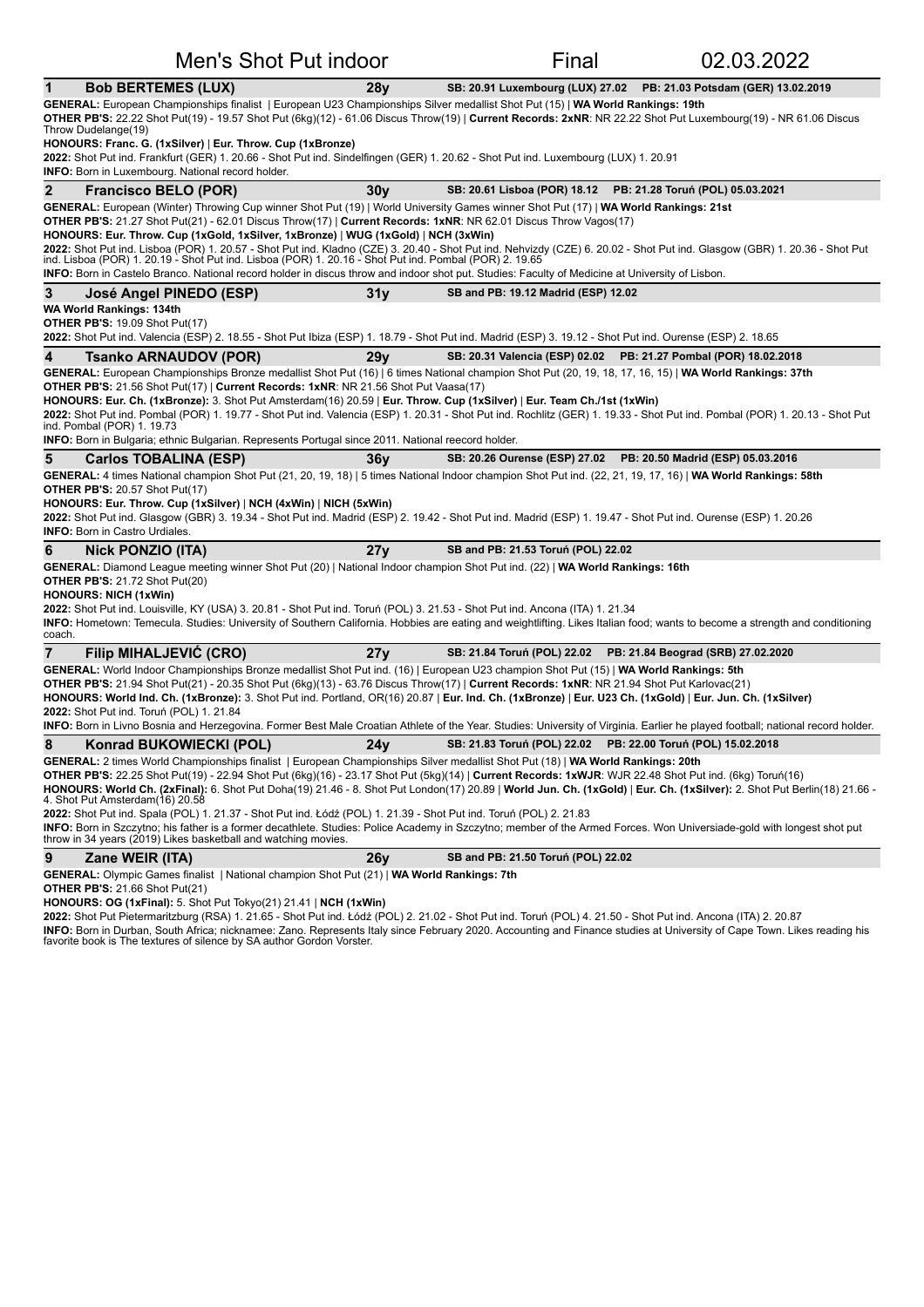| 1            | <b>Bob BERTEMES (LUX)</b>                                                                                                                                                                                                                                                                                                                                                                                                                                                                                                                                                                                                                                                                                                                                                                | 28 <sub>V</sub> |                                                               | SB: 20.91 Luxembourg (LUX) 27.02    PB: 21.03 Potsdam (GER) 13.02.2019 |
|--------------|------------------------------------------------------------------------------------------------------------------------------------------------------------------------------------------------------------------------------------------------------------------------------------------------------------------------------------------------------------------------------------------------------------------------------------------------------------------------------------------------------------------------------------------------------------------------------------------------------------------------------------------------------------------------------------------------------------------------------------------------------------------------------------------|-----------------|---------------------------------------------------------------|------------------------------------------------------------------------|
|              | GENERAL: European Championships finalist   European U23 Championships Silver medallist Shot Put (15)   WA World Rankings: 19th<br>OTHER PB'S: 22.22 Shot Put(19) - 19.57 Shot Put (6kg)(12) - 61.06 Discus Throw(19)   Current Records: 2xNR: NR 22.22 Shot Put Luxembourg(19) - NR 61.06 Discus<br>Throw Dudelange(19)                                                                                                                                                                                                                                                                                                                                                                                                                                                                  |                 |                                                               |                                                                        |
|              | HONOURS: Franc. G. (1xSilver)   Eur. Throw. Cup (1xBronze)<br>2022: Shot Put ind. Frankfurt (GER) 1. 20.66 - Shot Put ind. Sindelfingen (GER) 1. 20.62 - Shot Put ind. Luxembourg (LUX) 1. 20.91<br>INFO: Born in Luxembourg. National record holder.                                                                                                                                                                                                                                                                                                                                                                                                                                                                                                                                    |                 |                                                               |                                                                        |
| $\mathbf{2}$ | <b>Francisco BELO (POR)</b>                                                                                                                                                                                                                                                                                                                                                                                                                                                                                                                                                                                                                                                                                                                                                              | 30v             | SB: 20.61 Lisboa (POR) 18.12 PB: 21.28 Toruń (POL) 05.03.2021 |                                                                        |
|              | GENERAL: European (Winter) Throwing Cup winner Shot Put (19)   World University Games winner Shot Put (17)   WA World Rankings: 21st<br>OTHER PB'S: 21.27 Shot Put(21) - 62.01 Discus Throw(17)   Current Records: 1xNR: NR 62.01 Discus Throw Vagos(17)<br>HONOURS: Eur. Throw. Cup (1xGold, 1xSilver, 1xBronze)   WUG (1xGold)   NCH (3xWin)<br>2022: Shot Put ind. Lisboa (POR) 1. 20.57 - Shot Put ind. Kladno (CZE) 3. 20.40 - Shot Put ind. Nehvizdy (CZE) 6. 20.02 - Shot Put ind. Glasgow (GBR) 1. 20.36 - Shot Put<br>ind. Lisboa (POR) 1. 20.19 - Shot Put ind. Lisboa (POR) 1. 20.16 - Shot Put ind. Pombal (POR) 2. 19.65<br>INFO: Born in Castelo Branco. National record holder in discus throw and indoor shot put. Studies: Faculty of Medicine at University of Lisbon. |                 |                                                               |                                                                        |
| 3            | José Angel PINEDO (ESP)                                                                                                                                                                                                                                                                                                                                                                                                                                                                                                                                                                                                                                                                                                                                                                  | 31y             | SB and PB: 19.12 Madrid (ESP) 12.02                           |                                                                        |
|              | <b>WA World Rankings: 134th</b><br><b>OTHER PB'S: 19.09 Shot Put(17)</b><br>2022: Shot Put ind. Valencia (ESP) 2. 18.55 - Shot Put Ibiza (ESP) 1. 18.79 - Shot Put ind. Madrid (ESP) 3. 19.12 - Shot Put ind. Ourense (ESP) 2. 18.65                                                                                                                                                                                                                                                                                                                                                                                                                                                                                                                                                     |                 |                                                               |                                                                        |
| 4            | Tsanko ARNAUDOV (POR)                                                                                                                                                                                                                                                                                                                                                                                                                                                                                                                                                                                                                                                                                                                                                                    | 29 <sub>V</sub> |                                                               | SB: 20.31 Valencia (ESP) 02.02  PB: 21.27 Pombal (POR) 18.02.2018      |
|              | GENERAL: European Championships Bronze medallist Shot Put (16)   6 times National champion Shot Put (20, 19, 18, 17, 16, 15)   WA World Rankings: 37th<br>OTHER PB'S: 21.56 Shot Put(17)   Current Records: 1xNR: NR 21.56 Shot Put Vaasa(17)                                                                                                                                                                                                                                                                                                                                                                                                                                                                                                                                            |                 |                                                               |                                                                        |
|              | HONOURS: Eur. Ch. (1xBronze): 3. Shot Put Amsterdam(16) 20.59   Eur. Throw. Cup (1xSilver)   Eur. Team Ch./1st (1xWin)<br>2022: Shot Put ind. Pombal (POR) 1. 19.77 - Shot Put ind. Valencia (ESP) 1. 20.31 - Shot Put ind. Rochlitz (GER) 1. 19.33 - Shot Put ind. Pombal (POR) 1. 20.13 - Shot Put<br>ind. Pombal (POR) 1. 19.73<br><b>INFO:</b> Born in Bulgaria; ethnic Bulgarian. Represents Portugal since 2011. National reecord holder.                                                                                                                                                                                                                                                                                                                                          |                 |                                                               |                                                                        |
|              |                                                                                                                                                                                                                                                                                                                                                                                                                                                                                                                                                                                                                                                                                                                                                                                          |                 |                                                               |                                                                        |
| 5            | <b>Carlos TOBALINA (ESP)</b><br>GENERAL: 4 times National champion Shot Put (21, 20, 19, 18)   5 times National Indoor champion Shot Put ind. (22, 21, 19, 17, 16)   WA World Rankings: 58th                                                                                                                                                                                                                                                                                                                                                                                                                                                                                                                                                                                             | 36y             |                                                               | SB: 20.26 Ourense (ESP) 27.02  PB: 20.50 Madrid (ESP) 05.03.2016       |
|              | <b>OTHER PB'S: 20.57 Shot Put(17)</b>                                                                                                                                                                                                                                                                                                                                                                                                                                                                                                                                                                                                                                                                                                                                                    |                 |                                                               |                                                                        |
|              | HONOURS: Eur. Throw. Cup (1xSilver)   NCH (4xWin)   NICH (5xWin)                                                                                                                                                                                                                                                                                                                                                                                                                                                                                                                                                                                                                                                                                                                         |                 |                                                               |                                                                        |
|              | 2022: Shot Put ind. Glasgow (GBR) 3. 19.34 - Shot Put ind. Madrid (ESP) 2. 19.42 - Shot Put ind. Madrid (ESP) 1. 19.47 - Shot Put ind. Ourense (ESP) 1. 20.26<br><b>INFO: Born in Castro Urdiales.</b>                                                                                                                                                                                                                                                                                                                                                                                                                                                                                                                                                                                   |                 |                                                               |                                                                        |
| 6            | <b>Nick PONZIO (ITA)</b>                                                                                                                                                                                                                                                                                                                                                                                                                                                                                                                                                                                                                                                                                                                                                                 | 27у             | SB and PB: 21.53 Toruń (POL) 22.02                            |                                                                        |
|              | GENERAL: Diamond League meeting winner Shot Put (20)   National Indoor champion Shot Put ind. (22)   WA World Rankings: 16th<br><b>OTHER PB'S: 21.72 Shot Put(20)</b><br><b>HONOURS: NICH (1xWin)</b><br>2022: Shot Put ind. Louisville, KY (USA) 3. 20.81 - Shot Put ind. Toruń (POL) 3. 21.53 - Shot Put ind. Ancona (ITA) 1. 21.34                                                                                                                                                                                                                                                                                                                                                                                                                                                    |                 |                                                               |                                                                        |
| coach.       | INFO: Hometown: Temecula. Studies: University of Southern California. Hobbies are eating and weightlifting. Likes Italian food; wants to become a strength and conditioning                                                                                                                                                                                                                                                                                                                                                                                                                                                                                                                                                                                                              |                 |                                                               |                                                                        |
| 7            | <b>Filip MIHALJEVIC (CRO)</b>                                                                                                                                                                                                                                                                                                                                                                                                                                                                                                                                                                                                                                                                                                                                                            | 27y             |                                                               | SB: 21.84 Toruń (POL) 22.02 PB: 21.84 Beograd (SRB) 27.02.2020         |
|              | GENERAL: World Indoor Championships Bronze medallist Shot Put ind. (16)   European U23 champion Shot Put (15)   WA World Rankings: 5th                                                                                                                                                                                                                                                                                                                                                                                                                                                                                                                                                                                                                                                   |                 |                                                               |                                                                        |
|              | OTHER PB'S: 21.94 Shot Put(21) - 20.35 Shot Put (6kg)(13) - 63.76 Discus Throw(17)   Current Records: 1xNR: NR 21.94 Shot Put Karlovac(21)<br>HONOURS: World Ind. Ch. (1xBronze): 3. Shot Put ind. Portland, OR(16) 20.87   Eur. Ind. Ch. (1xBronze)   Eur. U23 Ch. (1xGold)   Eur. Jun. Ch. (1xSilver)                                                                                                                                                                                                                                                                                                                                                                                                                                                                                  |                 |                                                               |                                                                        |
|              | 2022: Shot Put ind. Toruń (POL) 1. 21.84                                                                                                                                                                                                                                                                                                                                                                                                                                                                                                                                                                                                                                                                                                                                                 |                 |                                                               |                                                                        |
|              | INFO: Born in Livno Bosnia and Herzegovina. Former Best Male Croatian Athlete of the Year. Studies: University of Virginia. Earlier he played football; national record holder.                                                                                                                                                                                                                                                                                                                                                                                                                                                                                                                                                                                                          |                 |                                                               |                                                                        |
| 8            | Konrad BUKOWIECKI (POL)                                                                                                                                                                                                                                                                                                                                                                                                                                                                                                                                                                                                                                                                                                                                                                  | 24v             | SB: 21.83 Toruń (POL) 22.02 PB: 22.00 Toruń (POL) 15.02.2018  |                                                                        |
|              | GENERAL: 2 times World Championships finalist   European Championships Silver medallist Shot Put (18)   WA World Rankings: 20th<br>OTHER PB'S: 22.25 Shot Put(19) - 22.94 Shot Put (6kg)(16) - 23.17 Shot Put (5kg)(14)   Current Records: 1xWJR: WJR 22.48 Shot Put ind. (6kg) Toruń(16)                                                                                                                                                                                                                                                                                                                                                                                                                                                                                                |                 |                                                               |                                                                        |
|              | HONOURS: World Ch. (2xFinal): 6. Shot Put Doha(19) 21.46 - 8. Shot Put London(17) 20.89   World Jun. Ch. (1xGold)   Eur. Ch. (1xSilver): 2. Shot Put Berlin(18) 21.66 -<br>4. Shot Put Amsterdam(16) 20.58                                                                                                                                                                                                                                                                                                                                                                                                                                                                                                                                                                               |                 |                                                               |                                                                        |
|              | 2022: Shot Put ind. Spala (POL) 1. 21.37 - Shot Put ind. Łódź (POL) 1. 21.39 - Shot Put ind. Toruń (POL) 2. 21.83<br>INFO: Born in Szczytno; his father is a former decathlete. Studies: Police Academy in Szczytno; member of the Armed Forces. Won Universiade-gold with longest shot put<br>throw in 34 years (2019) Likes basketball and watching movies.                                                                                                                                                                                                                                                                                                                                                                                                                            |                 |                                                               |                                                                        |
|              |                                                                                                                                                                                                                                                                                                                                                                                                                                                                                                                                                                                                                                                                                                                                                                                          |                 |                                                               |                                                                        |
| 9            | Zane WEIR (ITA)                                                                                                                                                                                                                                                                                                                                                                                                                                                                                                                                                                                                                                                                                                                                                                          | 26v             | SB and PB: 21.50 Toruń (POL) 22.02                            |                                                                        |

**GENERAL:** Olympic Games finalist | National champion Shot Put (21) | WA World Rankings: 7th

**OTHER PB'S:** 21.66 Shot Put(21)

**HONOURS: OG (1xFinal):** 5. Shot Put Tokyo(21) 21.41 | NCH (1xWin)

**2022:** Shot Put Pietermaritzburg (RSA) 1. 21.65 - Shot Put ind. Łódź (POL) 2. 21.02 - Shot Put ind. Toruń (POL) 4. 21.50 - Shot Put ind. Ancona (ITA) 2. 20.87 **INFO:** Born in Durban, South Africa; nicknamee: Zano. Represents Italy since February 2020. Accounting and Finance studies at University of Cape Town. Likes reading his<br>favorite book is The textures of silence by SA autho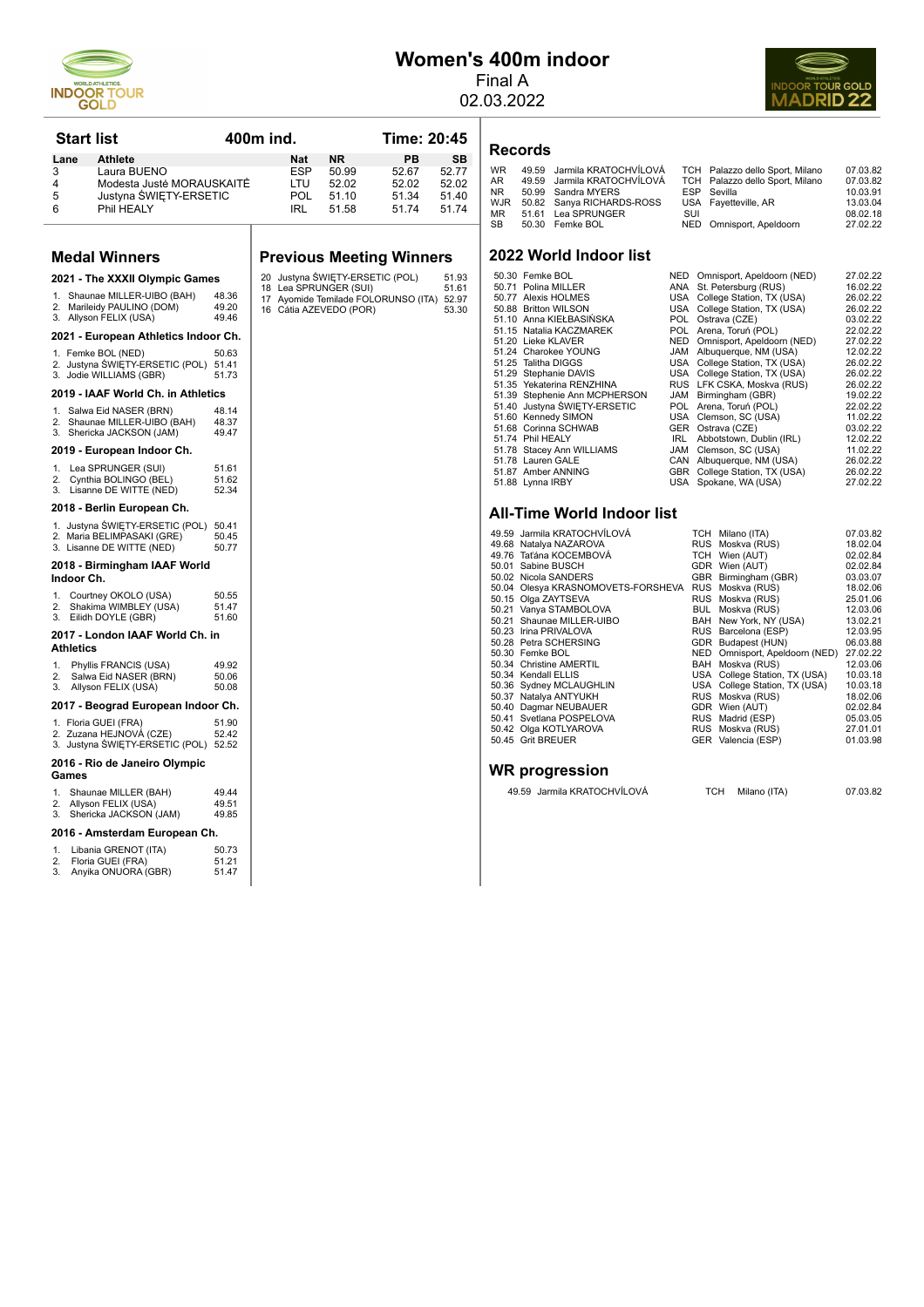

# **Women's 400m indoor**

Final A 02.03.2022



|                  | <b>Start list</b>                                                                          |                         | 400m ind.                                       |                    | Time: 20:45                               |                    | Records                                                                   |
|------------------|--------------------------------------------------------------------------------------------|-------------------------|-------------------------------------------------|--------------------|-------------------------------------------|--------------------|---------------------------------------------------------------------------|
| Lane<br>3        | <b>Athlete</b><br>Laura BUENO                                                              |                         | Nat<br><b>ESP</b>                               | <b>NR</b><br>50.99 | PB<br>52.67                               | <b>SB</b><br>52.77 | <b>WR</b><br>49.59<br>Jarmila KR                                          |
| 4                | Modesta Juste MORAUSKAITE                                                                  |                         | LTU                                             | 52.02              | 52.02                                     | 52.02              | 49.59<br>Jarmila KR<br>AR                                                 |
| 5                | Justyna SWIETY-ERSETIC                                                                     |                         | POL                                             | 51.10              | 51.34                                     | 51.40              | <b>NR</b><br>50.99<br>Sandra MY<br><b>WJR</b><br>50.82 Sanya RICI         |
| 6                | Phil HEALY                                                                                 |                         | IRL                                             | 51.58              | 51.74                                     | 51.74              | MR<br>51.61<br>Lea SPRUN                                                  |
|                  |                                                                                            |                         |                                                 |                    |                                           |                    | SВ<br>50.30 Femke BOL                                                     |
|                  | <b>Medal Winners</b>                                                                       |                         | <b>Previous Meeting Winners</b>                 |                    |                                           |                    | 2022 World Inde                                                           |
|                  | 2021 - The XXXII Olympic Games                                                             |                         | 20 Justyna ŚWIETY-ERSETIC (POL)                 |                    |                                           | 51.93              | 50.30 Femke BOL<br>50.71 Polina MILLER                                    |
| 1.<br>2.         | Shaunae MILLER-UIBO (BAH)<br>Marileidy PAULINO (DOM)<br>3. Allyson FELIX (USA)             | 48.36<br>49.20<br>49.46 | 18 Lea SPRUNGER (SUI)<br>16 Cátia AZEVEDO (POR) |                    | 17 Ayomide Temilade FOLORUNSO (ITA) 52.97 | 51.61<br>53.30     | 50.77 Alexis HOLMES<br>50.88 Britton WILSON<br>51.10 Anna KIEŁBASINS      |
|                  | 2021 - European Athletics Indoor Ch.                                                       |                         |                                                 |                    |                                           |                    | 51.15 Natalia KACZMARI<br>51.20 Lieke KLAVER                              |
|                  | 1. Femke BOL (NED)<br>2. Justyna SWIETY-ERSETIC (POL) 51.41<br>3. Jodie WILLIAMS (GBR)     | 50.63<br>51.73          |                                                 |                    |                                           |                    | 51.24 Charokee YOUNG<br>51.25 Talitha DIGGS<br>51.29 Stephanie DAVIS      |
|                  | 2019 - IAAF World Ch. in Athletics                                                         |                         |                                                 |                    |                                           |                    | 51.35 Yekaterina RENZH<br>51.39 Stephenie Ann MC                          |
| 1.               | Salwa Eid NASER (BRN)                                                                      | 48.14                   |                                                 |                    |                                           |                    | 51.40 Justyna SWIĘTY-E                                                    |
|                  | 2. Shaunae MILLER-UIBO (BAH)                                                               | 48.37<br>49.47          |                                                 |                    |                                           |                    | 51.60 Kennedy SIMON<br>51.68 Corinna SCHWAB                               |
|                  | 3. Shericka JACKSON (JAM)<br>2019 - European Indoor Ch.                                    |                         |                                                 |                    |                                           |                    | 51.74 Phil HEALY<br>51.78 Stacey Ann WILLIA                               |
| 1.               | Lea SPRUNGER (SUI)                                                                         | 51.61                   |                                                 |                    |                                           |                    | 51.78 Lauren GALE<br>51.87 Amber ANNING                                   |
| 2.<br>3.         | Cynthia BOLINGO (BEL)<br>Lisanne DE WITTE (NED)                                            | 51.62<br>52.34          |                                                 |                    |                                           |                    | 51.88 Lynna IRBY                                                          |
|                  | 2018 - Berlin European Ch.                                                                 |                         |                                                 |                    |                                           |                    | All-Time World                                                            |
|                  | 1. Justyna ŚWIĘTY-ERSETIC (POL)<br>2. Maria BELIMPASAKI (GRE)<br>3. Lisanne DE WITTE (NED) | 50.41<br>50.45<br>50.77 |                                                 |                    |                                           |                    | 49.59 Jarmila KRATOCH\<br>49.68 Natalya NAZAROVA<br>49.76 Taťána KOCEMBOV |
| Indoor Ch.       | 2018 - Birmingham IAAF World                                                               |                         |                                                 |                    |                                           |                    | 50.01 Sabine BUSCH<br>50.02 Nicola SANDERS                                |
| 1.               | Courtney OKOLO (USA)                                                                       | 50.55<br>51.47          |                                                 |                    |                                           |                    | 50.04 Olesya KRASNOM<br>50.15 Olga ZAYTSEVA                               |
| 2.<br>3.         | Shakima WIMBLEY (USA)<br>Eilidh DOYLE (GBR)                                                | 51.60                   |                                                 |                    |                                           |                    | 50.21 Vanya STAMBOLOV<br>50.21 Shaunae MILLER-L                           |
| <b>Athletics</b> | 2017 - London IAAF World Ch. in                                                            |                         |                                                 |                    |                                           |                    | 50.23 Irina PRIVALOVA<br>50.28 Petra SCHERSING                            |
| 1.               | Phyllis FRANCIS (USA)                                                                      | 49.92                   |                                                 |                    |                                           |                    | 50.30 Femke BOL<br>50.34 Christine AMERTIL                                |
| 2.<br>3.         | Salwa Eid NASER (BRN)<br>Allyson FELIX (USA)                                               | 50.06<br>50.08          |                                                 |                    |                                           |                    | 50.34 Kendall ELLIS<br>50.36 Sydney MCLAUGHI                              |
|                  | 2017 - Beograd European Indoor Ch.                                                         |                         |                                                 |                    |                                           |                    | 50.37 Natalya ANTYUKH<br>50.40 Dagmar NEUBAUE                             |
|                  | 1. Floria GUEI (FRA)                                                                       | 51.90                   |                                                 |                    |                                           |                    | 50.41 Svetlana POSPELC<br>50.42 Olga KOTLYAROVA                           |
|                  | 2. Zuzana HEJNOVÁ (CZE)<br>3. Justyna SWIĘTY-ERSETIC (POL) 52.52                           | 52.42                   |                                                 |                    |                                           |                    | 50.45 Grit BREUER                                                         |
| Games            | 2016 - Rio de Janeiro Olympic                                                              |                         |                                                 |                    |                                           |                    | <b>WR progressio</b>                                                      |
| 1.<br>2.<br>3.   | Shaunae MILLER (BAH)<br>Allyson FELIX (USA)<br>Shericka JACKSON (JAM)                      | 4944<br>49.51<br>49.85  |                                                 |                    |                                           |                    | 49.59 Jarmila KRATO                                                       |
|                  | 2016 - Amsterdam European Ch.                                                              |                         |                                                 |                    |                                           |                    |                                                                           |
| 1.<br>2.<br>3.   | Libania GRENOT (ITA)<br>Floria GUEI (FRA)<br>Anyika ONUORA (GBR)                           | 50.73<br>51.21<br>51.47 |                                                 |                    |                                           |                    |                                                                           |
|                  |                                                                                            |                         |                                                 |                    |                                           |                    |                                                                           |

| <b>WR</b> | 49.59 Jarmila KRATOCHVÍLOVÁ |     | TCH Palazzo dello Sport, Milano | 07.03.82 |
|-----------|-----------------------------|-----|---------------------------------|----------|
| AR        | 49.59 Jarmila KRATOCHVÍLOVÁ |     | TCH Palazzo dello Sport, Milano | 07.03.82 |
| NR        | 50.99 Sandra MYERS          |     | ESP Sevilla                     | 10.03.91 |
| WJR       | 50.82 Sanya RICHARDS-ROSS   |     | USA Favetteville, AR            | 13.03.04 |
| MR.       | 51.61 Lea SPRUNGER          | SUI |                                 | 08.02.18 |
| SB        | 50.30 Femke BOL             |     | NED Omnisport, Apeldoorn        | 27.02.22 |
|           |                             |     |                                 |          |
|           |                             |     |                                 |          |

## **2022 Dor list**

| 50.30 Femke BOL               |      | NED Omnisport, Apeldoorn (NED) | 27.02.22 |
|-------------------------------|------|--------------------------------|----------|
| 50.71 Polina MILLER           |      | ANA St. Petersburg (RUS)       | 16.02.22 |
| 50.77 Alexis HOLMES           |      | USA College Station, TX (USA)  | 26.02.22 |
| 50.88 Britton WILSON          |      | USA College Station, TX (USA)  | 26.02.22 |
| 51.10 Anna KIEŁBASIŃSKA       |      | POL Ostrava (CZE)              | 03.02.22 |
| 51.15 Natalia KACZMAREK       | POL. | Arena, Toruń (POL)             | 22.02.22 |
| 51.20 Lieke KLAVER            |      | NED Omnisport, Apeldoorn (NED) | 27.02.22 |
| 51.24 Charokee YOUNG          | JAM  | Albuquerque, NM (USA)          | 12.02.22 |
| 51.25 Talitha DIGGS           |      | USA College Station, TX (USA)  | 26.02.22 |
| 51.29 Stephanie DAVIS         |      | USA College Station, TX (USA)  | 26.02.22 |
| 51.35 Yekaterina RENZHINA     |      | RUS LFK CSKA, Moskva (RUS)     | 26.02.22 |
| 51.39 Stephenie Ann MCPHERSON | JAM  | Birmingham (GBR)               | 19.02.22 |
| 51.40 Justyna ŚWIETY-ERSETIC  | POL. | Arena, Toruń (POL)             | 22.02.22 |
| 51.60 Kennedy SIMON           |      | USA Clemson, SC (USA)          | 11.02.22 |
| 51.68 Corinna SCHWAB          |      | GER Ostrava (CZE)              | 03.02.22 |
| 51.74 Phil HEALY              | IRL  | Abbotstown, Dublin (IRL)       | 12.02.22 |
| 51.78 Stacey Ann WILLIAMS     | JAM  | Clemson, SC (USA)              | 11.02.22 |
| 51.78 Lauren GALE             | CAN  | Albuquerque, NM (USA)          | 26.02.22 |
| 51.87 Amber ANNING            |      | GBR College Station, TX (USA)  | 26.02.22 |
| 51.88 Lynna IRBY              |      | USA Spokane, WA (USA)          | 27.02.22 |

#### **Indoor list**

| 49.59 Jarmila KRATOCHVÍLOVÁ        |            | TCH Milano (ITA)               | 07.03.82 |
|------------------------------------|------------|--------------------------------|----------|
| 49.68 Natalya NAZAROVA             |            | RUS Moskva (RUS)               | 18.02.04 |
| 49.76 Taťána KOCEMBOVÁ             |            | TCH Wien (AUT)                 | 02.02.84 |
| 50.01 Sabine BUSCH                 |            | GDR Wien (AUT)                 | 02.02.84 |
| 50.02 Nicola SANDERS               |            | GBR Birmingham (GBR)           | 03.03.07 |
| 50.04 Olesya KRASNOMOVETS-FORSHEVA |            | RUS Moskva (RUS)               | 18.02.06 |
| 50.15 Olga ZAYTSEVA                |            | RUS Moskva (RUS)               | 25.01.06 |
| 50.21 Vanya STAMBOLOVA             |            | BUL Moskva (RUS)               | 12.03.06 |
| 50.21 Shaunae MILLER-UIBO          |            | BAH New York, NY (USA)         | 13.02.21 |
| 50.23 Irina PRIVALOVA              |            | RUS Barcelona (ESP)            | 12.03.95 |
| 50.28 Petra SCHERSING              |            | GDR Budapest (HUN)             | 06.03.88 |
| 50.30 Femke BOL                    |            | NED Omnisport, Apeldoorn (NED) | 27.02.22 |
| 50.34 Christine AMERTIL            |            | BAH Moskva (RUS)               | 12.03.06 |
| 50.34 Kendall ELLIS                |            | USA College Station, TX (USA)  | 10.03.18 |
| 50.36 Sydney MCLAUGHLIN            |            | USA College Station, TX (USA)  | 10.03.18 |
| 50.37 Natalya ANTYUKH              |            | RUS Moskva (RUS)               | 18.02.06 |
| 50.40 Dagmar NEUBAUER              |            | GDR Wien (AUT)                 | 02.02.84 |
| 50.41 Svetlana POSPELOVA           |            | RUS Madrid (ESP)               | 05.03.05 |
| 50.42 Olga KOTLYAROVA              |            | RUS Moskva (RUS)               | 27.01.01 |
| 50.45 Grit BREUER                  |            | GER Valencia (ESP)             | 01.03.98 |
|                                    |            |                                |          |
|                                    |            |                                |          |
| WR progression                     |            |                                |          |
| 49.59 Jarmila KRATOCHVÍLOVÁ        | <b>TCH</b> | Milano (ITA)                   | 07.03.82 |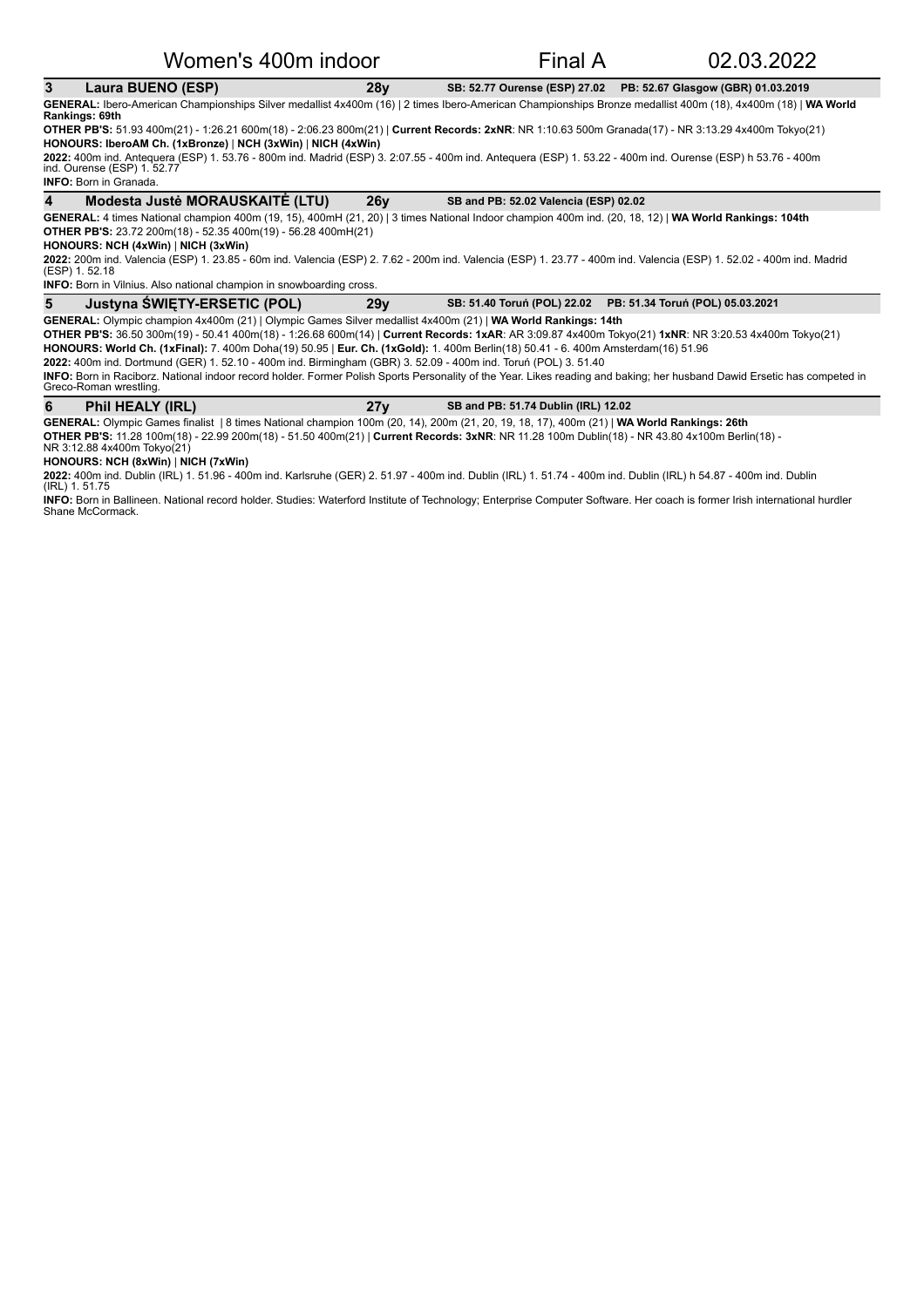#### **3** Laura BUENO (ESP) 28y SB: 52.77 Ourense (ESP) 27.02 PB: 52.67 Glasgow (GBR) 01.03.2019

GENERAL: Ibero-American Championships Silver medallist 4x400m (16) | 2 times Ibero-American Championships Bronze medallist 400m (18), 4x400m (18) | WA World **Rankings: 69th**

**OTHER PB'S:** 51.93 400m(21) - 1:26.21 600m(18) - 2:06.23 800m(21) | Current Records: 2xNR: NR 1:10.63 500m Granada(17) - NR 3:13.29 4x400m Tokyo(21) **HONOURS: IberoAM Ch. (1xBronze) | NCH (3xWin) | NICH (4xWin)** 

**2022:** 400m ind. Antequera (ESP) 1. 53.76 - 800m ind. Madrid (ESP) 3. 2:07.55 - 400m ind. Antequera (ESP) 1. 53.22 - 400m ind. Ourense (ESP) h 53.76 - 400m<br>ind. Ourense (ESP) 1. 52.77

**INFO:** Born in Granada.

**4** Modesta Justė MORAUSKAITĖ (LTU) 26y SB and PB: 52.02 Valencia (ESP) 02.02

GENERAL: 4 times National champion 400m (19, 15), 400mH (21, 20) | 3 times National Indoor champion 400m ind. (20, 18, 12) | WA World Rankings: 104th **OTHER PB'S:** 23.72 200m(18) - 52.35 400m(19) - 56.28 400mH(21)

#### **HONOURS: NCH (4xWin)** | **NICH (3xWin)**

**2022:** 200m ind. Valencia (ESP) 1. 23.85 - 60m ind. Valencia (ESP) 2. 7.62 - 200m ind. Valencia (ESP) 1. Valencia (ESP) 1. 52.02 - 400m ind. Madrid<br>(ESP) 1. 52.18

**INFO:** Born in Vilnius. Also national champion in snowboarding cross.

#### 5 Justyna ŚWIĘTY-ERSETIC (POL) 29y SB: 51.40 Toruń (POL) 22.02 PB: 51.34 Toruń (POL) 05.03.2021

GENERAL: Olympic champion 4x400m (21) | Olympic Games Silver medallist 4x400m (21) | WA World Rankings: 14th **OTHER PB'S:** 36.50 300m(19) - 50.41 400m(18) - 1:26.68 600m(14) | Current Records: 1xAR: AR 3:09.87 4x400m Tokyo(21) 1xNR: NR 3:20.53 4x400m Tokyo(21) HONOURS: World Ch. (1xFinal): 7. 400m Doha(19) 50.95 | Eur. Ch. (1xGold): 1. 400m Berlin(18) 50.41 - 6. 400m Amsterdam(16) 51.96

**2022:** 400m ind. Dortmund (GER) 1. 52.10 - 400m ind. Birmingham (GBR) 3. 52.09 - 400m ind. Toruń (POL) 3. 51.40

INFO: Born in Raciborz. National indoor record holder. Former Polish Sports Personality of the Year. Likes reading and baking; her husband Dawid Ersetic has competed in Greco-Roman wrestling

| Phil HEALY (IRL) | SB and PB: 51.74 Dublin (IRL) 12.02 |  |
|------------------|-------------------------------------|--|

GENERAL: Olympic Games finalist | 8 times National champion 100m (20, 14), 200m (21, 20, 19, 18, 17), 400m (21) | WA World Rankings: 26th

**OTHER PB'S:** 11.28 100m(18) - 22.99 200m(18) - 51.50 400m(21) | **Current Records: 3xNR**: NR 11.28 100m Dublin(18) - NR 43.80 4x100m Berlin(18) -<br>NR 3:12.88 4x400m Tokyo(21)

**HONOURS: NCH (8xWin)** | **NICH (7xWin)**

**2022:** 400m ind. Dublin (IRL) 1. 51.96 - 400m ind. Karlsruhe (GER) 2. 51.97 - 400m ind. Dublin (IRL) 1. 51.74 - 400m ind. Dublin (IRL) h 54.87 - 400m ind. Dublin<br>(IRL) 1. 51.75

**INFO:** Born in Ballineen. National record holder. Studies: Waterford Institute of Technology; Enterprise Computer Software. Her coach is former Irish international hurdler Shane McCormack.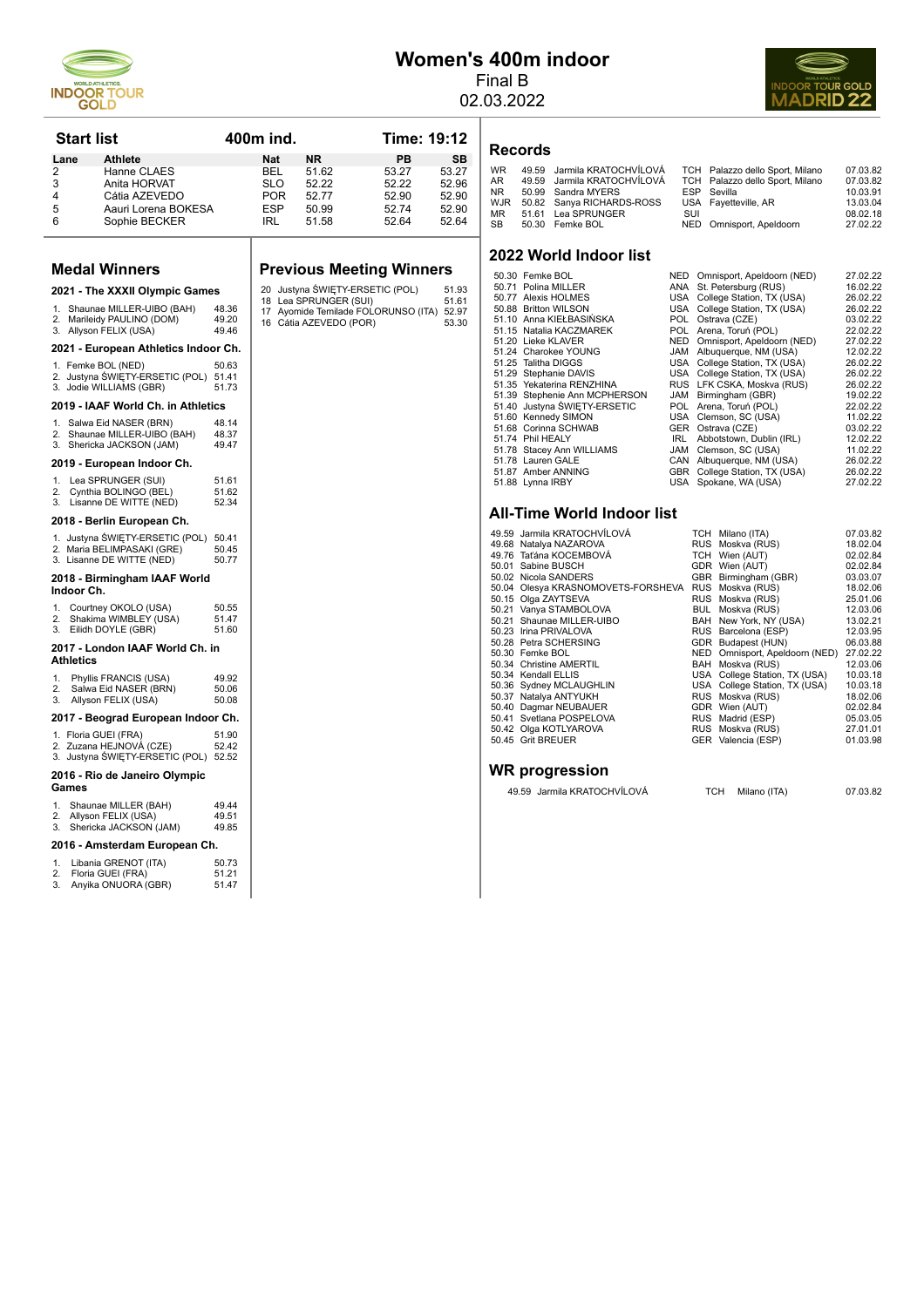

# **Women's 400m indoor**

**Records**

Final B 02.03.2022



**Start list 400m ind.** Time: 19:12 **Lane Athlete Mat NR PB SB**<br>
2 Hanne CLAES BEL 51.62 53.27 53.27<br>
3 Anita HORVAT SLO 52.22 52.22 52.96 12 Hanne CLAES BEL 51.62 53.27 53.27<br>
2 Anita HORVAT SLO 52.22 52.22 52.96 2 Anita HORVAT 2 2 52.22 52.22 52.96<br>4 Cátia AZEVEDO POR 52.77 52.90 52.90 4 Cátia AZEVEDO POR 52.77 52.90 52.90<br>5 Aauri Lorena BOKESA ESP 50.99 52.74 52.90 5 Aauri Lorena BOKESA ESP 50.99 52.74 52.90<br>6 Sophie BECKER IRL 51.58 52.64 52.64 Sophie BECKER

#### **Medal Winners**

|                                                     | 2021 - The XXXII Olympic Games                                                             |                         |  |  |  |  |
|-----------------------------------------------------|--------------------------------------------------------------------------------------------|-------------------------|--|--|--|--|
| 1.<br>2.<br>3.                                      | Shaunae MILLER-UIBO (BAH)<br>Marileidy PAULINO (DOM)<br>Allyson FELIX (USA)                | 48.36<br>49.20<br>49.46 |  |  |  |  |
|                                                     | 2021 - European Athletics Indoor Ch.                                                       |                         |  |  |  |  |
|                                                     | 1. Femke BOL (NED)<br>2. Justyna ŚWIĘTY-ERSETIC (POL)<br>3. Jodie WILLIAMS (GBR)           | 50.63<br>51.41<br>51.73 |  |  |  |  |
|                                                     | 2019 - IAAF World Ch. in Athletics                                                         |                         |  |  |  |  |
| 3.                                                  | 1. Salwa Eid NASER (BRN)<br>2. Shaunae MILLER-UIBO (BAH)<br>Shericka JACKSON (JAM)         | 48.14<br>48.37<br>49.47 |  |  |  |  |
|                                                     | 2019 - European Indoor Ch.                                                                 |                         |  |  |  |  |
| 1.<br>2.<br>3.                                      | Lea SPRUNGER (SUI)<br>Cynthia BOLINGO (BEL)<br>Lisanne DE WITTE (NED)                      | 51.61<br>51.62<br>52.34 |  |  |  |  |
|                                                     | 2018 - Berlin European Ch.                                                                 |                         |  |  |  |  |
|                                                     | 1. Justyna ŚWIĘTY-ERSETIC (POL)<br>2. Maria BELIMPASAKI (GRE)<br>3. Lisanne DE WITTE (NED) | 50.41<br>50.45<br>50.77 |  |  |  |  |
|                                                     | 2018 - Birmingham IAAF World<br>Indoor Ch.                                                 |                         |  |  |  |  |
| 1.<br>2.<br>3.                                      | Courtney OKOLO (USA)<br>Shakima WIMBLEY (USA)<br>Eilidh DOYLE (GBR)                        | 50.55<br>51.47<br>51.60 |  |  |  |  |
| 2017 - London IAAF World Ch. in<br><b>Athletics</b> |                                                                                            |                         |  |  |  |  |
| 1.<br>2.<br>3.                                      | Phyllis FRANCIS (USA)<br>Salwa Eid NASER (BRN)<br>Allyson FELIX (USA)                      | 49.92<br>50.06<br>50.08 |  |  |  |  |
| 2017 - Beograd European Indoor Ch.                  |                                                                                            |                         |  |  |  |  |

#### 1. Floria GUEI (FRA) 51.90 2. Zuzana HEJNOVÁ (CZE) 52.42 3. Justyna ŚWIĘTY-ERSETIC (POL) 52.52

|  | 2016 - Rio de Janeiro Olympic |  |
|--|-------------------------------|--|

#### **Games**

| 1. Shaunae MILLER (BAH)<br>2. Allyson FELIX (USA)<br>3. Shericka JACKSON (JAM) | 49.44<br>49.51<br>49.85 |
|--------------------------------------------------------------------------------|-------------------------|
|                                                                                |                         |
|                                                                                |                         |

#### 2016 - Amsterdam European Ch.

|        | 1. Libania GRENOT (ITA) | 50.73        |
|--------|-------------------------|--------------|
| 2.     | Floria GUEI (FRA)       | 51.21        |
| $\sim$ | $A = B = A + B$         | <b>E4 47</b> |

| 3. | Anyika ONUORA (GBR) | 51.47 |  |
|----|---------------------|-------|--|
|    |                     |       |  |

#### **Previous Meeting Winners**

- 20 Justyna ŚWIĘTY-ERSETIC (POL) 51.93 18 Lea SPRUNGER (SUI) 51.61 17 Ayomide Temilade FOLORUNSO (ITA) 52.97 16 Cátia AZEVEDO (POR) 53.30
- 
- 

WR 49.59 Jarmila KRATOCHVÍLOVÁ TCH Palazzo dello Sport, Milano 07.03.82<br>AR 49.59 Jarmila KRATOCHVÍLOVÁ TCH Palazzo dello Sport, Milano 07.03.82<br>NR 50.99 Sandra MYERS ESP Sevilla 10.03.91 TCH Palazzo dello Sport, Milano 07.03.82<br>ESP Sevilla 10.03.91 NR 50.99 Sandra MYERS ESP Sevilla 10.03.91 WJR 50.82 Sanya RICHARDS-ROSS USA Fayetteville, AR 13.03.04 MR 51.61 Lea SPRUNGER SUI 08.02.18 SB 50.30 Femke BOL NED Omnisport, Apeldoorn 27.02.22

#### **2022 World Indoor list**

| 50.30 Femke BOL               | NED        | Omnisport, Apeldoorn (NED)    | 27.02.22 |
|-------------------------------|------------|-------------------------------|----------|
| 50.71 Polina MILLER           | ANA        | St. Petersburg (RUS)          | 16.02.22 |
| 50.77 Alexis HOLMES           | USA        | College Station, TX (USA)     | 26.02.22 |
| 50.88 Britton WILSON          | USA        | College Station, TX (USA)     | 26.02.22 |
| 51.10 Anna KIEŁBASIŃSKA       | POL.       | Ostrava (CZE)                 | 03.02.22 |
| 51.15 Natalia KACZMAREK       | POL.       | Arena, Toruń (POL)            | 22.02.22 |
| 51.20 Lieke KLAVER            | <b>NED</b> | Omnisport, Apeldoorn (NED)    | 27.02.22 |
| 51.24 Charokee YOUNG          | JAM        | Albuquerque, NM (USA)         | 12.02.22 |
| 51.25 Talitha DIGGS           |            | USA College Station, TX (USA) | 26.02.22 |
| 51.29 Stephanie DAVIS         | USA        | College Station, TX (USA)     | 26.02.22 |
| 51.35 Yekaterina RENZHINA     |            | RUS LFK CSKA, Moskva (RUS)    | 26.02.22 |
| 51.39 Stephenie Ann MCPHERSON | <b>JAM</b> | Birmingham (GBR)              | 19.02.22 |
| 51.40 Justyna ŚWIETY-ERSETIC  | POL.       | Arena, Toruń (POL)            | 22.02.22 |
| 51.60 Kennedy SIMON           |            | USA Clemson, SC (USA)         | 11.02.22 |
| 51.68 Corinna SCHWAB          |            | GER Ostrava (CZE)             | 03.02.22 |
| 51.74 Phil HEALY              | IRL.       | Abbotstown, Dublin (IRL)      | 12.02.22 |
| 51.78 Stacey Ann WILLIAMS     | <b>JAM</b> | Clemson, SC (USA)             | 11.02.22 |
| 51.78 Lauren GALE             | CAN        | Albuquerque, NM (USA)         | 26.02.22 |
| 51.87 Amber ANNING            | GBR        | College Station, TX (USA)     | 26.02.22 |
| 51.88 Lynna IRBY              |            | USA Spokane, WA (USA)         | 27.02.22 |
|                               |            |                               |          |

#### **All-Time World Indoor list**

|  | 49.59 Jarmila KRATOCHVÍLOVÁ        | TCH Milano (ITA)               | 07.03.82 |
|--|------------------------------------|--------------------------------|----------|
|  | 49.68 Natalya NAZAROVA             | RUS Moskva (RUS)               | 18.02.04 |
|  | 49.76 Taťána KOCEMBOVÁ             | TCH Wien (AUT)                 | 02.02.84 |
|  | 50.01 Sabine BUSCH                 | GDR Wien (AUT)                 | 02.02.84 |
|  | 50.02 Nicola SANDERS               | GBR Birmingham (GBR)           | 03.03.07 |
|  | 50.04 Olesya KRASNOMOVETS-FORSHEVA | RUS Moskva (RUS)               | 18.02.06 |
|  | 50.15 Olga ZAYTSEVA                | RUS Moskva (RUS)               | 25.01.06 |
|  | 50.21 Vanya STAMBOLOVA             | BUL Moskva (RUS)               | 12.03.06 |
|  | 50.21 Shaunae MILLER-UIBO          | BAH New York, NY (USA)         | 13.02.21 |
|  | 50.23 Irina PRIVALOVA              | RUS Barcelona (ESP)            | 12.03.95 |
|  | 50.28 Petra SCHERSING              | GDR Budapest (HUN)             | 06.03.88 |
|  | 50.30 Femke BOL                    | NED Omnisport, Apeldoorn (NED) | 27.02.22 |
|  | 50.34 Christine AMERTIL            | BAH Moskva (RUS)               | 12.03.06 |
|  | 50.34 Kendall ELLIS                | USA College Station, TX (USA)  | 10.03.18 |
|  | 50.36 Sydney MCLAUGHLIN            | USA College Station, TX (USA)  | 10.03.18 |
|  | 50.37 Natalya ANTYUKH              | RUS Moskva (RUS)               | 18.02.06 |
|  | 50.40 Dagmar NEUBAUER              | GDR Wien (AUT)                 | 02.02.84 |
|  | 50.41 Svetlana POSPELOVA           | RUS Madrid (ESP)               | 05.03.05 |
|  | 50.42 Olga KOTLYAROVA              | RUS Moskva (RUS)               | 27.01.01 |
|  | 50.45 Grit BREUER                  | GER Valencia (ESP)             | 01.03.98 |
|  |                                    |                                |          |
|  |                                    |                                |          |
|  | <b>WR</b> progression              |                                |          |
|  |                                    |                                |          |

49.59 Jarmila KRATOCHVÍLOVÁ TCH Milano (ITA) 07.03.82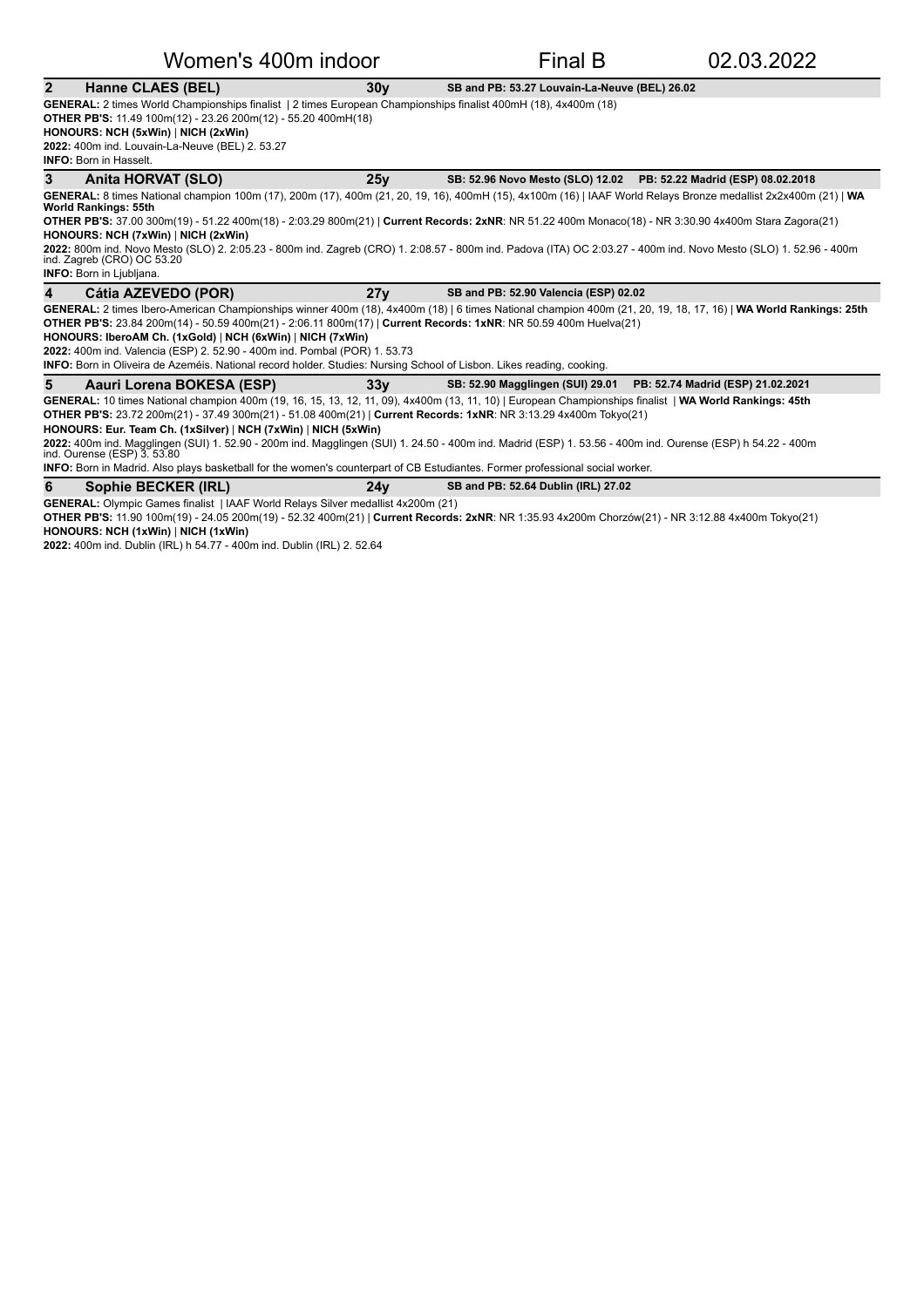Women's 400m indoor Final B 02.03.2022

**2** Hanne CLAES (BEL) **30y SB** and PB: 53.27 Louvain-La-Neuve (BEL) 26.02

GENERAL: 2 times World Championships finalist | 2 times European Championships finalist 400mH (18), 4x400m (18) **OTHER PB'S:** 11.49 100m(12) - 23.26 200m(12) - 55.20 400mH(18) **HONOURS: NCH (5xWin)** NICH (2xWin)

**2022:** 400m ind. Louvain-La-Neuve (BEL) 2. 53.27

**INFO: Born in Hasselt.** 

**3** Anita HORVAT (SLO) 25y SB: 52.96 Novo Mesto (SLO) 12.02 PB: 52.22 Madrid (ESP) 08.02.2018

**GENERAL:** 8 times National champion 100m (17), 200m (17), 400m (21, 20, 19, 16), 400mH (15), 4x100m (16) | IAAF World Relays Bronze medallist 2x2x400m (21) | **WA**<br>**World Rankings: 55th OTHER PB'S:** 37.00 300m(19) - 51.22 400m(18) - 2:03.29 800m(21) | Current Records: 2xNR: NR 51.22 400m Monaco(18) - NR 3:30.90 4x400m Stara Zagora(21)

**HONOURS: NCH (7xWin)** | NICH (2xWin)

**2022:** 800m ind. Novo Mesto (SLO) 2. 2:05.23 - 800m ind. Zagreb (CRO) 1. 2:08.57 - 800m ind. Padova (ITA) OC 2:03.27 - 400m ind. Novo Mesto (SLO) 1. 52.96 - 400m ind. Zagreb (CRO) OC 53.20 **INFO:** Born in Ljubljana.

4 Cátia AZEVEDO (POR) 27y SB and PB: 52.90 Valencia (ESP) 02.02

GENERAL: 2 times Ibero-American Championships winner 400m (18), 4x400m (18) | 6 times National champion 400m (21, 20, 19, 18, 17, 16) | WA World Rankings: 25th **OTHER PB'S:** 23.84 200m(14) - 50.59 400m(21) - 2:06.11 800m(17) | Current Records: 1xNR: NR 50.59 400m Huelva(21)

**HONOURS: IberoAM Ch. (1xGold)** | NCH (6xWin) | NICH (7xWin) **2022:** 400m ind. Valencia (ESP) 2. 52.90 - 400m ind. Pombal (POR) 1. 53.73

**INFO:** Born in Oliveira de Azeméis. National record holder. Studies: Nursing School of Lisbon. Likes reading, cooking.

| Aauri Lorena BOKESA (ESP)                                                                                                                              | 33v | SB: 52.90 Magglingen (SUI) 29.01 PB: 52.74 Madrid (ESP) 21.02.2021 |  |
|--------------------------------------------------------------------------------------------------------------------------------------------------------|-----|--------------------------------------------------------------------|--|
| GENERAL: 10 times National champion 400m (19, 16, 15, 13, 12, 11, 09), 4x400m (13, 11, 10)   European Championships finalist   WA World Rankings: 45th |     |                                                                    |  |
| <b>OTHER PB'S:</b> 23.72 200m(21) - 37.49 300m(21) - 51.08 400m(21)   Current Records: 1xNR: NR 3:13.29 4x400m Tokyo(21)                               |     |                                                                    |  |
| $HONOIIRS: Fur Team Ch (1xSilyer)   NCH (7xWin)   NICH (5xWin)$                                                                                        |     |                                                                    |  |

**HONOURS: Eur. Team Ch. (1xSilver)** | **NCH (7xWin)** | **NICH (5xWin)**

**2022:** 400m ind. Magglingen (SUI) 1. 52.90 - 200m ind. Magglingen (SUI) 1. 24.50 - 400m ind. Madrid (ESP) 1. 53.56 - 400m ind. Ourense (ESP) h 54.22 - 400m<br>ind. Ourense (ESP) 3. 53.80

**INFO:** Born in Madrid. Also plays basketball for the women's counterpart of CB Estudiantes. Former professional social worker.

**6** Sophie BECKER (IRL) 27.02 24y SB and PB: 52.64 Dublin (IRL) 27.02

**GENERAL:** Olympic Games finalist | IAAF World Relays Silver medallist 4x200m (21)

OTHER PB'S: 11.90 100m(19) - 24.05 200m(19) - 52.32 400m(21) | Current Records: 2xNR: NR 1:35.93 4x200m Chorzów(21) - NR 3:12.88 4x400m Tokyo(21) **HONOURS: NCH (1xWin)** | NICH (1xWin)

**2022:** 400m ind. Dublin (IRL) h 54.77 - 400m ind. Dublin (IRL) 2. 52.64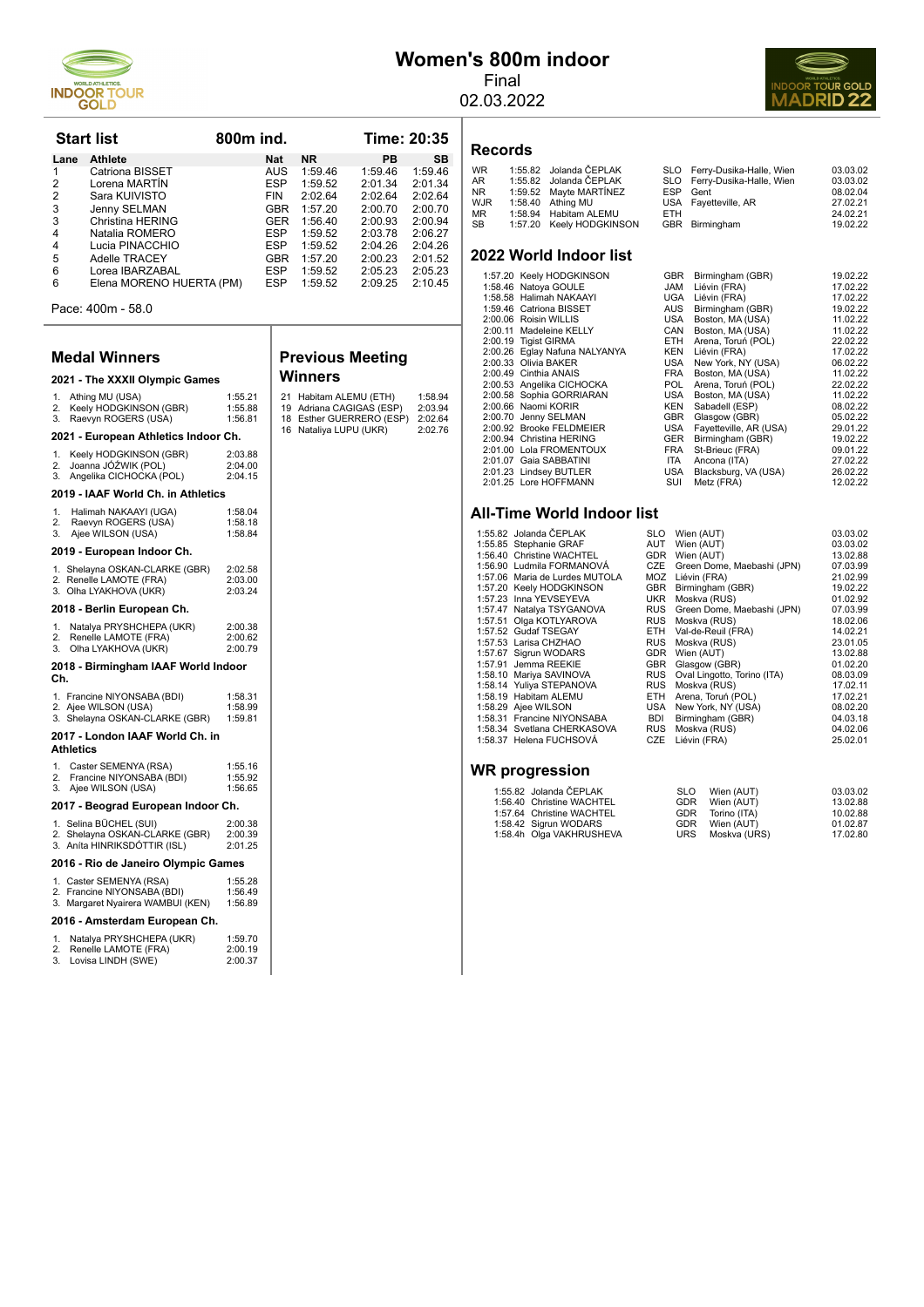

# **Women's 800m indoor**

Final 02.03.2022



| <b>Start list</b> |                          | 800 <sub>m</sub> ind. |           |         | Time: 20:35 |  |
|-------------------|--------------------------|-----------------------|-----------|---------|-------------|--|
| Lane              | <b>Athlete</b>           | <b>Nat</b>            | <b>NR</b> | PB      | <b>SB</b>   |  |
|                   | Catriona BISSET          | <b>AUS</b>            | 1:59.46   | 1:59.46 | 1:59.46     |  |
| 2                 | Lorena MARTÍN            | <b>ESP</b>            | 1:59.52   | 2:01.34 | 2:01.34     |  |
| 2                 | Sara KUIVISTO            | <b>FIN</b>            | 2.0264    | 2:02.64 | 2:02.64     |  |
| 3                 | Jenny SELMAN             | <b>GBR</b>            | 1:57.20   | 2:00.70 | 2:00.70     |  |
| 3                 | Christina HERING         | <b>GER</b>            | 1:56.40   | 2:00.93 | 2:00.94     |  |
| 4                 | Natalia ROMERO           | <b>ESP</b>            | 1.5952    | 2:03.78 | 2:06.27     |  |
| 4                 | Lucia PINACCHIO          | <b>ESP</b>            | 1:59.52   | 2:04.26 | 2:04.26     |  |
| 5                 | Adelle TRACEY            | <b>GBR</b>            | 1:57.20   | 2:00.23 | 2:01.52     |  |
| 6                 | Lorea IBARZABAL          | <b>ESP</b>            | 1:59.52   | 2:05.23 | 2:05.23     |  |
| 6                 | Elena MORENO HUERTA (PM) | <b>ESP</b>            | 1:59.52   | 2:09.25 | 2:10.45     |  |

Pace: 400m - 58.0

#### **Medal Winners**

#### **Previous Meeting Winners**

| 2021 - The XXXII Olympic Games                                                                         | Winı                          |                                   |
|--------------------------------------------------------------------------------------------------------|-------------------------------|-----------------------------------|
| Athing MU (USA)<br>1 <sup>1</sup><br>Keely HODGKINSON (GBR)<br>2.<br>Raevyn ROGERS (USA)<br>3.         | 1:55.21<br>1:55.88<br>1:56.81 | 21<br>Ha<br>19<br>Ad<br>18<br>Est |
| 2021 - European Athletics Indoor Ch.                                                                   |                               | 16<br>Na                          |
| Keely HODGKINSON (GBR)<br>1 <sup>1</sup><br>Joanna JÓŹWIK (POL)<br>2.<br>3.<br>Angelika CICHOCKA (POL) | 2:03.88<br>2:04.00<br>2:04.15 |                                   |
| 2019 - IAAF World Ch. in Athletics                                                                     |                               |                                   |
| Halimah NAKAAYI (UGA)<br>1 <sup>1</sup><br>2.<br>Raevyn ROGERS (USA)<br>Ajee WILSON (USA)<br>3.        | 1:58.04<br>1:58.18<br>1:58.84 |                                   |
| 2019 - European Indoor Ch.                                                                             |                               |                                   |
| 1. Shelayna OSKAN-CLARKE (GBR)<br>2. Renelle LAMOTE (FRA)<br>3. Olha LYAKHOVA (UKR)                    | 2:02.58<br>2:03.00<br>2:03.24 |                                   |
| 2018 - Berlin European Ch.                                                                             |                               |                                   |
| Natalya PRYSHCHEPA (UKR)<br>1 <sup>1</sup><br>Renelle LAMOTE (FRA)<br>2.<br>3.<br>Olha LYAKHOVA (UKR)  | 2:00.38<br>2:00.62<br>2:00.79 |                                   |
| 2018 - Birmingham IAAF World Indoor<br>Ch.                                                             |                               |                                   |
| 1. Francine NIYONSABA (BDI)<br>2. Ajee WILSON (USA)<br>3. Shelavna OSKAN-CLARKE (GBR)                  | 1:58.31<br>1:58.99<br>1:59.81 |                                   |

|                                     | 3. Shelayna OSKAN-CLARKE (GBR)                                                              | 1:59.81                       |  |  |  |
|-------------------------------------|---------------------------------------------------------------------------------------------|-------------------------------|--|--|--|
|                                     | 2017 - London IAAF World Ch. in<br>Athletics                                                |                               |  |  |  |
| 1.<br>3.                            | Caster SEMENYA (RSA)<br>2. Francine NIYONSABA (BDI)<br>Ajee WILSON (USA)                    | 1:55.16<br>1:55.92<br>1:56.65 |  |  |  |
|                                     | 2017 - Beograd European Indoor Ch.                                                          |                               |  |  |  |
|                                     | 1. Selina BÜCHEL (SUI)<br>2. Shelayna OSKAN-CLARKE (GBR)<br>3. Aníta HINRIKSDÓTTIR (ISL)    | 2:00.38<br>2:00.39<br>2:01.25 |  |  |  |
| 2016 - Rio de Janeiro Olympic Games |                                                                                             |                               |  |  |  |
|                                     | 1. Caster SEMENYA (RSA)<br>2. Francine NIYONSABA (BDI)<br>3. Margaret Nyairera WAMBUI (KEN) | 1:55.28<br>1:56.49<br>1:56.89 |  |  |  |

#### **2016 - Amsterdam European Ch.**

|  | Lo To - Annoteraam Laropean o |  |  |  |  |  |  |  |
|--|-------------------------------|--|--|--|--|--|--|--|
|  |                               |  |  |  |  |  |  |  |

|    | Natalya PRYSHCHEPA (UKR) | 1:59.70 |
|----|--------------------------|---------|
| 2. | Renelle LAMOTE (FRA)     | 2:00.19 |
|    | 3. Lovisa LINDH (SWE)    | 2:00.37 |

| Winners                                                                                                  |                                          |
|----------------------------------------------------------------------------------------------------------|------------------------------------------|
| 21 Habitam ALEMU (ETH)<br>19 Adriana CAGIGAS (ESP)<br>18 Esther GUERRERO (ESP)<br>16 Nataliya LUPU (UKR) | 1:58.94<br>2:03.94<br>2:02.64<br>2:02.76 |
|                                                                                                          |                                          |

# **Records**

| <b>WR</b><br>AR.<br>NR<br>WJR<br>МR | 1:55.82 Jolanda ČEPLAK<br>1:55.82 Jolanda ČEPLAK<br>1:59.52 Mayte MARTÍNEZ<br>1:58.40 Athing MU<br>1:58.94 Habitam ALEMU | FTH. | SLO Ferry-Dusika-Halle, Wien<br>SLO Ferry-Dusika-Halle, Wien<br>ESP Gent<br>USA Favetteville, AR | 03.03.02<br>03.03.02<br>08.02.04<br>27.02.21<br>24.02.21 |
|-------------------------------------|--------------------------------------------------------------------------------------------------------------------------|------|--------------------------------------------------------------------------------------------------|----------------------------------------------------------|
|                                     |                                                                                                                          |      |                                                                                                  |                                                          |
| SB                                  | 1:57.20 Keelv HODGKINSON                                                                                                 |      | GBR Birmingham                                                                                   | 19.02.22                                                 |
|                                     |                                                                                                                          |      |                                                                                                  |                                                          |

#### **2022 World Indoor list**

|         | 1:57.20 Keely HODGKINSON      | <b>GBR</b> | Birmingham (GBR)       | 19.02.22 |
|---------|-------------------------------|------------|------------------------|----------|
|         | 1:58.46 Natova GOULE          | <b>JAM</b> | Liévin (FRA)           | 17.02.22 |
|         | 1:58.58 Halimah NAKAAYI       | UGA        | Liévin (FRA)           | 17.02.22 |
|         | 1:59.46 Catriona BISSET       | <b>AUS</b> | Birmingham (GBR)       | 19.02.22 |
|         | 2:00.06 Roisin WILLIS         | <b>USA</b> | Boston, MA (USA)       | 11.02.22 |
| 2:00.11 | Madeleine KELLY               | CAN        | Boston, MA (USA)       | 11.02.22 |
|         | 2:00.19 Tigist GIRMA          | ETH.       | Arena, Toruń (POL)     | 22.02.22 |
|         | 2:00.26 Eglay Nafuna NALYANYA | <b>KEN</b> | Liévin (FRA)           | 17.02.22 |
|         | 2:00.33 Olivia BAKER          | <b>USA</b> | New York, NY (USA)     | 06.02.22 |
|         | 2:00.49 Cinthia ANAIS         | <b>FRA</b> | Boston, MA (USA)       | 11.02.22 |
|         | 2:00.53 Angelika CICHOCKA     | POL.       | Arena, Toruń (POL)     | 22.02.22 |
|         | 2:00.58 Sophia GORRIARAN      | USA        | Boston, MA (USA)       | 11.02.22 |
|         | 2:00.66 Naomi KORIR           | <b>KEN</b> | Sabadell (ESP)         | 08.02.22 |
|         | 2:00.70 Jenny SELMAN          | <b>GBR</b> | Glasgow (GBR)          | 05.02.22 |
|         | 2:00.92 Brooke FELDMEIER      | <b>USA</b> | Fayetteville, AR (USA) | 29.01.22 |
|         | 2:00.94 Christina HERING      | <b>GER</b> | Birmingham (GBR)       | 19.02.22 |
|         | 2:01.00 Lola FROMENTOUX       | <b>FRA</b> | St-Brieuc (FRA)        | 09.01.22 |
|         | 2:01.07 Gaia SABBATINI        | <b>ITA</b> | Ancona (ITA)           | 27.02.22 |
|         | 2:01.23 Lindsey BUTLER        | <b>USA</b> | Blacksburg, VA (USA)   | 26.02.22 |
|         | 2:01.25 Lore HOFFMANN         | SUI        | Metz (FRA)             | 12.02.22 |

#### **All-Time World Indoor list**

| 1:55.82 Jolanda ČEPLAK         | SLO        | Wien (AUT)                  | 03.03.02 |
|--------------------------------|------------|-----------------------------|----------|
| 1:55.85 Stephanie GRAF         | AUT        | Wien (AUT)                  | 03.03.02 |
| 1:56.40 Christine WACHTEL      | <b>GDR</b> | Wien (AUT)                  | 13.02.88 |
| 1:56.90 Ludmila FORMANOVA      | CZE        | Green Dome, Maebashi (JPN)  | 07.03.99 |
| 1:57.06 Maria de Lurdes MUTOLA | MOZ        | Liévin (FRA)                | 21.02.99 |
| 1:57.20 Keely HODGKINSON       | GBR.       | Birmingham (GBR)            | 19.02.22 |
| 1:57.23 Inna YEVSEYEVA         | UKR        | Moskva (RUS)                | 01.02.92 |
| 1:57.47 Natalya TSYGANOVA      | RUS        | Green Dome, Maebashi (JPN)  | 07.03.99 |
| 1:57.51 Olga KOTLYAROVA        | <b>RUS</b> | Moskva (RUS)                | 18.02.06 |
| 1:57.52 Gudaf TSEGAY           | ETH        | Val-de-Reuil (FRA)          | 14.02.21 |
| 1:57.53 Larisa CHZHAO          | <b>RUS</b> | Moskva (RUS)                | 23.01.05 |
| 1:57.67 Sigrun WODARS          | GDR        | Wien (AUT)                  | 13.02.88 |
| 1:57.91 Jemma REEKIE           | <b>GBR</b> | Glasgow (GBR)               | 01.02.20 |
| 1:58.10 Mariya SAVINOVA        | <b>RUS</b> | Oval Lingotto, Torino (ITA) | 08.03.09 |
| 1:58.14 Yuliya STEPANOVA       | <b>RUS</b> | Moskva (RUS)                | 17.02.11 |
| 1:58.19 Habitam ALEMU          | ETH        | Arena, Toruń (POL)          | 17.02.21 |
| 1:58.29 Ajee WILSON            | USA        | New York, NY (USA)          | 08.02.20 |
| 1:58.31 Francine NIYONSABA     | <b>BDI</b> | Birmingham (GBR)            | 04.03.18 |
| 1:58.34 Svetlana CHERKASOVA    | RUS.       | $M$ oskva (RUS)             | 04 02 06 |

#### 1:58.37 Helena FUCHSOVÁ

#### **WR progression**

| 1:55.82 Jolanda ČEPLAK    | <b>SLO</b> | Wien (AUT)       | 03.03.02 |
|---------------------------|------------|------------------|----------|
| 1:56.40 Christine WACHTEL | GDR        | Wien (AUT)       | 13.02.88 |
| 1:57.64 Christine WACHTEL |            | GDR Torino (ITA) | 10.02.88 |
| 1:58.42 Sigrun WODARS     |            | GDR Wien (AUT)   | 01.02.87 |
| 1:58.4h Olga VAKHRUSHEVA  | URS        | Moskva (URS)     | 17.02.80 |

1:58.34 Substrate (RUS)<br>
1:58.34 Noskva (RUS) 04.02.06<br>
25.02.01 25.02.01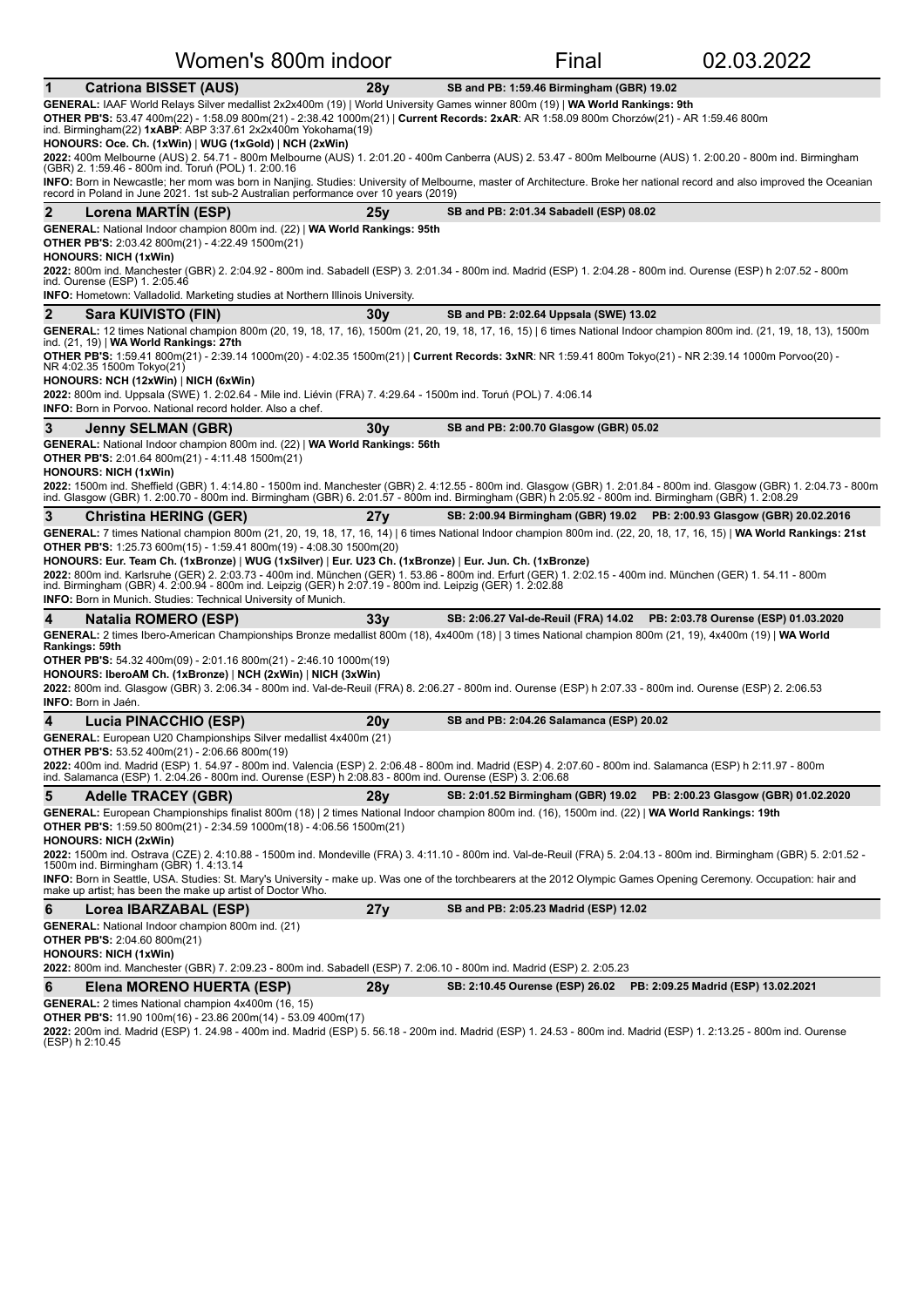| <u>VVOMEN S 800M INQOON</u>                                                                                                                                                                                                                                                                                                                                                                                                                                                                                                                                                                                                                                                                                        |                 | <b>Final</b>                                                            | <u>UZ.U3.ZUZZ</u>                    |  |  |  |
|--------------------------------------------------------------------------------------------------------------------------------------------------------------------------------------------------------------------------------------------------------------------------------------------------------------------------------------------------------------------------------------------------------------------------------------------------------------------------------------------------------------------------------------------------------------------------------------------------------------------------------------------------------------------------------------------------------------------|-----------------|-------------------------------------------------------------------------|--------------------------------------|--|--|--|
| <b>Catriona BISSET (AUS)</b><br>1                                                                                                                                                                                                                                                                                                                                                                                                                                                                                                                                                                                                                                                                                  | 28 <b>v</b>     | SB and PB: 1:59.46 Birmingham (GBR) 19.02                               |                                      |  |  |  |
| GENERAL: IAAF World Relays Silver medallist 2x2x400m (19)   World University Games winner 800m (19)   WA World Rankings: 9th<br>OTHER PB'S: 53.47 400m(22) - 1:58.09 800m(21) - 2:38.42 1000m(21)   Current Records: 2xAR: AR 1:58.09 800m Chorzów(21) - AR 1:59.46 800m<br>ind. Birmingham(22) $1xABP$ : ABP 3:37.61 $2x2x400m$ Yokohama(19)<br>HONOURS: Oce. Ch. (1xWin)   WUG (1xGold)   NCH (2xWin)                                                                                                                                                                                                                                                                                                            |                 |                                                                         |                                      |  |  |  |
| 2022: 400m Melbourne (AUS) 2. 54.71 - 800m Melbourne (AUS) 1. 2:01.20 - 400m Canberra (AUS) 2. 53.47 - 800m Melbourne (AUS) 1. 2:00.20 - 800m ind. Birmingham<br>(GBR) 2. 1:59.46 - 800m ind. Toruń (POL) 1. 2:00.16<br>INFO: Born in Newcastle; her mom was born in Nanjing. Studies: University of Melbourne, master of Architecture. Broke her national record and also improved the Oceanian                                                                                                                                                                                                                                                                                                                   |                 |                                                                         |                                      |  |  |  |
| record in Poland in June 2021. 1st sub-2 Australian performance over 10 years (2019)                                                                                                                                                                                                                                                                                                                                                                                                                                                                                                                                                                                                                               |                 |                                                                         |                                      |  |  |  |
| $\mathbf{2}$<br>Lorena MARTIN (ESP)                                                                                                                                                                                                                                                                                                                                                                                                                                                                                                                                                                                                                                                                                | 25y             | SB and PB: 2:01.34 Sabadell (ESP) 08.02                                 |                                      |  |  |  |
| GENERAL: National Indoor champion 800m ind. (22)   WA World Rankings: 95th<br><b>OTHER PB'S:</b> 2:03.42 800m(21) - 4:22.49 1500m(21)<br><b>HONOURS: NICH (1xWin)</b><br>2022: 800m ind. Manchester (GBR) 2. 2:04.92 - 800m ind. Sabadell (ESP) 3. 2:01.34 - 800m ind. Madrid (ESP) 1. 2:04.28 - 800m ind. Ourense (ESP) h 2:07.52 - 800m<br>ind. Ourense (ESP) 1. 2:05.46<br><b>INFO:</b> Hometown: Valladolid. Marketing studies at Northern Illinois University.                                                                                                                                                                                                                                                |                 |                                                                         |                                      |  |  |  |
| 2<br>Sara KUIVISTO (FIN)                                                                                                                                                                                                                                                                                                                                                                                                                                                                                                                                                                                                                                                                                           | 30 <sub>V</sub> | SB and PB: 2:02.64 Uppsala (SWE) 13.02                                  |                                      |  |  |  |
| GENERAL: 12 times National champion 800m (20, 19, 18, 17, 16), 1500m (21, 20, 19, 18, 17, 16, 15)   6 times National Indoor champion 800m ind. (21, 19, 18, 13), 1500m<br>ind. (21, 19)   WA World Rankings: 27th<br>OTHER PB'S: 1:59.41 800m(21) - 2:39.14 1000m(20) - 4:02.35 1500m(21)   Current Records: 3xNR: NR 1:59.41 800m Tokyo(21) - NR 2:39.14 1000m Porvoo(20) -<br>NR 4:02.35 1500m Tokyo(21)<br>HONOURS: NCH (12xWin)   NICH (6xWin)<br>2022: 800m ind. Uppsala (SWE) 1. 2:02.64 - Mile ind. Liévin (FRA) 7. 4:29.64 - 1500m ind. Toruń (POL) 7. 4:06.14<br><b>INFO:</b> Born in Porvoo. National record holder. Also a chef.                                                                        |                 |                                                                         |                                      |  |  |  |
| 3<br><b>Jenny SELMAN (GBR)</b>                                                                                                                                                                                                                                                                                                                                                                                                                                                                                                                                                                                                                                                                                     | 30y             | SB and PB: 2:00.70 Glasgow (GBR) 05.02                                  |                                      |  |  |  |
| GENERAL: National Indoor champion 800m ind. (22)   WA World Rankings: 56th<br><b>OTHER PB'S:</b> 2:01.64 800m(21) - 4:11.48 1500m(21)<br><b>HONOURS: NICH (1xWin)</b><br>2022: 1500m ind. Sheffield (GBR) 1. 4:14.80 - 1500m ind. Manchester (GBR) 2. 4:12.55 - 800m ind. Glasgow (GBR) 1. 2:01.84 - 800m ind. Glasgow (GBR) 1. 2:04.73 - 800m<br>ind. Glasgow (GBR) 1. 2:00.70 - 800m ind. Birmingham (GBR) 6. 2:01.57 - 800m ind. Birmingham (GBR) h 2:05.92 - 800m ind. Birmingham (GBR) 1. 2:08.29                                                                                                                                                                                                             |                 |                                                                         |                                      |  |  |  |
| 3<br><b>Christina HERING (GER)</b>                                                                                                                                                                                                                                                                                                                                                                                                                                                                                                                                                                                                                                                                                 | 27 <sub>V</sub> | SB: 2:00.94 Birmingham (GBR) 19.02 PB: 2:00.93 Glasgow (GBR) 20.02.2016 |                                      |  |  |  |
| GENERAL: 7 times National champion 800m (21, 20, 19, 18, 17, 16, 14)   6 times National Indoor champion 800m ind. (22, 20, 18, 17, 16, 15)   WA World Rankings: 21st<br><b>OTHER PB'S:</b> 1:25.73 600m(15) - 1:59.41 800m(19) - 4:08.30 1500m(20)<br>HONOURS: Eur. Team Ch. (1xBronze)   WUG (1xSilver)   Eur. U23 Ch. (1xBronze)   Eur. Jun. Ch. (1xBronze)<br>2022: 800m ind. Karlsruhe (GER) 2. 2:03.73 - 400m ind. München (GER) 1. 53.86 - 800m ind. Erfurt (GER) 1. 2:02.15 - 400m ind. München (GER) 1. 54.11 - 800m<br>ind. Birmingham (GBR) 4. 2:00.94 - 800m ind. Leipzig (GER) h 2:07.19 - 800m ind. Leipzig (GER) 1. 2:02.88<br><b>INFO:</b> Born in Munich. Studies: Technical University of Munich. |                 |                                                                         |                                      |  |  |  |
| 4<br>Natalia ROMERO (ESP)                                                                                                                                                                                                                                                                                                                                                                                                                                                                                                                                                                                                                                                                                          | 33 <sub>V</sub> | SB: 2:06.27 Val-de-Reuil (FRA) 14.02                                    | PB: 2:03.78 Ourense (ESP) 01.03.2020 |  |  |  |
| GENERAL: 2 times Ibero-American Championships Bronze medallist 800m (18), 4x400m (18)   3 times National champion 800m (21, 19), 4x400m (19)   WA World<br>Rankings: 59th<br><b>OTHER PB'S:</b> 54.32 400m(09) - 2:01.16 800m(21) - 2:46.10 1000m(19)<br>HONOURS: IberoAM Ch. (1xBronze)   NCH (2xWin)   NICH (3xWin)<br>2022: 800m ind. Glasgow (GBR) 3. 2:06.34 - 800m ind. Val-de-Reuil (FRA) 8. 2:06.27 - 800m ind. Ourense (ESP) h 2:07.33 - 800m ind. Ourense (ESP) 2. 2:06.53<br><b>INFO:</b> Born in Jaén.                                                                                                                                                                                                 |                 |                                                                         |                                      |  |  |  |
| 4<br>Lucia PINACCHIO (ESP)                                                                                                                                                                                                                                                                                                                                                                                                                                                                                                                                                                                                                                                                                         | 20v             | SB and PB: 2:04.26 Salamanca (ESP) 20.02                                |                                      |  |  |  |
| <b>GENERAL:</b> European U20 Championships Silver medallist 4x400m (21)<br><b>OTHER PB'S:</b> 53.52 400m(21) - 2:06.66 800m(19)<br>2022: 400m ind. Madrid (ESP) 1. 54.97 - 800m ind. Valencia (ESP) 2. 2:06.48 - 800m ind. Madrid (ESP) 4. 2:07.60 - 800m ind. Salamanca (ESP) h 2:11.97 - 800m<br>ind. Salamanca (ESP) 1. 2:04.26 - 800m ind. Ourense (ESP) h 2:08.83 - 800m ind. Ourense (ESP) 3. 2:06.68                                                                                                                                                                                                                                                                                                        |                 |                                                                         |                                      |  |  |  |
| 5<br><b>Adelle TRACEY (GBR)</b>                                                                                                                                                                                                                                                                                                                                                                                                                                                                                                                                                                                                                                                                                    | 28y             | SB: 2:01.52 Birmingham (GBR) 19.02 PB: 2:00.23 Glasgow (GBR) 01.02.2020 |                                      |  |  |  |
| GENERAL: European Championships finalist 800m (18)   2 times National Indoor champion 800m ind. (16), 1500m ind. (22)   WA World Rankings: 19th<br><b>OTHER PB'S:</b> 1:59.50 800m(21) - 2:34.59 1000m(18) - 4:06.56 1500m(21)<br><b>HONOURS: NICH (2xWin)</b><br>2022: 1500m ind. Ostrava (CZE) 2. 4:10.88 - 1500m ind. Mondeville (FRA) 3. 4:11.10 - 800m ind. Val-de-Reuil (FRA) 5. 2:04.13 - 800m ind. Birmingham (GBR) 5. 2:01.52 -                                                                                                                                                                                                                                                                           |                 |                                                                         |                                      |  |  |  |
| 1500m ind. Birmingham (GBR) 1.4:13.14<br>INFO: Born in Seattle, USA. Studies: St. Mary's University - make up. Was one of the torchbearers at the 2012 Olympic Games Opening Ceremony. Occupation: hair and<br>make up artist; has been the make up artist of Doctor Who.                                                                                                                                                                                                                                                                                                                                                                                                                                          |                 |                                                                         |                                      |  |  |  |
| 6<br>Lorea IBARZABAL (ESP)                                                                                                                                                                                                                                                                                                                                                                                                                                                                                                                                                                                                                                                                                         | 27y             | SB and PB: 2:05.23 Madrid (ESP) 12.02                                   |                                      |  |  |  |
| <b>GENERAL:</b> National Indoor champion 800m ind. (21)<br><b>OTHER PB'S:</b> 2:04.60 800m(21)<br><b>HONOURS: NICH (1xWin)</b>                                                                                                                                                                                                                                                                                                                                                                                                                                                                                                                                                                                     |                 |                                                                         |                                      |  |  |  |
| 2022: 800m ind. Manchester (GBR) 7. 2:09.23 - 800m ind. Sabadell (ESP) 7. 2:06.10 - 800m ind. Madrid (ESP) 2. 2:05.23                                                                                                                                                                                                                                                                                                                                                                                                                                                                                                                                                                                              |                 |                                                                         |                                      |  |  |  |
| 6<br>Elena MORENO HUERTA (ESP)<br>GENERAL: 2 times National champion 4x400m (16, 15)                                                                                                                                                                                                                                                                                                                                                                                                                                                                                                                                                                                                                               | 28y             | SB: 2:10.45 Ourense (ESP) 26.02    PB: 2:09.25 Madrid (ESP) 13.02.2021  |                                      |  |  |  |
| <b>OTHER PB'S:</b> 11.90 100m(16) - 23.86 200m(14) - 53.09 400m(17)                                                                                                                                                                                                                                                                                                                                                                                                                                                                                                                                                                                                                                                |                 |                                                                         |                                      |  |  |  |

**2022:** 200m ind. Madrid (ESP) 1. 24.98 - 400m ind. Madrid (ESP) 5. 56.18 - 200m ind. Madrid (ESP) 1. 24.53 - 800m ind. Madrid (ESP) 1. 2:13.25 - 800m ind. Ourense<br>(ESP) h 2:10.45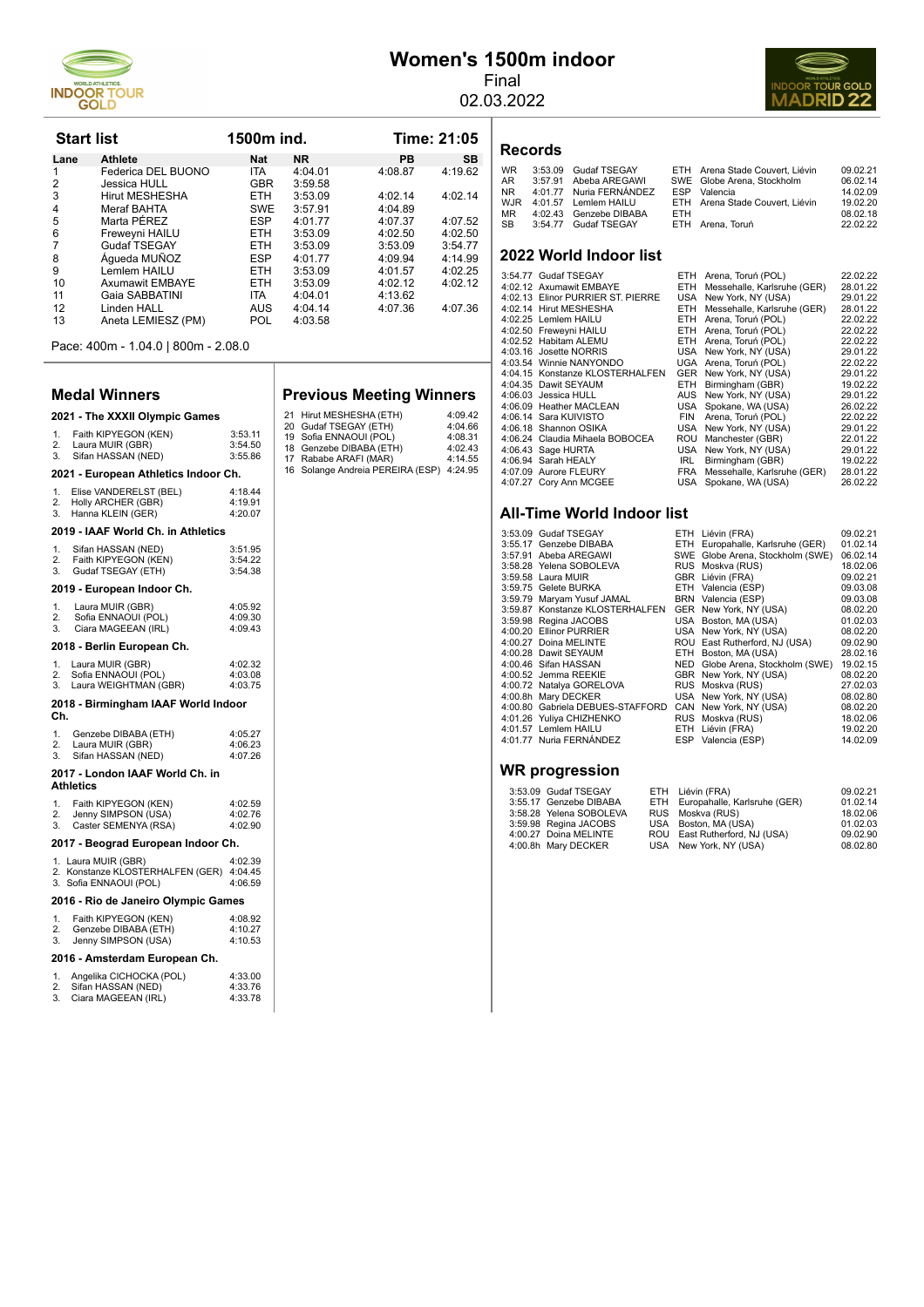

# **Women's 1500m indoor**

Final 02.03.2022



| <b>Start list</b> |                        | 1500m ind. |           |         | Time: 21:05 |  |  |
|-------------------|------------------------|------------|-----------|---------|-------------|--|--|
| Lane              | <b>Athlete</b>         | <b>Nat</b> | <b>NR</b> | PB      | <b>SB</b>   |  |  |
| 1                 | Federica DEL BUONO     | <b>ITA</b> | 4:04.01   | 4:08.87 | 4:19.62     |  |  |
| $\overline{2}$    | Jessica HULL           | <b>GBR</b> | 3:59.58   |         |             |  |  |
| 3                 | <b>Hirut MESHESHA</b>  | <b>ETH</b> | 3:53.09   | 4:02.14 | 4:02.14     |  |  |
| $\overline{4}$    | Meraf BAHTA            | <b>SWE</b> | 3:57.91   | 4:04.89 |             |  |  |
| 5                 | Marta PÉREZ            | <b>ESP</b> | 4:01.77   | 4:07.37 | 4:07.52     |  |  |
| 6                 | Freweyni HAILU         | <b>ETH</b> | 3:53.09   | 4:02.50 | 4:02.50     |  |  |
| 7                 | Gudaf TSEGAY           | <b>ETH</b> | 3:53.09   | 3:53.09 | 3:54.77     |  |  |
| 8                 | Áqueda MUÑOZ           | <b>ESP</b> | 4:01.77   | 4:09.94 | 4:14.99     |  |  |
| 9                 | Lemlem HAILU           | <b>ETH</b> | 3:53.09   | 4:01.57 | 4:02.25     |  |  |
| 10                | <b>Axumawit EMBAYE</b> | <b>ETH</b> | 3:53.09   | 4:02.12 | 4:02.12     |  |  |
| 11                | Gaia SABBATINI         | <b>ITA</b> | 4:04.01   | 4:13.62 |             |  |  |
| 12                | Linden HALL            | <b>AUS</b> | 4:04.14   | 4:07.36 | 4:07.36     |  |  |
| 13                | Aneta LEMIESZ (PM)     | POL        | 4:03.58   |         |             |  |  |

Pace: 400m - 1.04.0 | 800m - 2.08.0

#### **Medal Winners**

# **2021 - The XXXII Olympic Games**

#### 1. Faith KIPYEGON (KEN) 3:53.11 2. Laura MUIR (GBR) 3:54.50 3. Sifan HASSAN (NED) 3:55.86 **2021 - European Athletics Indoor Ch.**

|    | Elise VANDERELST (BEL) | 4:18.44 |
|----|------------------------|---------|
| 2. | Holly ARCHER (GBR)     | 4:19.91 |
| 3. | Hanna KLEIN (GER)      | 4:20.07 |

#### **2019 - IAAF World Ch. in Athletics**

| 1.<br>2.<br>3. | Sifan HASSAN (NED)<br>Faith KIPYEGON (KEN)<br>Gudaf TSEGAY (ETH)                  | 3:51.95<br>3:54.22<br>3:54.38 |
|----------------|-----------------------------------------------------------------------------------|-------------------------------|
|                | 2019 - European Indoor Ch.                                                        |                               |
| 1.<br>2.<br>3. | Laura MUIR (GBR)<br>Sofia ENNAOUI (POL)<br>Ciara MAGEEAN (IRL)                    | 4:05.92<br>4:09.30<br>4:09.43 |
|                | 2018 - Berlin European Ch.                                                        |                               |
| 1.<br>2.<br>3. | Laura MUIR (GBR)<br>Sofia ENNAOUI (POL)<br>Laura WEIGHTMAN (GBR)                  | 4:02.32<br>4:03.08<br>4:03.75 |
| Ch.            | 2018 - Birmingham IAAF World Indoor                                               |                               |
| 1.<br>2.<br>3. | Genzebe DIBABA (ETH)<br>Laura MUIR (GBR)<br>Sifan HASSAN (NED)                    | 4:05.27<br>4:06.23<br>4:07.26 |
|                | 2017 - London IAAF World Ch. in<br><b>Athletics</b>                               |                               |
| 1.<br>2.<br>3. | Faith KIPYEGON (KEN)<br>Jenny SIMPSON (USA)<br>Caster SEMENYA (RSA)               | 4:02.59<br>4:02.76<br>4:02.90 |
|                | 2017 - Beograd European Indoor Ch.                                                |                               |
|                | 1. Laura MUIR (GBR)<br>2. Konstanze KLOSTERHALFEN (GER)<br>3. Sofia ENNAOUI (POL) | 4:02.39<br>4:04.45<br>4:06.59 |
|                | 2016 - Rio de Janeiro Olympic Games                                               |                               |
| 1.<br>2.<br>3. | Faith KIPYEGON (KEN)<br>Genzebe DIBABA (ETH)<br>Jenny SIMPSON (USA)               | 4:08.92<br>4:10.27<br>4:10.53 |

#### 2016 - Amsterdam European Ch.

|    | Angelika CICHOCKA (POL) | 4:33.00 |
|----|-------------------------|---------|
| 2. | Sifan HASSAN (NED)      | 4:33.76 |
| 3. | Ciara MAGEEAN (IRL)     | 4:33.78 |

#### **Previous Meeting Winners**

| 21 Hirut MESHESHA (ETH)                  | 4:09.42 |
|------------------------------------------|---------|
| 20 Gudaf TSEGAY (ETH)                    | 4:04.66 |
| 19 Sofia ENNAOUI (POL)                   | 4:08.31 |
| 18 Genzebe DIBABA (ETH)                  | 4:02.43 |
| 17 Rababe ARAFI (MAR)                    | 4:14.55 |
| 16 Solange Andreia PEREIRA (ESP) 4:24.95 |         |

# **Records**

| WR. | 3:53.09 Gudaf TSEGAY     |      | ETH Arena Stade Couvert, Liévin | 09.02.21 |
|-----|--------------------------|------|---------------------------------|----------|
| AR  | 3:57.91 Abeba AREGAWI    |      | SWE Globe Arena, Stockholm      | 06.02.14 |
| NR  | 4:01.77 Nuria FERNÁNDEZ  |      | ESP Valencia                    | 14.02.09 |
|     | WJR 4:01.57 Lemlem HAILU |      | ETH Arena Stade Couvert, Liévin | 19.02.20 |
| MR. | 4:02.43 Genzebe DIBABA   | FTH. |                                 | 08.02.18 |
| SB  | 3:54.77 Gudaf TSEGAY     |      | ETH Arena, Toruń                | 22.02.22 |
|     |                          |      |                                 |          |

#### **2022 World Indoor list**

|  | 3:54.77 Gudaf TSEGAY              | ETH.       | Arena, Toruń (POL)          | 22.02.22 |
|--|-----------------------------------|------------|-----------------------------|----------|
|  | 4:02.12 Axumawit EMBAYE           | <b>ETH</b> | Messehalle, Karlsruhe (GER) | 28.01.22 |
|  | 4:02.13 Elinor PURRIER ST. PIERRE | USA        | New York, NY (USA)          | 29.01.22 |
|  | 4:02.14 Hirut MESHESHA            | <b>ETH</b> | Messehalle, Karlsruhe (GER) | 28.01.22 |
|  | 4:02.25 Lemlem HAILU              | <b>ETH</b> | Arena, Toruń (POL)          | 22.02.22 |
|  | 4:02.50 Freweyni HAILU            | <b>ETH</b> | Arena, Toruń (POL)          | 22.02.22 |
|  | 4:02.52 Habitam ALEMU             | ETH        | Arena, Toruń (POL)          | 22.02.22 |
|  | 4:03.16 Josette NORRIS            | USA        | New York, NY (USA)          | 29.01.22 |
|  | 4:03.54 Winnie NANYONDO           |            | UGA Arena, Toruń (POL)      | 22.02.22 |
|  | 4:04.15 Konstanze KLOSTERHALFEN   |            | GER New York, NY (USA)      | 29.01.22 |
|  | 4:04.35 Dawit SEYAUM              | ETH.       | Birmingham (GBR)            | 19.02.22 |
|  | 4:06.03 Jessica HULL              | <b>AUS</b> | New York, NY (USA)          | 29.01.22 |
|  | 4:06.09 Heather MACLEAN           | USA        | Spokane, WA (USA)           | 26.02.22 |
|  | 4:06.14 Sara KUIVISTO             | <b>FIN</b> | Arena, Toruń (POL)          | 22.02.22 |
|  | 4:06.18 Shannon OSIKA             | USA        | New York, NY (USA)          | 29.01.22 |
|  | 4:06.24 Claudia Mihaela BOBOCEA   | ROU        | Manchester (GBR)            | 22.01.22 |
|  | 4:06.43 Sage HURTA                | USA        | New York, NY (USA)          | 29.01.22 |
|  | 4:06.94 Sarah HEALY               | IRL.       | Birmingham (GBR)            | 19.02.22 |
|  | 4:07.09 Aurore FLEURY             | <b>FRA</b> | Messehalle, Karlsruhe (GER) | 28.01.22 |
|  | 4:07.27 Cory Ann MCGEE            | USA        | Spokane, WA (USA)           | 26.02.22 |
|  |                                   |            |                             |          |

#### **All-Time World Indoor list**

| 3:53.09 Gudaf TSEGAY             | ETH Liévin (FRA)                 | 09.02.21 |
|----------------------------------|----------------------------------|----------|
| 3:55.17 Genzebe DIBABA           | ETH Europahalle, Karlsruhe (GER) | 01.02.14 |
| 3:57.91 Abeba AREGAWI            | SWE Globe Arena, Stockholm (SWE) | 06.02.14 |
| 3:58.28 Yelena SOBOLEVA          | RUS Moskva (RUS)                 | 18.02.06 |
| 3:59.58 Laura MUIR               | GBR Liévin (FRA)                 | 09.02.21 |
| 3:59.75 Gelete BURKA             | ETH Valencia (ESP)               | 09.03.08 |
| 3:59.79 Maryam Yusuf JAMAL       | BRN Valencia (ESP)               | 09.03.08 |
| 3:59.87 Konstanze KLOSTERHALFEN  | GER New York, NY (USA)           | 08.02.20 |
| 3:59.98 Regina JACOBS            | USA Boston, MA (USA)             | 01.02.03 |
| 4:00.20 Ellinor PURRIER          | USA New York, NY (USA)           | 08.02.20 |
| 4:00.27 Doina MELINTE            | ROU East Rutherford, NJ (USA)    | 09.02.90 |
| 4:00.28 Dawit SEYAUM             | ETH Boston, MA (USA)             | 28.02.16 |
| 4:00.46 Sifan HASSAN             | NED Globe Arena, Stockholm (SWE) | 19.02.15 |
| 4:00.52 Jemma REEKIE             | GBR New York, NY (USA)           | 08.02.20 |
| 4:00.72 Natalya GORELOVA         | RUS Moskva (RUS)                 | 27.02.03 |
| 4:00.8h Mary DECKER              | USA New York, NY (USA)           | 08.02.80 |
| 4:00.80 Gabriela DEBUES-STAFFORD | CAN New York, NY (USA)           | 08.02.20 |
| 4:01.26 Yuliya CHIZHENKO         | RUS Moskva (RUS)                 | 18.02.06 |
| 4:01.57 Lemlem HAILU             | ETH Liévin (FRA)                 | 19.02.20 |
| 4:01.77 Nuria FERNÁNDEZ          | ESP Valencia (ESP)               | 14.02.09 |
|                                  |                                  |          |

#### **WR progression**

| 3:53.09 Gudaf TSEGAY    | ETH Liévin (FRA)                 | 09.02.21 |
|-------------------------|----------------------------------|----------|
| 3:55.17 Genzebe DIBABA  | ETH Europahalle, Karlsruhe (GER) | 01.02.14 |
| 3:58.28 Yelena SOBOLEVA | RUS Moskva (RUS)                 | 18.02.06 |
| 3:59.98 Regina JACOBS   | USA Boston, MA (USA)             | 01.02.03 |
| 4:00.27 Doina MELINTE   | ROU East Rutherford, NJ (USA)    | 09.02.90 |
| 4:00.8h Mary DECKER     | USA New York, NY (USA)           | 08.02.80 |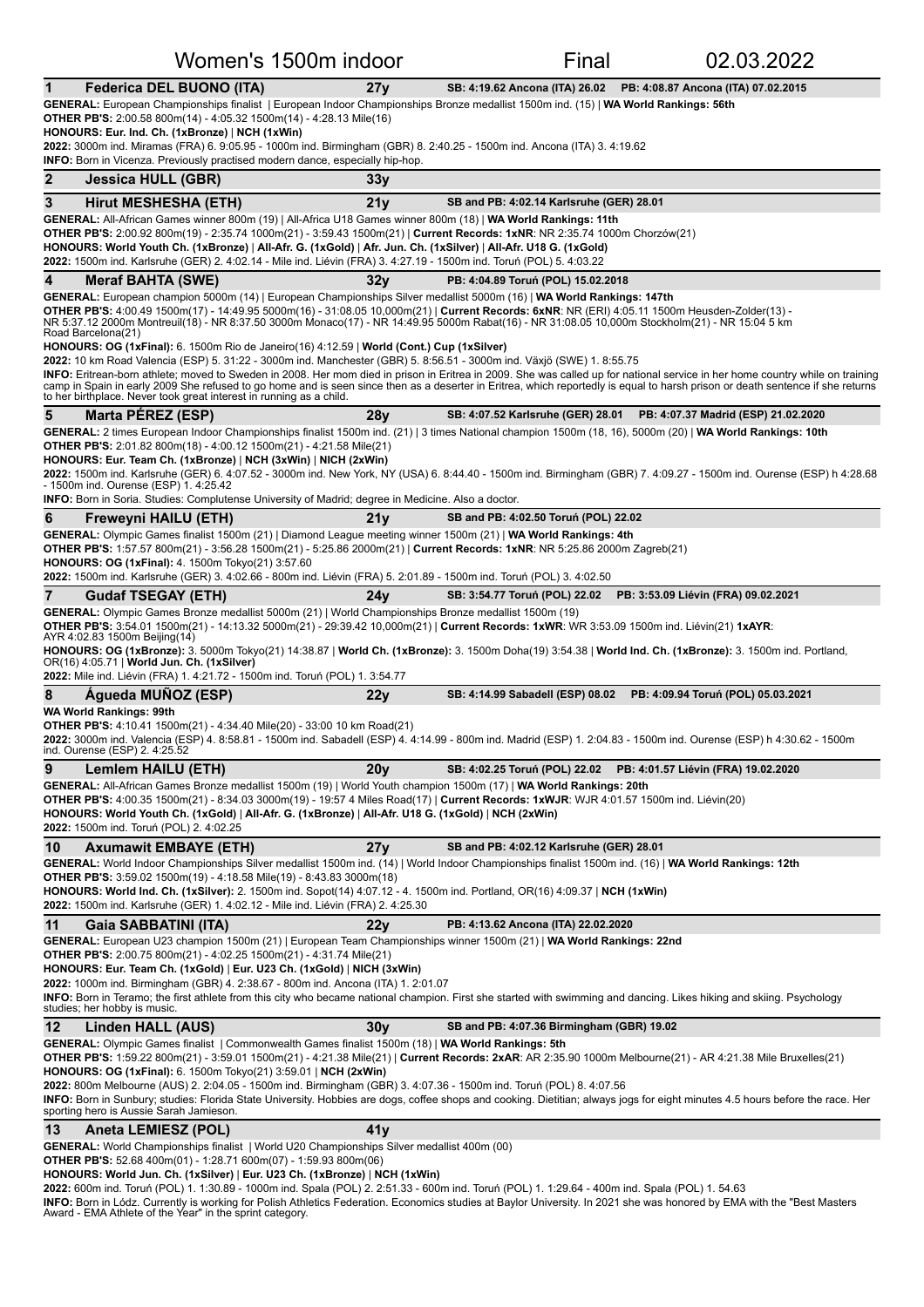|                                                                             | Women's 1500m indoor                                                                                                                                                                                                                                                                                                                                     |      | Final                                                                                                                                                                                                                                                                                                                                                                                                                     | 02.03.2022                                                                                                                                                                                                                                                                                                                                                      |
|-----------------------------------------------------------------------------|----------------------------------------------------------------------------------------------------------------------------------------------------------------------------------------------------------------------------------------------------------------------------------------------------------------------------------------------------------|------|---------------------------------------------------------------------------------------------------------------------------------------------------------------------------------------------------------------------------------------------------------------------------------------------------------------------------------------------------------------------------------------------------------------------------|-----------------------------------------------------------------------------------------------------------------------------------------------------------------------------------------------------------------------------------------------------------------------------------------------------------------------------------------------------------------|
| 1                                                                           | Federica DEL BUONO (ITA)                                                                                                                                                                                                                                                                                                                                 | 27y  |                                                                                                                                                                                                                                                                                                                                                                                                                           | SB: 4:19.62 Ancona (ITA) 26.02 PB: 4:08.87 Ancona (ITA) 07.02.2015                                                                                                                                                                                                                                                                                              |
|                                                                             | <b>OTHER PB'S:</b> 2:00.58 800m(14) - 4:05.32 1500m(14) - 4:28.13 Mile(16)<br>HONOURS: Eur. Ind. Ch. (1xBronze)   NCH (1xWin)                                                                                                                                                                                                                            |      | GENERAL: European Championships finalist   European Indoor Championships Bronze medallist 1500m ind. (15)   WA World Rankings: 56th                                                                                                                                                                                                                                                                                       |                                                                                                                                                                                                                                                                                                                                                                 |
|                                                                             | <b>INFO:</b> Born in Vicenza. Previously practised modern dance, especially hip-hop.                                                                                                                                                                                                                                                                     |      | 2022: 3000m ind. Miramas (FRA) 6. 9:05.95 - 1000m ind. Birmingham (GBR) 8. 2:40.25 - 1500m ind. Ancona (ITA) 3. 4:19.62                                                                                                                                                                                                                                                                                                   |                                                                                                                                                                                                                                                                                                                                                                 |
| $\mathbf{2}$<br><b>Jessica HULL (GBR)</b>                                   |                                                                                                                                                                                                                                                                                                                                                          | 33y  |                                                                                                                                                                                                                                                                                                                                                                                                                           |                                                                                                                                                                                                                                                                                                                                                                 |
| 3                                                                           | <b>Hirut MESHESHA (ETH)</b>                                                                                                                                                                                                                                                                                                                              | 21y  | SB and PB: 4:02.14 Karlsruhe (GER) 28.01                                                                                                                                                                                                                                                                                                                                                                                  |                                                                                                                                                                                                                                                                                                                                                                 |
|                                                                             | GENERAL: All-African Games winner 800m (19)   All-Africa U18 Games winner 800m (18)   WA World Rankings: 11th<br>HONOURS: World Youth Ch. (1xBronze)   All-Afr. G. (1xGold)   Afr. Jun. Ch. (1xSilver)   All-Afr. U18 G. (1xGold)<br>2022: 1500m ind. Karlsruhe (GER) 2. 4:02.14 - Mile ind. Liévin (FRA) 3. 4:27.19 - 1500m ind. Toruń (POL) 5. 4:03.22 |      | OTHER PB'S: 2:00.92 800m(19) - 2:35.74 1000m(21) - 3:59.43 1500m(21)   Current Records: 1xNR: NR 2:35.74 1000m Chorzów(21)                                                                                                                                                                                                                                                                                                |                                                                                                                                                                                                                                                                                                                                                                 |
| 4<br><b>Meraf BAHTA (SWE)</b>                                               |                                                                                                                                                                                                                                                                                                                                                          | 32y  | PB: 4:04.89 Toruń (POL) 15.02.2018                                                                                                                                                                                                                                                                                                                                                                                        |                                                                                                                                                                                                                                                                                                                                                                 |
| Road Barcelona(21)                                                          |                                                                                                                                                                                                                                                                                                                                                          |      | GENERAL: European champion 5000m (14)   European Championships Silver medallist 5000m (16)   WA World Rankings: 147th<br>OTHER PB'S: 4:00.49 1500m(17) - 14:49.95 5000m(16) - 31:08.05 10,000m(21)   Current Records: 6xNR: NR (ERI) 4:05.11 1500m Heusden-Zolder(13) -<br>NR 5:37.12 2000m Montreuil(18) - NR 8:37.50 3000m Monaco(17) - NR 14:49.95 5000m Rabat(16) - NR 31:08.05 10,000m Stockholm(21) - NR 15:04 5 km |                                                                                                                                                                                                                                                                                                                                                                 |
|                                                                             | HONOURS: OG (1xFinal): 6. 1500m Rio de Janeiro(16) 4:12.59   World (Cont.) Cup (1xSilver)                                                                                                                                                                                                                                                                |      | 2022: 10 km Road Valencia (ESP) 5. 31:22 - 3000m ind. Manchester (GBR) 5. 8:56.51 - 3000m ind. Växjö (SWE) 1. 8:55.75                                                                                                                                                                                                                                                                                                     |                                                                                                                                                                                                                                                                                                                                                                 |
|                                                                             | to her birthplace. Never took great interest in running as a child.                                                                                                                                                                                                                                                                                      |      |                                                                                                                                                                                                                                                                                                                                                                                                                           | INFO: Eritrean-born athlete; moved to Sweden in 2008. Her mom died in prison in Eritrea in 2009. She was called up for national service in her home country while on training<br>camp in Spain in early 2009 She refused to go home and is seen since then as a deserter in Eritrea, which reportedly is equal to harsh prison or death sentence if she returns |
| 5<br>Marta PEREZ (ESP)                                                      |                                                                                                                                                                                                                                                                                                                                                          | 28y  |                                                                                                                                                                                                                                                                                                                                                                                                                           | SB: 4:07.52 Karlsruhe (GER) 28.01 PB: 4:07.37 Madrid (ESP) 21.02.2020                                                                                                                                                                                                                                                                                           |
| - 1500m ind. Ourense (ESP) 1. 4:25.42                                       | <b>OTHER PB'S:</b> 2:01.82 800m(18) - 4:00.12 1500m(21) - 4:21.58 Mile(21)<br>HONOURS: Eur. Team Ch. (1xBronze)   NCH (3xWin)   NICH (2xWin)<br>INFO: Born in Soria. Studies: Complutense University of Madrid; degree in Medicine. Also a doctor.                                                                                                       |      |                                                                                                                                                                                                                                                                                                                                                                                                                           | GENERAL: 2 times European Indoor Championships finalist 1500m ind. (21)   3 times National champion 1500m (18, 16), 5000m (20)   WA World Rankings: 10th<br>2022: 1500m ind. Karlsruhe (GER) 6. 4:07.52 - 3000m ind. New York, NY (USA) 6. 8:44.40 - 1500m ind. Birmingham (GBR) 7. 4:09.27 - 1500m ind. Ourense (ESP) h 4:28.68                                |
| 6<br><b>Freweyni HAILU (ETH)</b>                                            |                                                                                                                                                                                                                                                                                                                                                          | 21y  | SB and PB: 4:02.50 Toruń (POL) 22.02                                                                                                                                                                                                                                                                                                                                                                                      |                                                                                                                                                                                                                                                                                                                                                                 |
|                                                                             | <b>HONOURS: OG (1xFinal): 4. 1500m Tokyo(21) 3:57.60</b><br>2022: 1500m ind. Karlsruhe (GER) 3. 4:02.66 - 800m ind. Liévin (FRA) 5. 2:01.89 - 1500m ind. Toruń (POL) 3. 4:02.50                                                                                                                                                                          |      | GENERAL: Olympic Games finalist 1500m (21)   Diamond League meeting winner 1500m (21)   WA World Rankings: 4th<br>OTHER PB'S: 1:57.57 800m(21) - 3:56.28 1500m(21) - 5:25.86 2000m(21)   Current Records: 1xNR: NR 5:25.86 2000m Zagreb(21)                                                                                                                                                                               |                                                                                                                                                                                                                                                                                                                                                                 |
| 7<br><b>Gudaf TSEGAY (ETH)</b>                                              |                                                                                                                                                                                                                                                                                                                                                          | 24v  |                                                                                                                                                                                                                                                                                                                                                                                                                           | SB: 3:54.77 Toruń (POL) 22.02 PB: 3:53.09 Liévin (FRA) 09.02.2021                                                                                                                                                                                                                                                                                               |
| AYR 4:02.83 1500m Beijing(14)<br>OR(16) 4:05.71   World Jun. Ch. (1xSilver) | GENERAL: Olympic Games Bronze medallist 5000m (21)   World Championships Bronze medallist 1500m (19)<br>2022: Mile ind. Liévin (FRA) 1. 4:21.72 - 1500m ind. Toruń (POL) 1. 3:54.77                                                                                                                                                                      |      | OTHER PB'S: 3:54.01 1500m(21) - 14:13.32 5000m(21) - 29:39.42 10,000m(21)   Current Records: 1xWR: WR 3:53.09 1500m ind. Liévin(21) 1xAYR:                                                                                                                                                                                                                                                                                | HONOURS: OG (1xBronze): 3. 5000m Tokyo(21) 14:38.87   World Ch. (1xBronze): 3. 1500m Doha(19) 3:54.38   World Ind. Ch. (1xBronze): 3. 1500m ind. Portland,                                                                                                                                                                                                      |
| 8<br>Agueda MUÑOZ (ESP)<br><b>WA World Rankings: 99th</b>                   |                                                                                                                                                                                                                                                                                                                                                          | 22y  |                                                                                                                                                                                                                                                                                                                                                                                                                           | SB: 4:14.99 Sabadell (ESP) 08.02  PB: 4:09.94 Toruń (POL) 05.03.2021                                                                                                                                                                                                                                                                                            |
| ind. Ourense (ESP) 2. 4:25.52                                               | <b>OTHER PB'S:</b> 4:10.41 1500m(21) - 4:34.40 Mile(20) - 33:00 10 km Road(21)                                                                                                                                                                                                                                                                           |      |                                                                                                                                                                                                                                                                                                                                                                                                                           | 2022: 3000m ind. Valencia (ESP) 4. 8:58.81 - 1500m ind. Sabadell (ESP) 4. 4:14.99 - 800m ind. Madrid (ESP) 1. 2:04.83 - 1500m ind. Ourense (ESP) h 4:30.62 - 1500m                                                                                                                                                                                              |
| 9<br>Lemlem HAILU (ETH)                                                     |                                                                                                                                                                                                                                                                                                                                                          | 20y  |                                                                                                                                                                                                                                                                                                                                                                                                                           | SB: 4:02.25 Toruń (POL) 22.02 PB: 4:01.57 Liévin (FRA) 19.02.2020                                                                                                                                                                                                                                                                                               |
| 2022: 1500m ind. Toruń (POL) 2. 4:02.25                                     | HONOURS: World Youth Ch. (1xGold)   All-Afr. G. (1xBronze)   All-Afr. U18 G. (1xGold)   NCH (2xWin)                                                                                                                                                                                                                                                      |      | GENERAL: All-African Games Bronze medallist 1500m (19)   World Youth champion 1500m (17)   WA World Rankings: 20th<br>OTHER PB'S: 4:00.35 1500m(21) - 8:34.03 3000m(19) - 19:57 4 Miles Road(17)   Current Records: 1xWJR: WJR 4:01.57 1500m ind. Liévin(20)                                                                                                                                                              |                                                                                                                                                                                                                                                                                                                                                                 |
| 10                                                                          | <b>Axumawit EMBAYE (ETH)</b>                                                                                                                                                                                                                                                                                                                             | 27y  | SB and PB: 4:02.12 Karlsruhe (GER) 28.01                                                                                                                                                                                                                                                                                                                                                                                  |                                                                                                                                                                                                                                                                                                                                                                 |
|                                                                             | <b>OTHER PB'S:</b> 3:59.02 1500m(19) - 4:18.58 Mile(19) - 8:43.83 3000m(18)<br>2022: 1500m ind. Karlsruhe (GER) 1. 4:02.12 - Mile ind. Liévin (FRA) 2. 4:25.30                                                                                                                                                                                           |      | GENERAL: World Indoor Championships Silver medallist 1500m ind. (14)   World Indoor Championships finalist 1500m ind. (16)   WA World Rankings: 12th<br>HONOURS: World Ind. Ch. (1xSilver): 2. 1500m ind. Sopot(14) 4:07.12 - 4. 1500m ind. Portland, OR(16) 4:09.37   NCH (1xWin)                                                                                                                                        |                                                                                                                                                                                                                                                                                                                                                                 |
| 11<br>Gaia SABBATINI (ITA)<br>studies; her hobby is music.                  | <b>OTHER PB'S:</b> 2:00.75 800m(21) - 4:02.25 1500m(21) - 4:31.74 Mile(21)<br>HONOURS: Eur. Team Ch. (1xGold)   Eur. U23 Ch. (1xGold)   NICH (3xWin)<br>2022: 1000m ind. Birmingham (GBR) 4. 2:38.67 - 800m ind. Ancona (ITA) 1. 2:01.07                                                                                                                 | 22 v | PB: 4:13.62 Ancona (ITA) 22.02.2020<br>GENERAL: European U23 champion 1500m (21)   European Team Championships winner 1500m (21)   WA World Rankings: 22nd                                                                                                                                                                                                                                                                | INFO: Born in Teramo; the first athlete from this city who became national champion. First she started with swimming and dancing. Likes hiking and skiing. Psychology                                                                                                                                                                                           |
| 12<br>Linden HALL (AUS)                                                     |                                                                                                                                                                                                                                                                                                                                                          | 30y  | SB and PB: 4:07.36 Birmingham (GBR) 19.02                                                                                                                                                                                                                                                                                                                                                                                 |                                                                                                                                                                                                                                                                                                                                                                 |
| sporting hero is Aussie Sarah Jamieson.                                     | GENERAL: Olympic Games finalist   Commonwealth Games finalist 1500m (18)   WA World Rankings: 5th<br>HONOURS: OG (1xFinal): 6. 1500m Tokyo(21) 3:59.01   NCH (2xWin)                                                                                                                                                                                     |      | 2022: 800m Melbourne (AUS) 2. 2:04.05 - 1500m ind. Birmingham (GBR) 3. 4:07.36 - 1500m ind. Toruń (POL) 8. 4:07.56                                                                                                                                                                                                                                                                                                        | OTHER PB'S: 1:59.22 800m(21) - 3:59.01 1500m(21) - 4:21.38 Mile(21)   Current Records: 2xAR: AR 2:35.90 1000m Melbourne(21) - AR 4:21.38 Mile Bruxelles(21)<br>INFO: Born in Sunbury; studies: Florida State University. Hobbies are dogs, coffee shops and cooking. Dietitian; always jogs for eight minutes 4.5 hours before the race. Her                    |
| 13<br>Aneta LEMIESZ (POL)                                                   |                                                                                                                                                                                                                                                                                                                                                          | 41y  |                                                                                                                                                                                                                                                                                                                                                                                                                           |                                                                                                                                                                                                                                                                                                                                                                 |
|                                                                             | GENERAL: World Championships finalist   World U20 Championships Silver medallist 400m (00)<br><b>OTHER PB'S:</b> 52.68 400m(01) - 1:28.71 600m(07) - 1:59.93 800m(06)<br>HONOURS: World Jun. Ch. (1xSilver)   Eur. U23 Ch. (1xBronze)   NCH (1xWin)                                                                                                      |      | 2022: 600m ind. Toruń (POL) 1. 1:30.89 - 1000m ind. Spala (POL) 2. 2:51.33 - 600m ind. Toruń (POL) 1. 1:29.64 - 400m ind. Spala (POL) 1. 54.63                                                                                                                                                                                                                                                                            |                                                                                                                                                                                                                                                                                                                                                                 |

**INFO:** Born in Lódz. Currently is working for Polish Athletics Federation. Economics studies at Baylor University. In 2021 she was honored by EMA with the "Best Masters<br>Award - EMA Athlete of the Year" in the sprint categ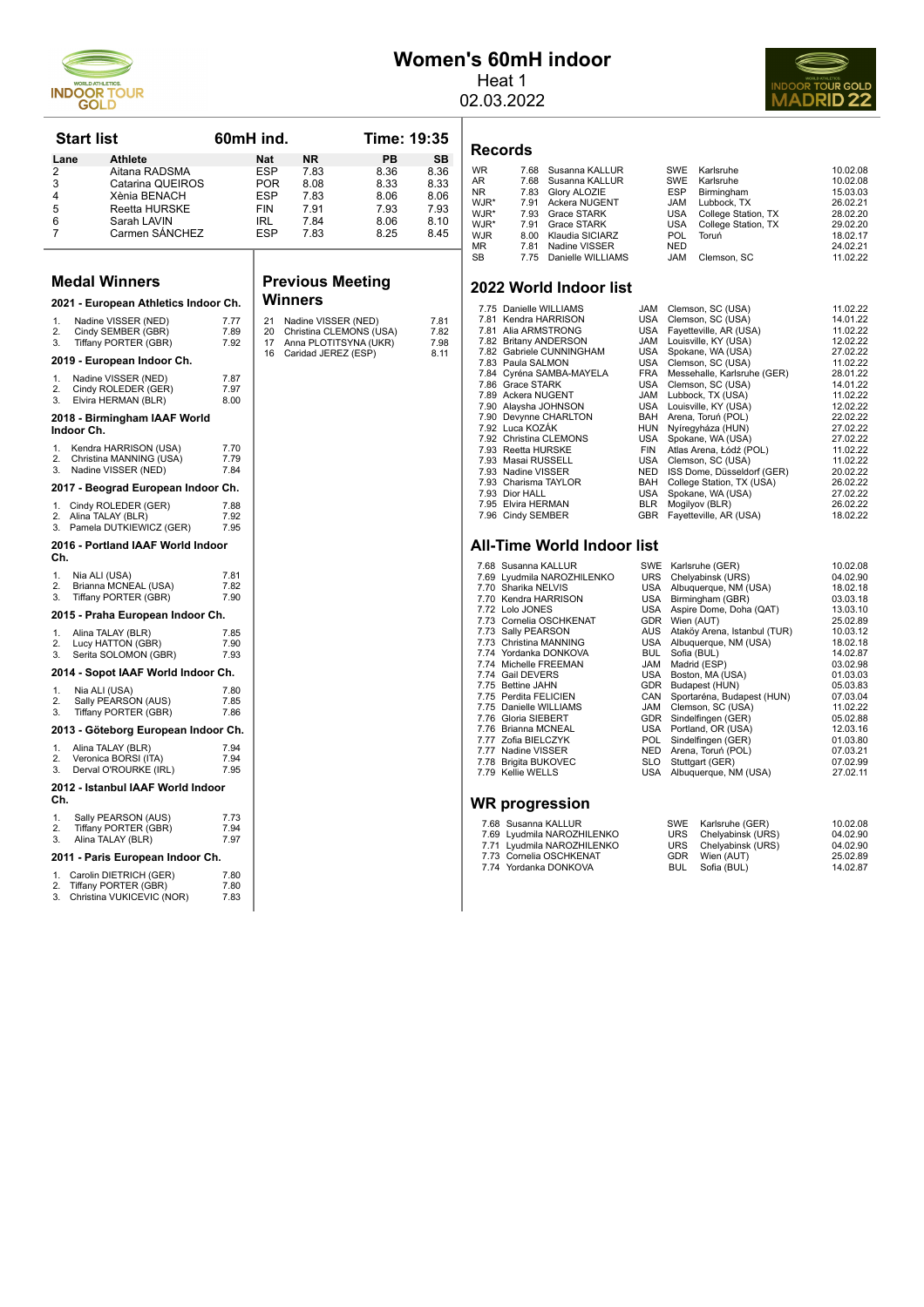

L

# **Women's 60mH indoor**

Heat 1 02.03.2022



|          | <b>Start list</b>                            | 60mH ind.    |            |                                                  | Time: 19:35 |              |                   | Records                         |
|----------|----------------------------------------------|--------------|------------|--------------------------------------------------|-------------|--------------|-------------------|---------------------------------|
| Lane     | <b>Athlete</b>                               |              | Nat        | <b>NR</b>                                        | PB          | SB           |                   |                                 |
| 2        | Aitana RADSMA                                |              | ESP        | 7.83                                             | 8.36        | 8.36         | <b>WR</b>         | 7.6                             |
| 3        | Catarina QUEIROS                             |              | <b>POR</b> | 8.08                                             | 8.33        | 8.33         | AR<br><b>NR</b>   | 7.6<br>7.8                      |
| 4        | Xènia BENACH                                 |              | <b>ESP</b> | 7.83                                             | 8.06        | 8.06         | WJR*              | 7.9                             |
| 5        | <b>Reetta HURSKE</b>                         |              | <b>FIN</b> | 7.91                                             | 7.93        | 7.93         | WJR*              | 7.9                             |
| 6        | Sarah LAVIN                                  |              | IRL        | 7.84                                             | 8.06        | 8.10         | WJR*              | 7.9                             |
| 7        | Carmen SANCHEZ                               |              | <b>ESP</b> | 7.83                                             | 8.25        | 8.45         | <b>WJR</b><br>MR. | 8 <sub>c</sub><br>7.8           |
|          |                                              |              |            |                                                  |             |              | <b>SB</b>         | 7.7                             |
|          | <b>Medal Winners</b>                         |              |            | <b>Previous Meeting</b>                          |             |              |                   |                                 |
|          |                                              |              |            | <b>Winners</b>                                   |             |              |                   | 2022 Wo                         |
|          | 2021 - European Athletics Indoor Ch.         |              |            |                                                  |             |              |                   | 7.75 Daniell                    |
| 1.       | Nadine VISSER (NED)                          | 7.77<br>7.89 | 21<br>20   | Nadine VISSER (NED)                              |             | 7.81<br>7.82 |                   | 7.81 Kendra<br>7.81 Alia AF     |
| 2.<br>3. | Cindy SEMBER (GBR)<br>Tiffany PORTER (GBR)   | 7.92         | 17         | Christina CLEMONS (USA)<br>Anna PLOTITSYNA (UKR) |             | 7.98         |                   | 7.82 Britany                    |
|          |                                              |              | 16         | Caridad JEREZ (ESP)                              |             | 8.11         |                   | 7.82 Gabriel                    |
|          | 2019 - European Indoor Ch.                   |              |            |                                                  |             |              |                   | 7.83 Paula 9                    |
| 1.       | Nadine VISSER (NED)                          | 7.87         |            |                                                  |             |              |                   | 7.84 Cyréna                     |
| 2.       | Cindy ROLEDER (GER)                          | 7.97         |            |                                                  |             |              |                   | 7.86 Grace<br>7.89 Ackera       |
| 3.       | Elvira HERMAN (BLR)                          | 8.00         |            |                                                  |             |              |                   | 7.90 Alaysha                    |
|          | 2018 - Birmingham IAAF World                 |              |            |                                                  |             |              |                   | 7.90 Devynr                     |
|          | Indoor Ch.                                   |              |            |                                                  |             |              |                   | 7.92 Luca K                     |
| 1.       | Kendra HARRISON (USA)                        | 7.70         |            |                                                  |             |              |                   | 7.92 Christin<br>7.93 Reetta    |
| 2.       | Christina MANNING (USA)                      | 7.79         |            |                                                  |             |              |                   | 7.93 Masai I                    |
| 3.       | Nadine VISSER (NED)                          | 7.84         |            |                                                  |             |              |                   | 7.93 Nadine                     |
|          | 2017 - Beograd European Indoor Ch.           |              |            |                                                  |             |              |                   | 7.93 Charisr                    |
|          |                                              |              |            |                                                  |             |              |                   | 7.93 Dior H/                    |
| 1.       | Cindy ROLEDER (GER)                          | 7.88         |            |                                                  |             |              |                   | 7.95 Elvira H                   |
| 2.<br>3. | Alina TALAY (BLR)<br>Pamela DUTKIEWICZ (GER) | 7.92<br>7.95 |            |                                                  |             |              |                   | 7.96 Cindy \$                   |
| Ch.      | 2016 - Portland IAAF World Indoor            |              |            |                                                  |             |              |                   | All-Time                        |
| 1.       | Nia ALI (USA)                                | 7.81         |            |                                                  |             |              |                   | 7.68 Susann                     |
| 2.       | Brianna MCNEAL (USA)                         | 7.82         |            |                                                  |             |              |                   | 7.69 Lyudmil<br>7.70 Sharika    |
| 3.       | Tiffany PORTER (GBR)                         | 7.90         |            |                                                  |             |              |                   | 7.70 Kendra                     |
|          | 2015 - Praha European Indoor Ch.             |              |            |                                                  |             |              |                   | 7.72 Lolo JC                    |
|          |                                              |              |            |                                                  |             |              |                   | 7.73 Cornelia<br>7.73 Sally PI  |
| 1.<br>2. | Alina TALAY (BLR)<br>Lucy HATTON (GBR)       | 7.85<br>7.90 |            |                                                  |             |              |                   | 7.73 Christin                   |
| 3.       | Serita SOLOMON (GBR)                         | 7.93         |            |                                                  |             |              |                   | 7.74 Yordanl                    |
|          |                                              |              |            |                                                  |             |              |                   | 7.74 Michelle                   |
|          | 2014 - Sopot IAAF World Indoor Ch.           |              |            |                                                  |             |              |                   | 7.74 Gail DE                    |
| 1.       | Nia ALI (USA)                                | 7.80         |            |                                                  |             |              |                   | 7.75 Bettine<br>7.75 Perdita    |
| 2.       | Sally PEARSON (AUS)                          | 7.85         |            |                                                  |             |              |                   | 7.75 Danielle                   |
| 3.       | Tiffany PORTER (GBR)                         | 7.86         |            |                                                  |             |              |                   | 7.76 Gloria S                   |
|          | 2013 - Göteborg European Indoor Ch.          |              |            |                                                  |             |              |                   | 7.76 Brianna                    |
| 1.       |                                              | 7.94         |            |                                                  |             |              |                   | 7.77 Zofia Bl                   |
| 2.       | Alina TALAY (BLR)<br>Veronica BORSI (ITA)    | 7.94         |            |                                                  |             |              |                   | 7.77 Nadine                     |
| 3.       | Derval O'ROURKE (IRL)                        | 7.95         |            |                                                  |             |              |                   | 7.78 Brigita I<br>7.79 Kellie V |
|          | 2012 - Istanbul IAAF World Indoor            |              |            |                                                  |             |              |                   |                                 |
| Ch.      |                                              |              |            |                                                  |             |              |                   | <b>WR</b> prog                  |
| 1.       | Sally PEARSON (AUS)                          | 7.73         |            |                                                  |             |              |                   |                                 |
| 2.       | Tiffany PORTER (GBR)                         | 7.94         |            |                                                  |             |              |                   | 7.68 Susan<br>7.69 Lyudm        |
| 3.       | Alina TALAY (BLR)                            | 7.97         |            |                                                  |             |              |                   | 7.71 Lyudm                      |
|          | 2011 - Paris European Indoor Ch.             |              |            |                                                  |             |              |                   | 7.73 Corne                      |
| 1.       | Carolin DIETRICH (GER)                       | 7.80         |            |                                                  |             |              |                   | 7.74 Yordar                     |
| 2.       | Tiffany PORTER (GBR)                         | 7.80         |            |                                                  |             |              |                   |                                 |
| 3.       | Christina VUKICEVIC (NOR)                    | 7.83         |            |                                                  |             |              |                   |                                 |
|          |                                              |              |            |                                                  |             |              |                   |                                 |

| Records |  |                           |     |                         |          |  |  |  |
|---------|--|---------------------------|-----|-------------------------|----------|--|--|--|
| WR      |  | 7.68 Susanna KALLUR       |     | SWE Karlsruhe           | 10.02.08 |  |  |  |
| AR      |  | 7.68 Susanna KALLUR       |     | SWE Karlsruhe           | 10.02.08 |  |  |  |
| NR.     |  | 7.83 Glory ALOZIE         |     | ESP Birmingham          | 15.03.03 |  |  |  |
| WJR*    |  | 7.91 Ackera NUGENT        | JAM | Lubbock. TX             | 26.02.21 |  |  |  |
| $111D*$ |  | $702$ $C_{max}$ $C_{max}$ |     | LIOA Callage Clatics TV | 20.02.20 |  |  |  |

| WJR* | 7.91 Ackera NUGENT     |            | JAM Lubbock, TX         | 26.02.21 |
|------|------------------------|------------|-------------------------|----------|
| WJR* | 7.93 Grace STARK       |            | USA College Station, TX | 28.02.20 |
| WJR* | 7.91 Grace STARK       |            | USA College Station, TX | 29.02.20 |
| WJR  | 8.00 Klaudia SICIARZ   | <b>POL</b> | Toruń                   | 18.02.17 |
| МR   | 7.81 Nadine VISSER     | <b>NED</b> |                         | 24.02.21 |
| SB   | 7.75 Danielle WILLIAMS | JAM        | Clemson, SC             | 11.02.22 |

#### **2022 World Indoor list**

| 7.75 Danielle WILLIAMS   | <b>JAM</b> | Clemson, SC (USA)           | 11.02.22 |
|--------------------------|------------|-----------------------------|----------|
| 7.81 Kendra HARRISON     | USA        | Clemson, SC (USA)           | 14.01.22 |
| 7.81 Alia ARMSTRONG      | USA        | Fayetteville, AR (USA)      | 11.02.22 |
| 7.82 Britany ANDERSON    | JAM        | Louisville, KY (USA)        | 12.02.22 |
| 7.82 Gabriele CUNNINGHAM | USA        | Spokane, WA (USA)           | 27.02.22 |
| 7.83 Paula SALMON        | USA        | Clemson, SC (USA)           | 11.02.22 |
| 7.84 Cyréna SAMBA-MAYELA | FRA        | Messehalle, Karlsruhe (GER) | 28.01.22 |
| 7.86 Grace STARK         | USA        | Clemson, SC (USA)           | 14.01.22 |
| 7.89 Ackera NUGENT       | <b>JAM</b> | Lubbock, TX (USA)           | 11.02.22 |
| 7.90 Alaysha JOHNSON     | USA        | Louisville, KY (USA)        | 12.02.22 |
| 7.90 Devynne CHARLTON    | BAH        | Arena, Toruń (POL)          | 22.02.22 |
| 7.92 Luca KOZÁK          | HUN        | Nyíregyháza (HUN)           | 27.02.22 |
| 7.92 Christina CLEMONS   | USA        | Spokane, WA (USA)           | 27.02.22 |
| 7.93 Reetta HURSKE       | <b>FIN</b> | Atlas Arena, Łódź (POL)     | 11.02.22 |
| 7.93 Masai RUSSELL       | USA        | Clemson, SC (USA)           | 11.02.22 |
| 7.93 Nadine VISSER       | NED        | ISS Dome, Düsseldorf (GER)  | 20.02.22 |
| 7.93 Charisma TAYLOR     | <b>BAH</b> | College Station, TX (USA)   | 26.02.22 |
| 7.93 Dior HALL           | USA        | Spokane, WA (USA)           | 27.02.22 |
| 7.95 Elvira HERMAN       | <b>BLR</b> | Mogilyov (BLR)              | 26.02.22 |
| 7.96 Cindy SEMBER        | <b>GBR</b> | Fayetteville, AR (USA)      | 18.02.22 |

#### **All-Time World Indoor list**

| 7.68 Susanna KALLUR        | SWE        |                    | Karlsruhe (GER)              | 10.02.08 |
|----------------------------|------------|--------------------|------------------------------|----------|
| 7.69 Lyudmila NAROZHILENKO | URS        |                    | Chelyabinsk (URS)            | 04.02.90 |
| 7.70 Sharika NELVIS        | USA        |                    | Albuquerque, NM (USA)        | 18.02.18 |
| 7.70 Kendra HARRISON       | USA        |                    | Birmingham (GBR)             | 03.03.18 |
| 7.72 Lolo JONES            | USA        |                    | Aspire Dome, Doha (QAT)      | 13.03.10 |
| 7.73 Cornelia OSCHKENAT    | GDR        |                    | Wien (AUT)                   | 25.02.89 |
| 7.73 Sally PEARSON         | AUS        |                    | Ataköy Arena, Istanbul (TUR) | 10.03.12 |
| 7.73 Christina MANNING     | USA        |                    | Albuquerque, NM (USA)        | 18.02.18 |
| 7.74 Yordanka DONKOVA      | <b>BUL</b> |                    | Sofia (BUL)                  | 14.02.87 |
| 7.74 Michelle FREEMAN      | JAM        |                    | Madrid (ESP)                 | 03.02.98 |
| 7.74 Gail DEVERS           | USA        |                    | Boston, MA (USA)             | 01.03.03 |
| 7.75 Bettine JAHN          | GDR        |                    | Budapest (HUN)               | 05.03.83 |
| 7.75 Perdita FELICIEN      | CAN        |                    | Sportaréna, Budapest (HUN)   | 07.03.04 |
| 7.75 Danielle WILLIAMS     | JAM        |                    | Clemson, SC (USA)            | 11.02.22 |
| 7.76 Gloria SIEBERT        | GDR        |                    | Sindelfingen (GER)           | 05.02.88 |
| 7.76 Brianna MCNEAL        | USA        | Portland, OR (USA) | 12.03.16                     |          |
| 7.77 Zofia BIELCZYK        | <b>POL</b> |                    | Sindelfingen (GER)           | 01.03.80 |
| 7.77 Nadine VISSER         |            |                    | NED Arena, Toruń (POL)       | 07.03.21 |
| 7.78 Brigita BUKOVEC       | <b>SLO</b> |                    | Stuttgart (GER)              | 07.02.99 |
| 7.79 Kellie WELLS          | USA        |                    | Albuquerque, NM (USA)        | 27.02.11 |
| WR progression             |            |                    |                              |          |
| 7.68 Susanna KALLUR        |            | SWE                | Karlsruhe (GER)              | 10.02.08 |
| 7.69 Lyudmila NAROZHILENKO |            | <b>URS</b>         | Chelyabinsk (URS)            | 04.02.90 |
| 7.71 Lyudmila NAROZHILENKO |            | <b>URS</b>         | Chelyabinsk (URS)            | 04.02.90 |
| 7.73 Cornelia OSCHKENAT    |            | <b>GDR</b>         | Wien (AUT)                   | 25.02.89 |
| 7.74 Yordanka DONKOVA      |            | <b>BUL</b>         |                              |          |
|                            |            |                    | Sofia (BUL)                  | 14.02.87 |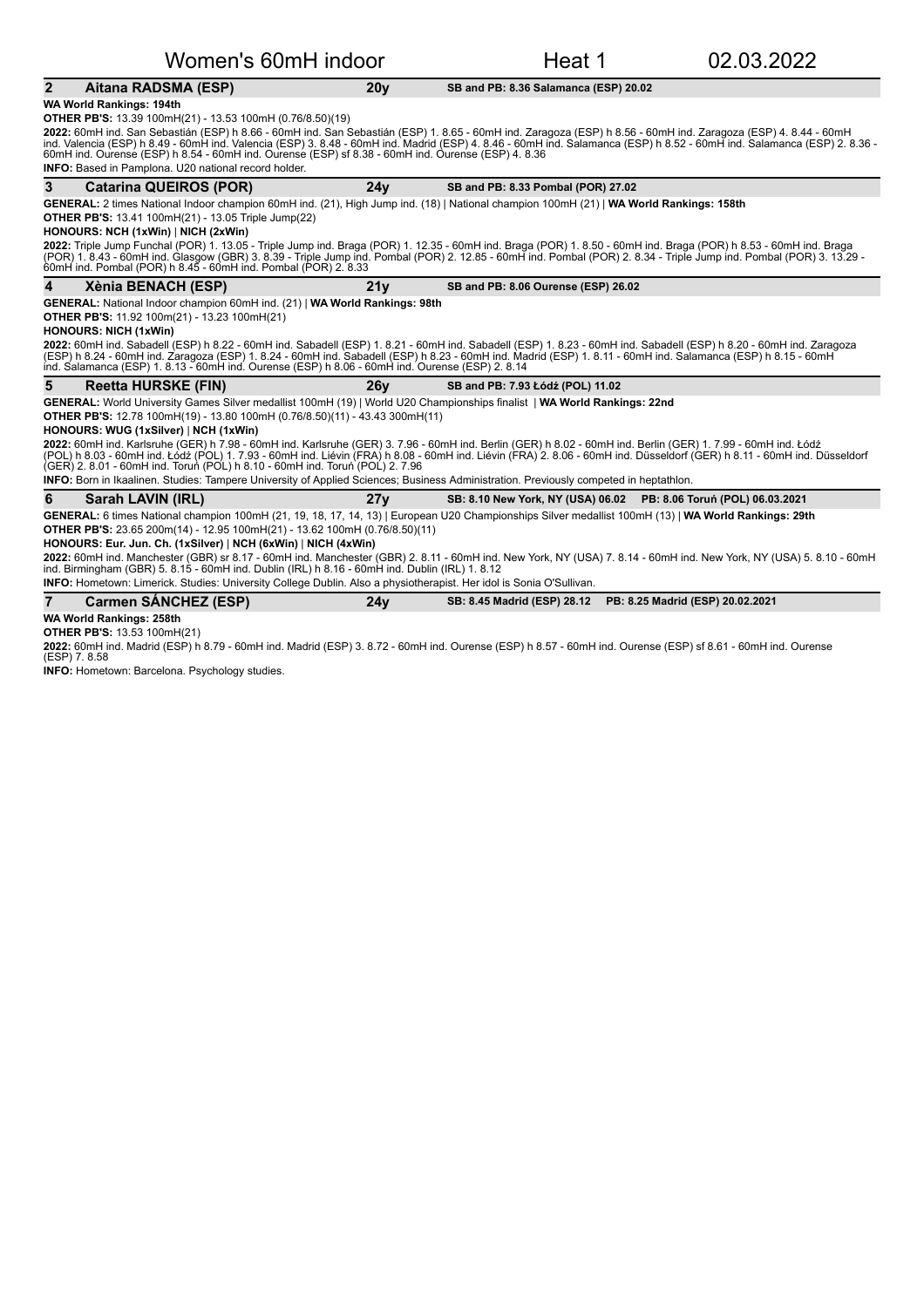#### Women's 60mH indoor Theat 1 02.03.2022 **2** Aitana RADSMA (ESP) 20y SB and PB: 8.36 Salamanca (ESP) 20.02 **WA World Rankings: 194th OTHER PB'S:** 13.39 100mH(21) - 13.53 100mH (0.76/8.50)(19) **2022:** 60mH ind. San Sebastián (ESP) h 8.66 - 60mH ind. San Sebastián (ESP) 1. 8.65 - 60mH ind. Zaragoza (ESP) h 8.56 - 60mH ind. Zaragoza (ESP) 4. 8.44 - 60mH<br>ind. Valencia (ESP) h 8.49 - 60mH ind. Valencia (ESP) 3. 8.48 **INFO:** Based in Pamplona. U20 national record holder. **3** Catarina QUEIROS (POR) 27.02 24y SB and PB: 8.33 Pombal (POR) 27.02 GENERAL: 2 times National Indoor champion 60mH ind. (21), High Jump ind. (18) | National champion 100mH (21) | WA World Rankings: 158th **OTHER PB'S:** 13.41 100mH(21) - 13.05 Triple Jump(22) **HONOURS: NCH (1xWin)** | NICH (2xWin) **2022:** Triple Jump Funchal (POR) 1. 13.05 - Triple Jump ind. Braga (POR) 1. 12.35 - 60mH ind. Braga (POR) h 8.51 - 10mH ind. Braga (POR) h 8.53 - 60mH ind. Braga<br>(POR) 1. 8.43 - 60mH ind. Glasgow (GBR) 3. 8.39 - Triple Ju **4** Xènia BENACH (ESP) 26.02 21y SB and PB: 8.06 Ourense (ESP) 26.02 GENERAL: National Indoor champion 60mH ind. (21) | WA World Rankings: 98th **OTHER PB'S:** 11.92 100m(21) - 13.23 100mH(21) **HONOURS: NICH (1xWin) 2022:** 60mH ind. Sabadell (ESP) h 8.22 - 60mH ind. Sabadell (ESP) 1. 8.21 - 60mH ind. Sabadell (ESP) 1. 8.23 - 60mH ind. Sabadell (ESP) h 8.20 - 60mH ind. Zaragoza<br>(ESP) h 8.24 - 60mH ind. Zaragoza (ESP) 1. 8.24 - 60mH in **5** Reetta HURSKE (FIN) 26y SB and PB: 7.93 Łódź (POL) 11.02 GENERAL: World University Games Silver medallist 100mH (19) | World U20 Championships finalist | WA World Rankings: 22nd **OTHER PB'S:** 12.78 100mH(19) - 13.80 100mH (0.76/8.50)(11) - 43.43 300mH(11) **HONOURS: WUG (1xSilver) | NCH (1xWin)** 2022: 60mH ind. Karlsruhe (GER) h 7.98 - 60mH ind. Karlsruhe (GER) 3. 7.96 - 60mH ind. Berlin (GER) h 8.02 - 60mH ind. Berlin (GER) 1. 7.99 - 60mH ind. Łódź (POL) h 8.03 - 60mH ind. Łódź (POL) 1. 7.93 - 60mH ind. Liévin (FRA) h 8.08 - 60mH ind. Liévin (FRA) 2. 8.06 - 60mH ind. Düsseldorf (GER) h 8.11 - 60mH ind. Düsseldorf<br>(GER) 2. 8.01 - 60mH ind. Toruń (POL) h 8.10 - 60mH in **INFO:** Born in Ikaalinen. Studies: Tampere University of Applied Sciences; Business Administration. Previously competed in heptathlon **6 Sarah LAVIN (IRL)** 27y SB: 8.10 New York, NY (USA) 06.02 PB: 8.06 Toruń (POL) 06.03.2021 GENERAL: 6 times National champion 100mH (21, 19, 18, 17, 14, 13) | European U20 Championships Silver medallist 100mH (13) | WA World Rankings: 29th **OTHER PB'S:** 23.65 200m(14) - 12.95 100mH(21) - 13.62 100mH (0.76/8.50)(11) **HONOURS: Eur. Jun. Ch. (1xSilver) | NCH (6xWin) | NICH (4xWin) 2022:** 60mH ind. Manchester (GBR) sr 8.17 - 60mH ind. Manchester (GBR) 2. 8.11 - 60mH ind. New York, NY (USA) 7. 8.14 - 60mH ind. New York, NY (USA) 5. 8.10 - 60mH<br>ind. Birmingham (GBR) 5. 8.15 - 60mH ind. Dublin (IRL) h **INFO:** Hometown: Limerick. Studies: University College Dublin. Also a physiotherapist. Her idol is Sonia O'Sullivan **7** Carmen SÁNCHEZ (ESP) 24y SB: 8.45 Madrid (ESP) 28.12 PB: 8.25 Madrid (ESP) 20.02.2021 **WA World Rankings: 258th OTHER PB'S: 13.53 100mH(21)**

**2022:** 60mH ind. Madrid (ESP) h 8.79 - 60mH ind. Madrid (ESP) 3. 8.72 - 60mH ind. Ourense (ESP) h 8.57 - 60mH ind. Ourense (ESP) sf 8.61 - 60mH ind. Ourense<br>(ESP) 7. 8.58

**INFO:** Hometown: Barcelona. Psychology studies.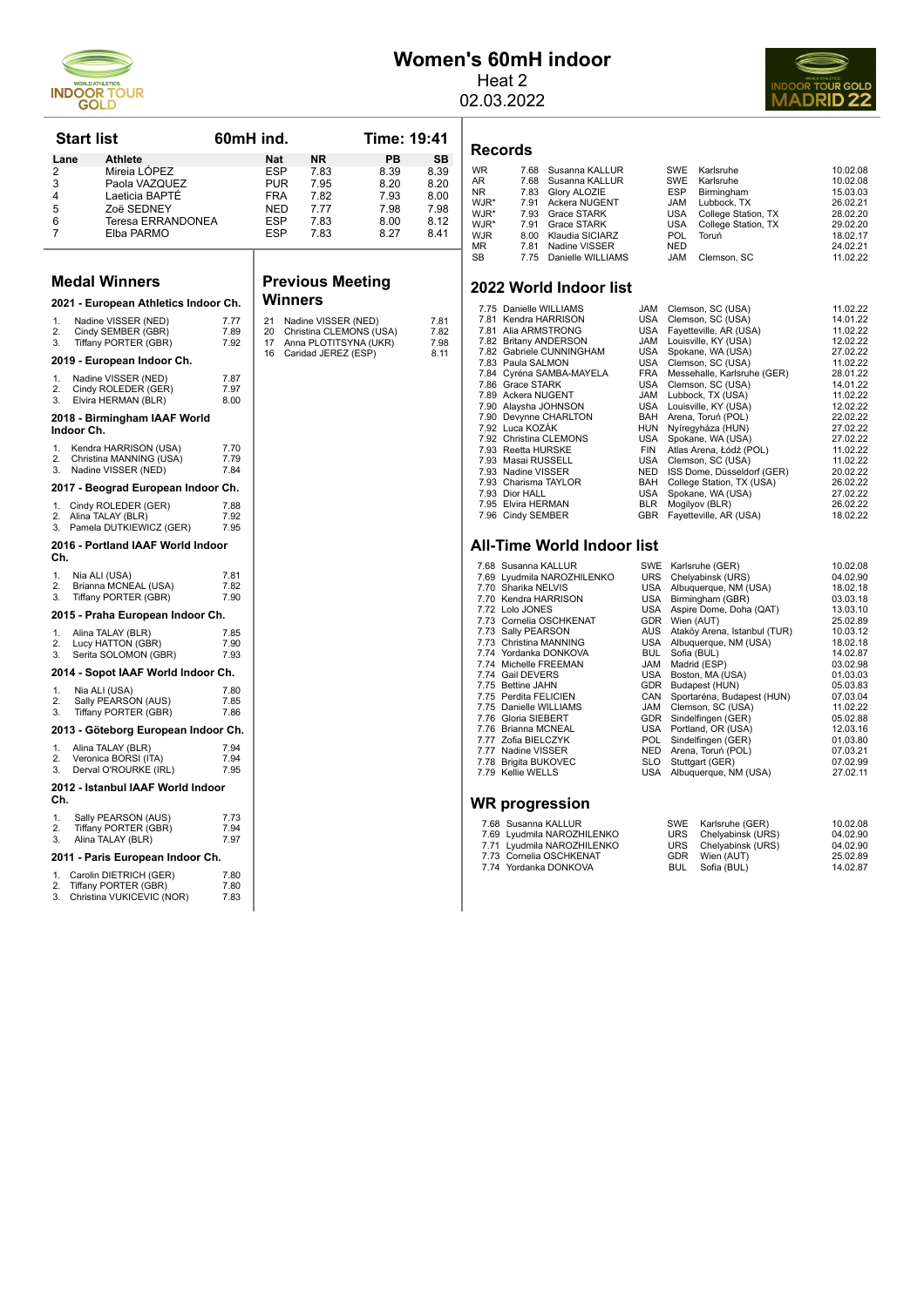

# **Women's 60mH indoor**

Heat 2 02.03.2022



| <b>Start list</b> |                                               | 60mH ind.    |            |                                              | Time: 19:41 |              |
|-------------------|-----------------------------------------------|--------------|------------|----------------------------------------------|-------------|--------------|
| Lane              | <b>Athlete</b>                                |              | <b>Nat</b> | <b>NR</b>                                    | <b>PB</b>   | <b>SB</b>    |
| 2                 | Mireia LÓPEZ                                  |              | ESP        | 7.83                                         | 8.39        | 8.39         |
| 3                 | Paola VAZQUEZ                                 |              | PUR        | 7.95                                         | 8.20        | 8.20         |
| 4                 | Laeticia BAPTÉ                                |              | <b>FRA</b> | 7.82                                         | 7.93        | 8.00         |
| 5                 | Zoë SEDNEY                                    |              | NED        | 7.77                                         | 7.98        | 7.98         |
| 6                 | Teresa ERRANDONEA                             |              | <b>ESP</b> | 7.83                                         | 8.00        | 8.12         |
| 7                 | Elba PARMO                                    |              | <b>ESP</b> | 7.83                                         | 8.27        | 8.41         |
|                   |                                               |              |            |                                              |             |              |
|                   |                                               |              |            |                                              |             |              |
|                   | <b>Medal Winners</b>                          |              | Winners    | <b>Previous Meeting</b>                      |             |              |
|                   | 2021 - European Athletics Indoor Ch.          |              |            |                                              |             |              |
| 1.                | Nadine VISSER (NED)                           | 7.77         | 21         | Nadine VISSER (NED)                          |             | 7.81         |
| 2.<br>3.          | Cindy SEMBER (GBR)                            | 7.89<br>7.92 | 20<br>17   | Christina CLEMONS (USA)                      |             | 7.82         |
|                   | Tiffany PORTER (GBR)                          |              | 16         | Anna PLOTITSYNA (UKR)<br>Caridad JEREZ (ESP) |             | 7.98<br>8.11 |
|                   | 2019 - European Indoor Ch.                    |              |            |                                              |             |              |
| 1.                | Nadine VISSER (NED)                           | 7.87         |            |                                              |             |              |
| 2.                | Cindy ROLEDER (GER)                           | 7.97         |            |                                              |             |              |
| 3.                | Elvira HERMAN (BLR)                           | 8.00         |            |                                              |             |              |
| Indoor Ch.        | 2018 - Birmingham IAAF World                  |              |            |                                              |             |              |
| 1.                | Kendra HARRISON (USA)                         | 7.70         |            |                                              |             |              |
| 2.                | Christina MANNING (USA)                       | 7.79         |            |                                              |             |              |
| 3                 | Nadine VISSER (NED)                           | 7.84         |            |                                              |             |              |
|                   | 2017 - Beograd European Indoor Ch.            |              |            |                                              |             |              |
| 1.                | Cindy ROLEDER (GER)                           | 7.88         |            |                                              |             |              |
| 2.                | Alina TALAY (BLR)                             | 7.92         |            |                                              |             |              |
| 3.                | Pamela DUTKIEWICZ (GER)                       | 7.95         |            |                                              |             |              |
| Ch.               | 2016 - Portland IAAF World Indoor             |              |            |                                              |             |              |
| 1.                | Nia ALI (USA)                                 | 7.81         |            |                                              |             |              |
| 2.                | Brianna MCNEAL (USA)                          | 7.82         |            |                                              |             |              |
| 3.                | Tiffany PORTER (GBR)                          | 7.90         |            |                                              |             |              |
|                   | 2015 - Praha European Indoor Ch.              |              |            |                                              |             |              |
| 1.                | Alina TALAY (BLR)                             | 7.85         |            |                                              |             |              |
| 2.                | Lucy HATTON (GBR)                             | 7.90         |            |                                              |             |              |
| 3.                | Serita SOLOMON (GBR)                          | 7.93         |            |                                              |             |              |
|                   | 2014 - Sopot IAAF World Indoor Ch.            |              |            |                                              |             |              |
| 1.                | Nia ALI (USA)                                 | 7.80         |            |                                              |             |              |
| 2.                | Sally PEARSON (AUS)                           | 7.85         |            |                                              |             |              |
| 3.                | Tiffany PORTER (GBR)                          | 7.86         |            |                                              |             |              |
|                   | 2013 - Göteborg European Indoor Ch.           |              |            |                                              |             |              |
| 1.                | Alina TALAY (BLR)                             | 7.94         |            |                                              |             |              |
| 2.<br>3.          | Veronica BORSI (ITA)<br>Derval O'ROURKE (IRL) | 7.94<br>7.95 |            |                                              |             |              |
| Ch.               | 2012 - Istanbul IAAF World Indoor             |              |            |                                              |             |              |
| 1.                | Sally PEARSON (AUS)                           | 7.73         |            |                                              |             |              |
| 2.                | Tiffany PORTER (GBR)                          | 7.94         |            |                                              |             |              |
| 3.                | Alina TALAY (BLR)                             | 7.97         |            |                                              |             |              |
|                   | 2011 - Paris European Indoor Ch.              |              |            |                                              |             |              |
| 1.                | Carolin DIETRICH (GER)                        | 7.80         |            |                                              |             |              |
| 2.                | Tiffany PORTER (GBR)                          | 7.80         |            |                                              |             |              |
| 3.                | Christina VUKICEVIC (NOR)                     | 7.83         |            |                                              |             |              |

# 2. Tiffany PORTER (GBR) 7.80<br>3. Christina VUKICEVIC (NOR) 7.83

# **Records**

| <b>WR</b> | 7.68 | Susanna KALLUR         |            | SWE Karlsruhe       | 10.02.08 |
|-----------|------|------------------------|------------|---------------------|----------|
| AR        |      | 7.68 Susanna KALLUR    |            | SWE Karlsruhe       | 10.02.08 |
| NR.       |      | 7.83 Glory ALOZIE      | ESP        | Birmingham          | 15.03.03 |
| WJR*      |      | 7.91 Ackera NUGENT     |            | JAM Lubbock, TX     | 26.02.21 |
| WJR*      |      | 7.93 Grace STARK       | USA        | College Station, TX | 28.02.20 |
| WJR*      |      | 7.91 Grace STARK       | USA        | College Station, TX | 29.02.20 |
| WJR       |      | 8.00 Klaudia SICIARZ   | <b>POL</b> | Toruń               | 18.02.17 |
| ΜR        |      | 7.81 Nadine VISSER     | NED        |                     | 24.02.21 |
| SB        |      | 7.75 Danielle WILLIAMS | <b>JAM</b> | Clemson, SC         | 11.02.22 |

#### **2022 World Indoor list**

| 7.75 Danielle WILLIAMS   | <b>JAM</b> | Clemson, SC (USA)           | 11.02.22 |
|--------------------------|------------|-----------------------------|----------|
| 7.81 Kendra HARRISON     | USA        | Clemson, SC (USA)           | 14.01.22 |
| 7.81 Alia ARMSTRONG      | USA        | Fayetteville, AR (USA)      | 11.02.22 |
| 7.82 Britany ANDERSON    | JAM        | Louisville, KY (USA)        | 12.02.22 |
| 7.82 Gabriele CUNNINGHAM | USA        | Spokane, WA (USA)           | 27.02.22 |
| 7.83 Paula SALMON        | USA        | Clemson, SC (USA)           | 11.02.22 |
| 7.84 Cyréna SAMBA-MAYELA | FRA        | Messehalle, Karlsruhe (GER) | 28.01.22 |
| 7.86 Grace STARK         | USA        | Clemson, SC (USA)           | 14.01.22 |
| 7.89 Ackera NUGENT       | <b>JAM</b> | Lubbock, TX (USA)           | 11.02.22 |
| 7.90 Alaysha JOHNSON     | USA        | Louisville, KY (USA)        | 12.02.22 |
| 7.90 Devynne CHARLTON    | <b>BAH</b> | Arena, Toruń (POL)          | 22.02.22 |
| 7.92 Luca KOZÁK          | <b>HUN</b> | Nyíregyháza (HUN)           | 27.02.22 |
| 7.92 Christina CLEMONS   | USA        | Spokane, WA (USA)           | 27.02.22 |
| 7.93 Reetta HURSKE       | <b>FIN</b> | Atlas Arena, Łódź (POL)     | 11.02.22 |
| 7.93 Masai RUSSELL       | USA        | Clemson, SC (USA)           | 11.02.22 |
| 7.93 Nadine VISSER       | <b>NED</b> | ISS Dome, Düsseldorf (GER)  | 20.02.22 |
| 7.93 Charisma TAYLOR     | <b>BAH</b> | College Station, TX (USA)   | 26.02.22 |
| 7.93 Dior HALL           | <b>USA</b> | Spokane, WA (USA)           | 27.02.22 |
| 7.95 Elvira HERMAN       | <b>BLR</b> | Mogilyov (BLR)              | 26.02.22 |
| 7.96 Cindy SEMBER        | <b>GBR</b> | Fayetteville, AR (USA)      | 18.02.22 |

#### **All-Time World Indoor list**

| 7.68 Susanna KALLUR           | SWE        |            | Karlsruhe (GER)              | 10.02.08 |
|-------------------------------|------------|------------|------------------------------|----------|
| 7.69 Lyudmila NAROZHILENKO    | URS        |            | Chelyabinsk (URS)            | 04.02.90 |
| 7.70 Sharika NELVIS           | USA        |            | Albuquerque, NM (USA)        | 18.02.18 |
| 7.70 Kendra HARRISON          | USA        |            | Birmingham (GBR)             | 03.03.18 |
| 7.72 Lolo JONES               | <b>USA</b> |            | Aspire Dome, Doha (QAT)      | 13.03.10 |
| 7.73 Cornelia OSCHKENAT       | GDR        |            | Wien (AUT)                   | 25.02.89 |
| 7.73 Sally PEARSON            | <b>AUS</b> |            | Ataköy Arena, Istanbul (TUR) | 10.03.12 |
| 7.73 Christina MANNING        | USA        |            | Albuquerque, NM (USA)        | 18.02.18 |
| 7.74 Yordanka DONKOVA         | <b>BUL</b> |            | Sofia (BUL)                  | 14.02.87 |
| 7.74 Michelle FREEMAN         | JAM        |            | Madrid (ESP)                 | 03.02.98 |
| 7.74 Gail DEVERS              | USA        |            | Boston, MA (USA)             | 01.03.03 |
| 7.75 Bettine JAHN             | GDR        |            | Budapest (HUN)               | 05.03.83 |
| 7.75 Perdita FELICIEN         | CAN        |            | Sportaréna, Budapest (HUN)   | 07.03.04 |
| 7.75 Danielle WILLIAMS        | JAM        |            | Clemson, SC (USA)            | 11.02.22 |
| 7.76 Gloria SIEBERT           | GDR        |            | Sindelfingen (GER)           | 05.02.88 |
| 7.76 Brianna MCNEAL           | USA        |            | Portland, OR (USA)           | 12.03.16 |
| 7.77 Zofia BIELCZYK           | POL        |            | Sindelfingen (GER)           | 01.03.80 |
| 7.77 Nadine VISSER            | NED        |            | Arena, Toruń (POL)           | 07.03.21 |
| 7.78 Brigita BUKOVEC          | SLO        |            | Stuttgart (GER)              | 07.02.99 |
| 7.79 Kellie WELLS             | USA        |            | Albuquerque, NM (USA)        | 27.02.11 |
|                               |            |            |                              |          |
| WR progression                |            |            |                              |          |
| 7.68 Susanna KALLUR           |            | SWE        | Karlsruhe (GER)              | 10.02.08 |
| 7.69 Lyudmila NAROZHILENKO    |            | URS        | Chelyabinsk (URS)            | 04.02.90 |
| 7.71 Lyudmila NAROZHILENKO    |            | <b>URS</b> | Chelyabinsk (URS)            | 04.02.90 |
| <b>7.79 Comelia OCOUVENAT</b> |            | $\cap$     | $ML = (ALIT)$                | OF 00.00 |

7.73 Cornelia OSCHKENAT GDR Wien (AUT) 25.02.89 7.74 Yordanka DONKOVA BUL Sofia (BUL) 14.02.87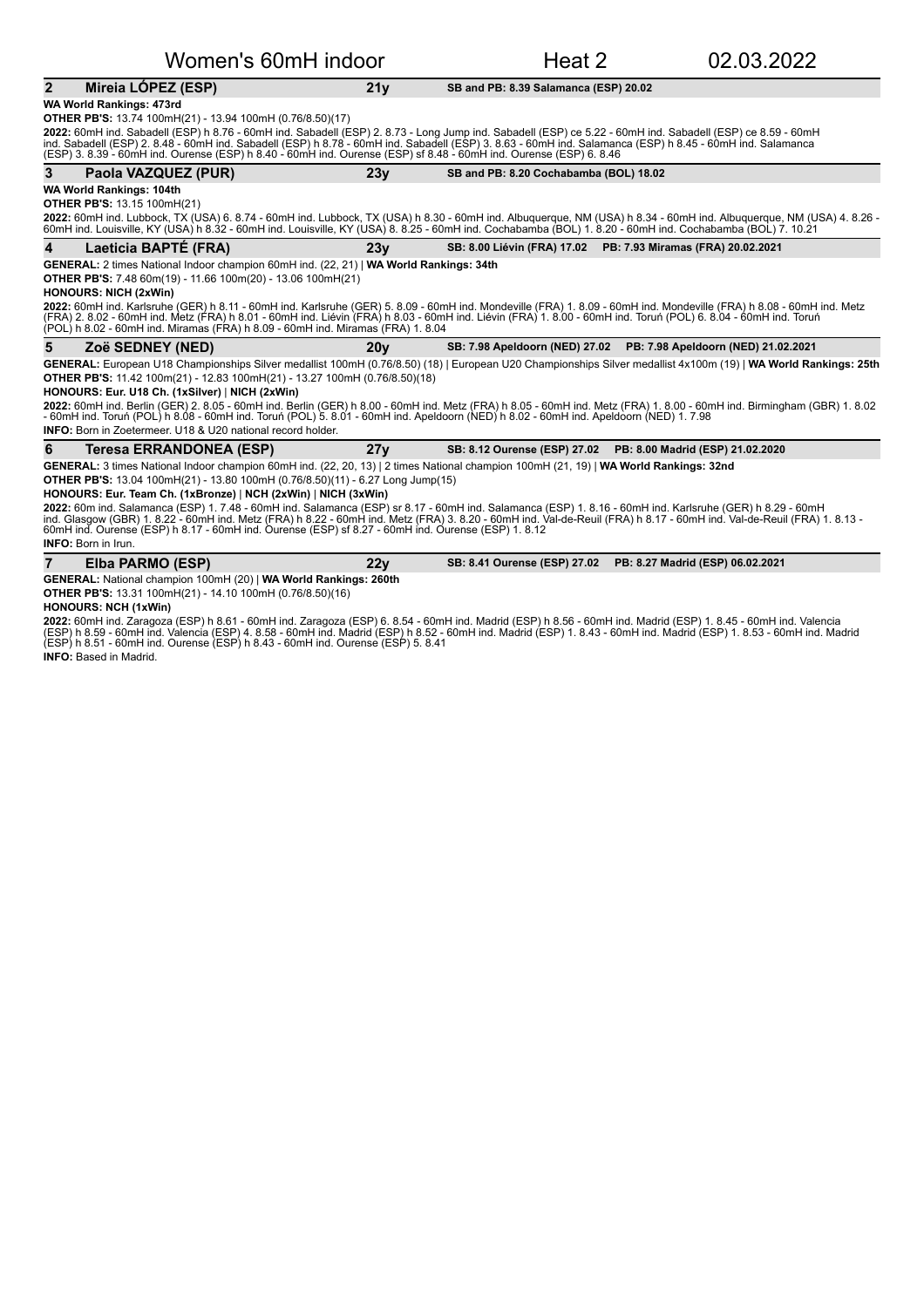| Women's 60mH indoor                                                                                                                                                                                                                                                                                                                                                                                                                           |                 | Heat 2                                 | 02.03.2022                                                          |
|-----------------------------------------------------------------------------------------------------------------------------------------------------------------------------------------------------------------------------------------------------------------------------------------------------------------------------------------------------------------------------------------------------------------------------------------------|-----------------|----------------------------------------|---------------------------------------------------------------------|
| $\overline{2}$<br>Mireia LÓPEZ (ESP)                                                                                                                                                                                                                                                                                                                                                                                                          | 21 <sub>V</sub> | SB and PB: 8.39 Salamanca (ESP) 20.02  |                                                                     |
| WA World Rankings: 473rd<br><b>OTHER PB'S:</b> 13.74 100mH(21) - 13.94 100mH (0.76/8.50)(17)                                                                                                                                                                                                                                                                                                                                                  |                 |                                        |                                                                     |
| 2022: 60mH ind. Sabadell (ESP) h 8.76 - 60mH ind. Sabadell (ESP) 2. 8.73 - Long Jump ind. Sabadell (ESP) ce 5.22 - 60mH ind. Sabadell (ESP) ce 8.59 - 60mH<br>ind. Sabadell (ESP) 2. 8.48 - 60mH ind. Sabadell (ESP) h 8.78 - 60mH ind. Sabadell (ESP) 3. 8.63 - 60mH ind. Salamanca (ESP) h 8.45 - 60mH ind. Salamanca<br>(ESP) 3. 8.39 - 60mH ind. Ourense (ESP) h 8.40 - 60mH ind. Ourense (ESP) sf 8.48 - 60mH ind. Ourense (ESP) 6. 8.46 |                 |                                        |                                                                     |
| 3<br>Paola VAZQUEZ (PUR)                                                                                                                                                                                                                                                                                                                                                                                                                      | 23y             | SB and PB: 8.20 Cochabamba (BOL) 18.02 |                                                                     |
| <b>WA World Rankings: 104th</b>                                                                                                                                                                                                                                                                                                                                                                                                               |                 |                                        |                                                                     |
| <b>OTHER PB'S: 13.15 100mH(21)</b>                                                                                                                                                                                                                                                                                                                                                                                                            |                 |                                        |                                                                     |
| 2022: 60mH ind. Lubbock, TX (USA) 6. 8.74 - 60mH ind. Lubbock, TX (USA) h 8.30 - 60mH ind. Albuquerque, NM (USA) h 8.34 - 60mH ind. Albuquerque, NM (USA) 4. 8.26 -<br>60mH ind. Louisville, KY (USA) h 8.32 - 60mH ind. Louisville, KY (USA) 8.8.25 - 60mH ind. Cochabamba (BOL) 1.8.20 - 60mH ind. Cochabamba (BOL) 7. 10.21                                                                                                                |                 |                                        |                                                                     |
| Laeticia BAPTÉ (FRA)<br>4                                                                                                                                                                                                                                                                                                                                                                                                                     | 23v             |                                        | SB: 8.00 Liévin (FRA) 17.02 PB: 7.93 Miramas (FRA) 20.02.2021       |
| GENERAL: 2 times National Indoor champion 60mH ind. (22, 21)   WA World Rankings: 34th                                                                                                                                                                                                                                                                                                                                                        |                 |                                        |                                                                     |
| <b>OTHER PB'S:</b> 7.48 60m(19) - 11.66 100m(20) - 13.06 100mH(21)                                                                                                                                                                                                                                                                                                                                                                            |                 |                                        |                                                                     |
| <b>HONOURS: NICH (2xWin)</b>                                                                                                                                                                                                                                                                                                                                                                                                                  |                 |                                        |                                                                     |
| 2022: 60mH ind. Karlsruhe (GER) h 8.11 - 60mH ind. Karlsruhe (GER) 5. 8.09 - 60mH ind. Mondeville (FRA) 1. 8.09 - 60mH ind. Mondeville (FRA) h 8.08 - 60mH ind. Metz<br>(FRA) 2. 8.02 - 60mH ind. Metz (FRA) h 8.01 - 60mH ind. Liévin (FRA) h 8.03 - 60mH ind. Liévin (FRA) 1. 8.00 - 60mH ind. Toruń (POL) 6. 8.04 - 60mH ind. Toruń                                                                                                        |                 |                                        |                                                                     |
| (POL) h 8.02 - 60mH ind. Miramas (FRA) h 8.09 - 60mH ind. Miramas (FRA) 1.8.04                                                                                                                                                                                                                                                                                                                                                                |                 |                                        |                                                                     |
| 5<br>Zoë SEDNEY (NED)                                                                                                                                                                                                                                                                                                                                                                                                                         | 20v             |                                        | SB: 7.98 Apeldoorn (NED) 27.02  PB: 7.98 Apeldoorn (NED) 21.02.2021 |
| GENERAL: European U18 Championships Silver medallist 100mH (0.76/8.50) (18)   European U20 Championships Silver medallist 4x100m (19)   WA World Rankings: 25th                                                                                                                                                                                                                                                                               |                 |                                        |                                                                     |
| OTHER PB'S: 11.42 100m(21) - 12.83 100mH(21) - 13.27 100mH (0.76/8.50)(18)                                                                                                                                                                                                                                                                                                                                                                    |                 |                                        |                                                                     |
| HONOURS: Eur. U18 Ch. (1xSilver)   NICH (2xWin)                                                                                                                                                                                                                                                                                                                                                                                               |                 |                                        |                                                                     |
| 2022: 60mH ind. Berlin (GER) 2. 8.05 - 60mH ind. Berlin (GER) h 8.00 - 60mH ind. Metz (FRA) h 8.05 - 60mH ind. Metz (FRA) 1. 8.00 - 60mH ind. Birmingham (GBR) 1. 8.02<br>- 60mH ind. Toruń (POL) h 8.08 - 60mH ind. Toruń (POL) 5. 8.01 - 60mH ind. Apeldoorn (NED) h 8.02 - 60mH ind. Apeldoorn (NED) 1. 7.98                                                                                                                               |                 |                                        |                                                                     |
| <b>INFO:</b> Born in Zoetermeer, U18 & U20 national record holder.                                                                                                                                                                                                                                                                                                                                                                            |                 |                                        |                                                                     |
|                                                                                                                                                                                                                                                                                                                                                                                                                                               |                 |                                        | SB: 8.12 Ourense (ESP) 27.02 PB: 8.00 Madrid (ESP) 21.02.2020       |
| 6<br>Teresa ERRANDONEA (ESP)                                                                                                                                                                                                                                                                                                                                                                                                                  | 27y             |                                        |                                                                     |
| GENERAL: 3 times National Indoor champion 60mH ind. (22, 20, 13)   2 times National champion 100mH (21, 19)   WA World Rankings: 32nd                                                                                                                                                                                                                                                                                                         |                 |                                        |                                                                     |
| <b>OTHER PB'S:</b> 13.04 100mH(21) - 13.80 100mH (0.76/8.50)(11) - 6.27 Long Jump(15)                                                                                                                                                                                                                                                                                                                                                         |                 |                                        |                                                                     |
| HONOURS: Eur. Team Ch. (1xBronze)   NCH (2xWin)   NICH (3xWin)<br>2022: 60m ind. Salamanca (ESP) 1. 7.48 - 60mH ind. Salamanca (ESP) sr 8.17 - 60mH ind. Salamanca (ESP) 1. 8.16 - 60mH ind. Karlsruhe (GER) h 8.29 - 60mH                                                                                                                                                                                                                    |                 |                                        |                                                                     |
| ind. Glasgow (GBR) 1. 8.22 - 60mH ind. Metz (FRA) h 8.22 - 60mH ind. Metz (FRA) 3. 8.20 - 60mH ind. Val-de-Reuil (FRA) h 8.17 - 60mH ind. Val-de-Reuil (FRA) 1. 8.13 -<br>60mH ind. Ourense (ESP) h 8.17 - 60mH ind. Ourense (ESP) sf 8.27 - 60mH ind. Ourense (ESP) 1.8.12                                                                                                                                                                   |                 |                                        |                                                                     |
| <b>INFO:</b> Born in Irun.                                                                                                                                                                                                                                                                                                                                                                                                                    |                 |                                        |                                                                     |
| $\overline{7}$<br>Elba PARMO (ESP)                                                                                                                                                                                                                                                                                                                                                                                                            | 22 <sub>V</sub> | SB: 8.41 Ourense (ESP) 27.02           | PB: 8.27 Madrid (ESP) 06.02.2021                                    |
| GENERAL: National champion 100mH (20)   WA World Rankings: 260th<br>OTHER PB'S: 13.31 100mH(21) - 14.10 100mH (0.76/8.50)(16)                                                                                                                                                                                                                                                                                                                 |                 |                                        |                                                                     |

#### **HONOURS: NCH (1xWin)**

**2022:** 60mH ind. Zaragoza (ESP) h 8.61 - 60mH ind. Zaragoza (ESP) 6. 8.54 - 60mH ind. Madrid (ESP) h 8.56 - 60mH ind. Aalencia (ESP) 1. 8.45 - 60mH ind. Valencia<br>(ESP) h 8.59 - 60mH ind. Valencia (ESP) 4. 8.58 - 60mH ind. **INFO:** Based in Madrid.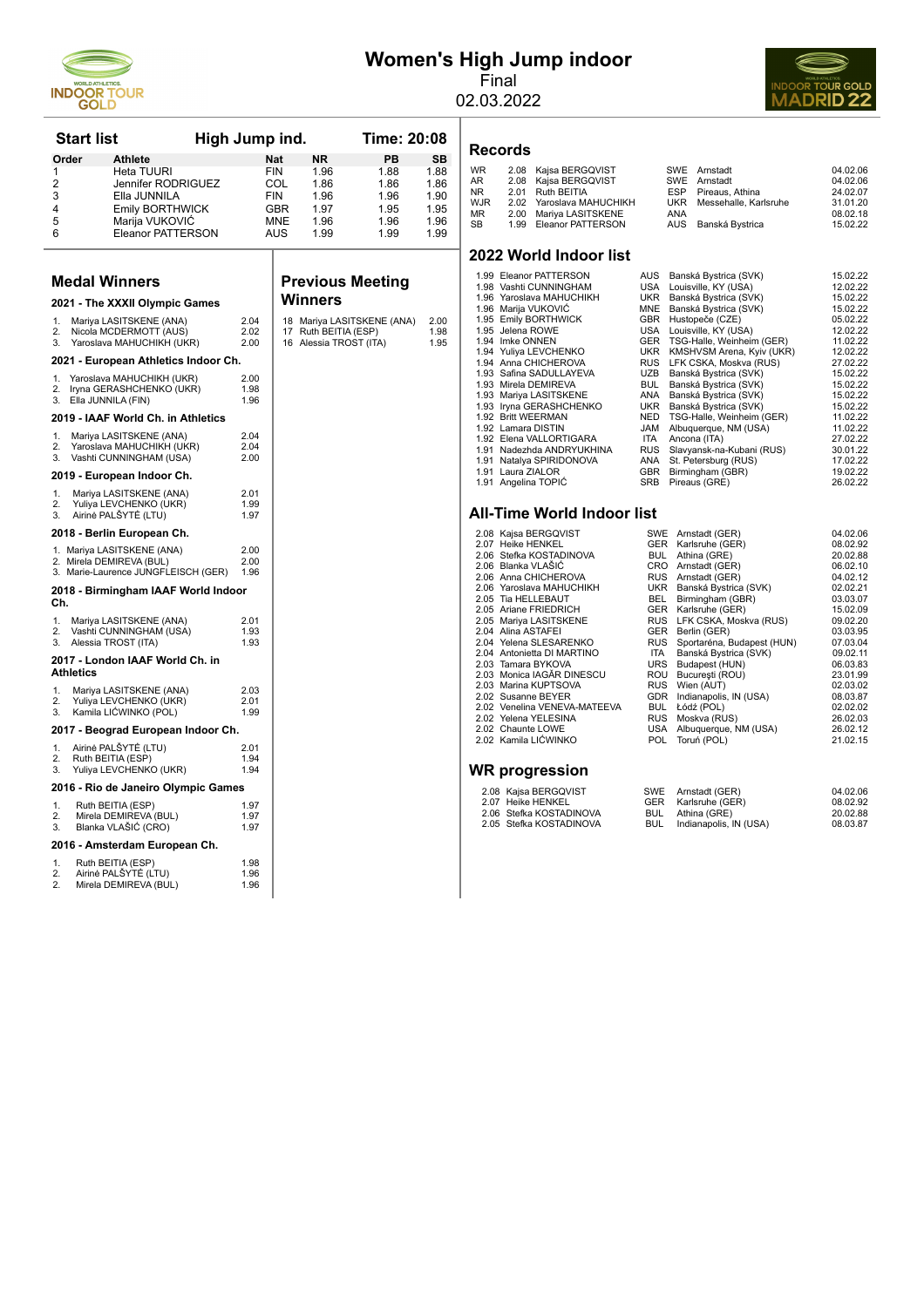

# **Women's High Jump indoor**

Final 02.03.2022



| <b>Start list</b>    |                                                                 | High Jump ind. |              |            |                        | Time: 20:08                |              |
|----------------------|-----------------------------------------------------------------|----------------|--------------|------------|------------------------|----------------------------|--------------|
| Order                | Athlete                                                         |                |              | Nat        | ΝR                     | PВ                         | SB           |
| 1                    | Heta TUURI                                                      |                |              | <b>FIN</b> | 1.96                   | 1.88                       | 1.88         |
| $\overline{2}$       | Jennifer RODRIGUEZ                                              |                |              | COL        | 1.86                   | 1.86                       | 1.86         |
| 3                    | Ella JUNNILA                                                    |                |              | <b>FIN</b> | 1.96                   | 1.96                       | 1.90         |
| 4<br>5               | <b>Emily BORTHWICK</b>                                          |                |              | GBR<br>MNE | 1.97                   | 1.95                       | 1.95<br>1.96 |
| 6                    | Marija VUKOVIČ<br>Eleanor PATTERSON                             |                |              | AUS        | 1.96<br>1.99           | 1.96<br>1.99               | 1.99         |
|                      |                                                                 |                |              |            |                        |                            |              |
| <b>Medal Winners</b> |                                                                 |                |              |            |                        | <b>Previous Meeting</b>    |              |
|                      | 2021 - The XXXII Olympic Games                                  |                |              |            | <b>Winners</b>         |                            |              |
| 1.<br>2.             | Mariya LASITSKENE (ANA)<br>Nicola MCDERMOTT (AUS)               |                | 2.04<br>2.02 |            | 17 Ruth BEITIA (ESP)   | 18 Mariya LASITSKENE (ANA) | 2.00<br>1.98 |
| 3.                   | Yaroslava MAHUCHIKH (UKR)                                       |                | 2.00         |            | 16 Alessia TROST (ITA) |                            | 1.95         |
|                      | 2021 - European Athletics Indoor Ch.                            |                |              |            |                        |                            |              |
| 1.<br>2.             | Yaroslava MAHUCHIKH (UKR)<br>Iryna GERASHCHENKO (UKR)           |                | 2.00<br>1.98 |            |                        |                            |              |
| 3.                   | Ella JUNNILA (FIN)                                              |                | 1.96         |            |                        |                            |              |
|                      | 2019 - IAAF World Ch. in Athletics                              |                |              |            |                        |                            |              |
| 1.                   | Mariya LASITSKENE (ANA)                                         |                | 2.04         |            |                        |                            |              |
| 2.<br>3.             | Yaroslava MAHUCHIKH (UKR)<br>Vashti CUNNINGHAM (USA)            |                | 2.04<br>2.00 |            |                        |                            |              |
|                      | 2019 - European Indoor Ch.                                      |                |              |            |                        |                            |              |
| 1.                   | Mariya LASITSKENE (ANA)                                         |                | 2.01         |            |                        |                            |              |
| 2.<br>3.             | Yuliya LEVCHENKO (UKR)<br>Airinė PALŠYTĖ (LTU)                  |                | 1.99<br>1.97 |            |                        |                            |              |
|                      | 2018 - Berlin European Ch.                                      |                |              |            |                        |                            |              |
|                      | 1. Mariya LASITSKENE (ANA)                                      |                | 2.00         |            |                        |                            |              |
|                      | 2. Mirela DEMIREVA (BUL)<br>3. Marie-Laurence JUNGFLEISCH (GER) |                | 2.00<br>1.96 |            |                        |                            |              |
| Ch.                  | 2018 - Birmingham IAAF World Indoor                             |                |              |            |                        |                            |              |
| 1.                   | Mariya LASITSKENE (ANA)                                         |                | 2.01         |            |                        |                            |              |
| $\mathcal{P}$        | Vashti CUNNINGHAM (USA)                                         |                | 1.93         |            |                        |                            |              |
| 3.                   | Alessia TROST (ITA)                                             |                | 1.93         |            |                        |                            |              |
| <b>Athletics</b>     | 2017 - London IAAF World Ch. in                                 |                |              |            |                        |                            |              |
| 1.                   | Mariya LASITSKENE (ANA)                                         |                | 2.03         |            |                        |                            |              |
| $\mathcal{P}$<br>3.  | Yuliya LEVCHENKO (UKR)<br>Kamila LIĆWINKO (POL)                 |                | 2.01<br>1.99 |            |                        |                            |              |
|                      | 2017 - Beograd European Indoor Ch.                              |                |              |            |                        |                            |              |
| 1.                   | Airinė PALŠYTĖ (LTU)                                            |                | 2.01         |            |                        |                            |              |
| 2.<br>3.             | Ruth BEITIA (ESP)<br>Yuliya LEVCHENKO (UKR)                     |                | 1.94<br>1.94 |            |                        |                            |              |
|                      | 2016 - Rio de Janeiro Olympic Games                             |                |              |            |                        |                            |              |
| 1.                   | Ruth BEITIA (ESP)                                               |                | 1.97         |            |                        |                            |              |
| 2.<br>3.             | Mirela DEMIREVA (BUL)<br>Blanka VLAŠIĆ (CRO)                    |                | 1.97<br>1.97 |            |                        |                            |              |
|                      | 2016 - Amsterdam European Ch.                                   |                |              |            |                        |                            |              |
| 1.                   | Ruth BEITIA (ESP)                                               |                | 1.98         |            |                        |                            |              |
| 2.<br>2.             | Airinė PALŠYTĖ (LTU)<br>Mirela DEMIREVA (BUL)                   |                | 1.96<br>1.96 |            |                        |                            |              |
|                      |                                                                 |                |              |            |                        |                            |              |

**Records**

| 04.02.06<br>SWE Arnstadt<br>04.02.06<br>SWE Arnstadt<br>24.02.07<br>Pireaus, Athina<br>ESP<br>31.01.20<br>Messehalle, Karlsruhe<br>UKR<br>08.02.18<br>AUS Banská Bystrica<br>15.02.22 |
|---------------------------------------------------------------------------------------------------------------------------------------------------------------------------------------|
|                                                                                                                                                                                       |

#### **2022 World Indoor list**

| 1.99 Eleanor PATTERSON    | AUS        | Banská Bystrica (SVK)     | 15.02.22 |
|---------------------------|------------|---------------------------|----------|
| 1.98 Vashti CUNNINGHAM    | USA        | Louisville, KY (USA)      | 12.02.22 |
| 1.96 Yaroslava MAHUCHIKH  | UKR        | Banská Bystrica (SVK)     | 15.02.22 |
| 1.96 Marija VUKOVIĆ       | <b>MNE</b> | Banská Bystrica (SVK)     | 15.02.22 |
| 1.95 Emily BORTHWICK      | <b>GBR</b> | Hustopeče (CZE)           | 05.02.22 |
| 1.95 Jelena ROWE          | USA        | Louisville, KY (USA)      | 12.02.22 |
| 1.94 Imke ONNEN           | GER        | TSG-Halle, Weinheim (GER) | 11.02.22 |
| 1.94 Yuliva LEVCHENKO     | UKR        | KMSHVSM Arena, Kyiv (UKR) | 12.02.22 |
| 1.94 Anna CHICHEROVA      | <b>RUS</b> | LFK CSKA, Moskva (RUS)    | 27.02.22 |
| 1.93 Safina SADULLAYEVA   | UZB        | Banská Bystrica (SVK)     | 15.02.22 |
| 1.93 Mirela DEMIREVA      | <b>BUL</b> | Banská Bystrica (SVK)     | 15.02.22 |
| 1.93 Mariya LASITSKENE    | ANA        | Banská Bystrica (SVK)     | 15.02.22 |
| 1.93 Iryna GERASHCHENKO   | UKR        | Banská Bystrica (SVK)     | 15.02.22 |
| 1.92 Britt WEERMAN        | <b>NED</b> | TSG-Halle, Weinheim (GER) | 11.02.22 |
| 1.92 Lamara DISTIN        | <b>JAM</b> | Albuquerque, NM (USA)     | 11.02.22 |
| 1.92 Elena VALLORTIGARA   | <b>ITA</b> | Ancona (ITA)              | 27.02.22 |
| 1.91 Nadezhda ANDRYUKHINA | <b>RUS</b> | Slavyansk-na-Kubani (RUS) | 30.01.22 |
| 1.91 Natalya SPIRIDONOVA  | ANA        | St. Petersburg (RUS)      | 17.02.22 |
| 1.91 Laura ZIALOR         | <b>GBR</b> | Birmingham (GBR)          | 19.02.22 |
| 1.91 Angelina TOPIĆ       | <b>SRB</b> | Pireaus (GRE)             | 26.02.22 |
|                           |            |                           |          |
|                           |            |                           |          |

#### **All-Time World Indoor list**

2.08 Kajsa BERGQVIST SWE Arnstadt (GER) 04.02.06<br>2.07 Heike HENKEL GER Karlsruhe (GER) 08.02.92<br>2.06 Stefka KOSTADINOVA BUL Athina (GRE) 20.02.88

- 2.07 Heike HENKEL GER Karlsruhe (GER) 08.02.92 2.06 Stefka KOSTADINOVA BUL Athina (GRE) 20.02.88
- 
- 2.06 Anna CHICHEROVA RUS Arnstadt (GER) 04.02.12 2.06 Yaroslava MAHUCHIKH UKR Banská Bystrica (SVK) 02.02.21 2.05 Tia HELLEBAUT BEL Birmingham (GBR) 03.03.07
- 2.06 Blanka VLAŠIĆ CRO Arnstadt (GER) 06.02.10<br>
2.06 Anna CHICHEROVA RUS Arnstadt (GER) 04.02.12<br>
2.06 Yaroslava MAHUCHIKH UKR Banská Bystrica (SVK) 02.02.21<br>
2.05 Tia HELLEBAUT BEL Birmingham (GBR) 03.03.07
- 2.05 Ariane FRIEDRICH GER Garlsruhe (GER) 2.05 Ariane FRIEDRICH GER Karlsruhe (GER) 3.09<br>2.05 Mariya LASITSKENE RUS LFK CSKA, Moskva (RUS) 09.02.20
- 2.05 Mariya LASITSKENE RUS LFK CSKA, Moskva (RUS) 09.02.20 2.04 Alina ASTAFEI GER Berlin (GER) 03.03.95
- 
- 2.04 Yelena SLESARENKO RUS Sportaréna, Budapest (HUN) 07.03.04 2.04 Antonietta DI MARTINO ITA Banská Bystrica (SVK) 09.02.11
- 2.03 Tamara BYKOVA URS Budapest (HUN) 06.03.83 2.03 Monica IAGĂR DINESCU ROU Bucureşti (ROU) 23.01.99 2.03 Marina KUPTSOVA RUS Wien (AUT) 02.03.02
- 
- 2.02 Susanne BEYER GDR Indianapolis, IN (USA) 08.03.87 2.02 Venelina VENEVA-MATEEVA BUL Łódź (POL) 02.02.02
- 
- 2.02 Yelena YELESINA RUS Moskva (RUS) 26.02.03
- 2.02 Chaunte LOWE USA Albuquerque, NM (USA) 26.02.12 2.02 Kamila LIĆWINKO POL Toruń (POL) 21.02.15

#### **WR progression**

| 2.08 Kajsa BERGQVIST    |     | SWE Arnstadt (GER)     | 04.02.06 |
|-------------------------|-----|------------------------|----------|
| 2.07 Heike HENKEL       |     | GER Karlsruhe (GER)    | 08.02.92 |
| 2.06 Stefka KOSTADINOVA |     | BUL Athina (GRE)       | 20.02.88 |
| 2.05 Stefka KOSTADINOVA | BUL | Indianapolis, IN (USA) | 08.03.87 |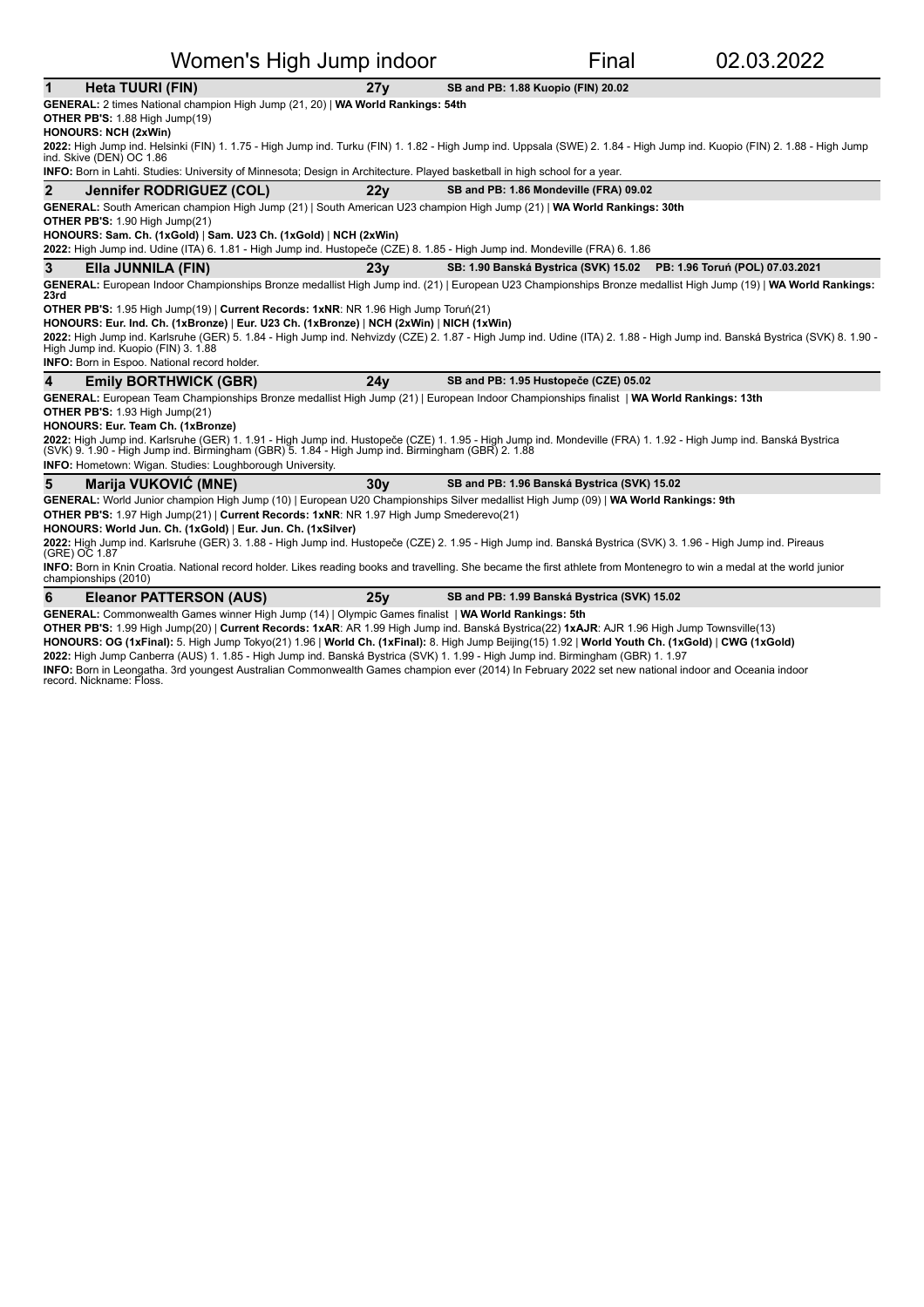| Women's High Jump indoor |                                                                                                                                                                                                                                                                                                                                                                                                                                                                                                                                                                                                                                                                                           |                 |                                             | Final | 02.03.2022                                                           |  |  |  |
|--------------------------|-------------------------------------------------------------------------------------------------------------------------------------------------------------------------------------------------------------------------------------------------------------------------------------------------------------------------------------------------------------------------------------------------------------------------------------------------------------------------------------------------------------------------------------------------------------------------------------------------------------------------------------------------------------------------------------------|-----------------|---------------------------------------------|-------|----------------------------------------------------------------------|--|--|--|
| $\mathbf 1$              | Heta TUURI (FIN)                                                                                                                                                                                                                                                                                                                                                                                                                                                                                                                                                                                                                                                                          | 27y             | SB and PB: 1.88 Kuopio (FIN) 20.02          |       |                                                                      |  |  |  |
|                          | GENERAL: 2 times National champion High Jump (21, 20)   WA World Rankings: 54th<br>OTHER PB'S: 1.88 High Jump(19)<br><b>HONOURS: NCH (2xWin)</b><br>2022: High Jump ind. Helsinki (FIN) 1. 1.75 - High Jump ind. Turku (FIN) 1. 1.82 - High Jump ind. Uppsala (SWE) 2. 1.84 - High Jump ind. Kuopio (FIN) 2. 1.88 - High Jump<br>ind. Skive (DEN) OC 1.86<br><b>INFO:</b> Born in Lahti. Studies: University of Minnesota; Design in Architecture. Played basketball in high school for a year.                                                                                                                                                                                           |                 |                                             |       |                                                                      |  |  |  |
| $\overline{2}$           | Jennifer RODRIGUEZ (COL)                                                                                                                                                                                                                                                                                                                                                                                                                                                                                                                                                                                                                                                                  | 22 <sub>V</sub> | SB and PB: 1.86 Mondeville (FRA) 09.02      |       |                                                                      |  |  |  |
|                          | GENERAL: South American champion High Jump (21)   South American U23 champion High Jump (21)   WA World Rankings: 30th<br>OTHER PB'S: 1.90 High Jump(21)<br>HONOURS: Sam. Ch. (1xGold)   Sam. U23 Ch. (1xGold)   NCH (2xWin)<br>2022: High Jump ind. Udine (ITA) 6. 1.81 - High Jump ind. Hustopeče (CZE) 8. 1.85 - High Jump ind. Mondeville (FRA) 6. 1.86                                                                                                                                                                                                                                                                                                                               |                 |                                             |       |                                                                      |  |  |  |
| 3                        | Ella JUNNILA (FIN)                                                                                                                                                                                                                                                                                                                                                                                                                                                                                                                                                                                                                                                                        | 23v             |                                             |       | SB: 1.90 Banská Bystrica (SVK) 15.02 PB: 1.96 Toruń (POL) 07.03.2021 |  |  |  |
| 23rd                     | GENERAL: European Indoor Championships Bronze medallist High Jump ind. (21)   European U23 Championships Bronze medallist High Jump (19)   WA World Rankings:<br>OTHER PB'S: 1.95 High Jump(19)   Current Records: 1xNR: NR 1.96 High Jump Toruń(21)<br>HONOURS: Eur. Ind. Ch. (1xBronze)   Eur. U23 Ch. (1xBronze)   NCH (2xWin)   NICH (1xWin)<br>2022: High Jump ind. Karlsruhe (GER) 5. 1.84 - High Jump ind. Nehvizdy (CZE) 2. 1.87 - High Jump ind. Udine (ITA) 2. 1.88 - High Jump ind. Banská Bystrica (SVK) 8. 1.90 -<br>High Jump ind. Kuopio (FIN) 3. 1.88<br>INFO: Born in Espoo. National record holder.                                                                     |                 |                                             |       |                                                                      |  |  |  |
| 4                        | <b>Emily BORTHWICK (GBR)</b>                                                                                                                                                                                                                                                                                                                                                                                                                                                                                                                                                                                                                                                              | 24v             | SB and PB: 1.95 Hustopeče (CZE) 05.02       |       |                                                                      |  |  |  |
|                          | GENERAL: European Team Championships Bronze medallist High Jump (21)   European Indoor Championships finalist   WA World Rankings: 13th<br>OTHER PB'S: 1.93 High Jump(21)<br>HONOURS: Eur. Team Ch. (1xBronze)<br>2022: High Jump ind. Karlsruhe (GER) 1. 1.91 - High Jump ind. Hustopeče (CZE) 1. 1.95 - High Jump ind. Mondeville (FRA) 1. 1.92 - High Jump ind. Banská Bystrica<br>(SVK) 9. 1.90 - High Jump ind. Birmingham (GBR) 5. 1.84 - High Jump ind. Birmingham (GBR) 2. 1.88<br>INFO: Hometown: Wigan. Studies: Loughborough University.                                                                                                                                       |                 |                                             |       |                                                                      |  |  |  |
| 5                        | Marija VUKOVIĆ (MNE)                                                                                                                                                                                                                                                                                                                                                                                                                                                                                                                                                                                                                                                                      | 30 <sub>V</sub> | SB and PB: 1.96 Banská Bystrica (SVK) 15.02 |       |                                                                      |  |  |  |
|                          | GENERAL: World Junior champion High Jump (10)   European U20 Championships Silver medallist High Jump (09)   WA World Rankings: 9th<br><b>OTHER PB'S:</b> 1.97 High Jump(21)   Current Records: 1xNR: NR 1.97 High Jump Smederevo(21)<br>HONOURS: World Jun. Ch. (1xGold)   Eur. Jun. Ch. (1xSilver)<br>2022: High Jump ind. Karlsruhe (GER) 3. 1.88 - High Jump ind. Hustopeče (CZE) 2. 1.95 - High Jump ind. Banská Bystrica (SVK) 3. 1.96 - High Jump ind. Pireaus<br>(GRE) OC 1.87<br>INFO: Born in Knin Croatia. National record holder. Likes reading books and travelling. She became the first athlete from Montenegro to win a medal at the world junior<br>championships (2010) |                 |                                             |       |                                                                      |  |  |  |
| 6                        | <b>Eleanor PATTERSON (AUS)</b>                                                                                                                                                                                                                                                                                                                                                                                                                                                                                                                                                                                                                                                            | 25y             | SB and PB: 1.99 Banská Bystrica (SVK) 15.02 |       |                                                                      |  |  |  |

GENERAL: Commonwealth Games winner High Jump (14) | Olympic Games finalist | WA World Rankings: 5th

OTHER PB'S: 1.99 High Jump(20) | Current Records: 1xAR: AR 1.99 High Jump ind. Banská Bystrica(22) 1xAJR: AJR 1.96 High Jump Townsville(13)

**HONOURS: OG (1xFinal):** 5. High Jump Tokyo(21) 1.96 | World Ch. (1xFinal): 8. High Jump Beijing(15) 1.92 | World Youth Ch. (1xGold) | CWG (1xGold)

**2022:** High Jump Canberra (AUS) 1. 1.85 - High Jump ind. Banská Bystrica (SVK) 1. 1.99 - High Jump ind. Birmingham (GBR) 1. 1.97

**INFO:** Born in Leongatha. 3rd youngest Australian Commonwealth Games champion ever (2014) In February 2022 set new national indoor and Oceania indoor<br>record. Nickname: Floss.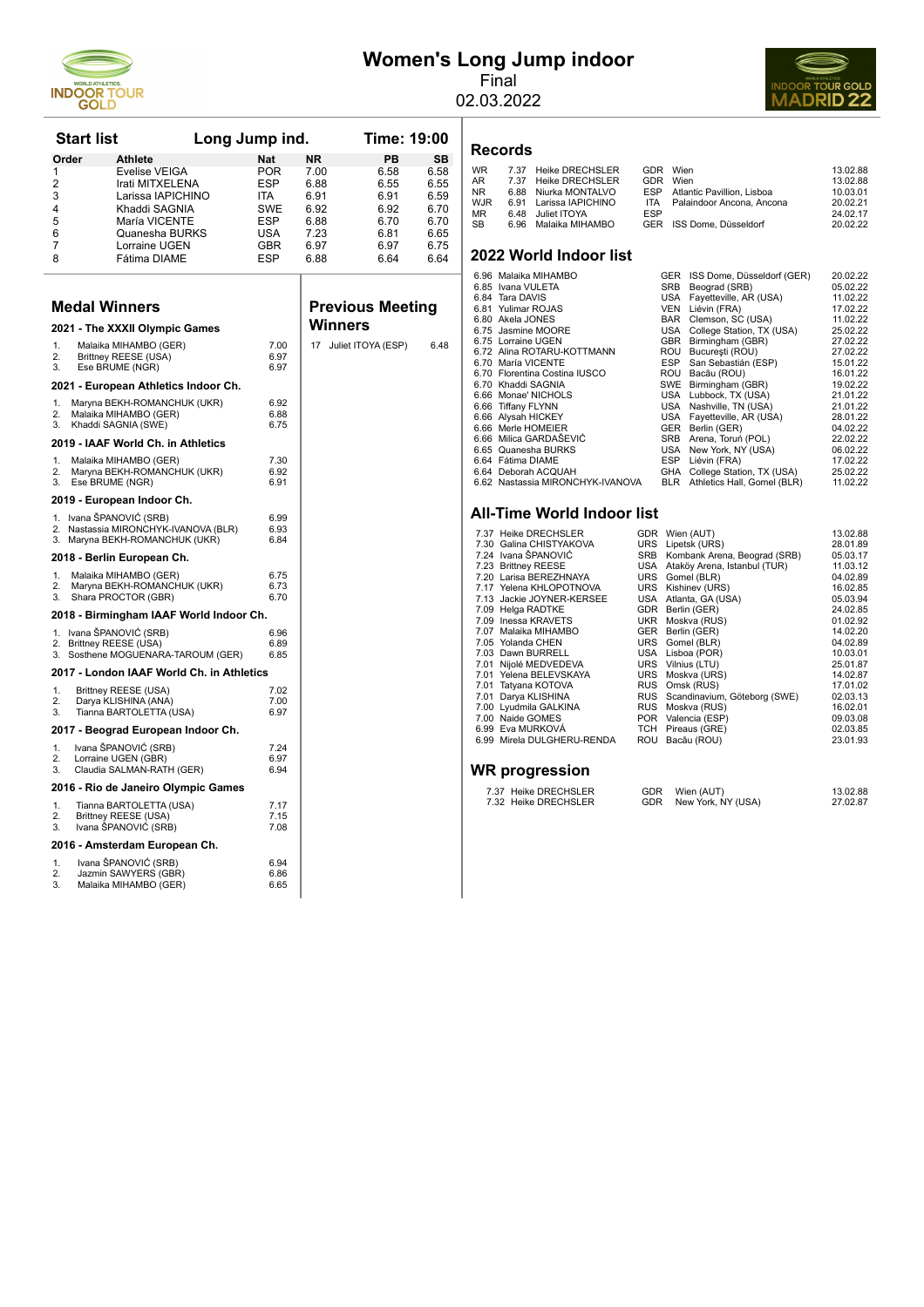

# **Women's Long Jump indoor**

Final 02.03.2022

**Records**



|                      | <b>Start list</b><br>Long Jump ind.                              |            |              |           | Time: 19:00             |           |
|----------------------|------------------------------------------------------------------|------------|--------------|-----------|-------------------------|-----------|
| Order                | <b>Athlete</b>                                                   | <b>Nat</b> |              | <b>NR</b> | PB                      | <b>SB</b> |
| 1                    | Evelise VEIGA                                                    |            | POR          | 7.00      | 6.58                    | 6.58      |
| 2                    | Irati MITXELENA                                                  |            | ESP          | 6.88      | 6.55                    | 6.55      |
| 3                    | Larissa IAPICHINO                                                | ita        |              | 6.91      | 6.91                    | 6.59      |
| 4                    | Khaddi SAGNIA                                                    |            | SWE          | 6.92      | 6.92                    | 6.70      |
| 5                    | María VICENTE                                                    |            | ESP          | 6.88      | 6.70                    | 6.70      |
| 6                    | Quanesha BURKS                                                   |            | USA          | 7.23      | 6.81                    | 6.65      |
| 7                    | Lorraine UGEN                                                    |            | <b>GBR</b>   | 6.97      | 6.97                    | 6.75      |
| 8                    | Fátima DIAME                                                     |            | ESP          | 6.88      | 6.64                    | 6.64      |
| <b>Medal Winners</b> |                                                                  |            |              |           | <b>Previous Meeting</b> |           |
|                      | 2021 - The XXXII Olympic Games                                   |            |              | Winners   |                         |           |
| 1.                   | Malaika MIHAMBO (GER)                                            |            | 7.00         |           | 17 Juliet ITOYA (ESP)   | 6.48      |
| 2.                   | Brittney REESE (USA)                                             |            | 6.97         |           |                         |           |
| 3.                   | Ese BRUME (NGR)                                                  |            | 6.97         |           |                         |           |
|                      | 2021 - European Athletics Indoor Ch.                             |            |              |           |                         |           |
| 1.                   | Maryna BEKH-ROMANCHUK (UKR)                                      |            | 6.92         |           |                         |           |
| 2.                   | Malaika MIHAMBO (GER)                                            |            | 6.88         |           |                         |           |
| 3.                   | Khaddi SAGNIA (SWE)<br>2019 - IAAF World Ch. in Athletics        |            | 6.75         |           |                         |           |
|                      |                                                                  |            |              |           |                         |           |
| 1.<br>2.             | Malaika MIHAMBO (GER)<br>Maryna BEKH-ROMANCHUK (UKR)             |            | 7.30<br>6.92 |           |                         |           |
| 3.                   | Ese BRUME (NGR)                                                  |            | 6.91         |           |                         |           |
|                      | 2019 - European Indoor Ch.                                       |            |              |           |                         |           |
| 1.                   | Ivana ŠPANOVIĆ (SRB)                                             |            | 6.99         |           |                         |           |
| 2.<br>3.             | Nastassia MIRONCHYK-IVANOVA (BLR)<br>Maryna BEKH-ROMANCHUK (UKR) |            | 6.93<br>6.84 |           |                         |           |
|                      | 2018 - Berlin European Ch.                                       |            |              |           |                         |           |
| 1.                   | Malaika MIHAMBO (GER)                                            |            | 6.75         |           |                         |           |
| 2.                   | Maryna BEKH-ROMANCHUK (UKR)                                      |            | 6.73         |           |                         |           |
| 3.                   | Shara PROCTOR (GBR)                                              |            | 6.70         |           |                         |           |
|                      | 2018 - Birmingham IAAF World Indoor Ch.                          |            |              |           |                         |           |
| 1.<br>2.             | Ivana ŠPANOVIĆ (SRB)<br>Brittney REESE (USA)                     |            | 6.96<br>6.89 |           |                         |           |
| 3.                   | Sosthene MOGUENARA-TAROUM (GER)                                  |            | 6.85         |           |                         |           |
|                      | 2017 - London IAAF World Ch. in Athletics                        |            |              |           |                         |           |
| 1.                   | Brittney REESE (USA)                                             |            | 7.02         |           |                         |           |
| 2.<br>3.             | Darya KLISHINA (ANA)<br>Tianna BARTOLETTA (USA)                  |            | 7.00<br>6.97 |           |                         |           |
|                      | 2017 - Beograd European Indoor Ch.                               |            |              |           |                         |           |
| 1.                   | Ivana ŠPANOVIĆ (SRB)                                             |            | 7.24         |           |                         |           |
| 2.                   | Lorraine UGEN (GBR)                                              |            | 6.97         |           |                         |           |
| 3.                   | Claudia SALMAN-RATH (GER)                                        |            | 6.94         |           |                         |           |
|                      | 2016 - Rio de Janeiro Olympic Games                              |            |              |           |                         |           |
| 1.<br>2.             | Tianna BARTOLETTA (USA)                                          |            | 7.17<br>7.15 |           |                         |           |
| 3.                   | Brittney REESE (USA)<br>Ivana ŠPANOVIĆ (SRB)                     |            | 7.08         |           |                         |           |
|                      | 2016 - Amsterdam European Ch.                                    |            |              |           |                         |           |
| 1.                   | Ivana ŠPANOVIĆ (SRB)                                             |            | 6.94         |           |                         |           |
| 2.                   | Jazmin SAWYERS (GBR)                                             |            | 6.86         |           |                         |           |
| 3.                   | Malaika MIHAMBO (GER)                                            |            | 6.65         |           |                         |           |

| <b>WR</b><br>AR<br><b>NR</b><br><b>WJR</b><br><b>MR</b><br>SB | 7.37<br>7.37<br>6.88<br>6.91<br>6.48<br>6.96                                                                                                                                                                      | <b>Heike DRECHSLER</b><br><b>Heike DRECHSLER</b><br>Niurka MONTALVO<br>Larissa IAPICHINO<br>Juliet ITOYA<br>Malaika MIHAMBO                                                                                                                                        | GDR Wien<br>GDR<br><b>ESP</b><br><b>ITA</b><br><b>ESP</b><br>GER | Wien                                                                                                                                                                                                           | Atlantic Pavillion, Lisboa<br>Palaindoor Ancona, Ancona<br>ISS Dome, Düsseldorf                                                                                                                                                                                                                                                                                                                                                                            | 13.02.88<br>13.02.88<br>10.03.01<br>20.02.21<br>24.02.17<br>20.02.22                                                                                                                                                                         |  |
|---------------------------------------------------------------|-------------------------------------------------------------------------------------------------------------------------------------------------------------------------------------------------------------------|--------------------------------------------------------------------------------------------------------------------------------------------------------------------------------------------------------------------------------------------------------------------|------------------------------------------------------------------|----------------------------------------------------------------------------------------------------------------------------------------------------------------------------------------------------------------|------------------------------------------------------------------------------------------------------------------------------------------------------------------------------------------------------------------------------------------------------------------------------------------------------------------------------------------------------------------------------------------------------------------------------------------------------------|----------------------------------------------------------------------------------------------------------------------------------------------------------------------------------------------------------------------------------------------|--|
|                                                               |                                                                                                                                                                                                                   | 2022 World Indoor list                                                                                                                                                                                                                                             |                                                                  |                                                                                                                                                                                                                |                                                                                                                                                                                                                                                                                                                                                                                                                                                            |                                                                                                                                                                                                                                              |  |
|                                                               | 6.85 Ivana VULETA<br>6.84 Tara DAVIS<br>6.81 Yulimar ROJAS<br>6.80 Akela JONES<br>6.75 Lorraine UGEN<br>6.70 María VICENTE<br>6.70 Khaddi SAGNIA<br>6.66 Tiffany FLYNN<br>6.66 Alysah HICKEY<br>6.64 Fátima DIAME | 6.96 Malaika MIHAMBO<br>6.75 Jasmine MOORE<br>6.72 Alina ROTARU-KOTTMANN<br>6.70 Florentina Costina IUSCO<br>6.66 Monae' NICHOLS<br>6.66 Merle HOMEIER<br>6.66 Milica GARDAŠEVIĆ<br>6.65 Quanesha BURKS<br>6.64 Deborah ACQUAH<br>6.62 Nastassia MIRONCHYK-IVANOVA |                                                                  | SRB<br><b>USA</b><br><b>VEN</b><br><b>BAR</b><br>USA<br>GBR<br><b>ROU</b><br>ESP<br><b>ROU</b><br><b>SWE</b><br>USA<br><b>USA</b><br><b>USA</b><br><b>GER</b><br>SRB<br>USA<br><b>ESP</b><br>GHA<br><b>BLR</b> | GER ISS Dome, Düsseldorf (GER)<br>Beograd (SRB)<br>Fayetteville, AR (USA)<br>Liévin (FRA)<br>Clemson, SC (USA)<br>College Station, TX (USA)<br>Birmingham (GBR)<br>București (ROU)<br>San Sebastián (ESP)<br>Bacãu (ROU)<br>Birmingham (GBR)<br>Lubbock, TX (USA)<br>Nashville, TN (USA)<br>Fayetteville, AR (USA)<br>Berlin (GER)<br>Arena, Toruń (POL)<br>New York, NY (USA)<br>Liévin (FRA)<br>College Station, TX (USA)<br>Athletics Hall, Gomel (BLR) | 20.02.22<br>05.02.22<br>11.02.22<br>17.02.22<br>11.02.22<br>25.02.22<br>27.02.22<br>27.02.22<br>15.01.22<br>16.01.22<br>19.02.22<br>21.01.22<br>21.01.22<br>28.01.22<br>04.02.22<br>22.02.22<br>06.02.22<br>17.02.22<br>25.02.22<br>11.02.22 |  |
|                                                               | <b>All-Time World Indoor list</b>                                                                                                                                                                                 |                                                                                                                                                                                                                                                                    |                                                                  |                                                                                                                                                                                                                |                                                                                                                                                                                                                                                                                                                                                                                                                                                            |                                                                                                                                                                                                                                              |  |

#### **All-Time V**

| 7.37 Heike DRECHSLER       |            | GDR Wien (AUT)                   | 13.02.88 |
|----------------------------|------------|----------------------------------|----------|
| 7.30 Galina CHISTYAKOVA    |            | URS Lipetsk (URS)                | 28.01.89 |
| 7.24 Ivana ŠPANOVIĆ        | SRB        | Kombank Arena, Beograd (SRB)     | 05.03.17 |
| 7.23 Brittney REESE        |            | USA Ataköy Arena, Istanbul (TUR) | 11.03.12 |
| 7.20 Larisa BEREZHNAYA     |            | URS Gomel (BLR)                  | 04.02.89 |
| 7.17 Yelena KHLOPOTNOVA    | URS        | Kishinev (URS)                   | 16.02.85 |
| 7.13 Jackie JOYNER-KERSEE  |            | USA Atlanta, GA (USA)            | 05.03.94 |
| 7.09 Helga RADTKE          |            | GDR Berlin (GER)                 | 24.02.85 |
| 7.09 Inessa KRAVETS        | UKR        | Moskva (RUS)                     | 01.02.92 |
| 7.07 Malaika MIHAMBO       | <b>GER</b> | Berlin (GER)                     | 14.02.20 |
| 7.05 Yolanda CHEN          |            | URS Gomel (BLR)                  | 04.02.89 |
| 7.03 Dawn BURRELL          |            | USA Lisboa (POR)                 | 10.03.01 |
| 7.01 Nijolé MEDVEDEVA      |            | URS Vilnius (LTU)                | 25.01.87 |
| 7.01 Yelena BELEVSKAYA     | <b>URS</b> | Moskva (URS)                     | 14.02.87 |
| 7.01 Tatyana KOTOVA        |            | RUS Omsk (RUS)                   | 17.01.02 |
| 7.01 Darya KLISHINA        |            | RUS Scandinavium, Göteborg (SWE) | 02.03.13 |
| 7.00 Lyudmila GALKINA      | <b>RUS</b> | Moskva (RUS)                     | 16.02.01 |
| 7.00 Naide GOMES           |            | POR Valencia (ESP)               | 09.03.08 |
| 6.99 Eva MURKOVÁ           |            | TCH Pireaus (GRE)                | 02.03.85 |
| 6.99 Mirela DULGHERU-RENDA | ROU        | Bacãu (ROU)                      | 23.01.93 |
|                            |            |                                  |          |
| $MD$ $max$                 |            |                                  |          |
|                            |            |                                  |          |

#### **WR progression**

| 7.37 Heike DRECHSLER | GDR Wien (AUT)         | 13.02.88 |
|----------------------|------------------------|----------|
| 7.32 Heike DRECHSLER | GDR New York, NY (USA) | 27.02.87 |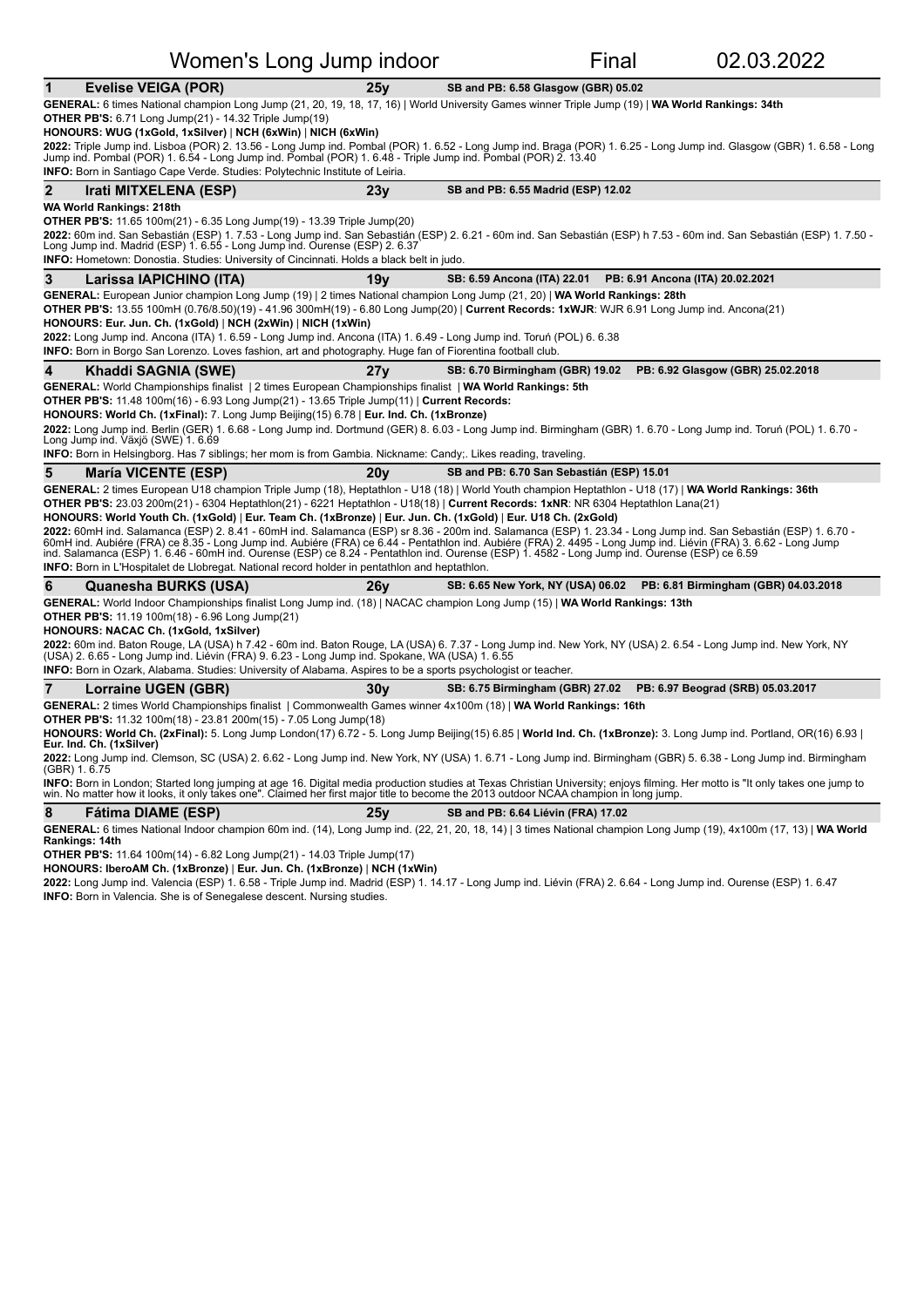|                                                                                                                               | Women's Long Jump indoor                                                                                                                                                                                                                                                                                                                                                                                                                                                                                                   | Final                                     |                                                                         | 02.03.2022 |
|-------------------------------------------------------------------------------------------------------------------------------|----------------------------------------------------------------------------------------------------------------------------------------------------------------------------------------------------------------------------------------------------------------------------------------------------------------------------------------------------------------------------------------------------------------------------------------------------------------------------------------------------------------------------|-------------------------------------------|-------------------------------------------------------------------------|------------|
| <b>Evelise VEIGA (POR)</b>                                                                                                    | 25v                                                                                                                                                                                                                                                                                                                                                                                                                                                                                                                        | SB and PB: 6.58 Glasgow (GBR) 05.02       |                                                                         |            |
| <b>OTHER PB'S:</b> 6.71 Long Jump(21) - 14.32 Triple Jump(19)<br>HONOURS: WUG (1xGold, 1xSilver)   NCH (6xWin)   NICH (6xWin) | GENERAL: 6 times National champion Long Jump (21, 20, 19, 18, 17, 16)   World University Games winner Triple Jump (19)   WA World Rankings: 34th                                                                                                                                                                                                                                                                                                                                                                           |                                           |                                                                         |            |
| <b>INFO:</b> Born in Santiago Cape Verde. Studies: Polytechnic Institute of Leiria.                                           | 2022: Triple Jump ind. Lisboa (POR) 2. 13.56 - Long Jump ind. Pombal (POR) 1. 6.52 - Long Jump ind. Braga (POR) 1. 6.25 - Long Jump ind. Glasgow (GBR) 1. 6.58 - Long<br>Jump ind. Pombal (POR) 1. 6.54 - Long Jump ind. Pombal (POR) 1. 6.48 - Triple Jump ind. Pombal (POR) 2. 13.40                                                                                                                                                                                                                                     |                                           |                                                                         |            |
| $\mathbf{2}$                                                                                                                  |                                                                                                                                                                                                                                                                                                                                                                                                                                                                                                                            |                                           |                                                                         |            |
| Irati MITXELENA (ESP)                                                                                                         | 23v                                                                                                                                                                                                                                                                                                                                                                                                                                                                                                                        | SB and PB: 6.55 Madrid (ESP) 12.02        |                                                                         |            |
| WA World Rankings: 218th<br><b>OTHER PB'S:</b> 11.65 100m(21) - 6.35 Long Jump(19) - 13.39 Triple Jump(20)                    |                                                                                                                                                                                                                                                                                                                                                                                                                                                                                                                            |                                           |                                                                         |            |
| Long Jump ind. Madrid (ESP) 1. 6.55 - Long Jump ind. Ourense (ESP) 2. 6.37                                                    | 2022: 60m ind. San Sebastián (ESP) 1. 7.53 - Long Jump ind. San Sebastián (ESP) 2. 6.21 - 60m ind. San Sebastián (ESP) h 7.53 - 60m ind. San Sebastián (ESP) 1. 7.50 -<br>INFO: Hometown: Donostia. Studies: University of Cincinnati. Holds a black belt in judo.                                                                                                                                                                                                                                                         |                                           |                                                                         |            |
| 3<br>Larissa IAPICHINO (ITA)                                                                                                  | 19v                                                                                                                                                                                                                                                                                                                                                                                                                                                                                                                        | SB: 6.59 Ancona (ITA) 22.01               | PB: 6.91 Ancona (ITA) 20.02.2021                                        |            |
|                                                                                                                               | GENERAL: European Junior champion Long Jump (19)   2 times National champion Long Jump (21, 20)   WA World Rankings: 28th                                                                                                                                                                                                                                                                                                                                                                                                  |                                           |                                                                         |            |
|                                                                                                                               | OTHER PB'S: 13.55 100mH (0.76/8.50)(19) - 41.96 300mH(19) - 6.80 Long Jump(20)   Current Records: 1xWJR: WJR 6.91 Long Jump ind. Ancona(21)                                                                                                                                                                                                                                                                                                                                                                                |                                           |                                                                         |            |
| HONOURS: Eur. Jun. Ch. (1xGold)   NCH (2xWin)   NICH (1xWin)                                                                  |                                                                                                                                                                                                                                                                                                                                                                                                                                                                                                                            |                                           |                                                                         |            |
|                                                                                                                               | 2022: Long Jump ind. Ancona (ITA) 1. 6.59 - Long Jump ind. Ancona (ITA) 1. 6.49 - Long Jump ind. Toruń (POL) 6. 6.38<br>INFO: Born in Borgo San Lorenzo. Loves fashion, art and photography. Huge fan of Fiorentina football club.                                                                                                                                                                                                                                                                                         |                                           |                                                                         |            |
|                                                                                                                               |                                                                                                                                                                                                                                                                                                                                                                                                                                                                                                                            |                                           |                                                                         |            |
| 4<br>Khaddi SAGNIA (SWE)                                                                                                      | 27y                                                                                                                                                                                                                                                                                                                                                                                                                                                                                                                        | SB: 6.70 Birmingham (GBR) 19.02           | PB: 6.92 Glasgow (GBR) 25.02.2018                                       |            |
|                                                                                                                               | GENERAL: World Championships finalist   2 times European Championships finalist   WA World Rankings: 5th                                                                                                                                                                                                                                                                                                                                                                                                                   |                                           |                                                                         |            |
|                                                                                                                               | <b>OTHER PB'S:</b> 11.48 100m(16) - 6.93 Long Jump(21) - 13.65 Triple Jump(11)   Current Records:<br>HONOURS: World Ch. (1xFinal): 7. Long Jump Beijing(15) 6.78   Eur. Ind. Ch. (1xBronze)                                                                                                                                                                                                                                                                                                                                |                                           |                                                                         |            |
|                                                                                                                               | 2022: Long Jump ind. Berlin (GER) 1. 6.68 - Long Jump ind. Dortmund (GER) 8. 6.03 - Long Jump ind. Birmingham (GBR) 1. 6.70 - Long Jump ind. Toruń (POL) 1. 6.70 -                                                                                                                                                                                                                                                                                                                                                         |                                           |                                                                         |            |
| Long Jump ind. Växjö (SWE) 1. 6.69                                                                                            |                                                                                                                                                                                                                                                                                                                                                                                                                                                                                                                            |                                           |                                                                         |            |
|                                                                                                                               | INFO: Born in Helsingborg. Has 7 siblings; her mom is from Gambia. Nickname: Candy;. Likes reading, traveling.                                                                                                                                                                                                                                                                                                                                                                                                             |                                           |                                                                         |            |
| 5<br><b>María VICENTE (ESP)</b>                                                                                               | 20 <sub>V</sub>                                                                                                                                                                                                                                                                                                                                                                                                                                                                                                            | SB and PB: 6.70 San Sebastián (ESP) 15.01 |                                                                         |            |
|                                                                                                                               | GENERAL: 2 times European U18 champion Triple Jump (18), Heptathlon - U18 (18)   World Youth champion Heptathlon - U18 (17)   WA World Rankings: 36th                                                                                                                                                                                                                                                                                                                                                                      |                                           |                                                                         |            |
|                                                                                                                               | OTHER PB'S: 23.03 200m(21) - 6304 Heptathlon(21) - 6221 Heptathlon - U18(18)   Current Records: 1xNR: NR 6304 Heptathlon Lana(21)                                                                                                                                                                                                                                                                                                                                                                                          |                                           |                                                                         |            |
|                                                                                                                               | HONOURS: World Youth Ch. (1xGold)   Eur. Team Ch. (1xBronze)   Eur. Jun. Ch. (1xGold)   Eur. U18 Ch. (2xGold)                                                                                                                                                                                                                                                                                                                                                                                                              |                                           |                                                                         |            |
|                                                                                                                               | 2022: 60mH ind. Salamanca (ESP) 2. 8.41 - 60mH ind. Salamanca (ESP) sr 8.36 - 200m ind. Salamanca (ESP) 1. 23.34 - Long Jump ind. San Sebastián (ESP) 1. 6.70 -<br>60mH ind. Aubiere (FRA) ce 8.35 - Long Jump ind. Aubiere (FRA) ce 6.44 - Pentathlon ind. Aubiere (FRA) 2. 4495 - Long Jump ind. Lievin (FRA) 3. 6.62 - Long Jump ind. Lievin (FRA) 3. 6.62 - Long Jump<br>ind. Salamanca (ESP) 1. 6.46 - 60mH ind. Ourense (ESP) ce 8.24 - Pentathlon ind. Ourense (ESP) 1. 4582 - Long Jump ind. Ourense (ESP) ce 6.59 |                                           |                                                                         |            |
|                                                                                                                               | INFO: Born in L'Hospitalet de Llobregat. National record holder in pentathlon and heptathlon.                                                                                                                                                                                                                                                                                                                                                                                                                              |                                           |                                                                         |            |
| 6<br>Quanesha BURKS (USA)                                                                                                     | 26v                                                                                                                                                                                                                                                                                                                                                                                                                                                                                                                        |                                           | SB: 6.65 New York, NY (USA) 06.02  PB: 6.81 Birmingham (GBR) 04.03.2018 |            |
|                                                                                                                               | GENERAL: World Indoor Championships finalist Long Jump ind. (18)   NACAC champion Long Jump (15)   WA World Rankings: 13th                                                                                                                                                                                                                                                                                                                                                                                                 |                                           |                                                                         |            |
| <b>OTHER PB'S:</b> 11.19 100m(18) - 6.96 Long Jump(21)                                                                        |                                                                                                                                                                                                                                                                                                                                                                                                                                                                                                                            |                                           |                                                                         |            |
| HONOURS: NACAC Ch. (1xGold, 1xSilver)                                                                                         | 2022: 60m ind. Baton Rouge, LA (USA) h 7.42 - 60m ind. Baton Rouge, LA (USA) 6. 7.37 - Long Jump ind. New York, NY (USA) 2. 6.54 - Long Jump ind. New York, NY                                                                                                                                                                                                                                                                                                                                                             |                                           |                                                                         |            |
|                                                                                                                               | (USA) 2. 6.65 - Long Jump ind. Liévin (FRA) 9. 6.23 - Long Jump ind. Spokane, WA (USA) 1. 6.55                                                                                                                                                                                                                                                                                                                                                                                                                             |                                           |                                                                         |            |
|                                                                                                                               | INFO: Born in Ozark, Alabama. Studies: University of Alabama. Aspires to be a sports psychologist or teacher.                                                                                                                                                                                                                                                                                                                                                                                                              |                                           |                                                                         |            |
| $\overline{7}$<br>Lorraine UGEN (GBR)                                                                                         | 30y                                                                                                                                                                                                                                                                                                                                                                                                                                                                                                                        |                                           | SB: 6.75 Birmingham (GBR) 27.02  PB: 6.97 Beograd (SRB) 05.03.2017      |            |
|                                                                                                                               | GENERAL: 2 times World Championships finalist   Commonwealth Games winner 4x100m (18)   WA World Rankings: 16th                                                                                                                                                                                                                                                                                                                                                                                                            |                                           |                                                                         |            |
| <b>OTHER PB'S:</b> 11.32 100m(18) - 23.81 200m(15) - 7.05 Long Jump(18)                                                       |                                                                                                                                                                                                                                                                                                                                                                                                                                                                                                                            |                                           |                                                                         |            |
| Eur. Ind. Ch. (1xSilver)                                                                                                      | HONOURS: World Ch. (2xFinal): 5. Long Jump London(17) 6.72 - 5. Long Jump Beijing(15) 6.85   World Ind. Ch. (1xBronze): 3. Long Jump ind. Portland, OR(16) 6.93                                                                                                                                                                                                                                                                                                                                                            |                                           |                                                                         |            |
| (GBR) 1.6.75                                                                                                                  | 2022: Long Jump ind. Clemson, SC (USA) 2. 6.62 - Long Jump ind. New York, NY (USA) 1. 6.71 - Long Jump ind. Birmingham (GBR) 5. 6.38 - Long Jump ind. Birmingham                                                                                                                                                                                                                                                                                                                                                           |                                           |                                                                         |            |
|                                                                                                                               | INFO: Born in London; Started long jumping at age 16. Digital media production studies at Texas Christian University; enjoys filming. Her motto is "It only takes one jump to<br>win. No matter how it looks, it only takes one". Claimed her first major title to become the 2013 outdoor NCAA champion in long jump.                                                                                                                                                                                                     |                                           |                                                                         |            |

**8 Fátima DIAME** (ESP) **25y SB** and PB: 6.64 Liévin (FRA) 17.02

**GENERAL:** 6 times National Indoor champion 60m ind. (14), Long Jump ind. (22, 21, 20, 18, 14) | 3 times National champion Long Jump (19), 4x100m (17, 13) | **WA World**<br>**Rankings: 14th** 

**OTHER PB'S:** 11.64 100m(14) - 6.82 Long Jump(21) - 14.03 Triple Jump(17)

**HONOURS: IberoAM Ch. (1xBronze)** | **Eur. Jun. Ch. (1xBronze)** | **NCH (1xWin)**

**2022:** Long Jump ind. Valencia (ESP) 1. 6.58 - Triple Jump ind. Madrid (ESP) 1. 14.17 - Long Jump (FRA) 2. 6.64 - Long Jump ind. Ourense (ESP) 1. 6.47 **INFO:** Born in Valencia. She is of Senegalese descent. Nursing studies.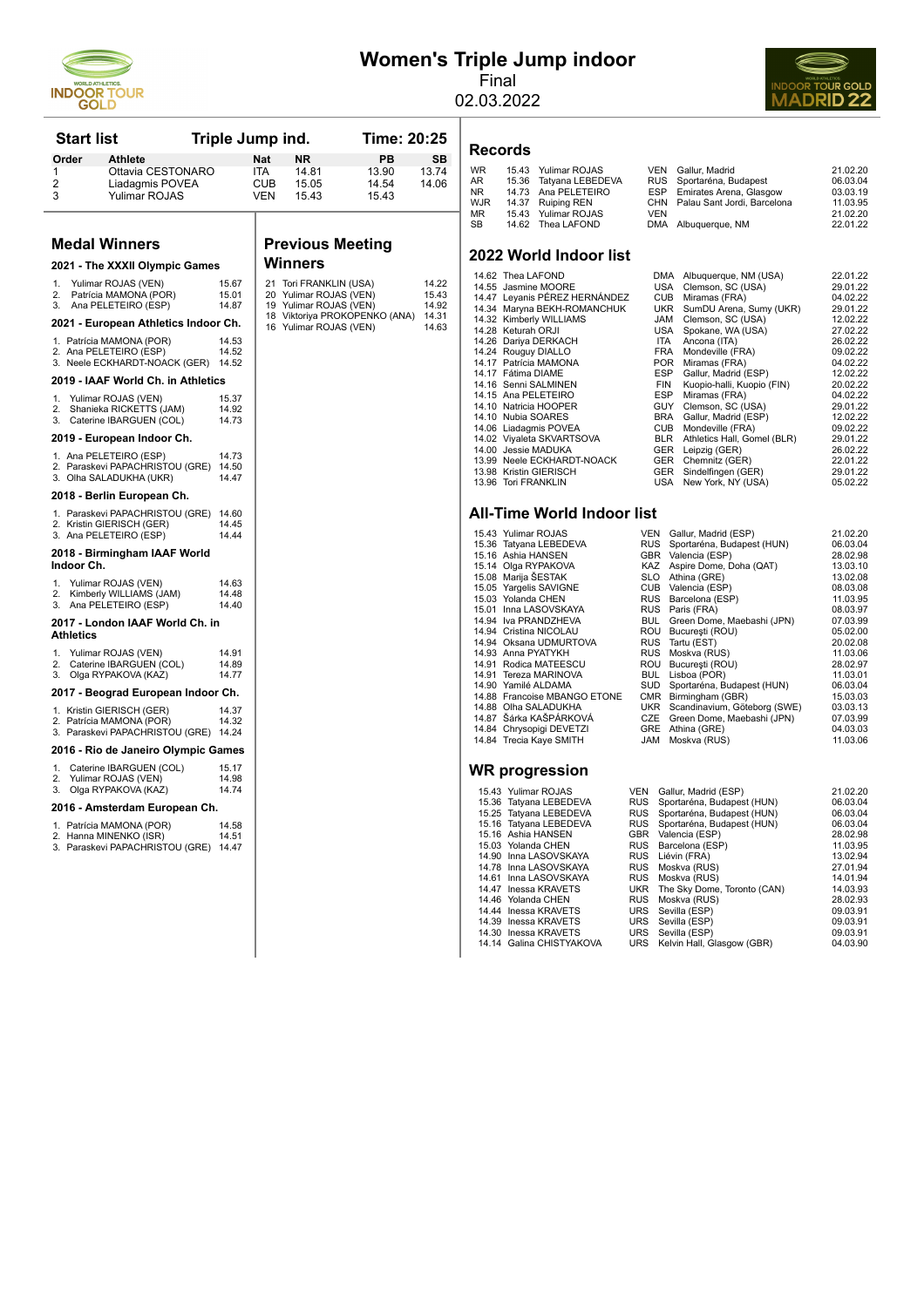

# **Women's Triple Jump indoor**

Final 02.03.2022



| <b>Start list</b> |                                                            | Triple Jump ind. |            |                                                  | Time: 20:25                   |                |
|-------------------|------------------------------------------------------------|------------------|------------|--------------------------------------------------|-------------------------------|----------------|
| Order             | Athlete                                                    |                  | <b>Nat</b> | ΝR                                               | PB                            | SВ             |
| 1                 | Ottavia CESTONARO                                          |                  | ITA        | 14.81                                            | 13.90                         | 13.74          |
| 2                 | Liadagmis POVEA                                            |                  | CUB        | 15.05                                            | 14.54                         | 14.06          |
| 3                 | Yulimar ROJAS                                              |                  | VEN        | 15.43                                            | 15.43                         |                |
|                   |                                                            |                  |            |                                                  |                               |                |
|                   | <b>Medal Winners</b>                                       |                  |            |                                                  | <b>Previous Meeting</b>       |                |
|                   | 2021 - The XXXII Olympic Games                             |                  |            | <b>Winners</b>                                   |                               |                |
| 1.                | Yulimar ROJAS (VEN)                                        | 15.67            |            | 21 Tori FRANKLIN (USA)                           |                               | 14.22          |
| 2.<br>3.          | Patrícia MAMONA (POR)<br>Ana PELETEIRO (ESP)               | 15.01<br>14.87   |            | 20 Yulimar ROJAS (VEN)<br>19 Yulimar ROJAS (VEN) |                               | 15.43<br>14.92 |
|                   | 2021 - European Athletics Indoor Ch.                       |                  |            | 16 Yulimar ROJAS (VEN)                           | 18 Viktoriya PROKOPENKO (ANA) | 14.31<br>14.63 |
|                   | 1. Patrícia MAMONA (POR)                                   | 14.53            |            |                                                  |                               |                |
|                   | 2. Ana PELETEIRO (ESP)                                     | 14.52            |            |                                                  |                               |                |
|                   | 3. Neele ECKHARDT-NOACK (GER)                              | 14.52            |            |                                                  |                               |                |
|                   | 2019 - IAAF World Ch. in Athletics                         |                  |            |                                                  |                               |                |
| 1.                | Yulimar ROJAS (VEN)                                        | 15.37            |            |                                                  |                               |                |
| 2.<br>3.          | Shanieka RICKETTS (JAM)<br>Caterine IBARGUEN (COL)         | 14.92<br>14.73   |            |                                                  |                               |                |
|                   | 2019 - European Indoor Ch.                                 |                  |            |                                                  |                               |                |
|                   | 1. Ana PELETEIRO (ESP)                                     | 14.73            |            |                                                  |                               |                |
|                   | 2. Paraskevi PAPACHRISTOU (GRE)<br>3. Olha SALADUKHA (UKR) | 14.50<br>14.47   |            |                                                  |                               |                |
|                   | 2018 - Berlin European Ch.                                 |                  |            |                                                  |                               |                |
|                   | 1. Paraskevi PAPACHRISTOU (GRE)                            | 14.60            |            |                                                  |                               |                |
|                   | 2. Kristin GIERISCH (GER)<br>3. Ana PELETEIRO (ESP)        | 14.45<br>14.44   |            |                                                  |                               |                |
|                   |                                                            |                  |            |                                                  |                               |                |
| Indoor Ch.        | 2018 - Birmingham IAAF World                               |                  |            |                                                  |                               |                |
| 1.                | Yulimar ROJAS (VEN)                                        | 14.63            |            |                                                  |                               |                |
| 2.<br>3.          | Kimberly WILLIAMS (JAM)<br>Ana PELETEIRO (ESP)             | 14.48<br>14.40   |            |                                                  |                               |                |
|                   | 2017 - London IAAF World Ch. in                            |                  |            |                                                  |                               |                |
| Athletics         |                                                            |                  |            |                                                  |                               |                |
| 1.                | Yulimar ROJAS (VEN)                                        | 14.91            |            |                                                  |                               |                |
| 2.<br>3.          | Caterine IBARGUEN (COL)<br>Olga RYPAKOVA (KAZ)             | 14.89<br>14.77   |            |                                                  |                               |                |
|                   | 2017 - Beograd European Indoor Ch.                         |                  |            |                                                  |                               |                |
|                   | 1. Kristin GIERISCH (GER)                                  | 14.37            |            |                                                  |                               |                |
|                   | 2. Patrícia MAMONA (POR)                                   | 14.32            |            |                                                  |                               |                |
|                   | 3. Paraskevi PAPACHRISTOU (GRE) 14.24                      |                  |            |                                                  |                               |                |
|                   | 2016 - Rio de Janeiro Olympic Games                        |                  |            |                                                  |                               |                |
| 1.<br>2.          | Caterine IBARGUEN (COL)<br>Yulimar ROJAS (VEN)             | 15.17<br>14.98   |            |                                                  |                               |                |
| 3.                | Olga RYPAKOVA (KAZ)                                        | 14.74            |            |                                                  |                               |                |
|                   | 2016 - Amsterdam European Ch.                              |                  |            |                                                  |                               |                |
|                   | 1. Patrícia MAMONA (POR)                                   | 14.58            |            |                                                  |                               |                |
|                   | 2. Hanna MINENKO (ISR)<br>3. Paraskevi PAPACHRISTOU (GRE)  | 14.51<br>14.47   |            |                                                  |                               |                |
|                   |                                                            |                  |            |                                                  |                               |                |

**Records**

| <b>WR</b> | 15.43 Yulimar ROJAS    |            | VEN Gallur, Madrid              | 21.02.20 |
|-----------|------------------------|------------|---------------------------------|----------|
| AR        | 15.36 Tatyana LEBEDEVA |            | RUS Sportaréna, Budapest        | 06.03.04 |
| NR.       | 14.73 Ana PELETEIRO    |            | ESP Emirates Arena, Glasgow     | 03.03.19 |
| WJR       | 14.37 Ruiping REN      |            | CHN Palau Sant Jordi, Barcelona | 11.03.95 |
| ΜR        | 15.43 Yulimar ROJAS    | <b>VEN</b> |                                 | 21.02.20 |
| SB        | 14.62 Thea LAFOND      |            | DMA Albuquerque, NM             | 22.01.22 |
|           |                        |            |                                 |          |
|           |                        |            |                                 |          |

#### **2022 World Indoor list**

| 14.62 Thea LAFOND             | DMA        | Albuquerque, NM (USA)                                                                                                                                                                                                                                                                                                              | 22.01.22 |
|-------------------------------|------------|------------------------------------------------------------------------------------------------------------------------------------------------------------------------------------------------------------------------------------------------------------------------------------------------------------------------------------|----------|
| 14.55 Jasmine MOORE           | USA        | Clemson, SC (USA)                                                                                                                                                                                                                                                                                                                  | 29.01.22 |
| 14.47 Leyanis PÉREZ HERNÁNDEZ | CUB        | Miramas (FRA)                                                                                                                                                                                                                                                                                                                      | 04.02.22 |
| 14.34 Maryna BEKH-ROMANCHUK   | UKR        | SumDU Arena, Sumy (UKR)                                                                                                                                                                                                                                                                                                            | 29.01.22 |
| 14.32 Kimberly WILLIAMS       | <b>JAM</b> | Clemson, SC (USA)                                                                                                                                                                                                                                                                                                                  | 12.02.22 |
| 14.28 Keturah ORJI            | USA        | Spokane, WA (USA)                                                                                                                                                                                                                                                                                                                  | 27.02.22 |
| 14.26 Dariya DERKACH          | ITA        | Ancona (ITA)                                                                                                                                                                                                                                                                                                                       | 26.02.22 |
| 14.24 Rouguy DIALLO           | <b>FRA</b> | Mondeville (FRA)                                                                                                                                                                                                                                                                                                                   | 09.02.22 |
| 14.17 Patrícia MAMONA         | POR        | Miramas (FRA)                                                                                                                                                                                                                                                                                                                      | 04.02.22 |
| 14.17 Fátima DIAME            | ESP        | Gallur, Madrid (ESP)                                                                                                                                                                                                                                                                                                               | 12.02.22 |
| 14.16 Senni SALMINEN          | FIN.       | Kuopio-halli, Kuopio (FIN)                                                                                                                                                                                                                                                                                                         | 20.02.22 |
| 14.15 Ana PELETEIRO           | ESP        | Miramas (FRA)                                                                                                                                                                                                                                                                                                                      | 04.02.22 |
| 14.10 Natricia HOOPER         | GUY        | Clemson, SC (USA)                                                                                                                                                                                                                                                                                                                  | 29.01.22 |
| 14.10 Nubia SOARES            | BRA        | Gallur, Madrid (ESP)                                                                                                                                                                                                                                                                                                               | 12.02.22 |
| 14.06 Liadagmis POVEA         | CUB        | Mondeville (FRA)                                                                                                                                                                                                                                                                                                                   | 09.02.22 |
| 14.02 Viyaleta SKVARTSOVA     | <b>BLR</b> | Athletics Hall, Gomel (BLR)                                                                                                                                                                                                                                                                                                        | 29.01.22 |
| 14.00 Jessie MADUKA           | <b>GER</b> | Leipzig (GER)                                                                                                                                                                                                                                                                                                                      | 26.02.22 |
| 13.99 Neele ECKHARDT-NOACK    | GER        | Chemnitz (GER)                                                                                                                                                                                                                                                                                                                     | 22.01.22 |
| 13.98 Kristin GIERISCH        | GER        | Sindelfingen (GER)                                                                                                                                                                                                                                                                                                                 | 29.01.22 |
|                               | $\cdots$   | $\mathbf{r}$ $\mathbf{r}$ $\mathbf{r}$ $\mathbf{r}$ $\mathbf{r}$ $\mathbf{r}$ $\mathbf{r}$ $\mathbf{r}$ $\mathbf{r}$ $\mathbf{r}$ $\mathbf{r}$ $\mathbf{r}$ $\mathbf{r}$ $\mathbf{r}$ $\mathbf{r}$ $\mathbf{r}$ $\mathbf{r}$ $\mathbf{r}$ $\mathbf{r}$ $\mathbf{r}$ $\mathbf{r}$ $\mathbf{r}$ $\mathbf{r}$ $\mathbf{r}$ $\mathbf{$ | 0.7000   |

# 13.99 Neele ECKHARDT-NOACK GER Chemnitz (GER) 22.01.22 13.98 Kristin GIERISCH GER Sindelfingen (GER) 29.01.22 13.96 Tori FRANKLIN USA New York, NY (USA) 05.02.22

Albuquerque, NM (USA) 22.01.22<br>Clemson, SC (USA) 29.01.22<br>Miramas (FRA) 04.02.22

# **All-Time World Indoor list**

|       | 15.43 Yulimar ROJAS          | <b>VEN</b> | Gallur, Madrid (ESP)         | 21.02.20 |
|-------|------------------------------|------------|------------------------------|----------|
|       | 15.36 Tatyana LEBEDEVA       | <b>RUS</b> | Sportaréna, Budapest (HUN)   | 06.03.04 |
|       | 15.16 Ashia HANSEN           | GBR        | Valencia (ESP)               | 28.02.98 |
|       | 15.14 Olga RYPAKOVA          | <b>KAZ</b> | Aspire Dome, Doha (QAT)      | 13.03.10 |
|       | 15.08 Marija ŠESTAK          | <b>SLO</b> | Athina (GRE)                 | 13.02.08 |
|       | 15.05 Yargelis SAVIGNE       | CUB        | Valencia (ESP)               | 08.03.08 |
|       | 15.03 Yolanda CHEN           | <b>RUS</b> | Barcelona (ESP)              | 11.03.95 |
| 15.01 | Inna LASOVSKAYA              | <b>RUS</b> | Paris (FRA)                  | 08.03.97 |
|       | 14.94 Iva PRANDZHEVA         | <b>BUL</b> | Green Dome, Maebashi (JPN)   | 07.03.99 |
|       | 14.94 Cristina NICOLAU       | ROU        | București (ROU)              | 05.02.00 |
|       | 14.94 Oksana UDMURTOVA       | <b>RUS</b> | Tartu (EST)                  | 20.02.08 |
|       | 14.93 Anna PYATYKH           | <b>RUS</b> | Moskva (RUS)                 | 11.03.06 |
| 14.91 | Rodica MATEESCU              | ROU        | București (ROU)              | 28.02.97 |
|       | 14.91 Tereza MARINOVA        | <b>BUL</b> | Lisboa (POR)                 | 11.03.01 |
|       | 14.90 Yamilé ALDAMA          | SUD        | Sportaréna, Budapest (HUN)   | 06.03.04 |
|       | 14.88 Francoise MBANGO ETONE | <b>CMR</b> | Birmingham (GBR)             | 15.03.03 |
|       | 14.88 Olha SALADUKHA         | UKR        | Scandinavium, Göteborg (SWE) | 03.03.13 |
|       | 14.87 Šárka KAŠPÁRKOVÁ       | <b>CZE</b> | Green Dome, Maebashi (JPN)   | 07.03.99 |
|       | 14.84 Chrysopigi DEVETZI     | <b>GRE</b> | Athina (GRE)                 | 04.03.03 |
|       | 14.84 Trecia Kaye SMITH      | <b>JAM</b> | Moskva (RUS)                 | 11.03.06 |
|       |                              |            |                              |          |
|       |                              |            |                              |          |
|       | <b>WR</b> progression        |            |                              |          |
|       |                              |            |                              |          |

| 15.43 Yulimar ROJAS      | <b>VEN</b> | Gallur. Madrid (ESP)        | 21.02.20 |
|--------------------------|------------|-----------------------------|----------|
| 15.36 Tatyana LEBEDEVA   | <b>RUS</b> | Sportaréna, Budapest (HUN)  | 06.03.04 |
| 15.25 Tatyana LEBEDEVA   | <b>RUS</b> | Sportaréna, Budapest (HUN)  | 06.03.04 |
| 15.16 Tatyana LEBEDEVA   | <b>RUS</b> | Sportaréna, Budapest (HUN)  | 06.03.04 |
| 15.16 Ashia HANSEN       | <b>GBR</b> | Valencia (ESP)              | 28.02.98 |
| 15.03 Yolanda CHEN       | <b>RUS</b> | Barcelona (ESP)             | 11.03.95 |
| 14.90 Inna LASOVSKAYA    | <b>RUS</b> | Liévin (FRA)                | 13.02.94 |
| 14.78 Inna LASOVSKAYA    | <b>RUS</b> | Moskva (RUS)                | 27.01.94 |
| 14.61 Inna LASOVSKAYA    | <b>RUS</b> | Moskva (RUS)                | 14.01.94 |
| 14.47 Inessa KRAVETS     | <b>UKR</b> | The Sky Dome, Toronto (CAN) | 14.03.93 |
| 14.46 Yolanda CHEN       | <b>RUS</b> | Moskva (RUS)                | 28.02.93 |
| 14.44 Inessa KRAVETS     | <b>URS</b> | Sevilla (ESP)               | 09.03.91 |
| 14.39 Inessa KRAVETS     | <b>URS</b> | Sevilla (ESP)               | 09.03.91 |
| 14.30 Inessa KRAVETS     | <b>URS</b> | Sevilla (ESP)               | 09.03.91 |
| 14.14 Galina CHISTYAKOVA | <b>URS</b> | Kelvin Hall, Glasgow (GBR)  | 04.03.90 |